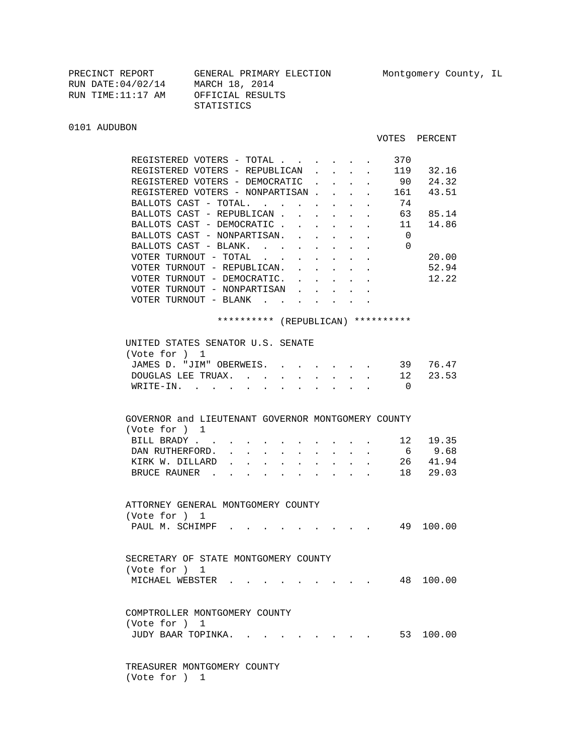| PRECINCT REPORT    | GENERAL PRIMARY ELECTION |
|--------------------|--------------------------|
| RUN DATE: 04/02/14 | MARCH 18, 2014           |
| RUN TIME:11:17 AM  | OFFICIAL RESULTS         |
|                    | STATISTICS               |
|                    |                          |

## 0101 AUDUBON

## VOTES PERCENT

| REGISTERED VOTERS - TOTAL                                                                                 |                                                              |                                             | 370                                        |           |
|-----------------------------------------------------------------------------------------------------------|--------------------------------------------------------------|---------------------------------------------|--------------------------------------------|-----------|
| REGISTERED VOTERS - REPUBLICAN                                                                            |                                                              | $\sim$ $-$<br>$\sim$                        |                                            | 119 32.16 |
| REGISTERED VOTERS - DEMOCRATIC                                                                            | $\mathbf{r}$                                                 | $\mathbf{L} = \mathbf{L} \times \mathbf{L}$ | 90                                         | 24.32     |
| REGISTERED VOTERS - NONPARTISAN 161                                                                       |                                                              |                                             |                                            | 43.51     |
| BALLOTS CAST - TOTAL.                                                                                     |                                                              |                                             | 74                                         |           |
| BALLOTS CAST - REPUBLICAN.                                                                                |                                                              |                                             | $\cdot$ $\cdot$ $\cdot$ $\cdot$ $\cdot$ 63 | 85.14     |
| BALLOTS CAST - DEMOCRATIC.<br>$\ddot{\phantom{a}}$                                                        | $\mathbf{L} = \mathbf{L} \mathbf{L} = \mathbf{L} \mathbf{L}$ |                                             | 11                                         | 14.86     |
| BALLOTS CAST - NONPARTISAN.                                                                               |                                                              | $\mathbf{z} = \mathbf{z} + \mathbf{z}$ .    | $\overline{0}$                             |           |
| BALLOTS CAST - BLANK.                                                                                     |                                                              |                                             | $\Omega$                                   |           |
| VOTER TURNOUT - TOTAL                                                                                     |                                                              |                                             |                                            | 20.00     |
| VOTER TURNOUT - REPUBLICAN.<br>$\mathbf{L}$<br>$\sim$                                                     | $\mathbf{L}$                                                 | $\ddot{\phantom{0}}$                        |                                            | 52.94     |
| VOTER TURNOUT - DEMOCRATIC.<br>$\mathbf{A}$                                                               | $\mathbf{L}$                                                 | $\sim$<br>$\ddot{\phantom{0}}$              |                                            | 12.22     |
| VOTER TURNOUT - NONPARTISAN                                                                               |                                                              |                                             |                                            |           |
| VOTER TURNOUT - BLANK $\cdot \cdot \cdot \cdot \cdot \cdot \cdot$                                         |                                                              |                                             |                                            |           |
|                                                                                                           |                                                              |                                             |                                            |           |
| ********** (REPUBLICAN) **********                                                                        |                                                              |                                             |                                            |           |
|                                                                                                           |                                                              |                                             |                                            |           |
| UNITED STATES SENATOR U.S. SENATE                                                                         |                                                              |                                             |                                            |           |
| (Vote for ) 1                                                                                             |                                                              |                                             |                                            |           |
| JAMES D. "JIM" OBERWEIS.                                                                                  |                                                              |                                             |                                            | 39 76.47  |
| DOUGLAS LEE TRUAX. 12                                                                                     |                                                              |                                             |                                            | 23.53     |
| WRITE-IN.                                                                                                 |                                                              |                                             | $\overline{0}$                             |           |
|                                                                                                           |                                                              |                                             |                                            |           |
|                                                                                                           |                                                              |                                             |                                            |           |
| GOVERNOR and LIEUTENANT GOVERNOR MONTGOMERY COUNTY                                                        |                                                              |                                             |                                            |           |
| (Vote for ) 1                                                                                             |                                                              |                                             |                                            |           |
| BILL BRADY                                                                                                |                                                              | $\sim$                                      |                                            | 12 19.35  |
| DAN RUTHERFORD.<br>$\ddot{\phantom{0}}$<br>$\bullet$                                                      |                                                              | $\sim$                                      | $6\overline{6}$                            | 9.68      |
| KIRK W. DILLARD<br>$\mathbf{L}$<br>$\mathbf{L}$<br>$\sim$<br>$\ddot{\phantom{a}}$<br>$\ddot{\phantom{0}}$ | $\ddot{\phantom{0}}$                                         | $\sim$<br>$\ddot{\phantom{0}}$              |                                            | 26 41.94  |
| BRUCE RAUNER<br>$\sim$ $\sim$ $\sim$<br>$\sim$                                                            | $\sim$ $\sim$                                                |                                             |                                            | 18 29.03  |
|                                                                                                           |                                                              |                                             |                                            |           |
|                                                                                                           |                                                              |                                             |                                            |           |
| ATTORNEY GENERAL MONTGOMERY COUNTY                                                                        |                                                              |                                             |                                            |           |
| (Vote for ) 1                                                                                             |                                                              |                                             |                                            |           |
| PAUL M. SCHIMPF.                                                                                          |                                                              |                                             |                                            | 49 100.00 |
|                                                                                                           |                                                              |                                             |                                            |           |
|                                                                                                           |                                                              |                                             |                                            |           |
| SECRETARY OF STATE MONTGOMERY COUNTY                                                                      |                                                              |                                             |                                            |           |
| (Vote for ) 1                                                                                             |                                                              |                                             |                                            |           |
| MICHAEL WEBSTER                                                                                           |                                                              |                                             |                                            | 48 100.00 |
|                                                                                                           |                                                              |                                             |                                            |           |
|                                                                                                           |                                                              |                                             |                                            |           |
| COMPTROLLER MONTGOMERY COUNTY                                                                             |                                                              |                                             |                                            |           |
| (Vote for ) 1                                                                                             |                                                              |                                             |                                            |           |
| JUDY BAAR TOPINKA. .                                                                                      |                                                              |                                             |                                            | 53 100.00 |
|                                                                                                           |                                                              |                                             |                                            |           |
|                                                                                                           |                                                              |                                             |                                            |           |
| TREASURER MONTGOMERY COUNTY                                                                               |                                                              |                                             |                                            |           |

(Vote for ) 1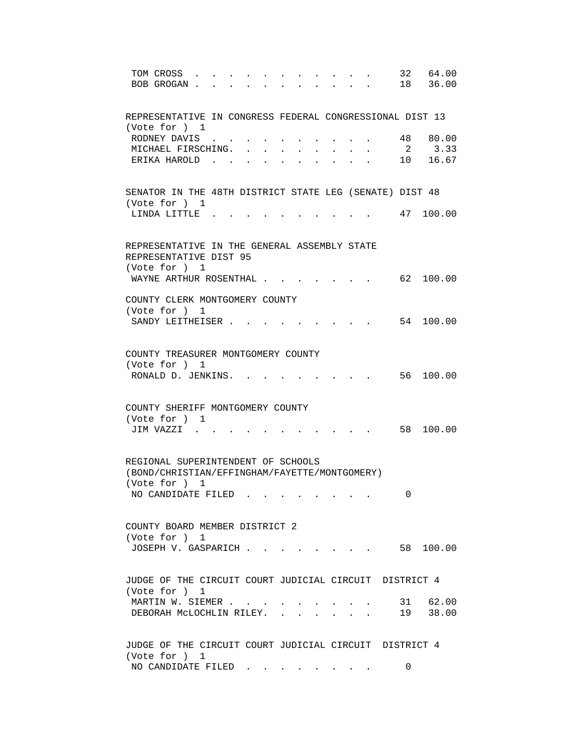| TOM CROSS<br>BOB GROGAN.<br>$\mathbf{r} = \mathbf{r}$                                   |                | 32 64.00<br>18 36.00 |
|-----------------------------------------------------------------------------------------|----------------|----------------------|
| REPRESENTATIVE IN CONGRESS FEDERAL CONGRESSIONAL DIST 13<br>(Vote for ) 1               |                |                      |
| RODNEY DAVIS                                                                            | 48             | 80.00                |
| MICHAEL FIRSCHING. .                                                                    | $\overline{2}$ | 3.33                 |
| ERIKA HAROLD.                                                                           |                | 10 16.67             |
| SENATOR IN THE 48TH DISTRICT STATE LEG (SENATE) DIST 48<br>(Vote for ) 1                |                |                      |
| LINDA LITTLE.                                                                           |                | 47 100.00            |
| REPRESENTATIVE IN THE GENERAL ASSEMBLY STATE<br>REPRESENTATIVE DIST 95<br>(Vote for ) 1 |                |                      |
| WAYNE ARTHUR ROSENTHAL                                                                  |                | 62 100.00            |
| COUNTY CLERK MONTGOMERY COUNTY<br>(Vote for ) 1                                         |                |                      |
| SANDY LEITHEISER                                                                        |                | 54 100.00            |
| COUNTY TREASURER MONTGOMERY COUNTY<br>(Vote for ) 1<br>RONALD D. JENKINS. .             |                | 56 100.00            |
|                                                                                         |                |                      |
| COUNTY SHERIFF MONTGOMERY COUNTY<br>(Vote for ) 1                                       |                |                      |
| JIM VAZZI .                                                                             |                | 58 100.00            |
| REGIONAL SUPERINTENDENT OF SCHOOLS<br>(BOND/CHRISTIAN/EFFINGHAM/FAYETTE/MONTGOMERY)     |                |                      |
| (Vote for ) 1                                                                           |                |                      |
| NO CANDIDATE FILED                                                                      | 0              |                      |
| COUNTY BOARD MEMBER DISTRICT 2                                                          |                |                      |
| (Vote for ) 1<br>$\cdot$ 58 100.00<br>JOSEPH V. GASPARICH                               |                |                      |
| JUDGE OF THE CIRCUIT COURT JUDICIAL CIRCUIT DISTRICT 4<br>(Vote for ) 1                 |                |                      |
| MARTIN W. SIEMER<br>DEBORAH MCLOCHLIN RILEY.                                            |                | 31 62.00<br>19 38.00 |
| JUDGE OF THE CIRCUIT COURT JUDICIAL CIRCUIT DISTRICT 4<br>(Vote for ) 1                 |                |                      |
| NO CANDIDATE FILED                                                                      | 0              |                      |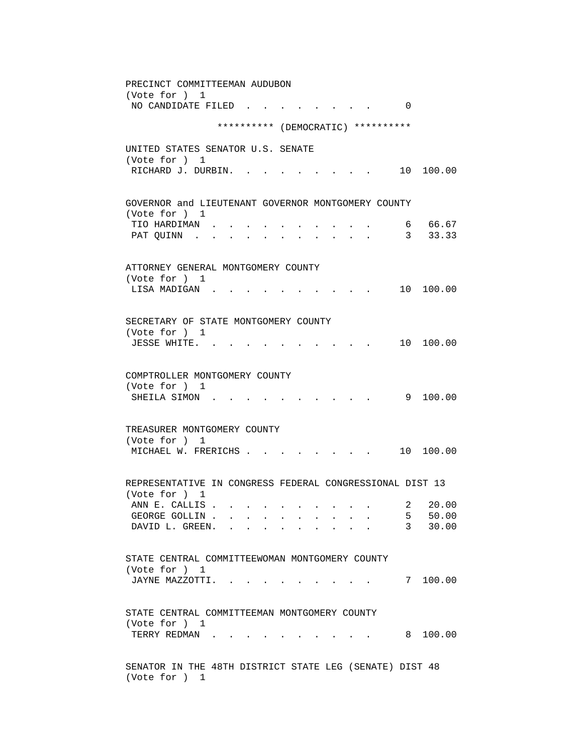PRECINCT COMMITTEEMAN AUDUBON (Vote for ) 1 NO CANDIDATE FILED . . . . . . . . 0 \*\*\*\*\*\*\*\*\*\* (DEMOCRATIC) \*\*\*\*\*\*\*\*\*\* UNITED STATES SENATOR U.S. SENATE (Vote for ) 1 RICHARD J. DURBIN. . . . . . . . . 10 100.00 GOVERNOR and LIEUTENANT GOVERNOR MONTGOMERY COUNTY (Vote for ) 1 TIO HARDIMAN . . . . . . . . . . . . 6 66.67<br>PAT QUINN . . . . . . . . . . . . 3 33.33 PAT QUINN . . . . . . . . . . . 3 33.33 ATTORNEY GENERAL MONTGOMERY COUNTY (Vote for ) 1 LISA MADIGAN . . . . . . . . . . 10 100.00 SECRETARY OF STATE MONTGOMERY COUNTY (Vote for ) 1 JESSE WHITE. . . . . . . . . . . 10 100.00 COMPTROLLER MONTGOMERY COUNTY (Vote for ) 1 SHEILA SIMON . . . . . . . . . . . 9 100.00 TREASURER MONTGOMERY COUNTY (Vote for ) 1 MICHAEL W. FRERICHS . . . . . . . . 10 100.00 REPRESENTATIVE IN CONGRESS FEDERAL CONGRESSIONAL DIST 13 (Vote for ) 1 ANN E. CALLIS . . . . . . . . . . . 2 20.00 GEORGE GOLLIN . . . . . . . . . . . 5 50.00<br>DAVID L. GREEN. . . . . . . . . . 3 30.00 DAVID L. GREEN. . . . . . . . . STATE CENTRAL COMMITTEEWOMAN MONTGOMERY COUNTY (Vote for ) 1 JAYNE MAZZOTTI. . . . . . . . . . 7 100.00 STATE CENTRAL COMMITTEEMAN MONTGOMERY COUNTY (Vote for ) 1 TERRY REDMAN . . . . . . . . . . . 8 100.00 SENATOR IN THE 48TH DISTRICT STATE LEG (SENATE) DIST 48 (Vote for ) 1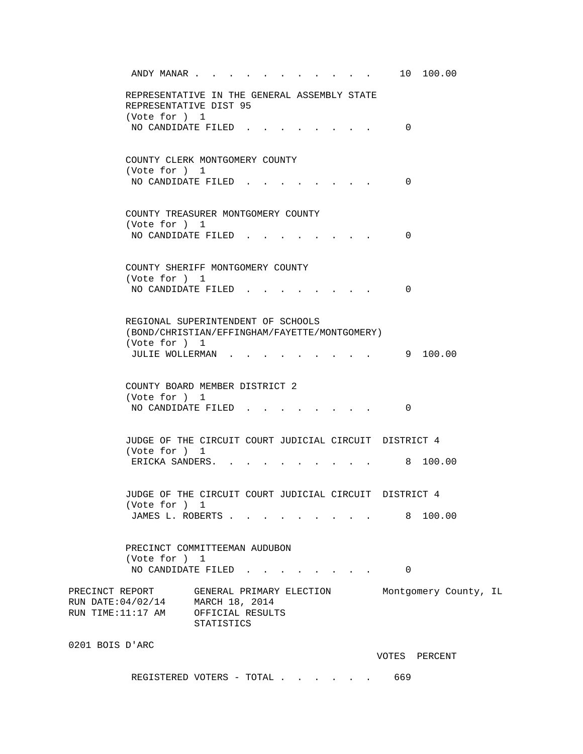| ANDY MANAR 10 100.00                                                                                 |                              |  |                                                             |          |                          |  |
|------------------------------------------------------------------------------------------------------|------------------------------|--|-------------------------------------------------------------|----------|--------------------------|--|
| REPRESENTATIVE IN THE GENERAL ASSEMBLY STATE<br>REPRESENTATIVE DIST 95                               |                              |  |                                                             |          |                          |  |
| (Vote for ) 1<br>NO CANDIDATE FILED                                                                  |                              |  |                                                             | $\Omega$ |                          |  |
| COUNTY CLERK MONTGOMERY COUNTY<br>(Vote for ) 1<br>NO CANDIDATE FILED                                |                              |  |                                                             | $\Omega$ |                          |  |
|                                                                                                      |                              |  |                                                             |          |                          |  |
| COUNTY TREASURER MONTGOMERY COUNTY<br>(Vote for ) 1                                                  |                              |  |                                                             |          |                          |  |
| NO CANDIDATE FILED                                                                                   |                              |  | $\mathbf{r} = \mathbf{r}$ , where $\mathbf{r} = \mathbf{r}$ | 0        |                          |  |
| COUNTY SHERIFF MONTGOMERY COUNTY<br>(Vote for ) 1                                                    |                              |  |                                                             |          |                          |  |
| NO CANDIDATE FILED.                                                                                  |                              |  |                                                             | 0        |                          |  |
| REGIONAL SUPERINTENDENT OF SCHOOLS<br>(BOND/CHRISTIAN/EFFINGHAM/FAYETTE/MONTGOMERY)<br>(Vote for ) 1 |                              |  |                                                             |          |                          |  |
| JULIE WOLLERMAN                                                                                      |                              |  |                                                             |          | 9 100.00                 |  |
| COUNTY BOARD MEMBER DISTRICT 2<br>(Vote for ) 1                                                      |                              |  |                                                             |          |                          |  |
| NO CANDIDATE FILED.                                                                                  |                              |  |                                                             | 0        |                          |  |
| JUDGE OF THE CIRCUIT COURT JUDICIAL CIRCUIT DISTRICT 4                                               |                              |  |                                                             |          |                          |  |
| (Vote for ) 1<br>ERICKA SANDERS.                                                                     |                              |  |                                                             |          | $\cdot$ $\cdot$ 8 100.00 |  |
| JUDGE OF THE CIRCUIT COURT JUDICIAL CIRCUIT DISTRICT 4                                               |                              |  |                                                             |          |                          |  |
| (Vote for ) 1<br>JAMES L. ROBERTS                                                                    |                              |  |                                                             |          | 8 100.00                 |  |
| PRECINCT COMMITTEEMAN AUDUBON<br>(Vote for ) 1<br>NO CANDIDATE FILED                                 |                              |  |                                                             | 0        |                          |  |
| PRECINCT REPORT                                                                                      | GENERAL PRIMARY ELECTION     |  |                                                             |          | Montgomery County, IL    |  |
| RUN DATE: 04/02/14<br>RUN TIME:11:17 AM OFFICIAL RESULTS                                             | MARCH 18, 2014<br>STATISTICS |  |                                                             |          |                          |  |
| 0201 BOIS D'ARC                                                                                      |                              |  |                                                             |          |                          |  |
|                                                                                                      |                              |  |                                                             |          | VOTES PERCENT            |  |

REGISTERED VOTERS - TOTAL . . . . . . 669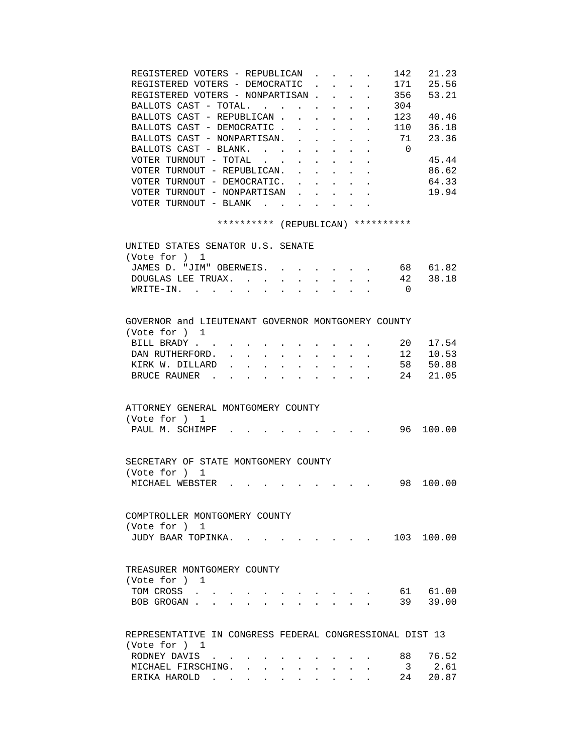| REGISTERED VOTERS - REPUBLICAN.<br>REGISTERED VOTERS - DEMOCRATIC<br>$\frac{171}{2}$<br>REGISTERED VOTERS - NONPARTISAN.<br>BALLOTS CAST - TOTAL.<br>BALLOTS CAST - REPUBLICAN.<br>BALLOTS CAST - DEMOCRATIC.<br>$\mathbf{L}$<br>$\mathbf{L}^{\text{max}}$<br>$\mathbf{L}^{\text{max}}$<br>$\sim$<br>$\mathbf{r}$<br>BALLOTS CAST - NONPARTISAN.<br>$\mathbf{r}$<br>$\ddot{\phantom{a}}$<br>$\mathbf{r} = \mathbf{r}$ , $\mathbf{r} = \mathbf{r}$<br>BALLOTS CAST - BLANK.<br>$\mathbf{L}$ and $\mathbf{L}$<br>VOTER TURNOUT - TOTAL<br>$\ddot{\phantom{0}}$<br>$\sim$<br>$\sim 100$<br>$\mathbf{z} = \mathbf{z} + \mathbf{z}$ .<br>VOTER TURNOUT - REPUBLICAN.<br>VOTER TURNOUT - DEMOCRATIC.<br>$\sim$ $-$<br>$\bullet$ .<br><br><br><br><br><br><br><br><br><br><br><br><br>VOTER TURNOUT - NONPARTISAN<br>VOTER TURNOUT - BLANK<br>$\ddot{\phantom{a}}$ | 21.23<br>142<br>25.56<br>53.21<br>356<br>304<br>123<br>40.46<br>110 36.18<br>71<br>23.36<br>$\overline{0}$<br>45.44<br>86.62<br>64.33<br>19.94 |
|-------------------------------------------------------------------------------------------------------------------------------------------------------------------------------------------------------------------------------------------------------------------------------------------------------------------------------------------------------------------------------------------------------------------------------------------------------------------------------------------------------------------------------------------------------------------------------------------------------------------------------------------------------------------------------------------------------------------------------------------------------------------------------------------------------------------------------------------------------------|------------------------------------------------------------------------------------------------------------------------------------------------|
| ********** (REPUBLICAN) **********                                                                                                                                                                                                                                                                                                                                                                                                                                                                                                                                                                                                                                                                                                                                                                                                                          |                                                                                                                                                |
| UNITED STATES SENATOR U.S. SENATE                                                                                                                                                                                                                                                                                                                                                                                                                                                                                                                                                                                                                                                                                                                                                                                                                           |                                                                                                                                                |
| (Vote for ) 1                                                                                                                                                                                                                                                                                                                                                                                                                                                                                                                                                                                                                                                                                                                                                                                                                                               |                                                                                                                                                |
| JAMES D. "JIM" OBERWEIS. .                                                                                                                                                                                                                                                                                                                                                                                                                                                                                                                                                                                                                                                                                                                                                                                                                                  | 68 61.82                                                                                                                                       |
| DOUGLAS LEE TRUAX.<br>$W\text{RITE}-\text{IN}$ .                                                                                                                                                                                                                                                                                                                                                                                                                                                                                                                                                                                                                                                                                                                                                                                                            | 42 38.18<br>$\overline{0}$                                                                                                                     |
|                                                                                                                                                                                                                                                                                                                                                                                                                                                                                                                                                                                                                                                                                                                                                                                                                                                             |                                                                                                                                                |
|                                                                                                                                                                                                                                                                                                                                                                                                                                                                                                                                                                                                                                                                                                                                                                                                                                                             |                                                                                                                                                |
| GOVERNOR and LIEUTENANT GOVERNOR MONTGOMERY COUNTY                                                                                                                                                                                                                                                                                                                                                                                                                                                                                                                                                                                                                                                                                                                                                                                                          |                                                                                                                                                |
| (Vote for ) 1                                                                                                                                                                                                                                                                                                                                                                                                                                                                                                                                                                                                                                                                                                                                                                                                                                               |                                                                                                                                                |
| $\sim 20$<br>BILL BRADY                                                                                                                                                                                                                                                                                                                                                                                                                                                                                                                                                                                                                                                                                                                                                                                                                                     | 17.54                                                                                                                                          |
| DAN RUTHERFORD.<br><b>All Contracts</b><br>$\bullet$ .<br><br><br><br><br><br><br><br><br><br><br><br><br>$\bullet$ .<br>$\bullet$ .<br><br><br><br><br><br><br><br><br><br><br><br>                                                                                                                                                                                                                                                                                                                                                                                                                                                                                                                                                                                                                                                                        | $\cdot$ $\cdot$ $\cdot$ 12 10.53                                                                                                               |
| KIRK W. DILLARD<br>$\sim$<br>$\ddot{\phantom{0}}$<br>BRUCE RAUNER.                                                                                                                                                                                                                                                                                                                                                                                                                                                                                                                                                                                                                                                                                                                                                                                          | 58 50.88<br>24 21.05                                                                                                                           |
| $\mathbf{r} = \mathbf{r} + \mathbf{r}$                                                                                                                                                                                                                                                                                                                                                                                                                                                                                                                                                                                                                                                                                                                                                                                                                      |                                                                                                                                                |
| ATTORNEY GENERAL MONTGOMERY COUNTY<br>(Vote for ) 1<br>PAUL M. SCHIMPF                                                                                                                                                                                                                                                                                                                                                                                                                                                                                                                                                                                                                                                                                                                                                                                      | 96 100.00                                                                                                                                      |
| SECRETARY OF STATE MONTGOMERY COUNTY                                                                                                                                                                                                                                                                                                                                                                                                                                                                                                                                                                                                                                                                                                                                                                                                                        |                                                                                                                                                |
| (Vote for ) 1                                                                                                                                                                                                                                                                                                                                                                                                                                                                                                                                                                                                                                                                                                                                                                                                                                               |                                                                                                                                                |
| MICHAEL WEBSTER<br>$\cdot$ 98 100.00                                                                                                                                                                                                                                                                                                                                                                                                                                                                                                                                                                                                                                                                                                                                                                                                                        |                                                                                                                                                |
|                                                                                                                                                                                                                                                                                                                                                                                                                                                                                                                                                                                                                                                                                                                                                                                                                                                             |                                                                                                                                                |
|                                                                                                                                                                                                                                                                                                                                                                                                                                                                                                                                                                                                                                                                                                                                                                                                                                                             |                                                                                                                                                |
| COMPTROLLER MONTGOMERY COUNTY<br>(Vote for ) 1                                                                                                                                                                                                                                                                                                                                                                                                                                                                                                                                                                                                                                                                                                                                                                                                              |                                                                                                                                                |
| JUDY BAAR TOPINKA.<br>and a strong control of the strong strong pro-                                                                                                                                                                                                                                                                                                                                                                                                                                                                                                                                                                                                                                                                                                                                                                                        | 103 100.00                                                                                                                                     |
|                                                                                                                                                                                                                                                                                                                                                                                                                                                                                                                                                                                                                                                                                                                                                                                                                                                             |                                                                                                                                                |
| TREASURER MONTGOMERY COUNTY<br>(Vote for ) 1<br>TOM CROSS<br>BOB GROGAN.<br>$\sim$                                                                                                                                                                                                                                                                                                                                                                                                                                                                                                                                                                                                                                                                                                                                                                          | 61 61.00<br>39 39.00                                                                                                                           |
|                                                                                                                                                                                                                                                                                                                                                                                                                                                                                                                                                                                                                                                                                                                                                                                                                                                             |                                                                                                                                                |
| REPRESENTATIVE IN CONGRESS FEDERAL CONGRESSIONAL DIST 13                                                                                                                                                                                                                                                                                                                                                                                                                                                                                                                                                                                                                                                                                                                                                                                                    |                                                                                                                                                |
| (Vote for ) 1                                                                                                                                                                                                                                                                                                                                                                                                                                                                                                                                                                                                                                                                                                                                                                                                                                               |                                                                                                                                                |
| RODNEY DAVIS                                                                                                                                                                                                                                                                                                                                                                                                                                                                                                                                                                                                                                                                                                                                                                                                                                                | 76.52<br>88                                                                                                                                    |
| MICHAEL FIRSCHING.                                                                                                                                                                                                                                                                                                                                                                                                                                                                                                                                                                                                                                                                                                                                                                                                                                          | $\overline{3}$<br>2.61<br>20.87                                                                                                                |
| ERIKA HAROLD                                                                                                                                                                                                                                                                                                                                                                                                                                                                                                                                                                                                                                                                                                                                                                                                                                                | 24                                                                                                                                             |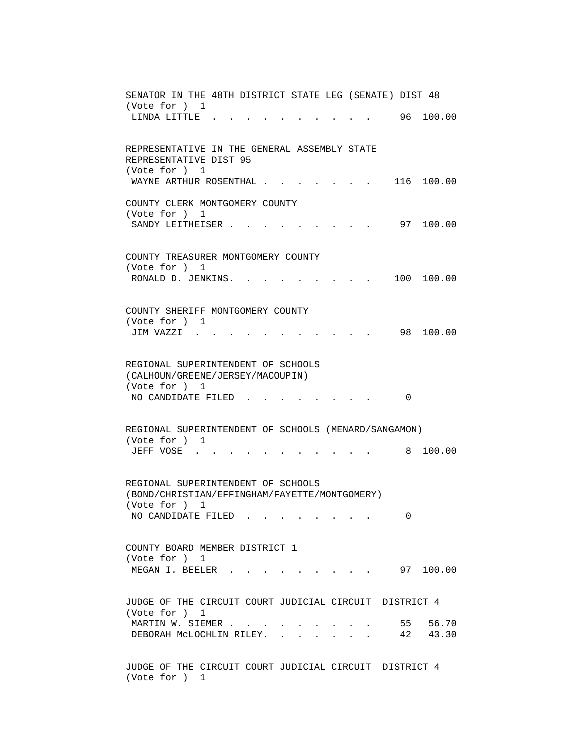| SENATOR IN THE 48TH DISTRICT STATE LEG (SENATE) DIST 48           |
|-------------------------------------------------------------------|
| (Vote for ) 1                                                     |
| 96 100.00<br>LINDA LITTLE.                                        |
|                                                                   |
| REPRESENTATIVE IN THE GENERAL ASSEMBLY STATE                      |
| REPRESENTATIVE DIST 95                                            |
| (Vote for ) 1                                                     |
| WAYNE ARTHUR ROSENTHAL.<br>116 100.00                             |
| COUNTY CLERK MONTGOMERY COUNTY                                    |
| (Vote for ) 1                                                     |
| 97 100.00<br>SANDY LEITHEISER.                                    |
|                                                                   |
|                                                                   |
| COUNTY TREASURER MONTGOMERY COUNTY<br>(Vote for ) 1               |
| 100 100.00<br>RONALD D. JENKINS. .                                |
|                                                                   |
|                                                                   |
| COUNTY SHERIFF MONTGOMERY COUNTY                                  |
| (Vote for ) 1                                                     |
| 100.00<br>98.<br>JIM VAZZI                                        |
|                                                                   |
| REGIONAL SUPERINTENDENT OF SCHOOLS                                |
| (CALHOUN/GREENE/JERSEY/MACOUPIN)                                  |
| (Vote for ) 1                                                     |
| NO CANDIDATE FILED<br>0                                           |
|                                                                   |
| REGIONAL SUPERINTENDENT OF SCHOOLS (MENARD/SANGAMON)              |
| (Vote for ) 1                                                     |
| 8 100.00<br>JEFF VOSE                                             |
|                                                                   |
| REGIONAL SUPERINTENDENT OF SCHOOLS                                |
| (BOND/CHRISTIAN/EFFINGHAM/FAYETTE/MONTGOMERY)                     |
| (Vote for ) 1                                                     |
| NO CANDIDATE FILED<br>0                                           |
|                                                                   |
|                                                                   |
| COUNTY BOARD MEMBER DISTRICT 1<br>(Vote for ) 1                   |
| MEGAN I. BEELER<br>$\cdot$ 97 100.00                              |
|                                                                   |
|                                                                   |
| JUDGE OF THE CIRCUIT COURT JUDICIAL CIRCUIT DISTRICT 4            |
| (Vote for ) 1                                                     |
| 55 56.70<br>MARTIN W. SIEMER<br>DEBORAH MCLOCHLIN RILEY. 42 43.30 |
|                                                                   |
|                                                                   |
| JUDGE OF THE CIRCUIT COURT JUDICIAL CIRCUIT DISTRICT 4            |
| (Vote for ) 1                                                     |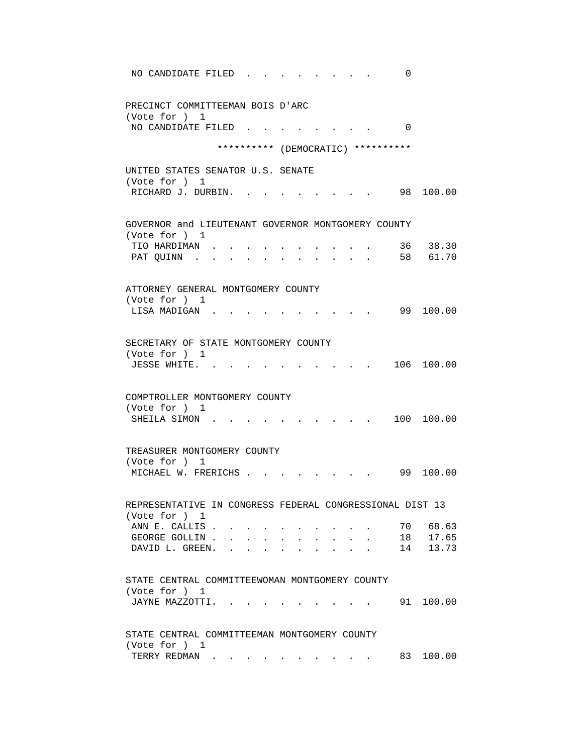| NO CANDIDATE FILED<br>0                                                   |
|---------------------------------------------------------------------------|
| PRECINCT COMMITTEEMAN BOIS D'ARC<br>(Vote for ) 1                         |
| NO CANDIDATE FILED<br>$\Omega$                                            |
| ********** (DEMOCRATIC) **********                                        |
| UNITED STATES SENATOR U.S. SENATE                                         |
| (Vote for ) 1<br>RICHARD J. DURBIN.<br>98 100.00                          |
| GOVERNOR and LIEUTENANT GOVERNOR MONTGOMERY COUNTY                        |
| (Vote for ) 1<br>36 38.30<br>TIO HARDIMAN .                               |
| 58 61.70<br>PAT QUINN.                                                    |
| ATTORNEY GENERAL MONTGOMERY COUNTY                                        |
| (Vote for ) 1                                                             |
| 99 100.00<br>LISA MADIGAN.                                                |
| SECRETARY OF STATE MONTGOMERY COUNTY                                      |
| (Vote for ) 1<br>106 100.00<br>JESSE WHITE                                |
|                                                                           |
| COMPTROLLER MONTGOMERY COUNTY                                             |
| (Vote for ) 1<br>100 100.00<br>SHEILA SIMON.                              |
|                                                                           |
| TREASURER MONTGOMERY COUNTY<br>(Vote for ) 1                              |
| 99<br>100.00<br>MICHAEL W. FRERICHS.                                      |
|                                                                           |
| REPRESENTATIVE IN CONGRESS FEDERAL CONGRESSIONAL DIST 13<br>(Vote for ) 1 |
| ANN E. CALLIS.<br>68.63<br>70                                             |
| 17.65<br>GEORGE GOLLIN.<br>18<br>DAVID L. GREEN.<br>13.73<br>14           |
|                                                                           |
| STATE CENTRAL COMMITTEEWOMAN MONTGOMERY COUNTY                            |
| (Vote for ) 1<br>100.00<br>JAYNE MAZZOTTI.<br>91                          |
|                                                                           |
| STATE CENTRAL COMMITTEEMAN MONTGOMERY COUNTY<br>(Vote for ) 1             |
| 83<br>100.00<br>TERRY REDMAN                                              |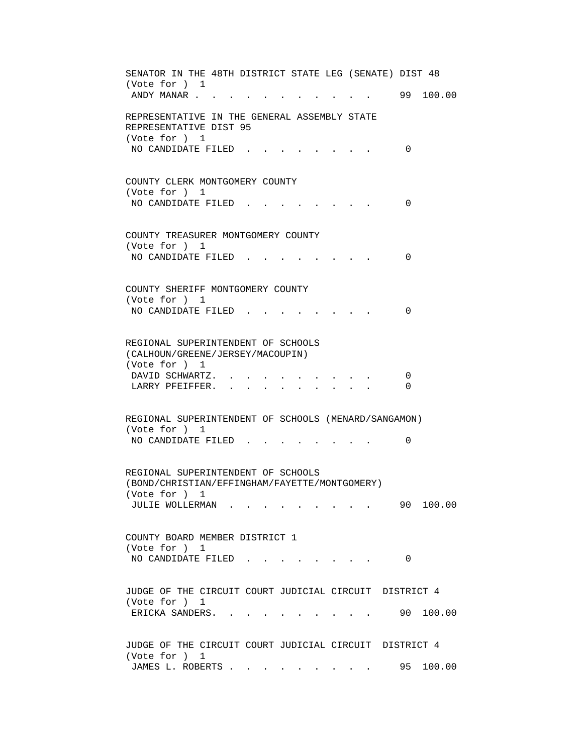SENATOR IN THE 48TH DISTRICT STATE LEG (SENATE) DIST 48 (Vote for ) 1 ANDY MANAR . . . . . . . . . . . . 99 100.00 REPRESENTATIVE IN THE GENERAL ASSEMBLY STATE REPRESENTATIVE DIST 95 (Vote for ) 1 NO CANDIDATE FILED . . . . . . . . 0 COUNTY CLERK MONTGOMERY COUNTY (Vote for ) 1 NO CANDIDATE FILED . . . . . . . . 0 COUNTY TREASURER MONTGOMERY COUNTY (Vote for ) 1 NO CANDIDATE FILED . . . . . . . . 0 COUNTY SHERIFF MONTGOMERY COUNTY (Vote for ) 1 NO CANDIDATE FILED . . . . . . . . 0 REGIONAL SUPERINTENDENT OF SCHOOLS (CALHOUN/GREENE/JERSEY/MACOUPIN) (Vote for ) 1 DAVID SCHWARTZ. . . . . . . . . . 0 LARRY PFEIFFER. . . . . . . . . 0 REGIONAL SUPERINTENDENT OF SCHOOLS (MENARD/SANGAMON) (Vote for ) 1 NO CANDIDATE FILED . . . . . . . . 0 REGIONAL SUPERINTENDENT OF SCHOOLS (BOND/CHRISTIAN/EFFINGHAM/FAYETTE/MONTGOMERY) (Vote for ) 1 JULIE WOLLERMAN . . . . . . . . . 90 100.00 COUNTY BOARD MEMBER DISTRICT 1 (Vote for ) 1 NO CANDIDATE FILED . . . . . . . . 0 JUDGE OF THE CIRCUIT COURT JUDICIAL CIRCUIT DISTRICT 4 (Vote for ) 1 ERICKA SANDERS. . . . . . . . . . 90 100.00 JUDGE OF THE CIRCUIT COURT JUDICIAL CIRCUIT DISTRICT 4 (Vote for ) 1 JAMES L. ROBERTS . . . . . . . . . 95 100.00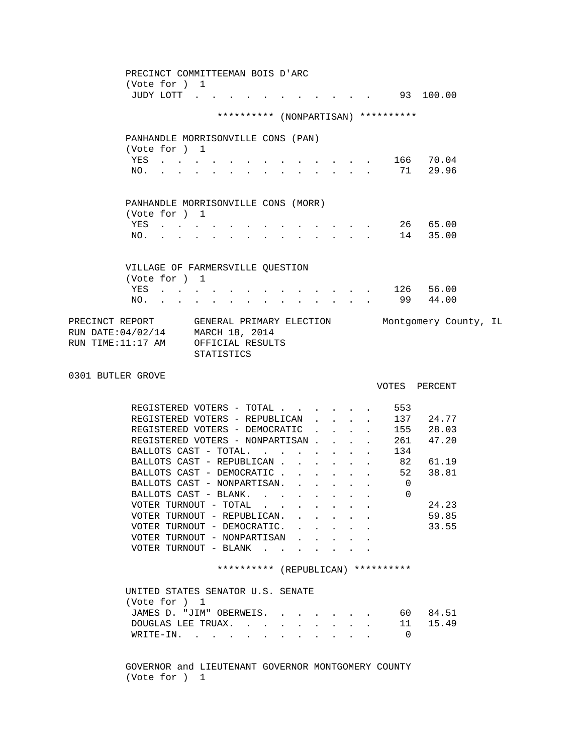|                                                                                                                                          | PRECINCT COMMITTEEMAN BOIS D'ARC<br>(Vote for ) 1    |                                                           |              |                                                                                                                                                                                                                                |                                                                                          |              |                                                                                 |                           |                                     |           |  |
|------------------------------------------------------------------------------------------------------------------------------------------|------------------------------------------------------|-----------------------------------------------------------|--------------|--------------------------------------------------------------------------------------------------------------------------------------------------------------------------------------------------------------------------------|------------------------------------------------------------------------------------------|--------------|---------------------------------------------------------------------------------|---------------------------|-------------------------------------|-----------|--|
|                                                                                                                                          |                                                      |                                                           |              |                                                                                                                                                                                                                                |                                                                                          |              |                                                                                 |                           | JUDY LOTT 93 100.00                 |           |  |
|                                                                                                                                          |                                                      |                                                           |              |                                                                                                                                                                                                                                |                                                                                          |              |                                                                                 |                           | ********** (NONPARTISAN) ********** |           |  |
|                                                                                                                                          | PANHANDLE MORRISONVILLE CONS (PAN)                   |                                                           |              |                                                                                                                                                                                                                                |                                                                                          |              |                                                                                 |                           |                                     |           |  |
|                                                                                                                                          | (Vote for ) 1                                        |                                                           |              |                                                                                                                                                                                                                                |                                                                                          |              |                                                                                 |                           |                                     |           |  |
|                                                                                                                                          |                                                      |                                                           |              |                                                                                                                                                                                                                                |                                                                                          |              |                                                                                 |                           | YES 166 70.04<br>NO. 71 29.96       |           |  |
|                                                                                                                                          |                                                      |                                                           |              |                                                                                                                                                                                                                                |                                                                                          |              |                                                                                 |                           |                                     |           |  |
|                                                                                                                                          | PANHANDLE MORRISONVILLE CONS (MORR)                  |                                                           |              |                                                                                                                                                                                                                                |                                                                                          |              |                                                                                 |                           |                                     |           |  |
|                                                                                                                                          | (Vote for ) 1                                        |                                                           |              |                                                                                                                                                                                                                                |                                                                                          |              |                                                                                 |                           |                                     |           |  |
|                                                                                                                                          | YES                                                  |                                                           |              | and a series of the contract of the series of the series of the series of the series of the series of the series of the series of the series of the series of the series of the series of the series of the series of the seri |                                                                                          |              |                                                                                 |                           |                                     | 26 65.00  |  |
| NO.                                                                                                                                      |                                                      | $\mathcal{L}^{\text{max}}$ and $\mathcal{L}^{\text{max}}$ | $\mathbf{L}$ | $\mathbf{r} = \mathbf{r} - \mathbf{r}$ , and $\mathbf{r} = \mathbf{r} - \mathbf{r}$ , and $\mathbf{r} = \mathbf{r} - \mathbf{r}$                                                                                               |                                                                                          |              |                                                                                 |                           |                                     | 14 35.00  |  |
|                                                                                                                                          | VILLAGE OF FARMERSVILLE QUESTION                     |                                                           |              |                                                                                                                                                                                                                                |                                                                                          |              |                                                                                 |                           |                                     |           |  |
|                                                                                                                                          | (Vote for ) 1                                        |                                                           |              |                                                                                                                                                                                                                                |                                                                                          |              |                                                                                 |                           |                                     |           |  |
|                                                                                                                                          |                                                      |                                                           |              |                                                                                                                                                                                                                                |                                                                                          |              |                                                                                 |                           | YES 126 56.00                       |           |  |
|                                                                                                                                          | NO.                                                  |                                                           |              |                                                                                                                                                                                                                                |                                                                                          |              |                                                                                 |                           | 99 44.00                            |           |  |
| PRECINCT REPORT GENERAL PRIMARY ELECTION Montgomery County, IL<br>RUN DATE:04/02/14 MARCH 18, 2014<br>RUN TIME:11:17 AM OFFICIAL RESULTS |                                                      | STATISTICS                                                |              |                                                                                                                                                                                                                                |                                                                                          |              |                                                                                 |                           |                                     |           |  |
| 0301 BUTLER GROVE                                                                                                                        |                                                      |                                                           |              |                                                                                                                                                                                                                                |                                                                                          |              |                                                                                 |                           | VOTES PERCENT                       |           |  |
|                                                                                                                                          |                                                      |                                                           |              |                                                                                                                                                                                                                                |                                                                                          |              |                                                                                 |                           |                                     |           |  |
|                                                                                                                                          | REGISTERED VOTERS - TOTAL                            |                                                           |              |                                                                                                                                                                                                                                |                                                                                          |              |                                                                                 |                           | 553                                 |           |  |
|                                                                                                                                          | REGISTERED VOTERS - REPUBLICAN                       |                                                           |              |                                                                                                                                                                                                                                |                                                                                          |              | $\mathbf{r} = \mathbf{r} + \mathbf{r} + \mathbf{r}$                             |                           |                                     | 137 24.77 |  |
|                                                                                                                                          | REGISTERED VOTERS - DEMOCRATIC                       |                                                           |              |                                                                                                                                                                                                                                |                                                                                          |              | $\mathbf{r}$ and $\mathbf{r}$ and $\mathbf{r}$                                  |                           |                                     | 155 28.03 |  |
|                                                                                                                                          | REGISTERED VOTERS - NONPARTISAN                      |                                                           |              |                                                                                                                                                                                                                                |                                                                                          |              |                                                                                 |                           |                                     | 261 47.20 |  |
|                                                                                                                                          | BALLOTS CAST - TOTAL.                                |                                                           |              |                                                                                                                                                                                                                                | $\mathbf{r}$ , and $\mathbf{r}$ , and $\mathbf{r}$ , and $\mathbf{r}$ , and $\mathbf{r}$ |              |                                                                                 |                           | 134                                 |           |  |
|                                                                                                                                          | BALLOTS CAST - REPUBLICAN                            |                                                           |              |                                                                                                                                                                                                                                |                                                                                          |              |                                                                                 |                           | . 82 61.19                          |           |  |
|                                                                                                                                          | BALLOTS CAST - DEMOCRATIC                            |                                                           |              |                                                                                                                                                                                                                                |                                                                                          |              |                                                                                 |                           | . 52 38.81                          |           |  |
|                                                                                                                                          | BALLOTS CAST - NONPARTISAN.<br>BALLOTS CAST - BLANK. |                                                           |              |                                                                                                                                                                                                                                |                                                                                          |              |                                                                                 |                           | $\overline{0}$<br>$\overline{0}$    |           |  |
|                                                                                                                                          | VOTER TURNOUT - TOTAL                                |                                                           |              |                                                                                                                                                                                                                                |                                                                                          |              |                                                                                 |                           |                                     | 24.23     |  |
|                                                                                                                                          | VOTER TURNOUT - REPUBLICAN. .                        |                                                           |              |                                                                                                                                                                                                                                |                                                                                          | $\mathbf{A}$ |                                                                                 | $\mathbf{L}^{\text{max}}$ |                                     | 59.85     |  |
|                                                                                                                                          | VOTER TURNOUT - DEMOCRATIC.                          |                                                           |              |                                                                                                                                                                                                                                |                                                                                          |              | $\mathbf{r} = \mathbf{r} + \mathbf{r}$ , $\mathbf{r} = \mathbf{r} + \mathbf{r}$ |                           |                                     | 33.55     |  |
|                                                                                                                                          | VOTER TURNOUT - NONPARTISAN                          |                                                           |              |                                                                                                                                                                                                                                |                                                                                          |              |                                                                                 |                           |                                     |           |  |
|                                                                                                                                          | VOTER TURNOUT - BLANK                                |                                                           |              |                                                                                                                                                                                                                                |                                                                                          |              |                                                                                 |                           |                                     |           |  |
|                                                                                                                                          |                                                      |                                                           |              |                                                                                                                                                                                                                                |                                                                                          |              |                                                                                 |                           | ********** (REPUBLICAN) **********  |           |  |
|                                                                                                                                          |                                                      |                                                           |              |                                                                                                                                                                                                                                |                                                                                          |              |                                                                                 |                           |                                     |           |  |
|                                                                                                                                          | UNITED STATES SENATOR U.S. SENATE<br>(Vote for ) 1   |                                                           |              |                                                                                                                                                                                                                                |                                                                                          |              |                                                                                 |                           |                                     |           |  |
|                                                                                                                                          | JAMES D. "JIM" OBERWEIS.                             |                                                           |              |                                                                                                                                                                                                                                |                                                                                          |              |                                                                                 |                           |                                     | 60 84.51  |  |
|                                                                                                                                          | DOUGLAS LEE TRUAX.                                   |                                                           |              |                                                                                                                                                                                                                                |                                                                                          |              |                                                                                 |                           | 11                                  | 15.49     |  |
|                                                                                                                                          | WRITE-IN.                                            |                                                           |              |                                                                                                                                                                                                                                |                                                                                          |              |                                                                                 |                           | $\overline{0}$                      |           |  |
|                                                                                                                                          |                                                      |                                                           |              |                                                                                                                                                                                                                                |                                                                                          |              |                                                                                 |                           |                                     |           |  |

 GOVERNOR and LIEUTENANT GOVERNOR MONTGOMERY COUNTY (Vote for ) 1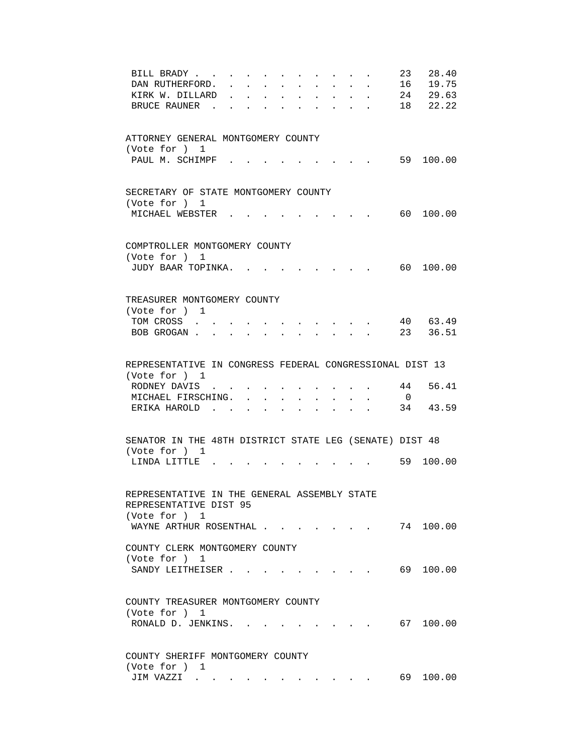| BILL BRADY                                               |        | $\sim$                                                                                   |              | $\sim$                    | $\mathbf{r} = \mathbf{r}$ |                      |                                                                                           |              |              | 23                      | 28.40     |
|----------------------------------------------------------|--------|------------------------------------------------------------------------------------------|--------------|---------------------------|---------------------------|----------------------|-------------------------------------------------------------------------------------------|--------------|--------------|-------------------------|-----------|
| DAN RUTHERFORD.                                          |        |                                                                                          |              |                           |                           | $\ddot{\phantom{0}}$ |                                                                                           | $\mathbf{r}$ | $\mathbf{L}$ |                         | 16 19.75  |
| KIRK W. DILLARD                                          |        |                                                                                          |              | a.                        | $\mathbf{L}$              | $\mathbf{L}$         | $\sim$                                                                                    | $\sim$       | $\mathbf{r}$ |                         | 24 29.63  |
| BRUCE RAUNER                                             |        |                                                                                          | $\mathbf{r}$ | $\sim$                    | $\ddot{\phantom{a}}$      | $\sim$ $\sim$        | $\sim$ $\sim$                                                                             |              |              |                         | 18 22.22  |
|                                                          |        |                                                                                          |              |                           |                           |                      |                                                                                           |              |              |                         |           |
|                                                          |        |                                                                                          |              |                           |                           |                      |                                                                                           |              |              |                         |           |
| ATTORNEY GENERAL MONTGOMERY COUNTY                       |        |                                                                                          |              |                           |                           |                      |                                                                                           |              |              |                         |           |
| (Vote for ) 1                                            |        |                                                                                          |              |                           |                           |                      |                                                                                           |              |              |                         |           |
| PAUL M. SCHIMPF                                          |        |                                                                                          |              |                           |                           |                      |                                                                                           |              |              |                         | 59 100.00 |
|                                                          |        |                                                                                          |              |                           |                           |                      |                                                                                           |              |              |                         |           |
|                                                          |        |                                                                                          |              |                           |                           |                      |                                                                                           |              |              |                         |           |
| SECRETARY OF STATE MONTGOMERY COUNTY                     |        |                                                                                          |              |                           |                           |                      |                                                                                           |              |              |                         |           |
| (Vote for ) 1                                            |        |                                                                                          |              |                           |                           |                      |                                                                                           |              |              |                         |           |
| MICHAEL WEBSTER                                          |        |                                                                                          |              |                           |                           |                      | and the state of the state of the                                                         |              |              | 60                      | 100.00    |
|                                                          |        |                                                                                          |              |                           |                           |                      |                                                                                           |              |              |                         |           |
|                                                          |        |                                                                                          |              |                           |                           |                      |                                                                                           |              |              |                         |           |
| COMPTROLLER MONTGOMERY COUNTY                            |        |                                                                                          |              |                           |                           |                      |                                                                                           |              |              |                         |           |
| (Vote for ) 1                                            |        |                                                                                          |              |                           |                           |                      |                                                                                           |              |              |                         |           |
| JUDY BAAR TOPINKA.                                       |        |                                                                                          |              |                           |                           |                      |                                                                                           |              |              |                         | 60 100.00 |
|                                                          |        |                                                                                          |              |                           |                           |                      |                                                                                           |              |              |                         |           |
|                                                          |        |                                                                                          |              |                           |                           |                      |                                                                                           |              |              |                         |           |
| TREASURER MONTGOMERY COUNTY                              |        |                                                                                          |              |                           |                           |                      |                                                                                           |              |              |                         |           |
| (Vote for ) 1                                            |        |                                                                                          |              |                           |                           |                      |                                                                                           |              |              |                         |           |
| TOM CROSS                                                |        |                                                                                          |              |                           |                           |                      |                                                                                           |              |              |                         | 40 63.49  |
| BOB GROGAN.                                              |        | and a strong control of the state of the state of the state of the state of the state of |              |                           |                           |                      |                                                                                           |              |              |                         | 23 36.51  |
|                                                          |        |                                                                                          |              |                           |                           |                      |                                                                                           |              |              |                         |           |
|                                                          |        |                                                                                          |              |                           |                           |                      |                                                                                           |              |              |                         |           |
| REPRESENTATIVE IN CONGRESS FEDERAL CONGRESSIONAL DIST 13 |        |                                                                                          |              |                           |                           |                      |                                                                                           |              |              |                         |           |
| (Vote for ) 1                                            |        |                                                                                          |              |                           |                           |                      |                                                                                           |              |              |                         |           |
| RODNEY DAVIS                                             |        |                                                                                          |              | $\mathbf{r} = \mathbf{r}$ |                           |                      | $\mathbf{r} = \mathbf{r}$ , $\mathbf{r} = \mathbf{r}$ , $\mathbf{r} = \mathbf{r}$         |              |              | 44                      | 56.41     |
| MICHAEL FIRSCHING.                                       |        |                                                                                          |              |                           |                           |                      | $\mathbf{r} = \mathbf{r}$ , and $\mathbf{r} = \mathbf{r}$ , and $\mathbf{r} = \mathbf{r}$ |              |              | $\overline{\mathbf{0}}$ |           |
| ERIKA HAROLD.                                            | $\sim$ |                                                                                          | $\sim$       |                           |                           |                      | $\mathbf{r}$ , and $\mathbf{r}$ , and $\mathbf{r}$ , and $\mathbf{r}$                     |              |              |                         | 34 43.59  |
|                                                          |        |                                                                                          |              |                           |                           |                      |                                                                                           |              |              |                         |           |
|                                                          |        |                                                                                          |              |                           |                           |                      |                                                                                           |              |              |                         |           |
| SENATOR IN THE 48TH DISTRICT STATE LEG (SENATE) DIST 48  |        |                                                                                          |              |                           |                           |                      |                                                                                           |              |              |                         |           |
| (Vote for ) 1                                            |        |                                                                                          |              |                           |                           |                      |                                                                                           |              |              |                         |           |
| LINDA LITTLE                                             |        |                                                                                          |              |                           |                           |                      |                                                                                           |              |              |                         |           |
|                                                          |        |                                                                                          |              |                           |                           |                      |                                                                                           |              |              |                         | 59 100.00 |
|                                                          |        |                                                                                          |              |                           |                           |                      |                                                                                           |              |              |                         |           |
|                                                          |        |                                                                                          |              |                           |                           |                      |                                                                                           |              |              |                         |           |
| REPRESENTATIVE IN THE GENERAL ASSEMBLY STATE             |        |                                                                                          |              |                           |                           |                      |                                                                                           |              |              |                         |           |
| REPRESENTATIVE DIST 95                                   |        |                                                                                          |              |                           |                           |                      |                                                                                           |              |              |                         |           |
|                                                          |        |                                                                                          |              |                           |                           |                      |                                                                                           |              |              |                         |           |
| (Vote for ) 1                                            |        |                                                                                          |              |                           |                           |                      |                                                                                           |              |              |                         |           |
| WAYNE ARTHUR ROSENTHAL                                   |        |                                                                                          |              |                           |                           |                      |                                                                                           |              |              |                         | 74 100.00 |
|                                                          |        |                                                                                          |              |                           |                           |                      |                                                                                           |              |              |                         |           |
| COUNTY CLERK MONTGOMERY COUNTY                           |        |                                                                                          |              |                           |                           |                      |                                                                                           |              |              |                         |           |
| (Vote for ) 1                                            |        |                                                                                          |              |                           |                           |                      |                                                                                           |              |              |                         |           |
| SANDY LEITHEISER.                                        |        |                                                                                          |              |                           |                           |                      |                                                                                           |              |              |                         | 69 100.00 |
|                                                          |        |                                                                                          |              |                           |                           |                      |                                                                                           |              |              |                         |           |
|                                                          |        |                                                                                          |              |                           |                           |                      |                                                                                           |              |              |                         |           |
| COUNTY TREASURER MONTGOMERY COUNTY                       |        |                                                                                          |              |                           |                           |                      |                                                                                           |              |              |                         |           |
| (Vote for ) 1                                            |        |                                                                                          |              |                           |                           |                      |                                                                                           |              |              |                         |           |
| RONALD D. JENKINS.                                       |        |                                                                                          |              |                           |                           |                      |                                                                                           |              |              |                         | 67 100.00 |
|                                                          |        |                                                                                          |              |                           |                           |                      |                                                                                           |              |              |                         |           |
|                                                          |        |                                                                                          |              |                           |                           |                      |                                                                                           |              |              |                         |           |
| COUNTY SHERIFF MONTGOMERY COUNTY                         |        |                                                                                          |              |                           |                           |                      |                                                                                           |              |              |                         |           |
| (Vote for ) 1<br>JIM VAZZI                               |        |                                                                                          |              |                           |                           |                      |                                                                                           |              |              |                         | 69 100.00 |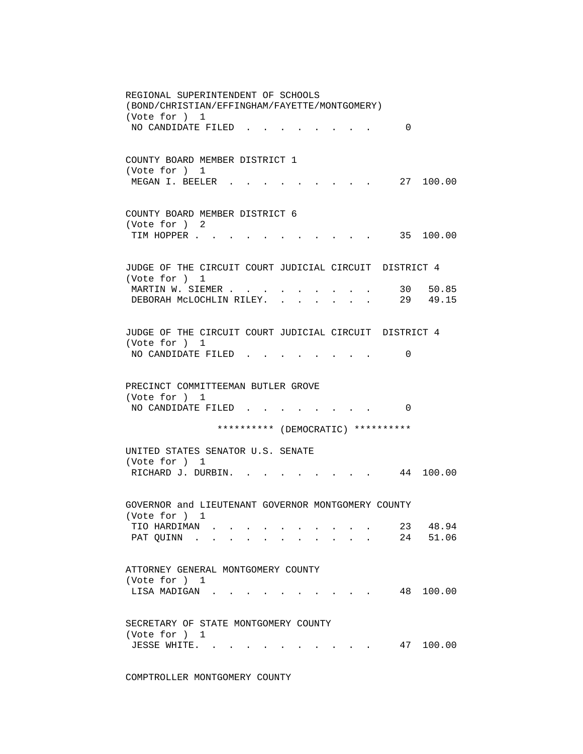REGIONAL SUPERINTENDENT OF SCHOOLS (BOND/CHRISTIAN/EFFINGHAM/FAYETTE/MONTGOMERY) (Vote for ) 1 NO CANDIDATE FILED . . . . . . . . 0 COUNTY BOARD MEMBER DISTRICT 1 (Vote for ) 1 MEGAN I. BEELER . . . . . . . . . 27 100.00 COUNTY BOARD MEMBER DISTRICT 6 (Vote for ) 2 TIM HOPPER . . . . . . . . . . . . 35 100.00 JUDGE OF THE CIRCUIT COURT JUDICIAL CIRCUIT DISTRICT 4 (Vote for ) 1 MARTIN W. SIEMER . . . . . . . . . . . 30 50.85<br>DEBORAH McLOCHLIN RILEY. . . . . . . 29 49.15 DEBORAH MCLOCHLIN RILEY. . . . . . . JUDGE OF THE CIRCUIT COURT JUDICIAL CIRCUIT DISTRICT 4 (Vote for ) 1 NO CANDIDATE FILED . . . . . . . . 0 PRECINCT COMMITTEEMAN BUTLER GROVE (Vote for ) 1 NO CANDIDATE FILED . . . . . . . . 0 \*\*\*\*\*\*\*\*\*\* (DEMOCRATIC) \*\*\*\*\*\*\*\*\*\* UNITED STATES SENATOR U.S. SENATE (Vote for ) 1 RICHARD J. DURBIN. . . . . . . . . 44 100.00 GOVERNOR and LIEUTENANT GOVERNOR MONTGOMERY COUNTY (Vote for ) 1 TIO HARDIMAN . . . . . . . . . . 23 48.94 PAT QUINN . . . . . . . . . . . 24 51.06 ATTORNEY GENERAL MONTGOMERY COUNTY (Vote for ) 1 LISA MADIGAN . . . . . . . . . . . 48 100.00 SECRETARY OF STATE MONTGOMERY COUNTY (Vote for ) 1 JESSE WHITE. . . . . . . . . . . 47 100.00

COMPTROLLER MONTGOMERY COUNTY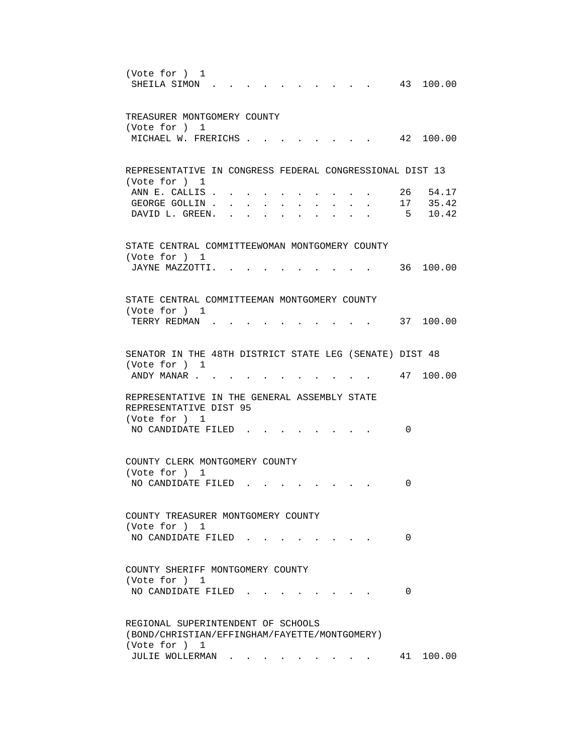| (Vote for ) 1<br>43 100.00<br>SHEILA SIMON                                                                                                                                                                                                                                    |
|-------------------------------------------------------------------------------------------------------------------------------------------------------------------------------------------------------------------------------------------------------------------------------|
| TREASURER MONTGOMERY COUNTY<br>(Vote for ) 1                                                                                                                                                                                                                                  |
| 42 100.00<br>MICHAEL W. FRERICHS                                                                                                                                                                                                                                              |
| REPRESENTATIVE IN CONGRESS FEDERAL CONGRESSIONAL DIST 13<br>(Vote for ) 1                                                                                                                                                                                                     |
| ANN E. CALLIS.<br>26 54.17<br>17 35.42<br>GEORGE GOLLIN<br>5 10.42<br>DAVID L. GREEN.<br>$\mathbf{r}$ , and $\mathbf{r}$ , and $\mathbf{r}$<br>$\sim$ $\sim$ $\sim$ $\sim$<br>$\bullet$ .<br><br><br><br><br><br><br><br><br><br><br><br><br>$\bullet$ . The set of $\bullet$ |
| STATE CENTRAL COMMITTEEWOMAN MONTGOMERY COUNTY<br>(Vote for ) 1                                                                                                                                                                                                               |
| 36 100.00<br>JAYNE MAZZOTTI.                                                                                                                                                                                                                                                  |
| STATE CENTRAL COMMITTEEMAN MONTGOMERY COUNTY                                                                                                                                                                                                                                  |
| (Vote for ) 1<br>37 100.00<br>TERRY REDMAN.                                                                                                                                                                                                                                   |
| SENATOR IN THE 48TH DISTRICT STATE LEG (SENATE) DIST 48<br>(Vote for ) 1                                                                                                                                                                                                      |
| 47 100.00<br>ANDY MANAR                                                                                                                                                                                                                                                       |
| REPRESENTATIVE IN THE GENERAL ASSEMBLY STATE<br>REPRESENTATIVE DIST 95<br>(Vote for ) 1                                                                                                                                                                                       |
| NO CANDIDATE FILED.<br>0                                                                                                                                                                                                                                                      |
| COUNTY CLERK MONTGOMERY COUNTY<br>(Vote for ) 1                                                                                                                                                                                                                               |
| NO CANDIDATE FILED<br>0                                                                                                                                                                                                                                                       |
| COUNTY TREASURER MONTGOMERY COUNTY<br>(Vote for ) 1                                                                                                                                                                                                                           |
| NO CANDIDATE FILED.<br>0                                                                                                                                                                                                                                                      |
| COUNTY SHERIFF MONTGOMERY COUNTY<br>(Vote for ) 1                                                                                                                                                                                                                             |
| NO CANDIDATE FILED.<br>0                                                                                                                                                                                                                                                      |
| REGIONAL SUPERINTENDENT OF SCHOOLS<br>(BOND/CHRISTIAN/EFFINGHAM/FAYETTE/MONTGOMERY)<br>(Vote for ) 1                                                                                                                                                                          |
| 41 100.00<br>JULIE WOLLERMAN                                                                                                                                                                                                                                                  |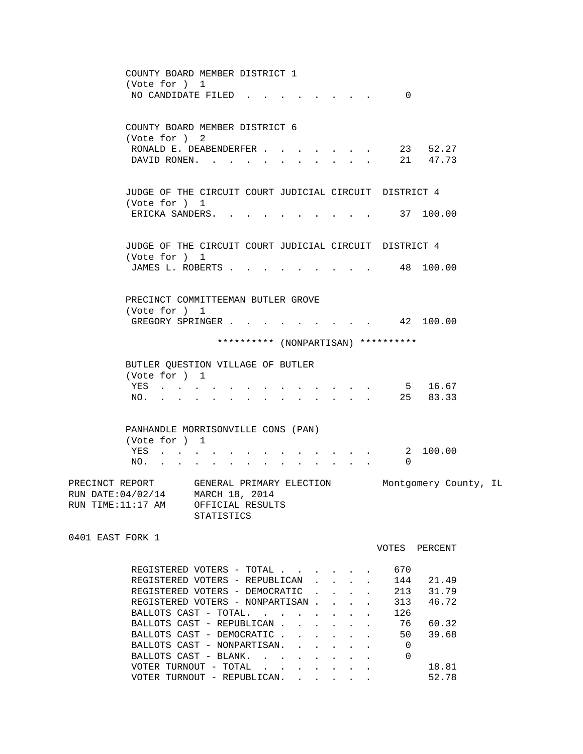| COUNTY BOARD MEMBER DISTRICT 1<br>(Vote for ) 1<br>NO CANDIDATE FILED                                                |                                                                                                                                                                               |                                                                                                                                                                                                                                |                                                                          |                                                 |        | $\Omega$       |                       |  |
|----------------------------------------------------------------------------------------------------------------------|-------------------------------------------------------------------------------------------------------------------------------------------------------------------------------|--------------------------------------------------------------------------------------------------------------------------------------------------------------------------------------------------------------------------------|--------------------------------------------------------------------------|-------------------------------------------------|--------|----------------|-----------------------|--|
| COUNTY BOARD MEMBER DISTRICT 6<br>(Vote for ) 2<br>RONALD E. DEABENDERFER<br>DAVID RONEN.                            |                                                                                                                                                                               |                                                                                                                                                                                                                                |                                                                          | $\cdot$ $\cdot$ $\cdot$ $\cdot$ $\cdot$ $\cdot$ | $\sim$ |                | 23 52.27<br>21 47.73  |  |
| JUDGE OF THE CIRCUIT COURT JUDICIAL CIRCUIT DISTRICT 4                                                               |                                                                                                                                                                               |                                                                                                                                                                                                                                |                                                                          |                                                 |        |                |                       |  |
| (Vote for ) 1<br>ERICKA SANDERS.                                                                                     |                                                                                                                                                                               |                                                                                                                                                                                                                                |                                                                          |                                                 |        |                | . 37 100.00           |  |
| JUDGE OF THE CIRCUIT COURT JUDICIAL CIRCUIT DISTRICT 4<br>(Vote for ) 1                                              |                                                                                                                                                                               |                                                                                                                                                                                                                                |                                                                          |                                                 |        |                |                       |  |
| JAMES L. ROBERTS                                                                                                     |                                                                                                                                                                               |                                                                                                                                                                                                                                |                                                                          |                                                 |        |                | $\cdot$ 48 100.00     |  |
| PRECINCT COMMITTEEMAN BUTLER GROVE<br>(Vote for ) 1                                                                  |                                                                                                                                                                               |                                                                                                                                                                                                                                |                                                                          |                                                 |        |                |                       |  |
| GREGORY SPRINGER 42 100.00                                                                                           |                                                                                                                                                                               |                                                                                                                                                                                                                                |                                                                          |                                                 |        |                |                       |  |
|                                                                                                                      |                                                                                                                                                                               | ********** (NONPARTISAN) **********                                                                                                                                                                                            |                                                                          |                                                 |        |                |                       |  |
| BUTLER QUESTION VILLAGE OF BUTLER<br>(Vote for ) 1                                                                   |                                                                                                                                                                               |                                                                                                                                                                                                                                |                                                                          |                                                 |        |                |                       |  |
| YES<br>NO.                                                                                                           | $\mathbf{r} = \mathbf{r} - \mathbf{r}$ , and $\mathbf{r} = \mathbf{r} - \mathbf{r}$ , and $\mathbf{r} = \mathbf{r} - \mathbf{r}$ , and $\mathbf{r} = \mathbf{r} - \mathbf{r}$ |                                                                                                                                                                                                                                |                                                                          | $\mathbf{r} = \mathbf{r}$                       |        |                | 5 16.67<br>25 83.33   |  |
| PANHANDLE MORRISONVILLE CONS (PAN)<br>(Vote for ) 1                                                                  |                                                                                                                                                                               |                                                                                                                                                                                                                                |                                                                          |                                                 |        |                |                       |  |
| YES<br>NO.                                                                                                           |                                                                                                                                                                               | and a strong control of the state of the state of the state of the state of the state of the state of the state of the state of the state of the state of the state of the state of the state of the state of the state of the | $\mathbf{r}$ , $\mathbf{r}$ , $\mathbf{r}$ , $\mathbf{r}$ , $\mathbf{r}$ |                                                 |        | 0              | 2 100.00              |  |
| PRECINCT REPORT GENERAL PRIMARY ELECTION<br>RUN DATE: 04/02/14 MARCH 18, 2014<br>RUN TIME: 11:17 AM OFFICIAL RESULTS | <b>STATISTICS</b>                                                                                                                                                             |                                                                                                                                                                                                                                |                                                                          |                                                 |        |                | Montgomery County, IL |  |
| 0401 EAST FORK 1                                                                                                     |                                                                                                                                                                               |                                                                                                                                                                                                                                |                                                                          |                                                 |        |                | VOTES PERCENT         |  |
| REGISTERED VOTERS - TOTAL<br>REGISTERED VOTERS - REPUBLICAN                                                          |                                                                                                                                                                               |                                                                                                                                                                                                                                |                                                                          |                                                 |        | 670<br>144     | 21.49                 |  |
| REGISTERED VOTERS - DEMOCRATIC<br>REGISTERED VOTERS - NONPARTISAN                                                    |                                                                                                                                                                               |                                                                                                                                                                                                                                |                                                                          |                                                 |        | 213<br>313     | 31.79<br>46.72        |  |
| BALLOTS CAST - TOTAL.                                                                                                |                                                                                                                                                                               |                                                                                                                                                                                                                                |                                                                          |                                                 |        | 126            |                       |  |
| BALLOTS CAST - REPUBLICAN<br>BALLOTS CAST - DEMOCRATIC                                                               |                                                                                                                                                                               |                                                                                                                                                                                                                                |                                                                          |                                                 |        | 76<br>50       | 60.32<br>39.68        |  |
| BALLOTS CAST - NONPARTISAN.                                                                                          |                                                                                                                                                                               |                                                                                                                                                                                                                                |                                                                          |                                                 |        | $\overline{0}$ |                       |  |
| BALLOTS CAST - BLANK.                                                                                                |                                                                                                                                                                               |                                                                                                                                                                                                                                |                                                                          |                                                 |        | 0              |                       |  |
| VOTER TURNOUT - TOTAL $\ldots$<br>VOTER TURNOUT - REPUBLICAN.                                                        |                                                                                                                                                                               |                                                                                                                                                                                                                                |                                                                          |                                                 |        |                | 18.81<br>52.78        |  |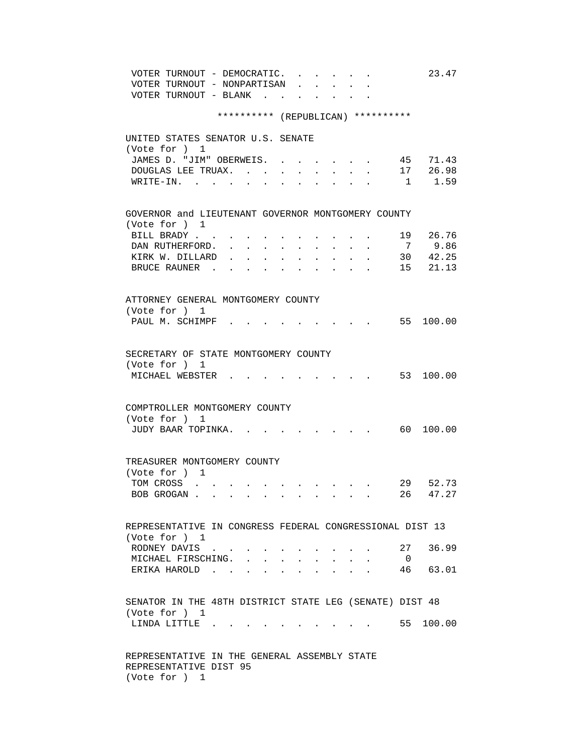| VOTER TURNOUT - DEMOCRATIC.<br>23.47                                                                                                              |
|---------------------------------------------------------------------------------------------------------------------------------------------------|
| VOTER TURNOUT - NONPARTISAN                                                                                                                       |
| VOTER TURNOUT - BLANK                                                                                                                             |
|                                                                                                                                                   |
| ********** (REPUBLICAN) **********                                                                                                                |
|                                                                                                                                                   |
| UNITED STATES SENATOR U.S. SENATE                                                                                                                 |
| (Vote for ) 1                                                                                                                                     |
| 45 71.43<br>JAMES D. "JIM" OBERWEIS. .                                                                                                            |
| 17 26.98<br>DOUGLAS LEE TRUAX. .<br>$\ddot{\phantom{0}}$<br>$\ddot{\phantom{0}}$                                                                  |
| $1 \t 1.59$<br>$W\text{RITE}-\text{IN}.$                                                                                                          |
|                                                                                                                                                   |
|                                                                                                                                                   |
| GOVERNOR and LIEUTENANT GOVERNOR MONTGOMERY COUNTY<br>(Vote for ) 1                                                                               |
| 19 26.76<br>BILL BRADY                                                                                                                            |
| 9.86                                                                                                                                              |
| $7\overline{ }$<br>DAN RUTHERFORD.<br>$30 \t 42.25$                                                                                               |
| KIRK W. DILLARD<br>$\mathbf{L}^{\text{max}}$<br>15 21.13                                                                                          |
| BRUCE RAUNER.                                                                                                                                     |
|                                                                                                                                                   |
| ATTORNEY GENERAL MONTGOMERY COUNTY                                                                                                                |
| (Vote for ) 1                                                                                                                                     |
| PAUL M. SCHIMPF.<br>55 100.00                                                                                                                     |
|                                                                                                                                                   |
|                                                                                                                                                   |
| SECRETARY OF STATE MONTGOMERY COUNTY                                                                                                              |
| (Vote for ) 1                                                                                                                                     |
| 53 100.00                                                                                                                                         |
| MICHAEL WEBSTER .                                                                                                                                 |
|                                                                                                                                                   |
| COMPTROLLER MONTGOMERY COUNTY                                                                                                                     |
|                                                                                                                                                   |
| (Vote for ) 1                                                                                                                                     |
| 60 100.00<br>JUDY BAAR TOPINKA.                                                                                                                   |
|                                                                                                                                                   |
| TREASURER MONTGOMERY COUNTY                                                                                                                       |
| (Vote for ) 1                                                                                                                                     |
| 29 52.73<br>TOM CROSS                                                                                                                             |
| the contract of the contract of the contract of<br>26 47.27<br>BOB GROGAN                                                                         |
|                                                                                                                                                   |
|                                                                                                                                                   |
| REPRESENTATIVE IN CONGRESS FEDERAL CONGRESSIONAL DIST 13                                                                                          |
| (Vote for ) 1                                                                                                                                     |
| 36.99<br>27<br>RODNEY DAVIS                                                                                                                       |
| $\mathbf{r} = \mathbf{r} + \mathbf{r}$ .<br>$\sim$ $\sim$<br>MICHAEL FIRSCHING. .<br>$\overline{0}$                                               |
| $\sim$<br>$\ddot{\phantom{0}}$<br>$\sim$<br>$\sim$<br>$\sim$<br>$\sim 100$ km s $^{-1}$<br>46 63.01<br>$\mathbf{r} = \mathbf{r} \cdot \mathbf{r}$ |
| ERIKA HAROLD<br>$\mathbf{L}$ $\mathbf{L}$                                                                                                         |
|                                                                                                                                                   |
| SENATOR IN THE 48TH DISTRICT STATE LEG (SENATE) DIST 48                                                                                           |
| (Vote for ) 1                                                                                                                                     |
| 55 100.00<br>LINDA LITTLE                                                                                                                         |
|                                                                                                                                                   |
|                                                                                                                                                   |
| REPRESENTATIVE IN THE GENERAL ASSEMBLY STATE                                                                                                      |
| REPRESENTATIVE DIST 95                                                                                                                            |
| (Vote for ) 1                                                                                                                                     |
|                                                                                                                                                   |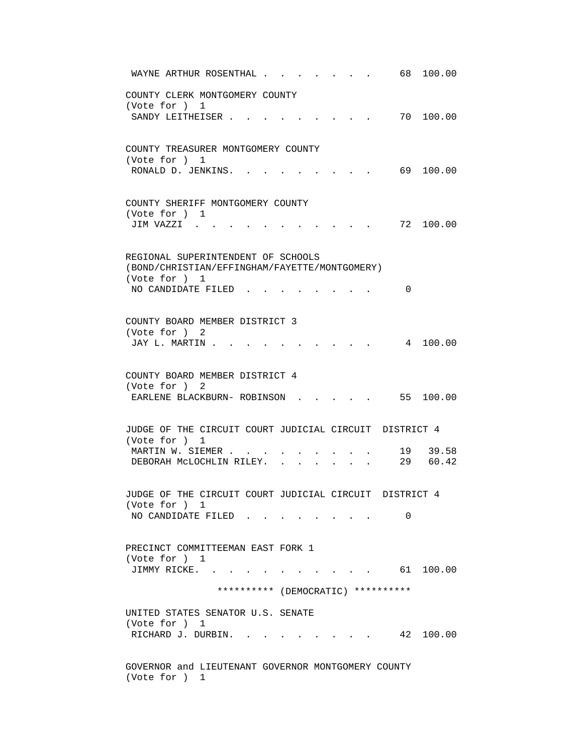| 68 —<br>100.00<br>WAYNE ARTHUR ROSENTHAL .                                                                                                     |
|------------------------------------------------------------------------------------------------------------------------------------------------|
| COUNTY CLERK MONTGOMERY COUNTY<br>(Vote for ) 1                                                                                                |
| 70 100.00<br>SANDY LEITHEISER                                                                                                                  |
| COUNTY TREASURER MONTGOMERY COUNTY<br>(Vote for ) 1<br>69 100.00<br>RONALD D. JENKINS.                                                         |
| COUNTY SHERIFF MONTGOMERY COUNTY                                                                                                               |
| (Vote for ) 1<br>72 100.00<br>JIM VAZZI                                                                                                        |
| REGIONAL SUPERINTENDENT OF SCHOOLS<br>(BOND/CHRISTIAN/EFFINGHAM/FAYETTE/MONTGOMERY)<br>(Vote for ) 1                                           |
| NO CANDIDATE FILED.<br>$\Omega$                                                                                                                |
| COUNTY BOARD MEMBER DISTRICT 3<br>(Vote for ) 2<br>4 100.00<br>JAY L. MARTIN .                                                                 |
| COUNTY BOARD MEMBER DISTRICT 4<br>(Vote for ) 2<br>55 100.00<br>EARLENE BLACKBURN- ROBINSON.                                                   |
| JUDGE OF THE CIRCUIT COURT JUDICIAL CIRCUIT DISTRICT 4<br>(Vote for ) 1                                                                        |
| 19 39.58<br>MARTIN W. SIEMER<br>29 60.42<br>DEBORAH MCLOCHLIN RILEY.<br>$\sim 10^{-11}$<br>$\mathbf{L} = \mathbf{L}$<br>$\sim$<br>$\mathbf{L}$ |
| JUDGE OF THE CIRCUIT COURT JUDICIAL CIRCUIT DISTRICT 4<br>(Vote for ) 1                                                                        |
| NO CANDIDATE FILED<br>0                                                                                                                        |
| PRECINCT COMMITTEEMAN EAST FORK 1<br>(Vote for ) 1<br>$\cdot$ 61 100.00<br>JIMMY RICKE                                                         |
| ********** (DEMOCRATIC) **********                                                                                                             |
| UNITED STATES SENATOR U.S. SENATE<br>(Vote for ) 1<br>RICHARD J. DURBIN. .<br>42 100.00                                                        |
|                                                                                                                                                |
| GOVERNOR and LIEUTENANT GOVERNOR MONTGOMERY COUNTY<br>(Vote for ) 1                                                                            |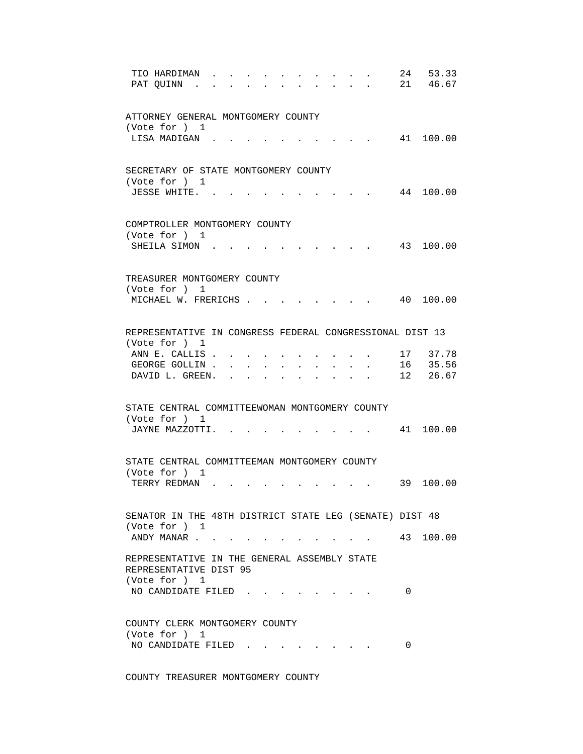| TIO HARDIMAN<br>PAT QUINN<br>$\sim$<br>$\sim$                                           | 24 | 53.33<br>21 46.67 |
|-----------------------------------------------------------------------------------------|----|-------------------|
| ATTORNEY GENERAL MONTGOMERY COUNTY<br>(Vote for ) 1                                     |    |                   |
| LISA MADIGAN.                                                                           |    | 41 100.00         |
| SECRETARY OF STATE MONTGOMERY COUNTY<br>(Vote for ) 1                                   |    |                   |
| JESSE WHITE                                                                             |    | 44 100.00         |
| COMPTROLLER MONTGOMERY COUNTY<br>(Vote for ) 1                                          |    |                   |
| SHEILA SIMON                                                                            |    | 43 100.00         |
| TREASURER MONTGOMERY COUNTY<br>(Vote for ) 1                                            |    |                   |
| MICHAEL W. FRERICHS .                                                                   |    | 40 100.00         |
| REPRESENTATIVE IN CONGRESS FEDERAL CONGRESSIONAL DIST 13<br>(Vote for ) 1               |    |                   |
| ANN E. CALLIS.<br>$\sim$                                                                |    | 17 37.78          |
| GEORGE GOLLIN.                                                                          |    | 16 35.56          |
| DAVID L. GREEN.<br>$\mathbf{L}$<br>$\mathbf{L}$<br><b>Service</b>                       |    | 12 26.67          |
| STATE CENTRAL COMMITTEEWOMAN MONTGOMERY COUNTY<br>(Vote for ) 1                         |    |                   |
| JAYNE MAZZOTTI.                                                                         |    | 41 100.00         |
| STATE CENTRAL COMMITTEEMAN MONTGOMERY COUNTY<br>(Vote for ) 1                           |    |                   |
| TERRY REDMAN.                                                                           | 39 | 100.00            |
| SENATOR IN THE 48TH DISTRICT STATE LEG (SENATE) DIST 48<br>(Vote for ) 1                |    |                   |
| ANDY MANAR 43 100.00                                                                    |    |                   |
| REPRESENTATIVE IN THE GENERAL ASSEMBLY STATE<br>REPRESENTATIVE DIST 95<br>(Vote for ) 1 |    |                   |
| NO CANDIDATE FILED                                                                      | 0  |                   |
| COUNTY CLERK MONTGOMERY COUNTY<br>(Vote for ) 1                                         |    |                   |
| NO CANDIDATE FILED.                                                                     | 0  |                   |

COUNTY TREASURER MONTGOMERY COUNTY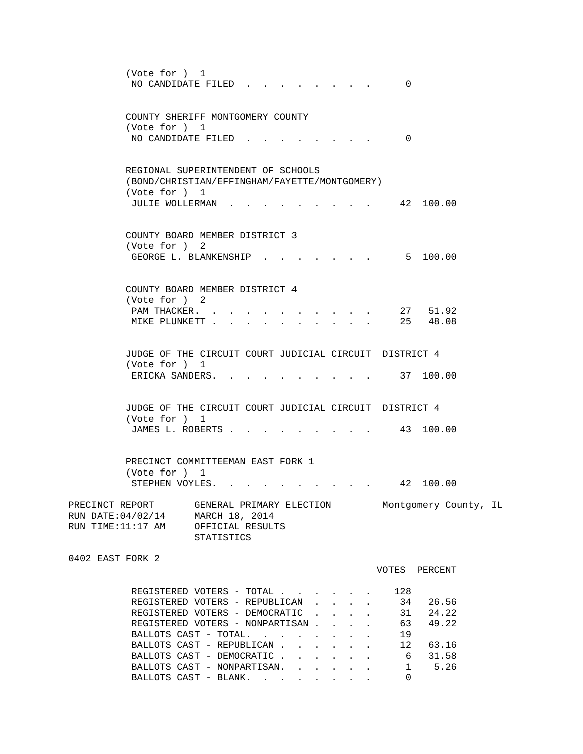|                                                                                            | (Vote for ) 1<br>NO CANDIDATE FILED.                                                                                                                                                                                                               |                          |                                                                                                 |  | 0                               |                                                         |  |
|--------------------------------------------------------------------------------------------|----------------------------------------------------------------------------------------------------------------------------------------------------------------------------------------------------------------------------------------------------|--------------------------|-------------------------------------------------------------------------------------------------|--|---------------------------------|---------------------------------------------------------|--|
|                                                                                            | COUNTY SHERIFF MONTGOMERY COUNTY<br>(Vote for ) 1<br>NO CANDIDATE FILED                                                                                                                                                                            |                          |                                                                                                 |  | $\Omega$                        |                                                         |  |
|                                                                                            | REGIONAL SUPERINTENDENT OF SCHOOLS<br>(BOND/CHRISTIAN/EFFINGHAM/FAYETTE/MONTGOMERY)<br>(Vote for ) 1<br>JULIE WOLLERMAN.                                                                                                                           |                          |                                                                                                 |  | 42 100.00                       |                                                         |  |
|                                                                                            | COUNTY BOARD MEMBER DISTRICT 3<br>(Vote for ) 2<br>GEORGE L. BLANKENSHIP .                                                                                                                                                                         |                          |                                                                                                 |  |                                 | 5 100.00                                                |  |
|                                                                                            | COUNTY BOARD MEMBER DISTRICT 4<br>(Vote for ) 2<br>PAM THACKER.<br>MIKE PLUNKETT                                                                                                                                                                   | $\ddot{\phantom{a}}$     | $\bullet$ .<br><br><br><br><br><br><br><br><br><br><br><br><br>$\bullet$ . The set of $\bullet$ |  | 27 51.92<br>25 48.08            |                                                         |  |
|                                                                                            | JUDGE OF THE CIRCUIT COURT JUDICIAL CIRCUIT DISTRICT 4<br>(Vote for ) 1<br>ERICKA SANDERS                                                                                                                                                          |                          |                                                                                                 |  | 37 100.00                       |                                                         |  |
|                                                                                            | JUDGE OF THE CIRCUIT COURT JUDICIAL CIRCUIT DISTRICT 4<br>(Vote for ) 1<br>JAMES L. ROBERTS                                                                                                                                                        |                          |                                                                                                 |  | 43 100.00                       |                                                         |  |
|                                                                                            | PRECINCT COMMITTEEMAN EAST FORK 1<br>(Vote for ) 1<br>STEPHEN VOYLES. .                                                                                                                                                                            |                          |                                                                                                 |  |                                 | 42 100.00                                               |  |
| PRECINCT REPORT<br>RUN DATE: 04/02/14 MARCH 18, 2014<br>RUN TIME:11:17 AM OFFICIAL RESULTS | STATISTICS                                                                                                                                                                                                                                         | GENERAL PRIMARY ELECTION |                                                                                                 |  |                                 | Montgomery County, IL                                   |  |
| 0402 EAST FORK 2                                                                           |                                                                                                                                                                                                                                                    |                          |                                                                                                 |  | VOTES PERCENT                   |                                                         |  |
|                                                                                            | REGISTERED VOTERS - TOTAL<br>REGISTERED VOTERS - REPUBLICAN<br>REGISTERED VOTERS - DEMOCRATIC<br>REGISTERED VOTERS - NONPARTISAN<br>BALLOTS CAST - TOTAL.<br>BALLOTS CAST - REPUBLICAN<br>BALLOTS CAST - DEMOCRATIC<br>BALLOTS CAST - NONPARTISAN. |                          |                                                                                                 |  | 128<br>34<br>63<br>19<br>6<br>1 | 26.56<br>31 24.22<br>49.22<br>12 63.16<br>31.58<br>5.26 |  |
|                                                                                            | BALLOTS CAST - BLANK.                                                                                                                                                                                                                              |                          |                                                                                                 |  | 0                               |                                                         |  |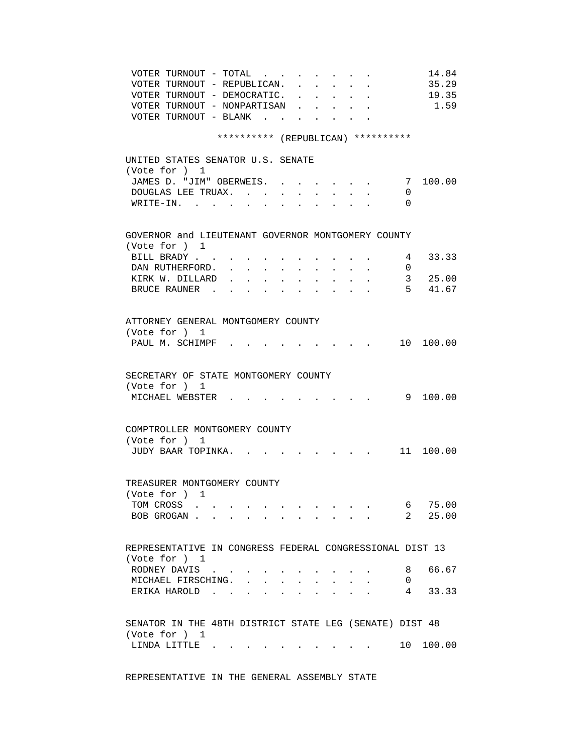| VOTER TURNOUT - TOTAL                                                                                                                  | 14.84     |
|----------------------------------------------------------------------------------------------------------------------------------------|-----------|
| VOTER TURNOUT - REPUBLICAN.<br>$\mathbf{L} = \mathbf{L} \mathbf{L}$<br>$\cdot$ $\cdot$<br>$\sim$                                       | 35.29     |
| VOTER TURNOUT - DEMOCRATIC.<br>$\mathbf{r} = \mathbf{r} \cdot \mathbf{r} = \mathbf{r} \cdot \mathbf{r}$                                | 19.35     |
| VOTER TURNOUT - NONPARTISAN                                                                                                            | 1.59      |
| VOTER TURNOUT - BLANK.                                                                                                                 |           |
|                                                                                                                                        |           |
| ********** (REPUBLICAN) **********                                                                                                     |           |
|                                                                                                                                        |           |
| UNITED STATES SENATOR U.S. SENATE                                                                                                      |           |
| (Vote for ) 1                                                                                                                          |           |
| JAMES D. "JIM" OBERWEIS.<br>7                                                                                                          | 100.00    |
| DOUGLAS LEE TRUAX.<br>0                                                                                                                |           |
| WRITE-IN.<br>0                                                                                                                         |           |
|                                                                                                                                        |           |
| GOVERNOR and LIEUTENANT GOVERNOR MONTGOMERY COUNTY                                                                                     |           |
| (Vote for ) 1                                                                                                                          |           |
| BILL BRADY<br>4                                                                                                                        | 33.33     |
| DAN RUTHERFORD.<br>$\mathbf{0}$<br>$\mathbf{L}^{\text{max}}$<br>$\sim$ $\sim$<br>$\sim$<br>$\sim$                                      |           |
| KIRK W. DILLARD<br>$100 - 100$<br>$\mathbf{r} = \mathbf{r}$<br>$\mathbf{L} = \mathbf{L}$<br>$\mathbf{r}$ , $\mathbf{r}$ , $\mathbf{r}$ | 3 25.00   |
| $5 -$<br>BRUCE RAUNER                                                                                                                  | 41.67     |
|                                                                                                                                        |           |
|                                                                                                                                        |           |
| ATTORNEY GENERAL MONTGOMERY COUNTY                                                                                                     |           |
| (Vote for ) 1                                                                                                                          |           |
| PAUL M. SCHIMPF.                                                                                                                       | 10 100.00 |
|                                                                                                                                        |           |
|                                                                                                                                        |           |
| SECRETARY OF STATE MONTGOMERY COUNTY                                                                                                   |           |
| (Vote for ) 1                                                                                                                          |           |
| MICHAEL WEBSTER .                                                                                                                      | 9 100.00  |
|                                                                                                                                        |           |
|                                                                                                                                        |           |
| COMPTROLLER MONTGOMERY COUNTY                                                                                                          |           |
| (Vote for ) 1                                                                                                                          |           |
| JUDY BAAR TOPINKA. .<br>$\,.\quad.\quad\quad\quad 11\quad 100.00\,$                                                                    |           |
|                                                                                                                                        |           |
|                                                                                                                                        |           |
| TREASURER MONTGOMERY COUNTY                                                                                                            |           |
| (Vote for ) 1                                                                                                                          |           |
| TOM CROSS                                                                                                                              | 6 75.00   |
| BOB GROGAN                                                                                                                             | 2 25.00   |
|                                                                                                                                        |           |
|                                                                                                                                        |           |
| REPRESENTATIVE IN CONGRESS FEDERAL CONGRESSIONAL DIST 13                                                                               |           |
| (Vote for ) 1                                                                                                                          |           |
| RODNEY DAVIS<br>8                                                                                                                      | 66.67     |
| MICHAEL FIRSCHING.<br>0                                                                                                                |           |
| ERIKA HAROLD<br>4                                                                                                                      | 33.33     |
|                                                                                                                                        |           |
|                                                                                                                                        |           |
| SENATOR IN THE 48TH DISTRICT STATE LEG (SENATE) DIST 48                                                                                |           |
| (Vote for ) 1                                                                                                                          |           |
| LINDA LITTLE.                                                                                                                          | 10 100.00 |
|                                                                                                                                        |           |

REPRESENTATIVE IN THE GENERAL ASSEMBLY STATE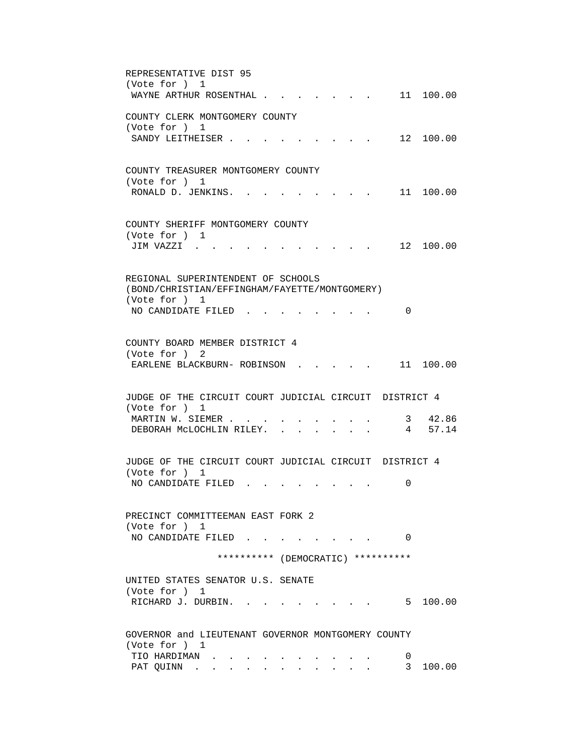| REPRESENTATIVE DIST 95                                                         |
|--------------------------------------------------------------------------------|
| (Vote for ) 1                                                                  |
| 11 100.00<br>WAYNE ARTHUR ROSENTHAL .                                          |
|                                                                                |
| COUNTY CLERK MONTGOMERY COUNTY<br>(Vote for ) 1                                |
| 12 100.00<br>SANDY LEITHEISER.                                                 |
|                                                                                |
|                                                                                |
| COUNTY TREASURER MONTGOMERY COUNTY                                             |
| (Vote for ) 1                                                                  |
| RONALD D. JENKINS.<br>11 100.00                                                |
|                                                                                |
| COUNTY SHERIFF MONTGOMERY COUNTY                                               |
| (Vote for ) 1                                                                  |
| 12 100.00<br>JIM VAZZI.                                                        |
|                                                                                |
|                                                                                |
| REGIONAL SUPERINTENDENT OF SCHOOLS                                             |
| (BOND/CHRISTIAN/EFFINGHAM/FAYETTE/MONTGOMERY)                                  |
| (Vote for ) 1                                                                  |
| NO CANDIDATE FILED<br>0                                                        |
|                                                                                |
| COUNTY BOARD MEMBER DISTRICT 4                                                 |
| (Vote for ) 2                                                                  |
| EARLENE BLACKBURN- ROBINSON<br>11 100.00                                       |
|                                                                                |
|                                                                                |
| JUDGE OF THE CIRCUIT COURT JUDICIAL CIRCUIT DISTRICT 4<br>(Vote for ) 1        |
| 3 42.86<br>MARTIN W. SIEMER                                                    |
| 4 57.14<br>DEBORAH MCLOCHLIN RILEY. .                                          |
|                                                                                |
|                                                                                |
| JUDGE OF THE CIRCUIT COURT JUDICIAL CIRCUIT DISTRICT 4                         |
| (Vote for ) 1                                                                  |
| NO CANDIDATE FILED<br>0                                                        |
|                                                                                |
| PRECINCT COMMITTEEMAN EAST FORK 2                                              |
| (Vote for ) 1                                                                  |
| NO CANDIDATE FILED<br>$\Omega$                                                 |
|                                                                                |
| ********** (DEMOCRATIC) **********                                             |
| UNITED STATES SENATOR U.S. SENATE                                              |
| (Vote for ) 1                                                                  |
| $\cdot$ $\cdot$ $\cdot$ $\cdot$ $\cdot$ $\cdot$ 5 100.00<br>RICHARD J. DURBIN. |
|                                                                                |
|                                                                                |
| GOVERNOR and LIEUTENANT GOVERNOR MONTGOMERY COUNTY                             |
| (Vote for ) 1                                                                  |
| TIO HARDIMAN<br>0                                                              |
| 3 100.00<br>PAT QUINN<br>$\sim$                                                |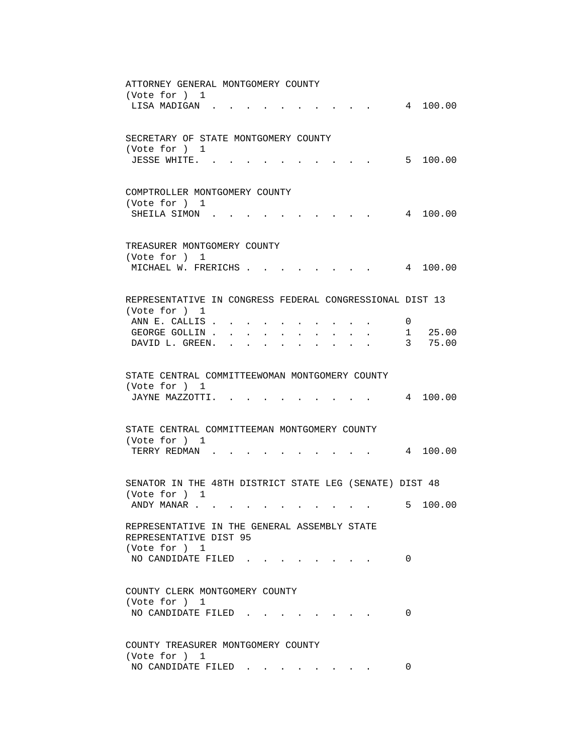| ATTORNEY GENERAL MONTGOMERY COUNTY                       |
|----------------------------------------------------------|
| (Vote for ) 1                                            |
| 4 100.00<br>LISA MADIGAN.                                |
|                                                          |
|                                                          |
| SECRETARY OF STATE MONTGOMERY COUNTY                     |
| (Vote for ) 1                                            |
| 5 100.00<br>JESSE WHITE. .                               |
|                                                          |
|                                                          |
| COMPTROLLER MONTGOMERY COUNTY                            |
| (Vote for ) 1                                            |
| 4 100.00<br>SHEILA SIMON.                                |
|                                                          |
|                                                          |
| TREASURER MONTGOMERY COUNTY                              |
| (Vote for ) 1                                            |
| MICHAEL W. FRERICHS<br>4 100.00                          |
|                                                          |
|                                                          |
| REPRESENTATIVE IN CONGRESS FEDERAL CONGRESSIONAL DIST 13 |
| (Vote for ) 1                                            |
| ANN E. CALLIS .<br>$\overline{0}$                        |
| 1 25.00<br>GEORGE GOLLIN<br>$\sim 100$                   |
| 3 75.00<br>DAVID L. GREEN. .                             |
|                                                          |
|                                                          |
| STATE CENTRAL COMMITTEEWOMAN MONTGOMERY COUNTY           |
| (Vote for ) 1                                            |
| 4 100.00<br>JAYNE MAZZOTTI.                              |
|                                                          |
|                                                          |
| STATE CENTRAL COMMITTEEMAN MONTGOMERY COUNTY             |
| (Vote for ) 1                                            |
| TERRY REDMAN .<br>4 100.00                               |
|                                                          |
|                                                          |
| SENATOR IN THE 48TH DISTRICT STATE LEG (SENATE) DIST 48  |
| (Vote for ) 1                                            |
| 5 100.00<br>ANDY MANAR                                   |
|                                                          |
| REPRESENTATIVE IN THE GENERAL ASSEMBLY STATE             |
| REPRESENTATIVE DIST 95                                   |
| (Vote for ) 1                                            |
| NO CANDIDATE FILED<br>0                                  |
|                                                          |
|                                                          |
| COUNTY CLERK MONTGOMERY COUNTY                           |
| (Vote for ) 1                                            |
| 0<br>NO CANDIDATE FILED.                                 |
|                                                          |
|                                                          |
|                                                          |
| COUNTY TREASURER MONTGOMERY COUNTY                       |
| (Vote for ) 1<br>NO CANDIDATE FILED<br>0                 |
|                                                          |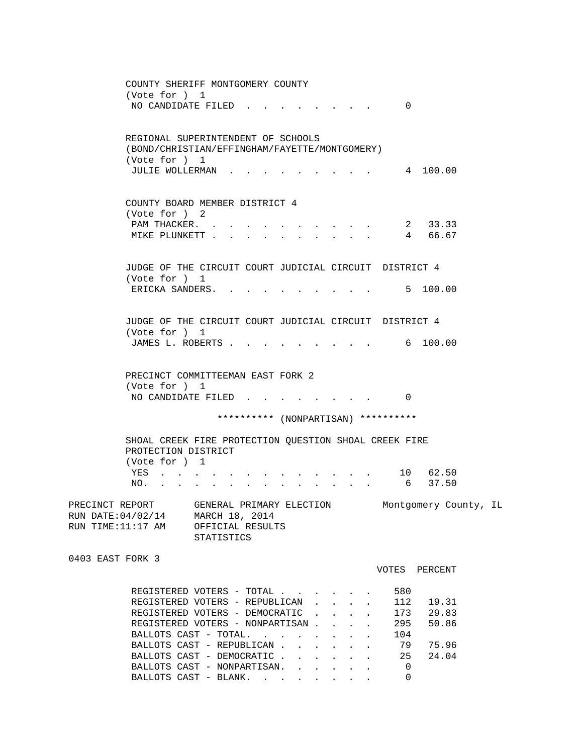COUNTY SHERIFF MONTGOMERY COUNTY (Vote for ) 1 NO CANDIDATE FILED . . . . . . . . 0 REGIONAL SUPERINTENDENT OF SCHOOLS (BOND/CHRISTIAN/EFFINGHAM/FAYETTE/MONTGOMERY) (Vote for ) 1 JULIE WOLLERMAN . . . . . . . . . 4 100.00 COUNTY BOARD MEMBER DISTRICT 4 (Vote for ) 2 PAM THACKER. . . . . . . . . . . . 2 33.33<br>MIKE PLUNKETT . . . . . . . . . . 4 66.67 MIKE PLUNKETT . . . . . . . . . . . JUDGE OF THE CIRCUIT COURT JUDICIAL CIRCUIT DISTRICT 4 (Vote for ) 1 ERICKA SANDERS. . . . . . . . . . 5 100.00 JUDGE OF THE CIRCUIT COURT JUDICIAL CIRCUIT DISTRICT 4 (Vote for ) 1 JAMES L. ROBERTS . . . . . . . . . . 6 100.00 PRECINCT COMMITTEEMAN EAST FORK 2 (Vote for ) 1 NO CANDIDATE FILED . . . . . . . . 0 \*\*\*\*\*\*\*\*\*\* (NONPARTISAN) \*\*\*\*\*\*\*\*\*\* SHOAL CREEK FIRE PROTECTION QUESTION SHOAL CREEK FIRE PROTECTION DISTRICT (Vote for ) 1 YES . . . . . . . . . . . . . 10 62.50<br>NO. . . . . . . . . . . . . . . 6 37.50 NO. . . . . . . . . . . . . . PRECINCT REPORT GENERAL PRIMARY ELECTION Montgomery County, IL RUN DATE:04/02/14 MARCH 18, 2014 RUN TIME:11:17 AM OFFICIAL RESULTS STATISTICS 0403 EAST FORK 3 VOTES PERCENT REGISTERED VOTERS - TOTAL . . . . . . 580 REGISTERED VOTERS - REPUBLICAN . . . . 112 19.31 REGISTERED VOTERS - DEMOCRATIC . . . . 173 29.83 REGISTERED VOTERS - NONPARTISAN . . . . 295 50.86 BALLOTS CAST - TOTAL. . . . . . . . 104 BALLOTS CAST - REPUBLICAN . . . . . . 79 75.96 BALLOTS CAST - DEMOCRATIC . . . . . 25 24.04 BALLOTS CAST - NONPARTISAN. . . . . . 0<br>RALLOTS CAST - BLANK. . . . . . . . 0 BALLOTS CAST - BLANK. . . . . .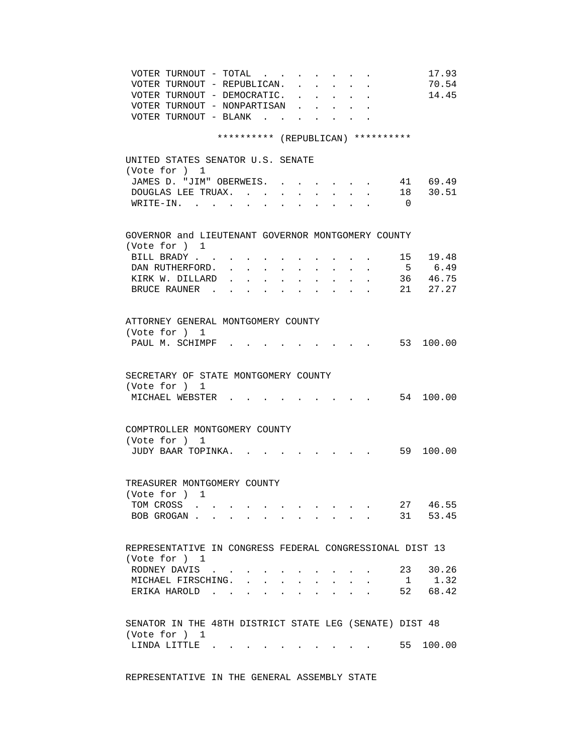| VOTER TURNOUT - TOTAL $\cdot \cdot \cdot \cdot \cdot \cdot$<br>VOTER TURNOUT - REPUBLICAN.<br>VOTER TURNOUT - DEMOCRATIC.<br>VOTER TURNOUT - NONPARTISAN<br>VOTER TURNOUT - BLANK<br><b>Service</b> State<br>********** (REPUBLICAN) ********** |                | 17.93<br>70.54<br>14.45 |
|-------------------------------------------------------------------------------------------------------------------------------------------------------------------------------------------------------------------------------------------------|----------------|-------------------------|
| UNITED STATES SENATOR U.S. SENATE                                                                                                                                                                                                               |                |                         |
| (Vote for ) 1                                                                                                                                                                                                                                   |                |                         |
| JAMES D. "JIM" OBERWEIS.<br>$\sim$ $\sim$ $\sim$ $\sim$ $\sim$ $\sim$                                                                                                                                                                           |                | 41 69.49                |
| DOUGLAS LEE TRUAX.<br>$\ddot{\phantom{0}}$                                                                                                                                                                                                      |                | 18 30.51                |
| WRITE-IN.<br>$\sim$                                                                                                                                                                                                                             | $\overline{0}$ |                         |
| GOVERNOR and LIEUTENANT GOVERNOR MONTGOMERY COUNTY                                                                                                                                                                                              |                |                         |
| (Vote for ) 1                                                                                                                                                                                                                                   |                |                         |
| BILL BRADY                                                                                                                                                                                                                                      |                | 15 19.48                |
| DAN RUTHERFORD.<br><b>Service</b> State                                                                                                                                                                                                         |                | 5 6.49                  |
| KIRK W. DILLARD<br>$\sim$<br>BRUCE RAUNER.                                                                                                                                                                                                      |                | 36 46.75<br>21 27.27    |
|                                                                                                                                                                                                                                                 |                |                         |
| ATTORNEY GENERAL MONTGOMERY COUNTY                                                                                                                                                                                                              |                |                         |
| (Vote for ) 1                                                                                                                                                                                                                                   |                |                         |
| PAUL M. SCHIMPF.<br>$\cdot$ $\cdot$ $\cdot$ 53 100.00                                                                                                                                                                                           |                |                         |
| SECRETARY OF STATE MONTGOMERY COUNTY<br>(Vote for ) 1<br>MICHAEL WEBSTER                                                                                                                                                                        |                | . 54 100.00             |
| COMPTROLLER MONTGOMERY COUNTY                                                                                                                                                                                                                   |                |                         |
| (Vote for ) 1                                                                                                                                                                                                                                   |                |                         |
| JUDY BAAR TOPINKA.                                                                                                                                                                                                                              |                | . 59 100.00             |
| TREASURER MONTGOMERY COUNTY                                                                                                                                                                                                                     |                |                         |
| (Vote for ) 1                                                                                                                                                                                                                                   |                |                         |
| TOM CROSS                                                                                                                                                                                                                                       |                | 27 46.55                |
| BOB GROGAN                                                                                                                                                                                                                                      |                | 31 53.45                |
| REPRESENTATIVE IN CONGRESS FEDERAL CONGRESSIONAL DIST 13                                                                                                                                                                                        |                |                         |
| (Vote for ) 1<br>RODNEY DAVIS .                                                                                                                                                                                                                 |                | 23 30.26                |
| MICHAEL FIRSCHING. .                                                                                                                                                                                                                            | $\mathbf{1}$   | 1.32                    |
| ERIKA HAROLD<br>$\ddot{\phantom{0}}$                                                                                                                                                                                                            |                | 52 68.42                |
|                                                                                                                                                                                                                                                 |                |                         |
| SENATOR IN THE 48TH DISTRICT STATE LEG (SENATE) DIST 48                                                                                                                                                                                         |                |                         |
| (Vote for ) 1<br>LINDA LITTLE $\qquad \qquad \ldots \qquad \qquad \ldots \qquad \qquad \ldots \qquad \ldots$                                                                                                                                    |                | 55 100.00               |
|                                                                                                                                                                                                                                                 |                |                         |

REPRESENTATIVE IN THE GENERAL ASSEMBLY STATE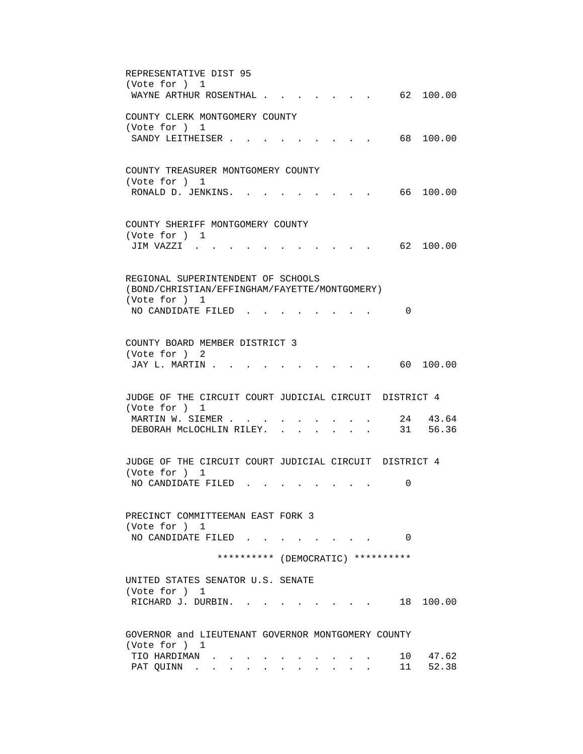| REPRESENTATIVE DIST 95<br>(Vote for ) 1<br>62 100.00<br>WAYNE ARTHUR ROSENTHAL                       |
|------------------------------------------------------------------------------------------------------|
| COUNTY CLERK MONTGOMERY COUNTY<br>(Vote for ) 1                                                      |
| 68 -<br>100.00<br>SANDY LEITHEISER.                                                                  |
| COUNTY TREASURER MONTGOMERY COUNTY<br>(Vote for ) 1<br>66 100.00<br>RONALD D. JENKINS.               |
| COUNTY SHERIFF MONTGOMERY COUNTY<br>(Vote for ) 1                                                    |
| JIM VAZZI .<br>62 100.00                                                                             |
| REGIONAL SUPERINTENDENT OF SCHOOLS<br>(BOND/CHRISTIAN/EFFINGHAM/FAYETTE/MONTGOMERY)<br>(Vote for ) 1 |
| NO CANDIDATE FILED<br>0                                                                              |
| COUNTY BOARD MEMBER DISTRICT 3<br>(Vote for ) 2                                                      |
| JAY L. MARTIN.<br>60 100.00                                                                          |
| JUDGE OF THE CIRCUIT COURT JUDICIAL CIRCUIT DISTRICT 4<br>(Vote for ) 1                              |
| 24 43.64<br>MARTIN W. SIEMER<br>31 56.36<br>DEBORAH MCLOCHLIN RILEY. .                               |
| JUDGE OF THE CIRCUIT COURT JUDICIAL CIRCUIT DISTRICT 4<br>(Vote for ) 1                              |
| NO CANDIDATE FILED<br>0                                                                              |
| PRECINCT COMMITTEEMAN EAST FORK 3<br>(Vote for ) 1                                                   |
| NO CANDIDATE FILED<br>$\Omega$                                                                       |
| ********** (DEMOCRATIC) **********                                                                   |
| UNITED STATES SENATOR U.S. SENATE<br>(Vote for ) 1<br>RICHARD J. DURBIN.<br>18 100.00                |
| GOVERNOR and LIEUTENANT GOVERNOR MONTGOMERY COUNTY                                                   |
| (Vote for ) 1<br>10 47.62<br>TIO HARDIMAN<br>11<br>52.38<br>PAT QUINN                                |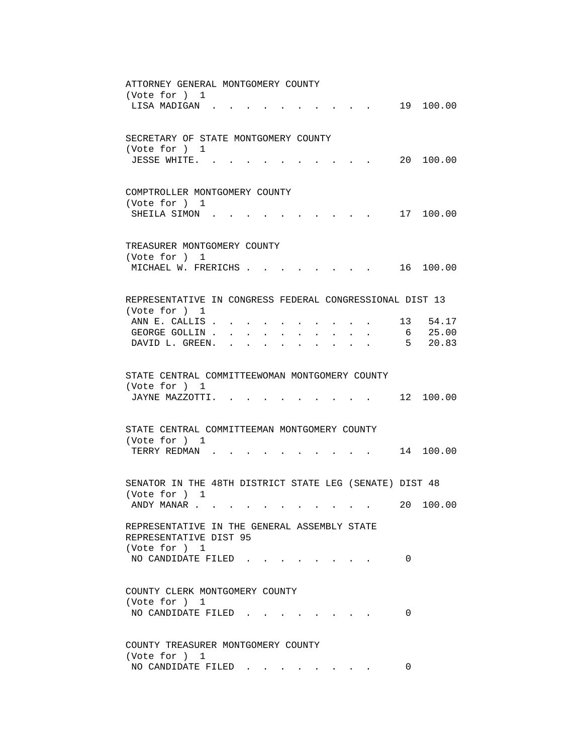| ATTORNEY GENERAL MONTGOMERY COUNTY                                                                           |
|--------------------------------------------------------------------------------------------------------------|
| (Vote for ) 1<br>19 100.00<br>LISA MADIGAN.                                                                  |
|                                                                                                              |
|                                                                                                              |
| SECRETARY OF STATE MONTGOMERY COUNTY                                                                         |
| (Vote for ) 1                                                                                                |
| 20 100.00<br>JESSE WHITE. .                                                                                  |
|                                                                                                              |
|                                                                                                              |
| COMPTROLLER MONTGOMERY COUNTY<br>(Vote for ) 1                                                               |
| 17 100.00<br>SHEILA SIMON.                                                                                   |
|                                                                                                              |
|                                                                                                              |
| TREASURER MONTGOMERY COUNTY                                                                                  |
| (Vote for ) 1                                                                                                |
| MICHAEL W. FRERICHS<br>16 100.00<br>$\mathbf{r} = \mathbf{r} + \mathbf{r}$ , where $\mathbf{r} = \mathbf{r}$ |
|                                                                                                              |
| REPRESENTATIVE IN CONGRESS FEDERAL CONGRESSIONAL DIST 13                                                     |
| (Vote for ) 1                                                                                                |
| $13 \quad 54.17$<br>ANN E. CALLIS .                                                                          |
| 6 25.00<br>GEORGE GOLLIN                                                                                     |
| 5 20.83<br>DAVID L. GREEN. .<br>$\bullet$ .<br><br><br><br><br><br><br><br><br><br><br><br><br><br>          |
|                                                                                                              |
|                                                                                                              |
| STATE CENTRAL COMMITTEEWOMAN MONTGOMERY COUNTY<br>(Vote for ) 1                                              |
| 12 100.00<br>JAYNE MAZZOTTI.                                                                                 |
|                                                                                                              |
|                                                                                                              |
| STATE CENTRAL COMMITTEEMAN MONTGOMERY COUNTY                                                                 |
| (Vote for ) 1                                                                                                |
| TERRY REDMAN.<br>$14$ 100.00                                                                                 |
|                                                                                                              |
| SENATOR IN THE 48TH DISTRICT STATE LEG (SENATE) DIST 48                                                      |
| (Vote for ) 1                                                                                                |
| 20 100.00<br>ANDY MANAR                                                                                      |
|                                                                                                              |
| REPRESENTATIVE IN THE GENERAL ASSEMBLY STATE                                                                 |
| REPRESENTATIVE DIST 95                                                                                       |
| (Vote for ) 1                                                                                                |
| NO CANDIDATE FILED.<br>0                                                                                     |
|                                                                                                              |
| COUNTY CLERK MONTGOMERY COUNTY                                                                               |
| (Vote for ) 1                                                                                                |
| NO CANDIDATE FILED.<br>0                                                                                     |
|                                                                                                              |
|                                                                                                              |
| COUNTY TREASURER MONTGOMERY COUNTY                                                                           |
| (Vote for ) 1<br>NO CANDIDATE FILED<br>0                                                                     |
|                                                                                                              |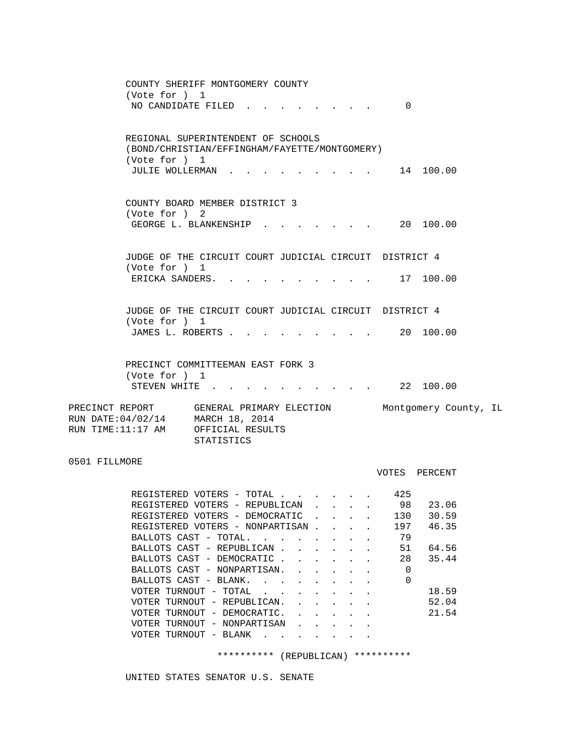|                                                                                                                     | COUNTY SHERIFF MONTGOMERY COUNTY<br>(Vote for ) 1<br>NO CANDIDATE FILED |            |  |  | 0                          |                         |  |
|---------------------------------------------------------------------------------------------------------------------|-------------------------------------------------------------------------|------------|--|--|----------------------------|-------------------------|--|
|                                                                                                                     | REGIONAL SUPERINTENDENT OF SCHOOLS                                      |            |  |  |                            |                         |  |
|                                                                                                                     | (BOND/CHRISTIAN/EFFINGHAM/FAYETTE/MONTGOMERY)                           |            |  |  |                            |                         |  |
|                                                                                                                     | (Vote for ) 1<br>JULIE WOLLERMAN                                        |            |  |  |                            | 14 100.00               |  |
|                                                                                                                     | COUNTY BOARD MEMBER DISTRICT 3<br>(Vote for ) 2                         |            |  |  |                            |                         |  |
|                                                                                                                     | GEORGE L. BLANKENSHIP .                                                 |            |  |  |                            | $\cdot$ , . 20 100.00   |  |
|                                                                                                                     | JUDGE OF THE CIRCUIT COURT JUDICIAL CIRCUIT DISTRICT 4<br>(Vote for ) 1 |            |  |  |                            |                         |  |
|                                                                                                                     | ERICKA SANDERS. 17 100.00                                               |            |  |  |                            |                         |  |
|                                                                                                                     | JUDGE OF THE CIRCUIT COURT JUDICIAL CIRCUIT DISTRICT 4<br>(Vote for ) 1 |            |  |  |                            |                         |  |
|                                                                                                                     | JAMES L. ROBERTS                                                        |            |  |  |                            | $\cdot$ , , , 20 100.00 |  |
|                                                                                                                     | PRECINCT COMMITTEEMAN EAST FORK 3<br>(Vote for ) 1                      |            |  |  |                            |                         |  |
|                                                                                                                     | STEVEN WHITE                                                            |            |  |  |                            | 22 100.00               |  |
| PRECINCT REPORT GENERAL PRIMARY ELECTION<br>RUN DATE: 04/02/14 MARCH 18, 2014<br>RUN TIME:11:17 AM OFFICIAL RESULTS |                                                                         | STATISTICS |  |  |                            | Montgomery County, IL   |  |
| 0501 FILLMORE                                                                                                       |                                                                         |            |  |  |                            | VOTES PERCENT           |  |
|                                                                                                                     | REGISTERED VOTERS - TOTAL                                               |            |  |  | 425                        |                         |  |
|                                                                                                                     | REGISTERED VOTERS - REPUBLICAN.                                         |            |  |  |                            | 98 23.06                |  |
|                                                                                                                     | REGISTERED VOTERS - DEMOCRATIC                                          |            |  |  | 130                        | 30.59                   |  |
|                                                                                                                     | REGISTERED VOTERS - NONPARTISAN                                         |            |  |  | 197                        | 46.35                   |  |
|                                                                                                                     | BALLOTS CAST - TOTAL.                                                   |            |  |  | 79                         |                         |  |
|                                                                                                                     | BALLOTS CAST - REPUBLICAN                                               |            |  |  | 51                         | 64.56                   |  |
|                                                                                                                     | BALLOTS CAST - DEMOCRATIC                                               |            |  |  | 28<br>$\ddot{\phantom{a}}$ | 35.44                   |  |
|                                                                                                                     | BALLOTS CAST - NONPARTISAN.                                             |            |  |  | $\mathbf 0$                |                         |  |
|                                                                                                                     | BALLOTS CAST - BLANK.                                                   |            |  |  | $\mathbf 0$                | 18.59                   |  |
|                                                                                                                     | VOTER TURNOUT - TOTAL $\ldots$<br>VOTER TURNOUT - REPUBLICAN.           |            |  |  |                            | 52.04                   |  |

VOTER TURNOUT - BLANK . . . . . . . \*\*\*\*\*\*\*\*\*\* (REPUBLICAN) \*\*\*\*\*\*\*\*\*\*

VOTER TURNOUT - DEMOCRATIC. . . . . . 21.54

VOTER TURNOUT - REPUBLICAN.  $\cdot$  . . . . .

VOTER TURNOUT - NONPARTISAN . . . . .

UNITED STATES SENATOR U.S. SENATE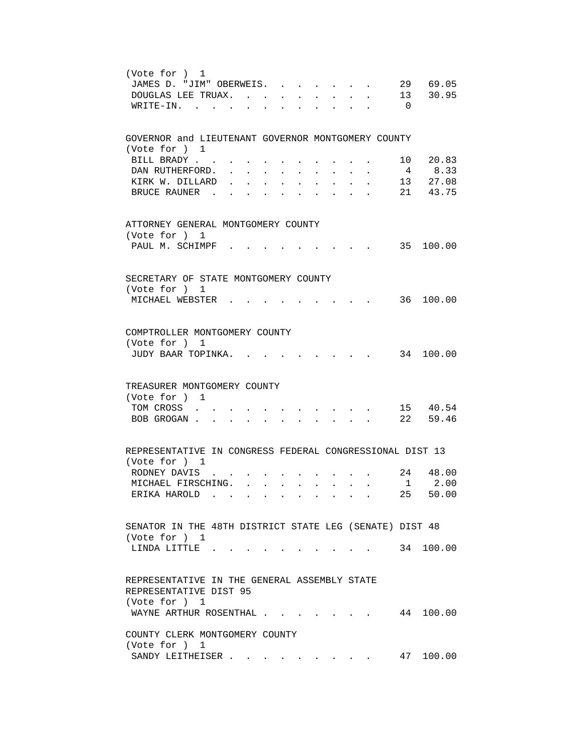| (Vote for ) 1<br>29 69.05<br>JAMES D. "JIM" OBERWEIS.                                                                   |
|-------------------------------------------------------------------------------------------------------------------------|
| 13 30.95<br>DOUGLAS LEE TRUAX. .                                                                                        |
| $\overline{0}$<br>$WRITE-IN.$<br>$\mathbf{r}$                                                                           |
| GOVERNOR and LIEUTENANT GOVERNOR MONTGOMERY COUNTY<br>(Vote for ) 1                                                     |
| 10 20.83<br>BILL BRADY                                                                                                  |
| 8.33<br>$\overline{4}$<br>DAN RUTHERFORD.                                                                               |
| $13$ $27.08$<br>KIRK W. DILLARD                                                                                         |
| 21 43.75<br>BRUCE RAUNER.                                                                                               |
| ATTORNEY GENERAL MONTGOMERY COUNTY<br>(Vote for ) 1                                                                     |
| 35 100.00<br>PAUL M. SCHIMPF                                                                                            |
| SECRETARY OF STATE MONTGOMERY COUNTY<br>(Vote for ) 1                                                                   |
| MICHAEL WEBSTER .<br>36 100.00                                                                                          |
| COMPTROLLER MONTGOMERY COUNTY<br>(Vote for ) 1<br>34 100.00<br>JUDY BAAR TOPINKA.                                       |
| TREASURER MONTGOMERY COUNTY                                                                                             |
| (Vote for ) 1                                                                                                           |
| 15 40.54<br>TOM CROSS                                                                                                   |
| 22 59.46<br>BOB GROGAN.<br>$\ddot{\phantom{a}}$<br>$\ddot{\phantom{0}}$<br>$\ddot{\phantom{0}}$<br>$\ddot{\phantom{a}}$ |
| REPRESENTATIVE IN CONGRESS FEDERAL CONGRESSIONAL DIST 13                                                                |
| (Vote for ) 1                                                                                                           |
| 24 48.00<br>RODNEY DAVIS.<br>2.00<br>$\mathbf{1}$                                                                       |
| MICHAEL FIRSCHING. .<br>$\sim$<br>$25 -$<br>50.00<br>ERIKA HAROLD.                                                      |
|                                                                                                                         |
| SENATOR IN THE 48TH DISTRICT STATE LEG (SENATE) DIST 48<br>(Vote for ) 1                                                |
| . 34 100.00<br>LINDA LITTLE.                                                                                            |
| REPRESENTATIVE IN THE GENERAL ASSEMBLY STATE<br>REPRESENTATIVE DIST 95<br>(Vote for ) 1                                 |
| WAYNE ARTHUR ROSENTHAL 44 100.00                                                                                        |
| COUNTY CLERK MONTGOMERY COUNTY<br>(Vote for ) 1                                                                         |
| 47 100.00<br>SANDY LEITHEISER                                                                                           |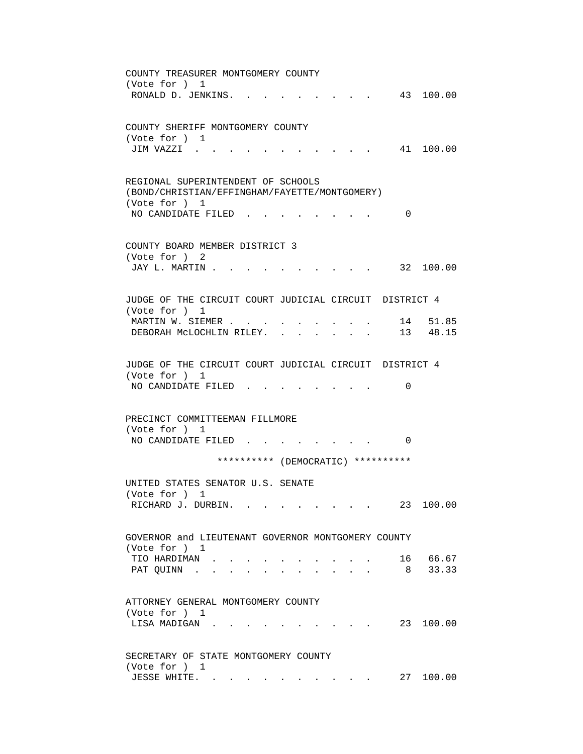COUNTY TREASURER MONTGOMERY COUNTY (Vote for ) 1 RONALD D. JENKINS. . . . . . . . . 43 100.00 COUNTY SHERIFF MONTGOMERY COUNTY (Vote for ) 1 JIM VAZZI . . . . . . . . . . . 41 100.00 REGIONAL SUPERINTENDENT OF SCHOOLS (BOND/CHRISTIAN/EFFINGHAM/FAYETTE/MONTGOMERY) (Vote for ) 1 NO CANDIDATE FILED . . . . . . . . 0 COUNTY BOARD MEMBER DISTRICT 3 (Vote for ) 2 JAY L. MARTIN . . . . . . . . . . . 32 100.00 JUDGE OF THE CIRCUIT COURT JUDICIAL CIRCUIT DISTRICT 4 (Vote for ) 1 MARTIN W. SIEMER . . . . . . . . . . 14 51.85 DEBORAH MCLOCHLIN RILEY. . . . . . . 13 48.15 JUDGE OF THE CIRCUIT COURT JUDICIAL CIRCUIT DISTRICT 4 (Vote for ) 1 NO CANDIDATE FILED . . . . . . . . 0 PRECINCT COMMITTEEMAN FILLMORE (Vote for ) 1 NO CANDIDATE FILED . . . . . . . . 0 \*\*\*\*\*\*\*\*\*\* (DEMOCRATIC) \*\*\*\*\*\*\*\*\*\* UNITED STATES SENATOR U.S. SENATE (Vote for ) 1 RICHARD J. DURBIN. . . . . . . . . 23 100.00 GOVERNOR and LIEUTENANT GOVERNOR MONTGOMERY COUNTY (Vote for ) 1 TIO HARDIMAN . . . . . . . . . . 16 66.67 PAT QUINN . . . . . . . . . . . 8 33.33 ATTORNEY GENERAL MONTGOMERY COUNTY (Vote for ) 1 LISA MADIGAN . . . . . . . . . . 23 100.00 SECRETARY OF STATE MONTGOMERY COUNTY (Vote for ) 1 JESSE WHITE. . . . . . . . . . . 27 100.00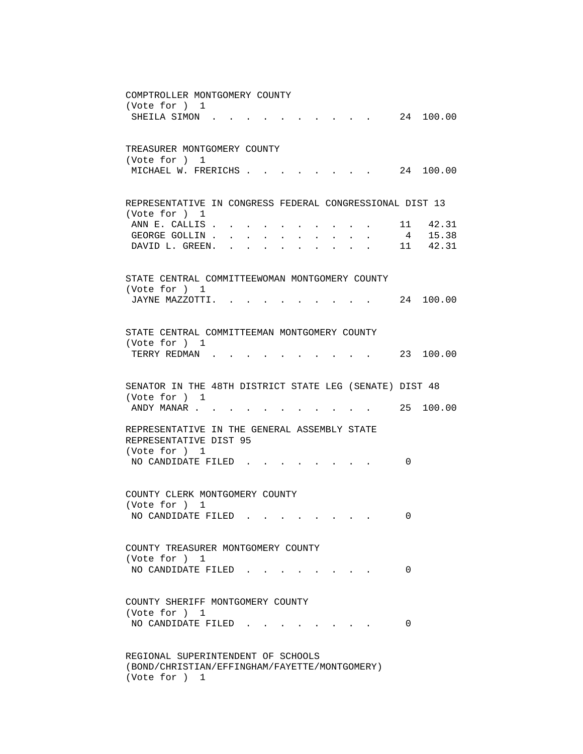| COMPTROLLER MONTGOMERY COUNTY                                                                                                                               |
|-------------------------------------------------------------------------------------------------------------------------------------------------------------|
| (Vote for ) 1<br>24 100.00<br>SHEILA SIMON                                                                                                                  |
|                                                                                                                                                             |
|                                                                                                                                                             |
| TREASURER MONTGOMERY COUNTY<br>(Vote for ) 1                                                                                                                |
| MICHAEL W. FRERICHS<br>24 100.00                                                                                                                            |
|                                                                                                                                                             |
| REPRESENTATIVE IN CONGRESS FEDERAL CONGRESSIONAL DIST 13                                                                                                    |
| (Vote for ) 1                                                                                                                                               |
| ANN E. CALLIS<br>11 42.31                                                                                                                                   |
| 4 15.38<br>GEORGE GOLLIN<br>$\mathbf{r} = \mathbf{r} \cdot \mathbf{r}$ , where $\mathbf{r} = \mathbf{r}$                                                    |
| 11 42.31<br>DAVID L. GREEN.<br>$\bullet$ .<br><br><br><br><br><br><br><br><br><br><br><br><br><br>$\mathbf{z} = \mathbf{z} + \mathbf{z}$ . The $\mathbf{z}$ |
|                                                                                                                                                             |
| STATE CENTRAL COMMITTEEWOMAN MONTGOMERY COUNTY                                                                                                              |
| (Vote for ) 1<br>24 100.00<br>JAYNE MAZZOTTI.                                                                                                               |
|                                                                                                                                                             |
|                                                                                                                                                             |
| STATE CENTRAL COMMITTEEMAN MONTGOMERY COUNTY<br>(Vote for ) 1                                                                                               |
| TERRY REDMAN .<br>23 100.00                                                                                                                                 |
|                                                                                                                                                             |
| SENATOR IN THE 48TH DISTRICT STATE LEG (SENATE) DIST 48                                                                                                     |
| (Vote for ) 1                                                                                                                                               |
| 25<br>100.00<br>ANDY MANAR                                                                                                                                  |
| REPRESENTATIVE IN THE GENERAL ASSEMBLY STATE                                                                                                                |
| REPRESENTATIVE DIST 95                                                                                                                                      |
| (Vote for ) 1                                                                                                                                               |
| NO CANDIDATE FILED.<br>0                                                                                                                                    |
|                                                                                                                                                             |
| COUNTY CLERK MONTGOMERY COUNTY                                                                                                                              |
| (Vote for ) 1                                                                                                                                               |
| NO CANDIDATE FILED<br>0                                                                                                                                     |
|                                                                                                                                                             |
| COUNTY TREASURER MONTGOMERY COUNTY                                                                                                                          |
| (Vote for ) 1<br>NO CANDIDATE FILED<br>0                                                                                                                    |
|                                                                                                                                                             |
|                                                                                                                                                             |
| COUNTY SHERIFF MONTGOMERY COUNTY<br>(Vote for ) 1                                                                                                           |
| NO CANDIDATE FILED.<br>0                                                                                                                                    |
|                                                                                                                                                             |
|                                                                                                                                                             |
| REGIONAL SUPERINTENDENT OF SCHOOLS<br>(BOND/CHRISTIAN/EFFINGHAM/FAYETTE/MONTGOMERY)                                                                         |
|                                                                                                                                                             |

(Vote for ) 1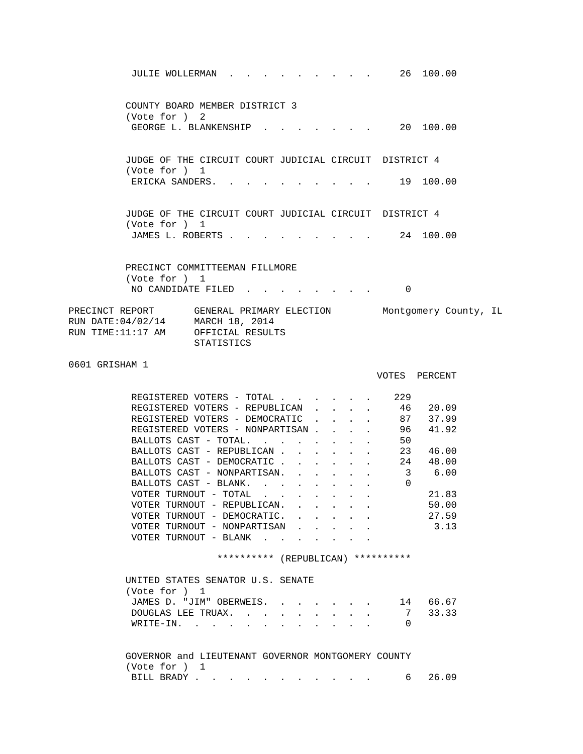| JULIE WOLLERMAN 26 100.00                                                                                                                                                                                                                                                                                                                                                                                                                                                                                                                                                                                               |                                                                                                                                                                                                                                                  |
|-------------------------------------------------------------------------------------------------------------------------------------------------------------------------------------------------------------------------------------------------------------------------------------------------------------------------------------------------------------------------------------------------------------------------------------------------------------------------------------------------------------------------------------------------------------------------------------------------------------------------|--------------------------------------------------------------------------------------------------------------------------------------------------------------------------------------------------------------------------------------------------|
| COUNTY BOARD MEMBER DISTRICT 3<br>(Vote for ) 2                                                                                                                                                                                                                                                                                                                                                                                                                                                                                                                                                                         |                                                                                                                                                                                                                                                  |
| GEORGE L. BLANKENSHIP 20 100.00                                                                                                                                                                                                                                                                                                                                                                                                                                                                                                                                                                                         |                                                                                                                                                                                                                                                  |
| JUDGE OF THE CIRCUIT COURT JUDICIAL CIRCUIT DISTRICT 4<br>(Vote for ) 1                                                                                                                                                                                                                                                                                                                                                                                                                                                                                                                                                 |                                                                                                                                                                                                                                                  |
| ERICKA SANDERS.                                                                                                                                                                                                                                                                                                                                                                                                                                                                                                                                                                                                         | . 19 100.00                                                                                                                                                                                                                                      |
| JUDGE OF THE CIRCUIT COURT JUDICIAL CIRCUIT DISTRICT 4<br>(Vote for ) 1                                                                                                                                                                                                                                                                                                                                                                                                                                                                                                                                                 |                                                                                                                                                                                                                                                  |
| JAMES L. ROBERTS 24 100.00                                                                                                                                                                                                                                                                                                                                                                                                                                                                                                                                                                                              |                                                                                                                                                                                                                                                  |
| PRECINCT COMMITTEEMAN FILLMORE                                                                                                                                                                                                                                                                                                                                                                                                                                                                                                                                                                                          |                                                                                                                                                                                                                                                  |
| (Vote for ) 1<br>NO CANDIDATE FILED                                                                                                                                                                                                                                                                                                                                                                                                                                                                                                                                                                                     | 0                                                                                                                                                                                                                                                |
| PRECINCT REPORT GENERAL PRIMARY ELECTION Montgomery County, IL<br>RUN DATE: 04/02/14 MARCH 18, 2014<br>RUN TIME:11:17 AM OFFICIAL RESULTS<br>STATISTICS                                                                                                                                                                                                                                                                                                                                                                                                                                                                 |                                                                                                                                                                                                                                                  |
| 0601 GRISHAM 1                                                                                                                                                                                                                                                                                                                                                                                                                                                                                                                                                                                                          | VOTES PERCENT                                                                                                                                                                                                                                    |
| REGISTERED VOTERS - TOTAL<br>REGISTERED VOTERS - REPUBLICAN<br>REGISTERED VOTERS - DEMOCRATIC 87 37.99<br>REGISTERED VOTERS - NONPARTISAN<br>BALLOTS CAST - TOTAL.<br>BALLOTS CAST - REPUBLICAN<br>BALLOTS CAST - DEMOCRATIC<br>BALLOTS CAST - NONPARTISAN.<br>BALLOTS CAST - BLANK.<br>VOTER TURNOUT - TOTAL $\blacksquare$ .<br>VOTER TURNOUT - REPUBLICAN.<br>VOTER TURNOUT - DEMOCRATIC.<br>VOTER TURNOUT - NONPARTISAN<br>VOTER TURNOUT - BLANK $\cdot$<br>********** (REPUBLICAN) **********<br>UNITED STATES SENATOR U.S. SENATE<br>(Vote for ) 1<br>JAMES D. "JIM" OBERWEIS.<br>DOUGLAS LEE TRUAX.<br>WRITE-IN. | 229<br>46 20.09<br>96 —<br>41.92<br>50<br>23 46.00<br>$\mathbf{L}^{\text{max}}$ and $\mathbf{L}^{\text{max}}$<br>. 24 48.00<br>6.00<br>$\overline{\mathbf{3}}$<br>$\Omega$<br>21.83<br>50.00<br>27.59<br>3.13<br>14 66.67<br>7 33.33<br>$\Omega$ |
| GOVERNOR and LIEUTENANT GOVERNOR MONTGOMERY COUNTY<br>(Vote for ) 1                                                                                                                                                                                                                                                                                                                                                                                                                                                                                                                                                     |                                                                                                                                                                                                                                                  |
| BILL BRADY                                                                                                                                                                                                                                                                                                                                                                                                                                                                                                                                                                                                              | 26.09<br>6 —                                                                                                                                                                                                                                     |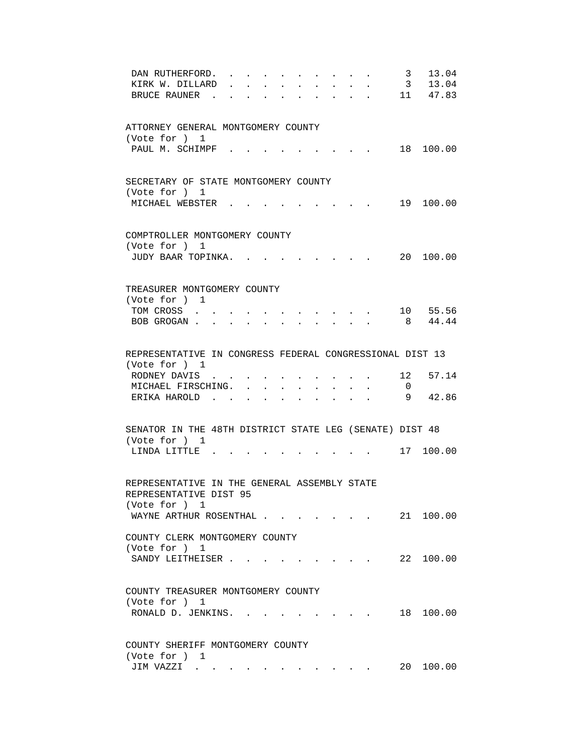| $\overline{3}$<br>13.04<br>DAN RUTHERFORD.                                                                   |  |
|--------------------------------------------------------------------------------------------------------------|--|
| $\overline{\mathbf{3}}$<br>13.04<br>KIRK W. DILLARD<br>$\ddot{\phantom{0}}$<br>$\mathbf{L}$                  |  |
| 11 47.83<br>BRUCE RAUNER.<br>$\mathbf{L}$<br>$\mathbf{L}$<br>$\sim$                                          |  |
|                                                                                                              |  |
|                                                                                                              |  |
| ATTORNEY GENERAL MONTGOMERY COUNTY                                                                           |  |
| (Vote for ) 1                                                                                                |  |
| PAUL M. SCHIMPF.<br>18 100.00                                                                                |  |
|                                                                                                              |  |
|                                                                                                              |  |
|                                                                                                              |  |
| SECRETARY OF STATE MONTGOMERY COUNTY                                                                         |  |
| (Vote for ) 1                                                                                                |  |
| MICHAEL WEBSTER.<br>19 100.00                                                                                |  |
|                                                                                                              |  |
|                                                                                                              |  |
| COMPTROLLER MONTGOMERY COUNTY                                                                                |  |
| (Vote for ) 1                                                                                                |  |
| JUDY BAAR TOPINKA.<br>20 100.00                                                                              |  |
|                                                                                                              |  |
|                                                                                                              |  |
| TREASURER MONTGOMERY COUNTY                                                                                  |  |
| (Vote for ) 1                                                                                                |  |
| 10 55.56<br>TOM CROSS<br>the contract of the contract of the contract of the contract of the contract of     |  |
| 8 44.44<br>BOB GROGAN                                                                                        |  |
|                                                                                                              |  |
|                                                                                                              |  |
|                                                                                                              |  |
| REPRESENTATIVE IN CONGRESS FEDERAL CONGRESSIONAL DIST 13                                                     |  |
| (Vote for ) 1                                                                                                |  |
| RODNEY DAVIS<br>12<br>57.14                                                                                  |  |
| MICHAEL FIRSCHING.<br>$\overline{0}$<br>$\sim$<br>$\mathbf{L}$<br>$\mathbf{r} = \mathbf{r}$<br>$\sim$ $\sim$ |  |
| 9<br>42.86<br>ERIKA HAROLD.<br>$\sim$<br>$\sim$<br>$\sim$ $\sim$<br>$\ddot{\phantom{a}}$<br>$\sim$ $\sim$    |  |
|                                                                                                              |  |
|                                                                                                              |  |
| SENATOR IN THE 48TH DISTRICT STATE LEG (SENATE) DIST 48                                                      |  |
| (Vote for ) 1                                                                                                |  |
| . 17 100.00<br>LINDA LITTLE                                                                                  |  |
|                                                                                                              |  |
|                                                                                                              |  |
| REPRESENTATIVE IN THE GENERAL ASSEMBLY STATE                                                                 |  |
| REPRESENTATIVE DIST 95                                                                                       |  |
| (Vote for ) 1                                                                                                |  |
|                                                                                                              |  |
| WAYNE ARTHUR ROSENTHAL<br>21 100.00                                                                          |  |
|                                                                                                              |  |
| COUNTY CLERK MONTGOMERY COUNTY                                                                               |  |
| (Vote for ) 1                                                                                                |  |
| 22 100.00<br>SANDY LEITHEISER<br>$\sim$ $\sim$ $\sim$ $\sim$ $\sim$ $\sim$                                   |  |
|                                                                                                              |  |
|                                                                                                              |  |
| COUNTY TREASURER MONTGOMERY COUNTY                                                                           |  |
| (Vote for ) 1                                                                                                |  |
| RONALD D. JENKINS.<br>18<br>100.00<br>$\sim$ $\sim$ $\sim$ $\sim$ $\sim$                                     |  |
|                                                                                                              |  |
|                                                                                                              |  |
| COUNTY SHERIFF MONTGOMERY COUNTY                                                                             |  |
| (Vote for ) 1                                                                                                |  |
| 20<br>100.00                                                                                                 |  |
| JIM VAZZI                                                                                                    |  |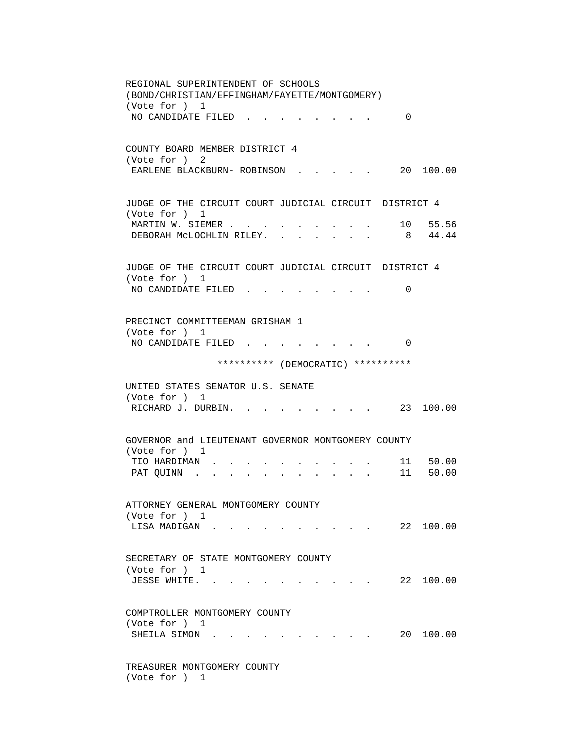REGIONAL SUPERINTENDENT OF SCHOOLS (BOND/CHRISTIAN/EFFINGHAM/FAYETTE/MONTGOMERY) (Vote for ) 1 NO CANDIDATE FILED . . . . . . . . 0 COUNTY BOARD MEMBER DISTRICT 4 (Vote for ) 2 EARLENE BLACKBURN- ROBINSON . . . . . 20 100.00 JUDGE OF THE CIRCUIT COURT JUDICIAL CIRCUIT DISTRICT 4 (Vote for ) 1 MARTIN W. SIEMER . . . . . . . . . 10 55.56 DEBORAH MCLOCHLIN RILEY. . . . . . . 8 44.44 JUDGE OF THE CIRCUIT COURT JUDICIAL CIRCUIT DISTRICT 4 (Vote for ) 1 NO CANDIDATE FILED . . . . . . . . 0 PRECINCT COMMITTEEMAN GRISHAM 1 (Vote for ) 1 NO CANDIDATE FILED . . . . . . . . 0 \*\*\*\*\*\*\*\*\*\* (DEMOCRATIC) \*\*\*\*\*\*\*\*\*\* UNITED STATES SENATOR U.S. SENATE (Vote for ) 1 RICHARD J. DURBIN. . . . . . . . . 23 100.00 GOVERNOR and LIEUTENANT GOVERNOR MONTGOMERY COUNTY (Vote for ) 1 TIO HARDIMAN . . . . . . . . . . 11 50.00 PAT QUINN . . . . . . . . . . . 11 50.00 ATTORNEY GENERAL MONTGOMERY COUNTY (Vote for ) 1 LISA MADIGAN . . . . . . . . . . 22 100.00 SECRETARY OF STATE MONTGOMERY COUNTY (Vote for ) 1 JESSE WHITE. . . . . . . . . . . 22 100.00 COMPTROLLER MONTGOMERY COUNTY (Vote for ) 1 SHEILA SIMON . . . . . . . . . . 20 100.00 TREASURER MONTGOMERY COUNTY (Vote for ) 1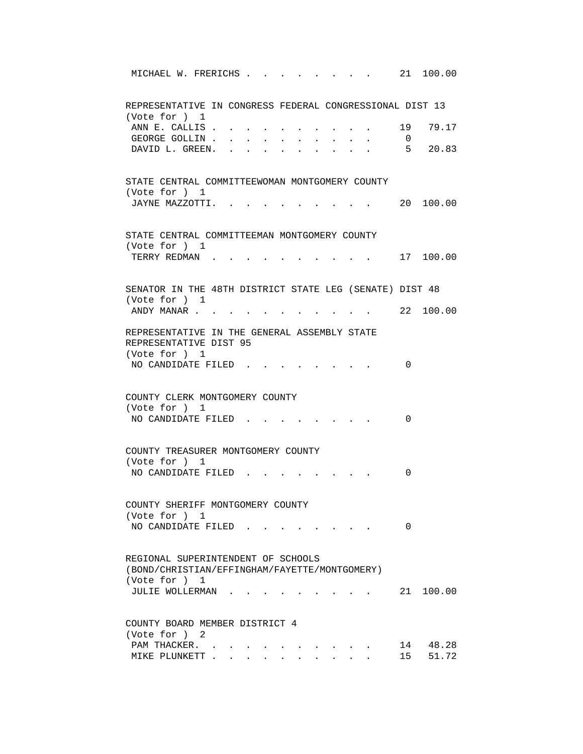| MICHAEL W. FRERICHS                                                                 |  |  |                      | 21 100.00         |
|-------------------------------------------------------------------------------------|--|--|----------------------|-------------------|
| REPRESENTATIVE IN CONGRESS FEDERAL CONGRESSIONAL DIST 13                            |  |  |                      |                   |
| (Vote for ) 1<br>ANN E. CALLIS.<br>GEORGE GOLLIN.                                   |  |  | 19<br>$\overline{0}$ | 79.17             |
| DAVID L. GREEN.                                                                     |  |  |                      | 5 20.83           |
| STATE CENTRAL COMMITTEEWOMAN MONTGOMERY COUNTY<br>(Vote for ) 1                     |  |  |                      |                   |
| JAYNE MAZZOTTI. .                                                                   |  |  |                      | 20 100.00         |
| STATE CENTRAL COMMITTEEMAN MONTGOMERY COUNTY                                        |  |  |                      |                   |
| (Vote for ) 1<br>TERRY REDMAN.                                                      |  |  |                      | 17 100.00         |
| SENATOR IN THE 48TH DISTRICT STATE LEG (SENATE) DIST 48<br>(Vote for ) 1            |  |  |                      |                   |
| ANDY MANAR                                                                          |  |  |                      | . 22 100.00       |
| REPRESENTATIVE IN THE GENERAL ASSEMBLY STATE<br>REPRESENTATIVE DIST 95              |  |  |                      |                   |
| (Vote for ) 1<br>NO CANDIDATE FILED.                                                |  |  | 0                    |                   |
| COUNTY CLERK MONTGOMERY COUNTY<br>(Vote for ) 1                                     |  |  |                      |                   |
| NO CANDIDATE FILED                                                                  |  |  | 0                    |                   |
| COUNTY TREASURER MONTGOMERY COUNTY<br>(Vote for ) 1                                 |  |  |                      |                   |
| NO CANDIDATE FILED                                                                  |  |  | 0                    |                   |
| COUNTY SHERIFF MONTGOMERY COUNTY<br>(Vote for ) 1                                   |  |  |                      |                   |
| NO CANDIDATE FILED                                                                  |  |  | 0                    |                   |
| REGIONAL SUPERINTENDENT OF SCHOOLS<br>(BOND/CHRISTIAN/EFFINGHAM/FAYETTE/MONTGOMERY) |  |  |                      |                   |
| (Vote for ) 1<br>JULIE WOLLERMAN                                                    |  |  |                      | 21 100.00         |
| COUNTY BOARD MEMBER DISTRICT 4<br>(Vote for ) 2                                     |  |  |                      |                   |
| PAM THACKER.<br>MIKE PLUNKETT                                                       |  |  | 15                   | 14 48.28<br>51.72 |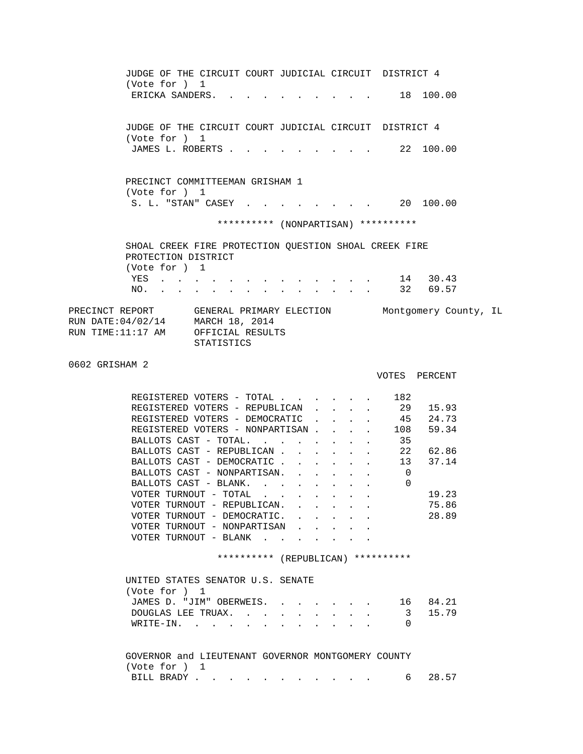JUDGE OF THE CIRCUIT COURT JUDICIAL CIRCUIT DISTRICT 4 (Vote for ) 1 ERICKA SANDERS. . . . . . . . . . 18 100.00 JUDGE OF THE CIRCUIT COURT JUDICIAL CIRCUIT DISTRICT 4 (Vote for ) 1 JAMES L. ROBERTS . . . . . . . . . 22 100.00 PRECINCT COMMITTEEMAN GRISHAM 1 (Vote for ) 1 S. L. "STAN" CASEY . . . . . . . . 20 100.00 \*\*\*\*\*\*\*\*\*\* (NONPARTISAN) \*\*\*\*\*\*\*\*\*\* SHOAL CREEK FIRE PROTECTION QUESTION SHOAL CREEK FIRE PROTECTION DISTRICT (Vote for ) 1 YES . . . . . . . . . . . . . 14 30.43 NO. . . . . . . . . . . . . . 32 69.57 PRECINCT REPORT GENERAL PRIMARY ELECTION Montgomery County, IL RUN DATE:04/02/14 MARCH 18, 2014 RUN TIME:11:17 AM OFFICIAL RESULTS STATISTICS 0602 GRISHAM 2 VOTES PERCENT REGISTERED VOTERS - TOTAL . . . . . . 182<br>REGISTERED VOTERS - REPUBLICAN . . . . 29 15.93 REGISTERED VOTERS - REPUBLICAN . . . . REGISTERED VOTERS - DEMOCRATIC . . . . 45 24.73 REGISTERED VOTERS - NONPARTISAN . . . . 108 59.34<br>BALLOTS CAST - TOTAL. . . . . . . . 35 BALLOTS CAST - TOTAL. . . . . . . . 35<br>BALLOTS CAST - REPUBLICAN . . . . . . 22 62.86 BALLOTS CAST - REPUBLICAN . . . . . . 22 62.86<br>BALLOTS CAST - DEMOCRATIC . . . . . . 13 37.14 BALLOTS CAST - DEMOCRATIC . . . . . . BALLOTS CAST - NONPARTISAN. . . . . . 0 BALLOTS CAST - BLANK. . . . . . . . 0 VOTER TURNOUT - TOTAL . . . . . . . . 19.23 VOTER TURNOUT - REPUBLICAN. . . . . . 75.86 VOTER TURNOUT - DEMOCRATIC. . . . . . 28.89 VOTER TURNOUT - NONPARTISAN . VOTER TURNOUT - BLANK . . . . \*\*\*\*\*\*\*\*\*\* (REPUBLICAN) \*\*\*\*\*\*\*\*\*\* UNITED STATES SENATOR U.S. SENATE (Vote for ) 1 JAMES D. "JIM" OBERWEIS. . . . . . . 16 84.21 DOUGLAS LEE TRUAX. . . . . . . . . 3 15.79 WRITE-IN. . . . . . . . . . . . 0 GOVERNOR and LIEUTENANT GOVERNOR MONTGOMERY COUNTY (Vote for ) 1 BILL BRADY . . . . . . . . . . . . 6 28.57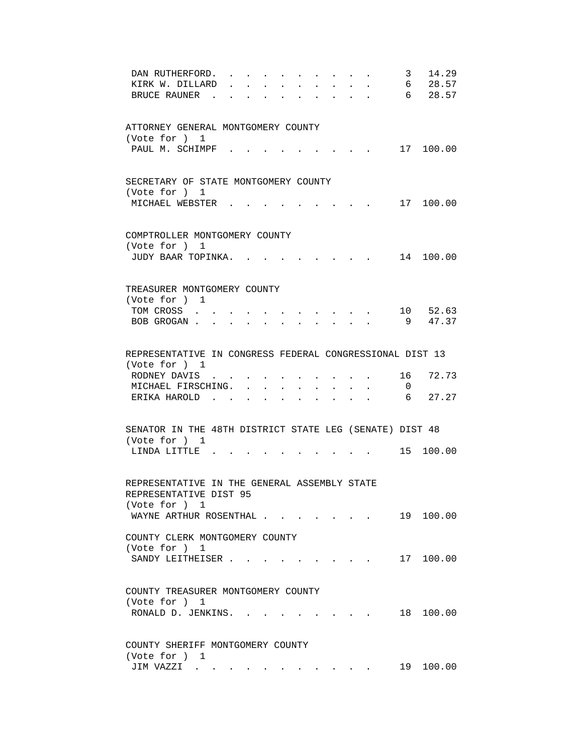| DAN RUTHERFORD.                                          |        |        |               |                      |                      |                                                           |                      | 3                        | 14.29       |
|----------------------------------------------------------|--------|--------|---------------|----------------------|----------------------|-----------------------------------------------------------|----------------------|--------------------------|-------------|
| KIRK W. DILLARD                                          |        |        |               |                      |                      |                                                           | $\bullet$ .          | 6                        | 28.57       |
| BRUCE RAUNER.                                            |        |        |               |                      |                      |                                                           | $\mathbf{r}$         |                          | 6 28.57     |
|                                                          |        |        |               |                      |                      |                                                           |                      |                          |             |
|                                                          |        |        |               |                      |                      |                                                           |                      |                          |             |
| ATTORNEY GENERAL MONTGOMERY COUNTY                       |        |        |               |                      |                      |                                                           |                      |                          |             |
| (Vote for ) 1                                            |        |        |               |                      |                      |                                                           |                      |                          |             |
| PAUL M. SCHIMPF.                                         |        |        |               |                      |                      |                                                           |                      |                          | 17 100.00   |
|                                                          |        |        |               |                      |                      |                                                           |                      |                          |             |
|                                                          |        |        |               |                      |                      |                                                           |                      |                          |             |
| SECRETARY OF STATE MONTGOMERY COUNTY                     |        |        |               |                      |                      |                                                           |                      |                          |             |
| (Vote for ) 1                                            |        |        |               |                      |                      |                                                           |                      |                          |             |
| MICHAEL WEBSTER.                                         |        |        |               |                      |                      | and the state of the state of the                         |                      |                          | 17 100.00   |
|                                                          |        |        |               |                      |                      |                                                           |                      |                          |             |
|                                                          |        |        |               |                      |                      |                                                           |                      |                          |             |
| COMPTROLLER MONTGOMERY COUNTY                            |        |        |               |                      |                      |                                                           |                      |                          |             |
| (Vote for ) 1                                            |        |        |               |                      |                      |                                                           |                      |                          |             |
| JUDY BAAR TOPINKA.                                       |        |        |               |                      |                      |                                                           |                      |                          | 14 100.00   |
|                                                          |        |        |               |                      |                      |                                                           |                      |                          |             |
|                                                          |        |        |               |                      |                      |                                                           |                      |                          |             |
| TREASURER MONTGOMERY COUNTY                              |        |        |               |                      |                      |                                                           |                      |                          |             |
| (Vote for ) 1                                            |        |        |               |                      |                      |                                                           |                      |                          |             |
| TOM CROSS                                                |        |        |               |                      |                      | the contract of the contract of the                       |                      |                          | 10 52.63    |
| BOB GROGAN                                               |        |        |               |                      |                      |                                                           |                      |                          | 9 47.37     |
|                                                          |        |        |               |                      |                      |                                                           |                      |                          |             |
|                                                          |        |        |               |                      |                      |                                                           |                      |                          |             |
| REPRESENTATIVE IN CONGRESS FEDERAL CONGRESSIONAL DIST 13 |        |        |               |                      |                      |                                                           |                      |                          |             |
| (Vote for ) 1                                            |        |        |               |                      |                      |                                                           |                      |                          |             |
| RODNEY DAVIS                                             |        |        |               |                      |                      |                                                           |                      | 16                       | 72.73       |
| MICHAEL FIRSCHING.                                       |        |        |               |                      |                      |                                                           |                      | $\overline{\phantom{0}}$ |             |
| ERIKA HAROLD.                                            |        |        | $\sim$ $\sim$ | $\sim$               | $\mathbf{L}$         | $\mathbf{r} = \mathbf{r}$                                 | $\ddot{\phantom{a}}$ | 6                        | 27.27       |
|                                                          | $\sim$ | $\sim$ | $\sim$ $\sim$ | $\ddot{\phantom{a}}$ | $\sim$ $\sim$ $\sim$ | $\sim$                                                    |                      |                          |             |
|                                                          |        |        |               |                      |                      |                                                           |                      |                          |             |
| SENATOR IN THE 48TH DISTRICT STATE LEG (SENATE) DIST 48  |        |        |               |                      |                      |                                                           |                      |                          |             |
| (Vote for ) 1                                            |        |        |               |                      |                      |                                                           |                      |                          |             |
| LINDA LITTLE                                             |        |        |               |                      |                      |                                                           |                      |                          | . 15 100.00 |
|                                                          |        |        |               |                      |                      |                                                           |                      |                          |             |
|                                                          |        |        |               |                      |                      |                                                           |                      |                          |             |
| REPRESENTATIVE IN THE GENERAL ASSEMBLY STATE             |        |        |               |                      |                      |                                                           |                      |                          |             |
| REPRESENTATIVE DIST 95                                   |        |        |               |                      |                      |                                                           |                      |                          |             |
|                                                          |        |        |               |                      |                      |                                                           |                      |                          |             |
| (Vote for ) 1                                            |        |        |               |                      |                      |                                                           |                      |                          |             |
| WAYNE ARTHUR ROSENTHAL                                   |        |        |               |                      |                      |                                                           |                      |                          | 19 100.00   |
|                                                          |        |        |               |                      |                      |                                                           |                      |                          |             |
| COUNTY CLERK MONTGOMERY COUNTY                           |        |        |               |                      |                      |                                                           |                      |                          |             |
| (Vote for ) 1                                            |        |        |               |                      |                      |                                                           |                      |                          |             |
| SANDY LEITHEISER                                         |        |        |               |                      |                      | the contract of the contract of the                       |                      |                          | 17 100.00   |
|                                                          |        |        |               |                      |                      |                                                           |                      |                          |             |
|                                                          |        |        |               |                      |                      |                                                           |                      |                          |             |
| COUNTY TREASURER MONTGOMERY COUNTY                       |        |        |               |                      |                      |                                                           |                      |                          |             |
| (Vote for ) 1                                            |        |        |               |                      |                      |                                                           |                      |                          |             |
| RONALD D. JENKINS.                                       |        |        |               |                      |                      | $\mathbf{r}$ , $\mathbf{r}$ , $\mathbf{r}$ , $\mathbf{r}$ |                      | 18                       | 100.00      |
|                                                          |        |        |               |                      |                      |                                                           |                      |                          |             |
|                                                          |        |        |               |                      |                      |                                                           |                      |                          |             |
| COUNTY SHERIFF MONTGOMERY COUNTY                         |        |        |               |                      |                      |                                                           |                      |                          |             |
| (Vote for ) 1                                            |        |        |               |                      |                      |                                                           |                      |                          |             |
| JIM VAZZI                                                |        |        |               |                      |                      |                                                           |                      | 19                       | 100.00      |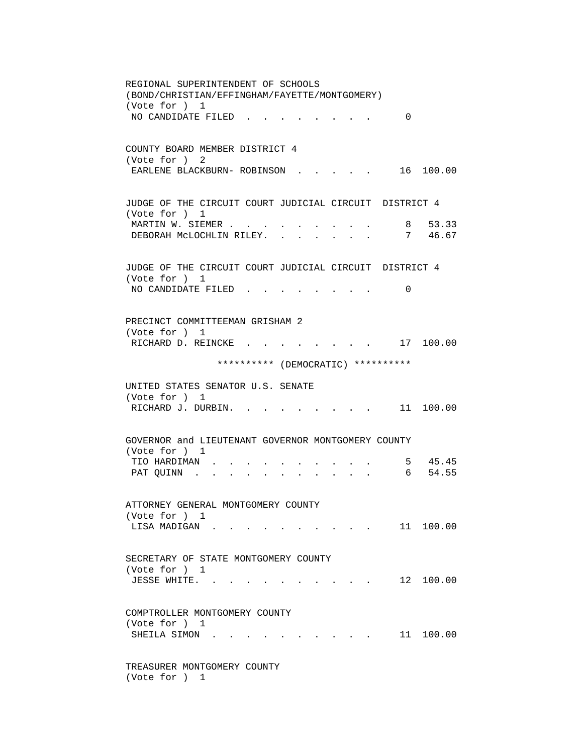REGIONAL SUPERINTENDENT OF SCHOOLS (BOND/CHRISTIAN/EFFINGHAM/FAYETTE/MONTGOMERY) (Vote for ) 1 NO CANDIDATE FILED . . . . . . . . 0 COUNTY BOARD MEMBER DISTRICT 4 (Vote for ) 2 EARLENE BLACKBURN- ROBINSON . . . . . 16 100.00 JUDGE OF THE CIRCUIT COURT JUDICIAL CIRCUIT DISTRICT 4 (Vote for ) 1 MARTIN W. SIEMER . . . . . . . . . 8 53.33 DEBORAH MCLOCHLIN RILEY. . . . . . . 7 46.67 JUDGE OF THE CIRCUIT COURT JUDICIAL CIRCUIT DISTRICT 4 (Vote for ) 1 NO CANDIDATE FILED . . . . . . . . 0 PRECINCT COMMITTEEMAN GRISHAM 2 (Vote for ) 1 RICHARD D. REINCKE . . . . . . . . 17 100.00 \*\*\*\*\*\*\*\*\*\* (DEMOCRATIC) \*\*\*\*\*\*\*\*\*\* UNITED STATES SENATOR U.S. SENATE (Vote for ) 1 RICHARD J. DURBIN. . . . . . . . . 11 100.00 GOVERNOR and LIEUTENANT GOVERNOR MONTGOMERY COUNTY (Vote for ) 1 TIO HARDIMAN . . . . . . . . . . 5 45.45 PAT QUINN . . . . . . . . . . . . ATTORNEY GENERAL MONTGOMERY COUNTY (Vote for ) 1 LISA MADIGAN . . . . . . . . . . . 11 100.00 SECRETARY OF STATE MONTGOMERY COUNTY (Vote for ) 1 JESSE WHITE. . . . . . . . . . . 12 100.00 COMPTROLLER MONTGOMERY COUNTY (Vote for ) 1 SHEILA SIMON . . . . . . . . . . 11 100.00 TREASURER MONTGOMERY COUNTY (Vote for ) 1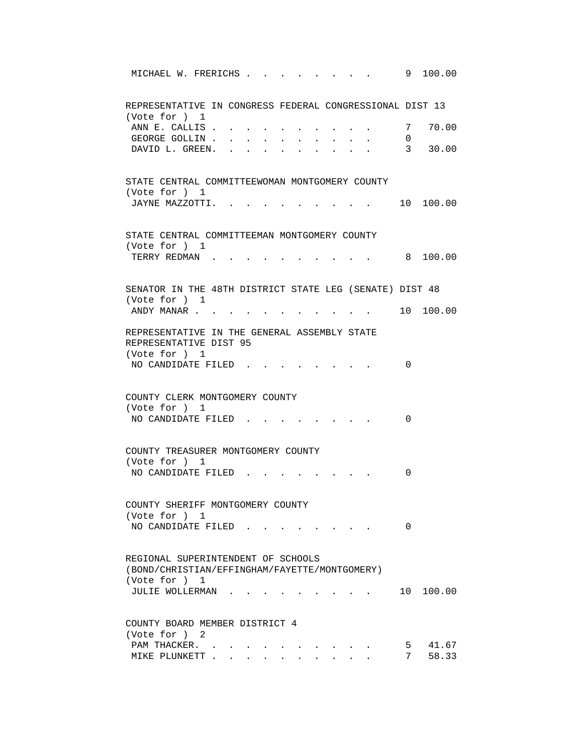| MICHAEL W. FRERICHS                                                                 |  |  |                 | 9 100.00                             |
|-------------------------------------------------------------------------------------|--|--|-----------------|--------------------------------------|
| REPRESENTATIVE IN CONGRESS FEDERAL CONGRESSIONAL DIST 13                            |  |  |                 |                                      |
| (Vote for ) 1<br>ANN E. CALLIS.<br>GEORGE GOLLIN.                                   |  |  | $7\degree$<br>0 | 70.00                                |
| DAVID L. GREEN.                                                                     |  |  | $\overline{3}$  | 30.00                                |
| STATE CENTRAL COMMITTEEWOMAN MONTGOMERY COUNTY<br>(Vote for ) 1                     |  |  |                 |                                      |
| JAYNE MAZZOTTI. .                                                                   |  |  |                 | 10 100.00                            |
| STATE CENTRAL COMMITTEEMAN MONTGOMERY COUNTY<br>(Vote for ) 1                       |  |  |                 |                                      |
| TERRY REDMAN.                                                                       |  |  |                 | 8 100.00                             |
| SENATOR IN THE 48TH DISTRICT STATE LEG (SENATE) DIST 48<br>(Vote for ) 1            |  |  |                 |                                      |
| ANDY MANAR                                                                          |  |  |                 | $\, \cdot \qquad \, 10 \, \, 100.00$ |
| REPRESENTATIVE IN THE GENERAL ASSEMBLY STATE<br>REPRESENTATIVE DIST 95              |  |  |                 |                                      |
| (Vote for ) 1<br>NO CANDIDATE FILED.                                                |  |  | 0               |                                      |
| COUNTY CLERK MONTGOMERY COUNTY<br>(Vote for ) 1                                     |  |  |                 |                                      |
| NO CANDIDATE FILED                                                                  |  |  | 0               |                                      |
| COUNTY TREASURER MONTGOMERY COUNTY<br>(Vote for ) 1                                 |  |  |                 |                                      |
| NO CANDIDATE FILED                                                                  |  |  | 0               |                                      |
| COUNTY SHERIFF MONTGOMERY COUNTY<br>(Vote for ) 1                                   |  |  |                 |                                      |
| NO CANDIDATE FILED                                                                  |  |  | 0               |                                      |
| REGIONAL SUPERINTENDENT OF SCHOOLS<br>(BOND/CHRISTIAN/EFFINGHAM/FAYETTE/MONTGOMERY) |  |  |                 |                                      |
| (Vote for ) 1<br>JULIE WOLLERMAN                                                    |  |  |                 | 10 100.00                            |
| COUNTY BOARD MEMBER DISTRICT 4<br>(Vote for ) 2                                     |  |  |                 |                                      |
| PAM THACKER.<br>MIKE PLUNKETT                                                       |  |  |                 | 5 41.67<br>7 58.33                   |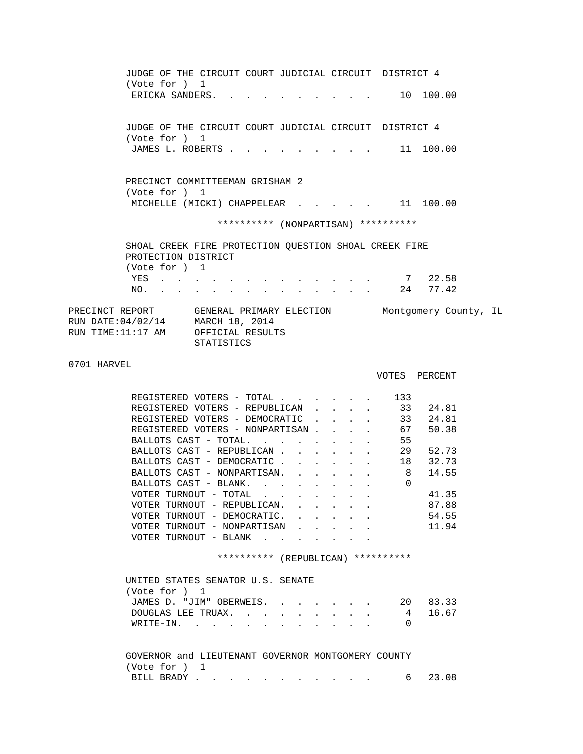JUDGE OF THE CIRCUIT COURT JUDICIAL CIRCUIT DISTRICT 4 (Vote for ) 1 ERICKA SANDERS. . . . . . . . . . 10 100.00 JUDGE OF THE CIRCUIT COURT JUDICIAL CIRCUIT DISTRICT 4 (Vote for ) 1 JAMES L. ROBERTS . . . . . . . . . . 11 100.00 PRECINCT COMMITTEEMAN GRISHAM 2 (Vote for ) 1 MICHELLE (MICKI) CHAPPELEAR . . . . . 11 100.00 \*\*\*\*\*\*\*\*\*\* (NONPARTISAN) \*\*\*\*\*\*\*\*\*\* SHOAL CREEK FIRE PROTECTION QUESTION SHOAL CREEK FIRE PROTECTION DISTRICT (Vote for ) 1 YES . . . . . . . . . . . . . . 7 22.58 NO. . . . . . . . . . . . . . 24 77.42 PRECINCT REPORT GENERAL PRIMARY ELECTION Montgomery County, IL RUN DATE:04/02/14 MARCH 18, 2014 RUN TIME:11:17 AM OFFICIAL RESULTS STATISTICS 0701 HARVEL VOTES PERCENT REGISTERED VOTERS - TOTAL . . . . . . 133<br>REGISTERED VOTERS - REPUBLICAN . . . . 33 24.81 REGISTERED VOTERS - REPUBLICAN . . . . REGISTERED VOTERS - DEMOCRATIC . . . . 33 24.81 REGISTERED VOTERS - NONPARTISAN . . . . 67 50.38 BALLOTS CAST - TOTAL. . . . . . . . 55<br>BALLOTS CAST - REPUBLICAN . . . . . . 29 BALLOTS CAST - REPUBLICAN . . . . . . 29 52.73<br>BALLOTS CAST - DEMOCRATIC . . . . . 18 32.73 BALLOTS CAST - DEMOCRATIC . . . . . . 18<br>BALLOTS CAST - NONPARTISAN. . . . . . 8 BALLOTS CAST - NONPARTISAN. . . . . . 8 14.55 BALLOTS CAST - BLANK. . . . . . . . 0 VOTER TURNOUT - TOTAL . . . . . . . 41.35 VOTER TURNOUT - REPUBLICAN. . . . . . 87.88 VOTER TURNOUT - DEMOCRATIC. . . . . . . 54.55 VOTER TURNOUT - NONPARTISAN . . . . . 11.94 VOTER TURNOUT - BLANK . . . . \*\*\*\*\*\*\*\*\*\* (REPUBLICAN) \*\*\*\*\*\*\*\*\*\* UNITED STATES SENATOR U.S. SENATE (Vote for ) 1 JAMES D. "JIM" OBERWEIS. . . . . . . 20 83.33 DOUGLAS LEE TRUAX. . . . . . . . . 4 16.67 WRITE-IN. . . . . . . . . . . . 0 GOVERNOR and LIEUTENANT GOVERNOR MONTGOMERY COUNTY (Vote for ) 1 BILL BRADY . . . . . . . . . . . 6 23.08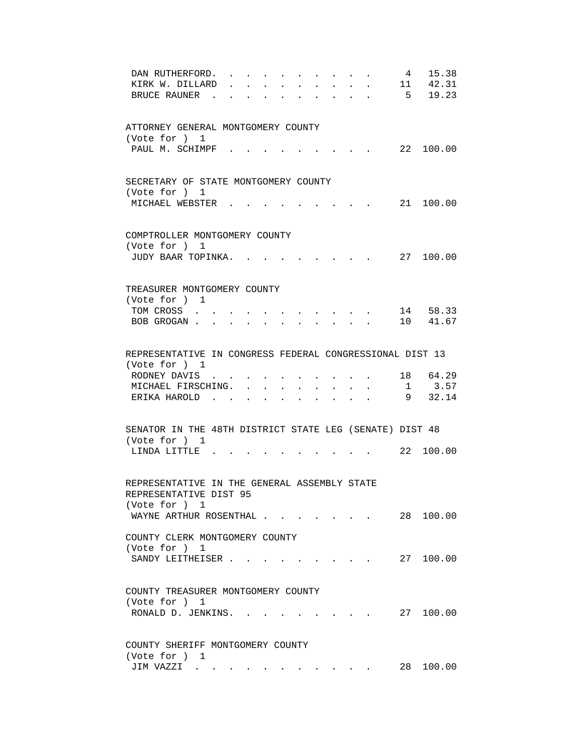| DAN RUTHERFORD.                                                     |                                                    |                                                   | 15.38<br>$4\phantom{.0000}\phantom{.0000}\phantom{.0000}\phantom{.0000}\phantom{.0000}\phantom{.0000}\phantom{.0000}\phantom{.0000}\phantom{.0000}\phantom{.0000}\phantom{.0000}\phantom{.0000}\phantom{.0000}\phantom{.0000}\phantom{.0000}\phantom{.0000}\phantom{.0000}\phantom{.0000}\phantom{.0000}\phantom{.0000}\phantom{.0000}\phantom{.0000}\phantom{.0000}\phantom{.0000}\phantom$ |
|---------------------------------------------------------------------|----------------------------------------------------|---------------------------------------------------|----------------------------------------------------------------------------------------------------------------------------------------------------------------------------------------------------------------------------------------------------------------------------------------------------------------------------------------------------------------------------------------------|
| KIRK W. DILLARD                                                     |                                                    | $\sim$<br>$\ddot{\phantom{0}}$                    | 11 42.31                                                                                                                                                                                                                                                                                                                                                                                     |
| BRUCE RAUNER.                                                       |                                                    | $\ddot{\phantom{a}}$                              | 5 19.23                                                                                                                                                                                                                                                                                                                                                                                      |
|                                                                     |                                                    |                                                   |                                                                                                                                                                                                                                                                                                                                                                                              |
|                                                                     |                                                    |                                                   |                                                                                                                                                                                                                                                                                                                                                                                              |
| ATTORNEY GENERAL MONTGOMERY COUNTY                                  |                                                    |                                                   |                                                                                                                                                                                                                                                                                                                                                                                              |
| (Vote for ) 1                                                       |                                                    |                                                   |                                                                                                                                                                                                                                                                                                                                                                                              |
| PAUL M. SCHIMPF.                                                    |                                                    |                                                   | 22 100.00                                                                                                                                                                                                                                                                                                                                                                                    |
|                                                                     |                                                    |                                                   |                                                                                                                                                                                                                                                                                                                                                                                              |
|                                                                     |                                                    |                                                   |                                                                                                                                                                                                                                                                                                                                                                                              |
| SECRETARY OF STATE MONTGOMERY COUNTY                                |                                                    |                                                   |                                                                                                                                                                                                                                                                                                                                                                                              |
| (Vote for ) 1                                                       |                                                    |                                                   |                                                                                                                                                                                                                                                                                                                                                                                              |
| MICHAEL WEBSTER.                                                    |                                                    | and the state of the state of the                 | 21 100.00                                                                                                                                                                                                                                                                                                                                                                                    |
|                                                                     |                                                    |                                                   |                                                                                                                                                                                                                                                                                                                                                                                              |
|                                                                     |                                                    |                                                   |                                                                                                                                                                                                                                                                                                                                                                                              |
| COMPTROLLER MONTGOMERY COUNTY                                       |                                                    |                                                   |                                                                                                                                                                                                                                                                                                                                                                                              |
| (Vote for ) 1                                                       |                                                    |                                                   |                                                                                                                                                                                                                                                                                                                                                                                              |
| JUDY BAAR TOPINKA.                                                  |                                                    |                                                   | 27 100.00                                                                                                                                                                                                                                                                                                                                                                                    |
|                                                                     |                                                    |                                                   |                                                                                                                                                                                                                                                                                                                                                                                              |
|                                                                     |                                                    |                                                   |                                                                                                                                                                                                                                                                                                                                                                                              |
| TREASURER MONTGOMERY COUNTY                                         |                                                    |                                                   |                                                                                                                                                                                                                                                                                                                                                                                              |
| (Vote for ) 1                                                       |                                                    |                                                   |                                                                                                                                                                                                                                                                                                                                                                                              |
| TOM CROSS                                                           | the contract of the contract of the contract of    |                                                   | 14 58.33                                                                                                                                                                                                                                                                                                                                                                                     |
| BOB GROGAN 10 41.67                                                 |                                                    |                                                   |                                                                                                                                                                                                                                                                                                                                                                                              |
|                                                                     |                                                    |                                                   |                                                                                                                                                                                                                                                                                                                                                                                              |
|                                                                     |                                                    |                                                   |                                                                                                                                                                                                                                                                                                                                                                                              |
| REPRESENTATIVE IN CONGRESS FEDERAL CONGRESSIONAL DIST 13            |                                                    |                                                   |                                                                                                                                                                                                                                                                                                                                                                                              |
| (Vote for ) 1                                                       |                                                    |                                                   |                                                                                                                                                                                                                                                                                                                                                                                              |
| RODNEY DAVIS                                                        |                                                    |                                                   | 18 64.29                                                                                                                                                                                                                                                                                                                                                                                     |
| MICHAEL FIRSCHING.<br>$\sim$ $\sim$<br>$\sim$                       | $\mathbf{r}$                                       | $\mathbf{r} = \mathbf{r}$<br>$\ddot{\phantom{0}}$ | $1 \t3.57$                                                                                                                                                                                                                                                                                                                                                                                   |
| ERIKA HAROLD.<br>$\sim$<br>$\sim$<br>$\sim$<br>$\ddot{\phantom{a}}$ | $\sim$                                             |                                                   | 9 32.14                                                                                                                                                                                                                                                                                                                                                                                      |
|                                                                     |                                                    |                                                   |                                                                                                                                                                                                                                                                                                                                                                                              |
|                                                                     |                                                    |                                                   |                                                                                                                                                                                                                                                                                                                                                                                              |
| SENATOR IN THE 48TH DISTRICT STATE LEG (SENATE) DIST 48             |                                                    |                                                   |                                                                                                                                                                                                                                                                                                                                                                                              |
| (Vote for ) 1                                                       |                                                    |                                                   |                                                                                                                                                                                                                                                                                                                                                                                              |
| LINDA LITTLE                                                        |                                                    |                                                   | 22 100.00                                                                                                                                                                                                                                                                                                                                                                                    |
|                                                                     |                                                    |                                                   |                                                                                                                                                                                                                                                                                                                                                                                              |
|                                                                     |                                                    |                                                   |                                                                                                                                                                                                                                                                                                                                                                                              |
| REPRESENTATIVE IN THE GENERAL ASSEMBLY STATE                        |                                                    |                                                   |                                                                                                                                                                                                                                                                                                                                                                                              |
| REPRESENTATIVE DIST 95                                              |                                                    |                                                   |                                                                                                                                                                                                                                                                                                                                                                                              |
| (Vote for ) 1                                                       |                                                    |                                                   |                                                                                                                                                                                                                                                                                                                                                                                              |
| WAYNE ARTHUR ROSENTHAL                                              |                                                    |                                                   | 28<br>100.00                                                                                                                                                                                                                                                                                                                                                                                 |
|                                                                     |                                                    |                                                   |                                                                                                                                                                                                                                                                                                                                                                                              |
| COUNTY CLERK MONTGOMERY COUNTY                                      |                                                    |                                                   |                                                                                                                                                                                                                                                                                                                                                                                              |
| (Vote for ) 1                                                       |                                                    |                                                   |                                                                                                                                                                                                                                                                                                                                                                                              |
| SANDY LEITHEISER                                                    | $\mathbf{r}$ , and $\mathbf{r}$ , and $\mathbf{r}$ |                                                   | 27 100.00                                                                                                                                                                                                                                                                                                                                                                                    |
|                                                                     |                                                    |                                                   |                                                                                                                                                                                                                                                                                                                                                                                              |
|                                                                     |                                                    |                                                   |                                                                                                                                                                                                                                                                                                                                                                                              |
| COUNTY TREASURER MONTGOMERY COUNTY                                  |                                                    |                                                   |                                                                                                                                                                                                                                                                                                                                                                                              |
| (Vote for ) 1                                                       |                                                    |                                                   |                                                                                                                                                                                                                                                                                                                                                                                              |
| RONALD D. JENKINS.                                                  | the contract of the contract of the                |                                                   | 27 100.00                                                                                                                                                                                                                                                                                                                                                                                    |
|                                                                     |                                                    |                                                   |                                                                                                                                                                                                                                                                                                                                                                                              |
|                                                                     |                                                    |                                                   |                                                                                                                                                                                                                                                                                                                                                                                              |
| COUNTY SHERIFF MONTGOMERY COUNTY                                    |                                                    |                                                   |                                                                                                                                                                                                                                                                                                                                                                                              |
| (Vote for ) 1                                                       |                                                    |                                                   |                                                                                                                                                                                                                                                                                                                                                                                              |
| JIM VAZZI                                                           |                                                    |                                                   | 28<br>100.00                                                                                                                                                                                                                                                                                                                                                                                 |
|                                                                     |                                                    |                                                   |                                                                                                                                                                                                                                                                                                                                                                                              |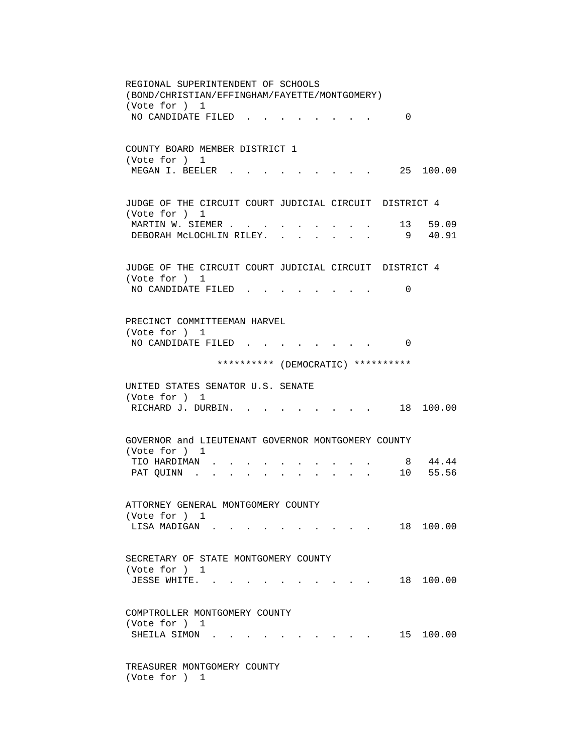REGIONAL SUPERINTENDENT OF SCHOOLS (BOND/CHRISTIAN/EFFINGHAM/FAYETTE/MONTGOMERY) (Vote for ) 1 NO CANDIDATE FILED . . . . . . . . 0 COUNTY BOARD MEMBER DISTRICT 1 (Vote for ) 1 MEGAN I. BEELER . . . . . . . . . 25 100.00 JUDGE OF THE CIRCUIT COURT JUDICIAL CIRCUIT DISTRICT 4 (Vote for ) 1 MARTIN W. SIEMER . . . . . . . . . 13 59.09 DEBORAH McLOCHLIN RILEY. . . . . . . 9 40.91 JUDGE OF THE CIRCUIT COURT JUDICIAL CIRCUIT DISTRICT 4 (Vote for ) 1 NO CANDIDATE FILED . . . . . . . . 0 PRECINCT COMMITTEEMAN HARVEL (Vote for ) 1 NO CANDIDATE FILED . . . . . . . . 0 \*\*\*\*\*\*\*\*\*\* (DEMOCRATIC) \*\*\*\*\*\*\*\*\*\* UNITED STATES SENATOR U.S. SENATE (Vote for ) 1 RICHARD J. DURBIN. . . . . . . . . 18 100.00 GOVERNOR and LIEUTENANT GOVERNOR MONTGOMERY COUNTY (Vote for ) 1 TIO HARDIMAN . . . . . . . . . . . 8 44.44<br>PAT OUINN . . . . . . . . . . . 10 55.56 PAT QUINN . . . . . . . . . . . . ATTORNEY GENERAL MONTGOMERY COUNTY (Vote for ) 1 LISA MADIGAN . . . . . . . . . . . 18 100.00 SECRETARY OF STATE MONTGOMERY COUNTY (Vote for ) 1 JESSE WHITE. . . . . . . . . . . 18 100.00 COMPTROLLER MONTGOMERY COUNTY (Vote for ) 1 SHEILA SIMON . . . . . . . . . . . 15 100.00 TREASURER MONTGOMERY COUNTY (Vote for ) 1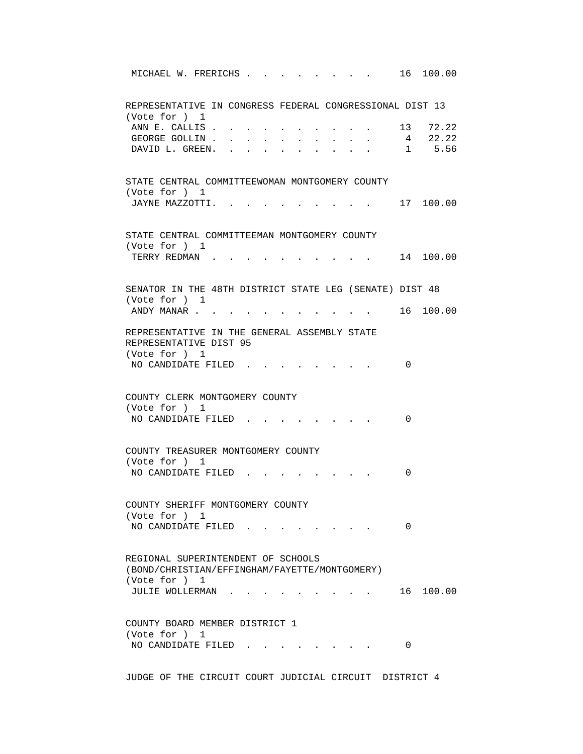MICHAEL W. FRERICHS . . . . . . . . 16 100.00 REPRESENTATIVE IN CONGRESS FEDERAL CONGRESSIONAL DIST 13 (Vote for ) 1 ANN E. CALLIS . . . . . . . . . . 13 72.22 GEORGE GOLLIN . . . . . . . . . . . 4 22.22<br>DAVID L. GREEN. . . . . . . . . . . 1 5.56 DAVID L. GREEN. . . . . . . . . . 1 5.56 STATE CENTRAL COMMITTEEWOMAN MONTGOMERY COUNTY (Vote for ) 1 JAYNE MAZZOTTI. . . . . . . . . . 17 100.00 STATE CENTRAL COMMITTEEMAN MONTGOMERY COUNTY (Vote for ) 1 TERRY REDMAN . . . . . . . . . . . 14 100.00 SENATOR IN THE 48TH DISTRICT STATE LEG (SENATE) DIST 48 (Vote for ) 1 ANDY MANAR . . . . . . . . . . . . 16 100.00 REPRESENTATIVE IN THE GENERAL ASSEMBLY STATE REPRESENTATIVE DIST 95 (Vote for ) 1 NO CANDIDATE FILED . . . . . . . . 0 COUNTY CLERK MONTGOMERY COUNTY (Vote for ) 1 NO CANDIDATE FILED . . . . . . . . 0 COUNTY TREASURER MONTGOMERY COUNTY (Vote for ) 1 NO CANDIDATE FILED . . . . . . . . 0 COUNTY SHERIFF MONTGOMERY COUNTY (Vote for ) 1 NO CANDIDATE FILED . . . . . . . . 0 REGIONAL SUPERINTENDENT OF SCHOOLS (BOND/CHRISTIAN/EFFINGHAM/FAYETTE/MONTGOMERY) (Vote for ) 1 JULIE WOLLERMAN . . . . . . . . . 16 100.00 COUNTY BOARD MEMBER DISTRICT 1 (Vote for ) 1 NO CANDIDATE FILED . . . . . . . . 0

JUDGE OF THE CIRCUIT COURT JUDICIAL CIRCUIT DISTRICT 4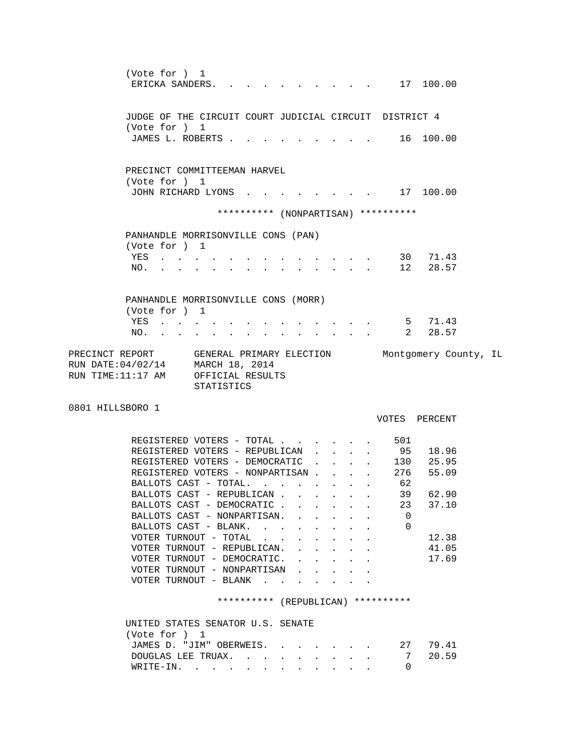(Vote for ) 1 ERICKA SANDERS. . . . . . . . . . 17 100.00 JUDGE OF THE CIRCUIT COURT JUDICIAL CIRCUIT DISTRICT 4 (Vote for ) 1 JAMES L. ROBERTS . . . . . . . . . . 16 100.00 PRECINCT COMMITTEEMAN HARVEL (Vote for ) 1 JOHN RICHARD LYONS . . . . . . . . 17 100.00 \*\*\*\*\*\*\*\*\*\* (NONPARTISAN) \*\*\*\*\*\*\*\*\*\* PANHANDLE MORRISONVILLE CONS (PAN) (Vote for ) 1 YES . . . . . . . . . . . . . 30 71.43 NO. . . . . . . . . . . . . . 12 28.57 PANHANDLE MORRISONVILLE CONS (MORR) (Vote for ) 1 YES . . . . . . . . . . . . . . 5 71.43 NO. . . . . . . . . . . . . . 2 28.57 PRECINCT REPORT GENERAL PRIMARY ELECTION Montgomery County, IL RUN DATE:04/02/14 MARCH 18, 2014 RUN TIME:11:17 AM OFFICIAL RESULTS STATISTICS 0801 HILLSBORO 1 VOTES PERCENT REGISTERED VOTERS - TOTAL . . . . . . 501<br>REGISTERED VOTERS - REPUBLICAN . . . . 95 18.96 REGISTERED VOTERS - REPUBLICAN . . . . 95 18.96<br>REGISTERED VOTERS - DEMOCRATIC . . . . 130 25.95 REGISTERED VOTERS - DEMOCRATIC . . . . REGISTERED VOTERS - NONPARTISAN . . . . 276 55.09<br>BALLOTS CAST - TOTAL. . . . . . . . 62 BALLOTS CAST - TOTAL. . . . . . . . BALLOTS CAST - REPUBLICAN . . . . . . 39 62.90 BALLOTS CAST - DEMOCRATIC . . . . . . 23 37.10 BALLOTS CAST - NONPARTISAN. . . . . . 0 BALLOTS CAST - BLANK. . . . . . . . . 0 VOTER TURNOUT - TOTAL . . . . . . . . 12.38 VOTER TURNOUT - REPUBLICAN. . . . . . 41.05 VOTER TURNOUT - DEMOCRATIC. . . . . . 17.69 VOTER TURNOUT - NONPARTISAN . . . . . VOTER TURNOUT - BLANK . . . . . \*\*\*\*\*\*\*\*\*\* (REPUBLICAN) \*\*\*\*\*\*\*\*\*\* UNITED STATES SENATOR U.S. SENATE (Vote for ) 1 JAMES D. "JIM" OBERWEIS. . . . . . . 27 79.41 DOUGLAS LEE TRUAX. . . . . . . . . 7 20.59 WRITE-IN. . . . . . . . . . . . 0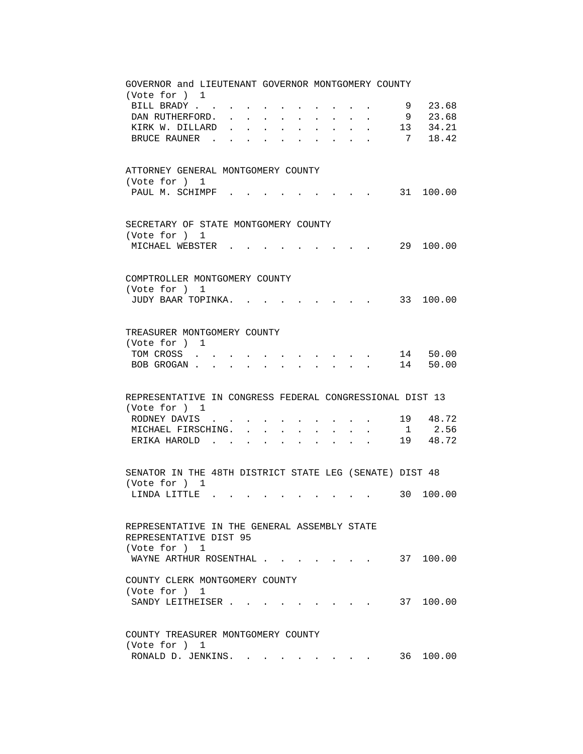| GOVERNOR and LIEUTENANT GOVERNOR MONTGOMERY COUNTY<br>(Vote for ) 1                                                                                     |
|---------------------------------------------------------------------------------------------------------------------------------------------------------|
| 23.68<br>BILL BRADY<br>9                                                                                                                                |
| 9 23.68<br>DAN RUTHERFORD.                                                                                                                              |
| 13 34.21<br>KIRK W. DILLARD<br>$\ddot{\phantom{a}}$<br>$\ddot{\phantom{a}}$                                                                             |
| 7 18.42<br>BRUCE RAUNER                                                                                                                                 |
|                                                                                                                                                         |
| ATTORNEY GENERAL MONTGOMERY COUNTY<br>(Vote for ) 1                                                                                                     |
| PAUL M. SCHIMPF<br>31 100.00                                                                                                                            |
| SECRETARY OF STATE MONTGOMERY COUNTY<br>(Vote for ) 1                                                                                                   |
| 29 100.00<br>MICHAEL WEBSTER                                                                                                                            |
| COMPTROLLER MONTGOMERY COUNTY<br>(Vote for ) 1                                                                                                          |
| JUDY BAAR TOPINKA.<br>33 100.00                                                                                                                         |
|                                                                                                                                                         |
| TREASURER MONTGOMERY COUNTY<br>(Vote for ) 1                                                                                                            |
| 14 50.00<br>TOM CROSS                                                                                                                                   |
| 14 50.00<br>BOB GROGAN.                                                                                                                                 |
|                                                                                                                                                         |
| REPRESENTATIVE IN CONGRESS FEDERAL CONGRESSIONAL DIST 13<br>(Vote for ) 1                                                                               |
| 19 48.72<br>RODNEY DAVIS                                                                                                                                |
| 1 2.56<br>MICHAEL FIRSCHING.<br>$\bullet$ . The set of $\bullet$<br>$\ddot{\phantom{0}}$<br>$\bullet$ .<br><br><br><br><br><br><br><br><br><br><br><br> |
| 19 48.72<br>ERIKA HAROLD<br>$\ddot{\phantom{a}}$<br>$\ddot{\phantom{a}}$<br><b>Contract Contract</b><br>$\ddot{\phantom{a}}$                            |
|                                                                                                                                                         |
| SENATOR IN THE 48TH DISTRICT STATE LEG (SENATE) DIST 48<br>(Vote for ) 1                                                                                |
| 30 100.00<br>LINDA LITTLE                                                                                                                               |
|                                                                                                                                                         |
| REPRESENTATIVE IN THE GENERAL ASSEMBLY STATE<br>REPRESENTATIVE DIST 95                                                                                  |
| (Vote for ) 1                                                                                                                                           |
| 37 100.00<br>WAYNE ARTHUR ROSENTHAL                                                                                                                     |
| COUNTY CLERK MONTGOMERY COUNTY<br>(Vote for ) 1                                                                                                         |
| SANDY LEITHEISER                                                                                                                                        |
| COUNTY TREASURER MONTGOMERY COUNTY                                                                                                                      |
| (Vote for ) 1                                                                                                                                           |
| RONALD D. JENKINS.<br>36 100.00                                                                                                                         |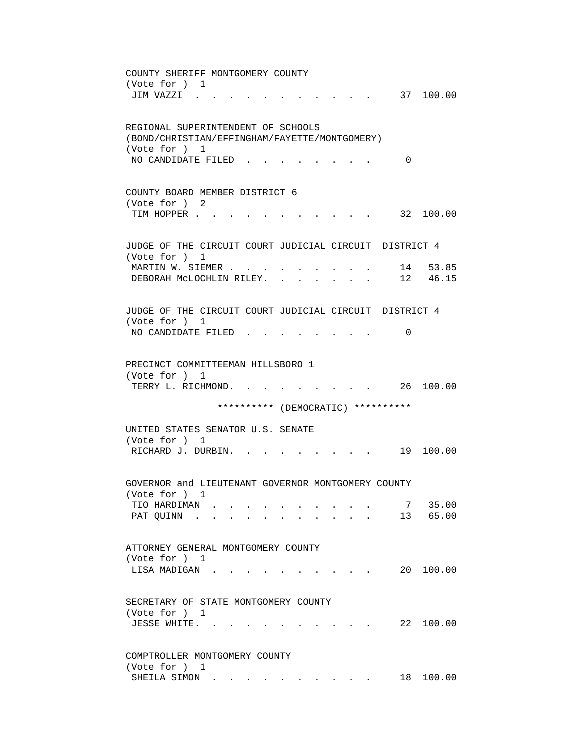COUNTY SHERIFF MONTGOMERY COUNTY (Vote for ) 1 JIM VAZZI . . . . . . . . . . . 37 100.00 REGIONAL SUPERINTENDENT OF SCHOOLS (BOND/CHRISTIAN/EFFINGHAM/FAYETTE/MONTGOMERY) (Vote for ) 1 NO CANDIDATE FILED . . . . . . . . 0 COUNTY BOARD MEMBER DISTRICT 6 (Vote for ) 2 TIM HOPPER . . . . . . . . . . . . 32 100.00 JUDGE OF THE CIRCUIT COURT JUDICIAL CIRCUIT DISTRICT 4 (Vote for ) 1 MARTIN W. SIEMER . . . . . . . . . . 14 53.85 DEBORAH MCLOCHLIN RILEY. . . . . . . 12 46.15 JUDGE OF THE CIRCUIT COURT JUDICIAL CIRCUIT DISTRICT 4 (Vote for ) 1 NO CANDIDATE FILED . . . . . . . . 0 PRECINCT COMMITTEEMAN HILLSBORO 1 (Vote for ) 1 TERRY L. RICHMOND. . . . . . . . . 26 100.00 \*\*\*\*\*\*\*\*\*\* (DEMOCRATIC) \*\*\*\*\*\*\*\*\*\* UNITED STATES SENATOR U.S. SENATE (Vote for ) 1 RICHARD J. DURBIN. . . . . . . . . 19 100.00 GOVERNOR and LIEUTENANT GOVERNOR MONTGOMERY COUNTY (Vote for ) 1 TIO HARDIMAN . . . . . . . . . . 7 35.00 PAT QUINN . . . . . . . . . . . 13 65.00 ATTORNEY GENERAL MONTGOMERY COUNTY (Vote for ) 1 LISA MADIGAN . . . . . . . . . . . 20 100.00 SECRETARY OF STATE MONTGOMERY COUNTY (Vote for ) 1 JESSE WHITE. . . . . . . . . . . 22 100.00 COMPTROLLER MONTGOMERY COUNTY (Vote for ) 1 SHEILA SIMON . . . . . . . . . . . 18 100.00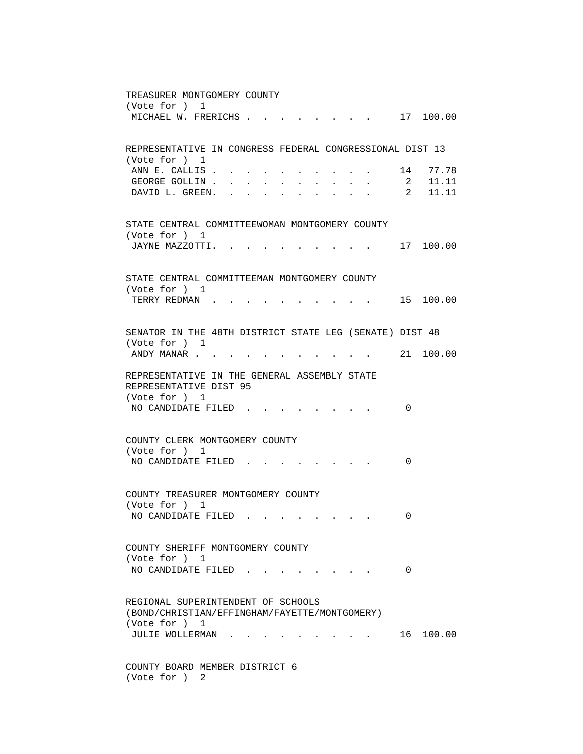TREASURER MONTGOMERY COUNTY (Vote for ) 1 MICHAEL W. FRERICHS . . . . . . . . 17 100.00 REPRESENTATIVE IN CONGRESS FEDERAL CONGRESSIONAL DIST 13 (Vote for ) 1 ANN E. CALLIS . . . . . . . . . . . 14 77.78<br>GEORGE GOLLIN . . . . . . . . . . . 2 11.11 GEORGE GOLLIN . . . . . . . . . . . 2 11.11 DAVID L. GREEN. . . . . . . . . . 2 11.11 STATE CENTRAL COMMITTEEWOMAN MONTGOMERY COUNTY (Vote for ) 1 JAYNE MAZZOTTI. . . . . . . . . . 17 100.00 STATE CENTRAL COMMITTEEMAN MONTGOMERY COUNTY (Vote for ) 1 TERRY REDMAN . . . . . . . . . . 15 100.00 SENATOR IN THE 48TH DISTRICT STATE LEG (SENATE) DIST 48 (Vote for ) 1 ANDY MANAR . . . . . . . . . . . . 21 100.00 REPRESENTATIVE IN THE GENERAL ASSEMBLY STATE REPRESENTATIVE DIST 95 (Vote for ) 1 NO CANDIDATE FILED . . . . . . . . 0 COUNTY CLERK MONTGOMERY COUNTY (Vote for ) 1 NO CANDIDATE FILED . . . . . . . . 0 COUNTY TREASURER MONTGOMERY COUNTY (Vote for ) 1 NO CANDIDATE FILED . . . . . . . . 0 COUNTY SHERIFF MONTGOMERY COUNTY (Vote for ) 1 NO CANDIDATE FILED . . . . . . . . 0 REGIONAL SUPERINTENDENT OF SCHOOLS (BOND/CHRISTIAN/EFFINGHAM/FAYETTE/MONTGOMERY) (Vote for ) 1 JULIE WOLLERMAN . . . . . . . . . . 16 100.00 COUNTY BOARD MEMBER DISTRICT 6 (Vote for ) 2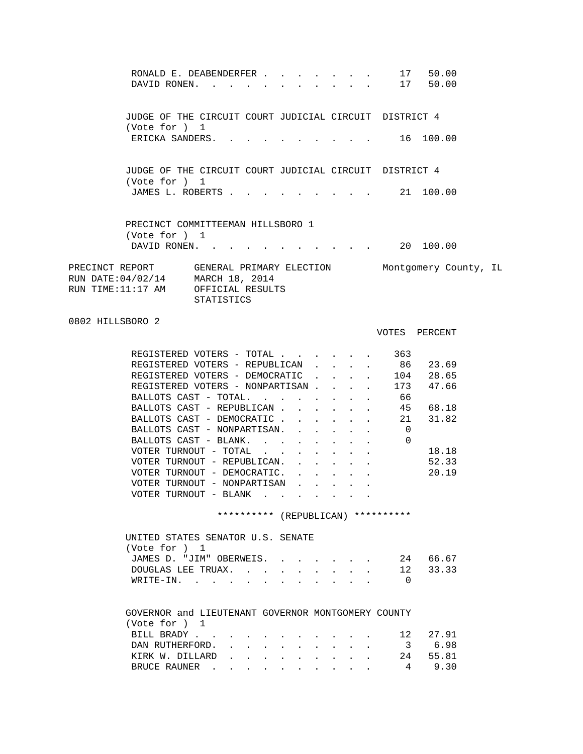| RONALD E. DEABENDERFER 17 50.00<br>DAVID RONEN. 17 50.00                                                                                                                                                                                                                                                                                                                                                                                                                    |                                |                      |                                                                 |                                                              |                                                             |                                                                                                                   |                                                                                                                                                                                                              |                                                                                      |  |
|-----------------------------------------------------------------------------------------------------------------------------------------------------------------------------------------------------------------------------------------------------------------------------------------------------------------------------------------------------------------------------------------------------------------------------------------------------------------------------|--------------------------------|----------------------|-----------------------------------------------------------------|--------------------------------------------------------------|-------------------------------------------------------------|-------------------------------------------------------------------------------------------------------------------|--------------------------------------------------------------------------------------------------------------------------------------------------------------------------------------------------------------|--------------------------------------------------------------------------------------|--|
| JUDGE OF THE CIRCUIT COURT JUDICIAL CIRCUIT DISTRICT 4<br>(Vote for ) 1                                                                                                                                                                                                                                                                                                                                                                                                     |                                |                      |                                                                 |                                                              |                                                             |                                                                                                                   |                                                                                                                                                                                                              |                                                                                      |  |
| ERICKA SANDERS.                                                                                                                                                                                                                                                                                                                                                                                                                                                             |                                |                      |                                                                 |                                                              |                                                             |                                                                                                                   |                                                                                                                                                                                                              | $\cdot$ 16 100.00                                                                    |  |
| JUDGE OF THE CIRCUIT COURT JUDICIAL CIRCUIT DISTRICT 4<br>(Vote for ) 1                                                                                                                                                                                                                                                                                                                                                                                                     |                                |                      |                                                                 |                                                              |                                                             |                                                                                                                   |                                                                                                                                                                                                              |                                                                                      |  |
| JAMES L. ROBERTS                                                                                                                                                                                                                                                                                                                                                                                                                                                            |                                |                      |                                                                 |                                                              |                                                             |                                                                                                                   |                                                                                                                                                                                                              | 21 100.00                                                                            |  |
| PRECINCT COMMITTEEMAN HILLSBORO 1<br>(Vote for ) 1<br>DAVID RONEN. 20 100.00                                                                                                                                                                                                                                                                                                                                                                                                |                                |                      |                                                                 |                                                              |                                                             |                                                                                                                   |                                                                                                                                                                                                              |                                                                                      |  |
| PRECINCT REPORT GENERAL PRIMARY ELECTION Montgomery County, IL<br>RUN DATE: 04/02/14 MARCH 18, 2014<br>RUN TIME:11:17 AM                                                                                                                                                                                                                                                                                                                                                    | OFFICIAL RESULTS<br>STATISTICS |                      |                                                                 |                                                              |                                                             |                                                                                                                   |                                                                                                                                                                                                              |                                                                                      |  |
| 0802 HILLSBORO 2                                                                                                                                                                                                                                                                                                                                                                                                                                                            |                                |                      |                                                                 |                                                              |                                                             |                                                                                                                   |                                                                                                                                                                                                              | VOTES PERCENT                                                                        |  |
| REGISTERED VOTERS - TOTAL<br>REGISTERED VOTERS - REPUBLICAN<br>REGISTERED VOTERS - DEMOCRATIC<br>REGISTERED VOTERS - NONPARTISAN<br>BALLOTS CAST - TOTAL.<br>BALLOTS CAST - REPUBLICAN<br>BALLOTS CAST - DEMOCRATIC 21<br>BALLOTS CAST - NONPARTISAN.<br>BALLOTS CAST - BLANK.<br>VOTER TURNOUT - TOTAL $\ldots$<br>VOTER TURNOUT - REPUBLICAN.<br>VOTER TURNOUT - DEMOCRATIC.<br>VOTER TURNOUT - NONPARTISAN<br>VOTER TURNOUT - BLANK<br>UNITED STATES SENATOR U.S. SENATE |                                |                      |                                                                 | $\sim 100$                                                   | $\sim$                                                      | $\sim$<br>$\mathbf{L}$<br>$\mathcal{L}^{(1)}$<br>$\ddot{\phantom{0}}$<br>$\mathbf{z} = \mathbf{z}$<br>$\bullet$ . | 363<br>$\mathbf{L}^{\text{max}}$ and $\mathbf{L}^{\text{max}}$<br>66<br>$\overline{0}$<br>$\Omega$<br>$\mathbf{L}^{(1)}$ and $\mathbf{L}^{(2)}$ and $\mathbf{L}^{(3)}$<br>********** (REPUBLICAN) ********** | . 86 23.69<br>104 28.65<br>173 47.66<br>45 68.18<br>31.82<br>18.18<br>52.33<br>20.19 |  |
| (Vote for ) 1<br>JAMES D. "JIM" OBERWEIS.<br>DOUGLAS LEE TRUAX.<br>WRITE-IN.                                                                                                                                                                                                                                                                                                                                                                                                |                                |                      |                                                                 | $\mathbf{L} = \mathbf{L} \mathbf{L} = \mathbf{L} \mathbf{L}$ |                                                             |                                                                                                                   | 0                                                                                                                                                                                                            | 24 66.67<br>12 33.33                                                                 |  |
| GOVERNOR and LIEUTENANT GOVERNOR MONTGOMERY COUNTY<br>(Vote for ) 1<br>BILL BRADY<br>DAN RUTHERFORD.<br>KIRK W. DILLARD                                                                                                                                                                                                                                                                                                                                                     |                                | <b>Service</b> State | $\bullet$ .<br><br><br><br><br><br><br><br><br><br><br><br><br> |                                                              | $\bullet$ .<br><br><br><br><br><br><br><br><br><br><br><br> |                                                                                                                   | 12<br>3<br>24                                                                                                                                                                                                | 27.91<br>6.98<br>55.81                                                               |  |

BRUCE RAUNER . . . . . . . . . . 4 9.30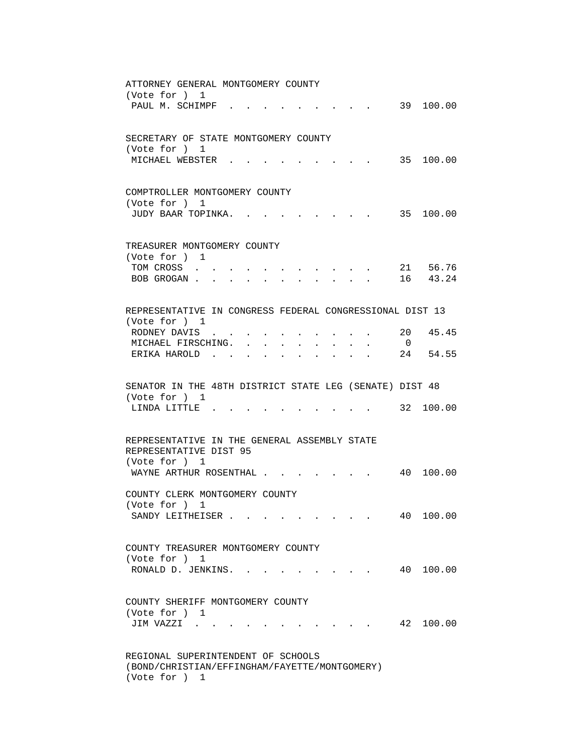| ATTORNEY GENERAL MONTGOMERY COUNTY<br>(Vote for ) 1                                                                                              |
|--------------------------------------------------------------------------------------------------------------------------------------------------|
| PAUL M. SCHIMPF .<br>39 100.00                                                                                                                   |
| SECRETARY OF STATE MONTGOMERY COUNTY                                                                                                             |
| (Vote for ) 1<br>MICHAEL WEBSTER .<br>35 100.00                                                                                                  |
| COMPTROLLER MONTGOMERY COUNTY                                                                                                                    |
| (Vote for ) 1<br>JUDY BAAR TOPINKA.<br>. 35 100.00                                                                                               |
| TREASURER MONTGOMERY COUNTY                                                                                                                      |
| (Vote for ) 1<br>21 56.76<br>TOM CROSS.<br>$\mathbf{A}$ and $\mathbf{A}$ and $\mathbf{A}$<br>$\sim$                                              |
| 16 43.24<br>BOB GROGAN.<br>$\mathbf{r} = \mathbf{r}$                                                                                             |
| REPRESENTATIVE IN CONGRESS FEDERAL CONGRESSIONAL DIST 13                                                                                         |
| (Vote for ) 1                                                                                                                                    |
| 20<br>45.45<br>RODNEY DAVIS<br>MICHAEL FIRSCHING. .<br>$\overline{0}$<br>$\mathbf{A}$ and $\mathbf{A}$ and $\mathbf{A}$<br>$\bullet$ . $\bullet$ |
| 54.55<br>ERIKA HAROLD.<br>24                                                                                                                     |
| SENATOR IN THE 48TH DISTRICT STATE LEG (SENATE) DIST 48<br>(Vote for ) 1                                                                         |
| LINDA LITTLE.<br>32 100.00                                                                                                                       |
| REPRESENTATIVE IN THE GENERAL ASSEMBLY STATE                                                                                                     |
| REPRESENTATIVE DIST 95<br>(Vote for ) 1                                                                                                          |
| 100.00<br>WAYNE ARTHUR ROSENTHAL<br>40<br>$\mathbf{r}$ , and $\mathbf{r}$ , and $\mathbf{r}$ , and $\mathbf{r}$                                  |
| COUNTY CLERK MONTGOMERY COUNTY                                                                                                                   |
| (Vote for ) 1<br>40<br>100.00<br>SANDY LEITHEISER.<br>the contract of the contract of                                                            |
| COUNTY TREASURER MONTGOMERY COUNTY                                                                                                               |
| (Vote for ) 1                                                                                                                                    |
| RONALD D. JENKINS. .<br>40 100.00                                                                                                                |
| COUNTY SHERIFF MONTGOMERY COUNTY                                                                                                                 |
| (Vote for ) 1<br>42 100.00<br>JIM VAZZI                                                                                                          |
|                                                                                                                                                  |

 (BOND/CHRISTIAN/EFFINGHAM/FAYETTE/MONTGOMERY) (Vote for ) 1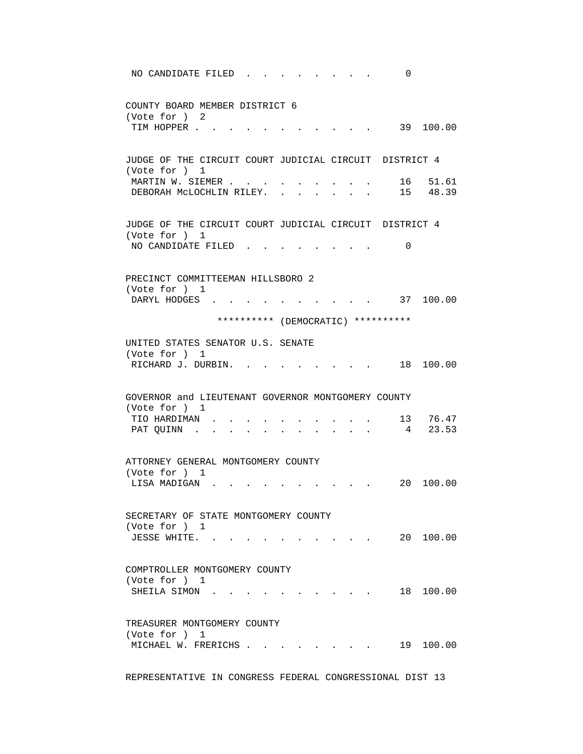NO CANDIDATE FILED . . . . . . . . 0 COUNTY BOARD MEMBER DISTRICT 6 (Vote for ) 2 TIM HOPPER . . . . . . . . . . . . 39 100.00 JUDGE OF THE CIRCUIT COURT JUDICIAL CIRCUIT DISTRICT 4 (Vote for ) 1 MARTIN W. SIEMER . . . . . . . . . . 16 51.61 DEBORAH MCLOCHLIN RILEY. . . . . . . 15 48.39 JUDGE OF THE CIRCUIT COURT JUDICIAL CIRCUIT DISTRICT 4 (Vote for ) 1 NO CANDIDATE FILED . . . . . . . . 0 PRECINCT COMMITTEEMAN HILLSBORO 2 (Vote for ) 1 DARYL HODGES . . . . . . . . . . 37 100.00 \*\*\*\*\*\*\*\*\*\* (DEMOCRATIC) \*\*\*\*\*\*\*\*\*\* UNITED STATES SENATOR U.S. SENATE (Vote for ) 1 RICHARD J. DURBIN. . . . . . . . . . 18 100.00 GOVERNOR and LIEUTENANT GOVERNOR MONTGOMERY COUNTY (Vote for ) 1 TIO HARDIMAN . . . . . . . . . . 13 76.47 PAT QUINN . . . . . . . . . . . 4 23.53 ATTORNEY GENERAL MONTGOMERY COUNTY (Vote for ) 1 LISA MADIGAN . . . . . . . . . . 20 100.00 SECRETARY OF STATE MONTGOMERY COUNTY (Vote for ) 1 JESSE WHITE. . . . . . . . . . . 20 100.00 COMPTROLLER MONTGOMERY COUNTY (Vote for ) 1 SHEILA SIMON . . . . . . . . . . . 18 100.00 TREASURER MONTGOMERY COUNTY (Vote for ) 1 MICHAEL W. FRERICHS . . . . . . . . 19 100.00

REPRESENTATIVE IN CONGRESS FEDERAL CONGRESSIONAL DIST 13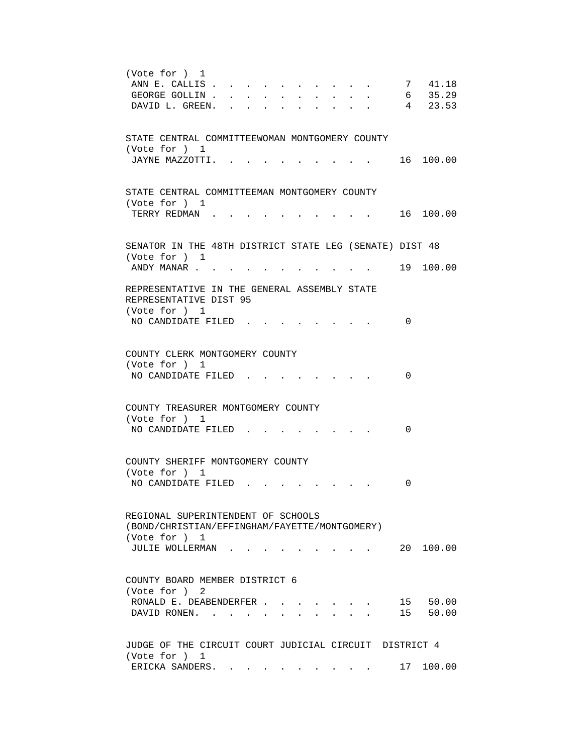```
 (Vote for ) 1 
ANN E. CALLIS . . . . . . . . . . . 7 41.18
GEORGE GOLLIN . . . . . . . . . . . . 6 35.29
DAVID L. GREEN. . . . . . . . . . 4 23.53
 STATE CENTRAL COMMITTEEWOMAN MONTGOMERY COUNTY 
 (Vote for ) 1 
JAYNE MAZZOTTI. . . . . . . . . . 16 100.00
 STATE CENTRAL COMMITTEEMAN MONTGOMERY COUNTY 
 (Vote for ) 1 
TERRY REDMAN . . . . . . . . . . . 16 100.00
 SENATOR IN THE 48TH DISTRICT STATE LEG (SENATE) DIST 48 
 (Vote for ) 1 
ANDY MANAR . . . . . . . . . . . . 19 100.00
 REPRESENTATIVE IN THE GENERAL ASSEMBLY STATE 
 REPRESENTATIVE DIST 95 
 (Vote for ) 1 
NO CANDIDATE FILED . . . . . . . . 0
 COUNTY CLERK MONTGOMERY COUNTY 
 (Vote for ) 1 
NO CANDIDATE FILED . . . . . . . . 0
 COUNTY TREASURER MONTGOMERY COUNTY 
 (Vote for ) 1 
NO CANDIDATE FILED . . . . . . . . 0
 COUNTY SHERIFF MONTGOMERY COUNTY 
 (Vote for ) 1 
NO CANDIDATE FILED . . . . . . . . 0
 REGIONAL SUPERINTENDENT OF SCHOOLS 
 (BOND/CHRISTIAN/EFFINGHAM/FAYETTE/MONTGOMERY) 
 (Vote for ) 1 
 JULIE WOLLERMAN . . . . . . . . . 20 100.00 
 COUNTY BOARD MEMBER DISTRICT 6 
 (Vote for ) 2 
RONALD E. DEABENDERFER . . . . . . . 15 50.00
DAVID RONEN. . . . . . . . . . . 15 50.00
 JUDGE OF THE CIRCUIT COURT JUDICIAL CIRCUIT DISTRICT 4 
 (Vote for ) 1 
ERICKA SANDERS. . . . . . . . . . . 17 100.00
```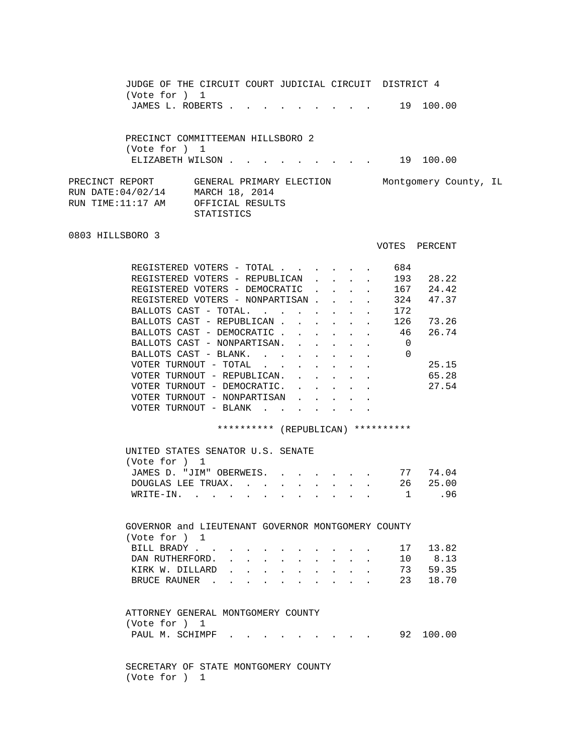JUDGE OF THE CIRCUIT COURT JUDICIAL CIRCUIT DISTRICT 4 (Vote for ) 1 JAMES L. ROBERTS . . . . . . . . . . 19 100.00 PRECINCT COMMITTEEMAN HILLSBORO 2 (Vote for ) 1 ELIZABETH WILSON . . . . . . . . . . 19 100.00 PRECINCT REPORT GENERAL PRIMARY ELECTION Montgomery County, IL RUN DATE:04/02/14 MARCH 18, 2014 RUN TIME:11:17 AM OFFICIAL RESULTS STATISTICS 0803 HILLSBORO 3 VOTES PERCENT REGISTERED VOTERS - TOTAL . . . . . . 684 REGISTERED VOTERS - REPUBLICAN . . . . 193 28.22 REGISTERED VOTERS - DEMOCRATIC . . . . 167 24.42 REGISTERED VOTERS - NONPARTISAN . . . . 324 47.37 BALLOTS CAST - TOTAL.  $\ldots$  . . . . . . 172<br>BALLOTS CAST - REPUBLICAN . . . . . . 126 BALLOTS CAST - REPUBLICAN . . . . . 126 73.26 BALLOTS CAST - DEMOCRATIC . . . . . 46 26.74 BALLOTS CAST - NONPARTISAN. . . . . . 0 BALLOTS CAST - BLANK. . . . . . . . 0 VOTER TURNOUT - TOTAL . . . . . . . . 25.15 VOTER TURNOUT - REPUBLICAN. . . . . . 65.28 VOTER TURNOUT - DEMOCRATIC. . . . . . 27.54 VOTER TURNOUT - NONPARTISAN . . . . VOTER TURNOUT - BLANK . . . . . \*\*\*\*\*\*\*\*\*\* (REPUBLICAN) \*\*\*\*\*\*\*\*\*\* UNITED STATES SENATOR U.S. SENATE (Vote for ) 1 JAMES D. "JIM" OBERWEIS. . . . . . . 77 74.04 DOUGLAS LEE TRUAX. . . . . . . . . 26 25.00 WRITE-IN. . . . . . . . . . . . 1 .96 GOVERNOR and LIEUTENANT GOVERNOR MONTGOMERY COUNTY (Vote for ) 1 BILL BRADY . . . . . . . . . . . . 17 13.82 DAN RUTHERFORD. . . . . . . . . . 10 8.13 KIRK W. DILLARD . . . . . . . . . . 73 59.35 BRUCE RAUNER . . . . . . . . . 23 18.70 ATTORNEY GENERAL MONTGOMERY COUNTY (Vote for ) 1 PAUL M. SCHIMPF . . . . . . . . . 92 100.00 SECRETARY OF STATE MONTGOMERY COUNTY (Vote for ) 1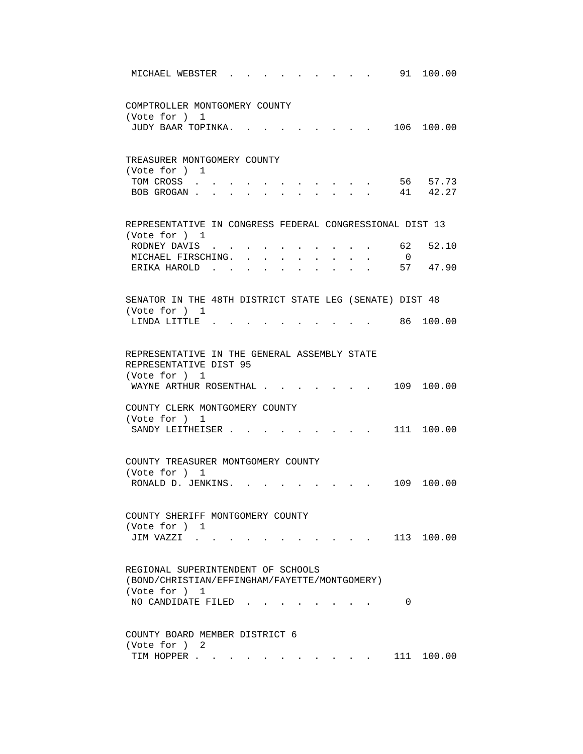| 91<br>100.00<br>MICHAEL WEBSTER                                                                       |  |
|-------------------------------------------------------------------------------------------------------|--|
| COMPTROLLER MONTGOMERY COUNTY                                                                         |  |
| (Vote for ) 1                                                                                         |  |
| JUDY BAAR TOPINKA.<br>106 100.00                                                                      |  |
| TREASURER MONTGOMERY COUNTY                                                                           |  |
| (Vote for ) 1                                                                                         |  |
| 56 57.73<br>TOM CROSS                                                                                 |  |
| 41 42.27<br>BOB GROGAN                                                                                |  |
| REPRESENTATIVE IN CONGRESS FEDERAL CONGRESSIONAL DIST 13                                              |  |
| (Vote for ) 1                                                                                         |  |
| 62<br>52.10<br>RODNEY DAVIS .                                                                         |  |
| MICHAEL FIRSCHING. .<br>$\overline{0}$<br>$\sim$                                                      |  |
| 57<br>47.90<br>ERIKA HAROLD.<br>$\sim$                                                                |  |
| SENATOR IN THE 48TH DISTRICT STATE LEG (SENATE) DIST 48                                               |  |
| (Vote for ) 1                                                                                         |  |
| 86 100.00<br>LINDA LITTLE.                                                                            |  |
| REPRESENTATIVE IN THE GENERAL ASSEMBLY STATE<br>REPRESENTATIVE DIST 95<br>(Vote for ) 1<br>109 100.00 |  |
| WAYNE ARTHUR ROSENTHAL.                                                                               |  |
| COUNTY CLERK MONTGOMERY COUNTY                                                                        |  |
| (Vote for ) 1<br>111 100.00<br>SANDY LEITHEISER.                                                      |  |
|                                                                                                       |  |
| COUNTY TREASURER MONTGOMERY COUNTY                                                                    |  |
| (Vote for ) 1                                                                                         |  |
| RONALD D. JENKINS.<br>109 100.00                                                                      |  |
| COUNTY SHERIFF MONTGOMERY COUNTY                                                                      |  |
| (Vote for ) 1                                                                                         |  |
| 113 100.00<br>JIM VAZZI .                                                                             |  |
| REGIONAL SUPERINTENDENT OF SCHOOLS                                                                    |  |
| (BOND/CHRISTIAN/EFFINGHAM/FAYETTE/MONTGOMERY)<br>(Vote for ) 1                                        |  |
| NO CANDIDATE FILED<br>0                                                                               |  |
|                                                                                                       |  |
| COUNTY BOARD MEMBER DISTRICT 6<br>(Vote for ) 2                                                       |  |
| 111 100.00<br>TIM HOPPER                                                                              |  |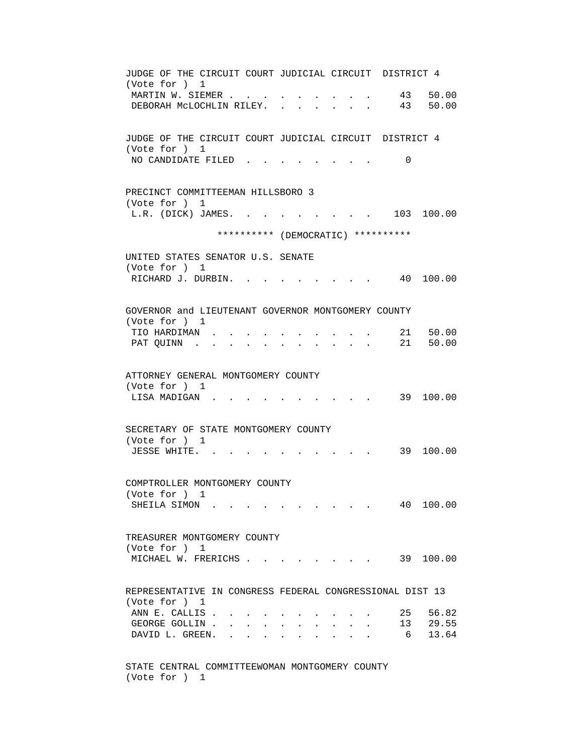JUDGE OF THE CIRCUIT COURT JUDICIAL CIRCUIT DISTRICT 4 (Vote for ) 1 MARTIN W. SIEMER . . . . . . . . . . 43 50.00 DEBORAH MCLOCHLIN RILEY. . . . . . . 43 50.00 JUDGE OF THE CIRCUIT COURT JUDICIAL CIRCUIT DISTRICT 4 (Vote for ) 1 NO CANDIDATE FILED . . . . . . . . 0 PRECINCT COMMITTEEMAN HILLSBORO 3 (Vote for ) 1 L.R. (DICK) JAMES. . . . . . . . . 103 100.00 \*\*\*\*\*\*\*\*\*\* (DEMOCRATIC) \*\*\*\*\*\*\*\*\*\* UNITED STATES SENATOR U.S. SENATE (Vote for ) 1 RICHARD J. DURBIN. . . . . . . . . 40 100.00 GOVERNOR and LIEUTENANT GOVERNOR MONTGOMERY COUNTY (Vote for ) 1 TIO HARDIMAN . . . . . . . . . . 21 50.00 PAT QUINN . . . . . . . . . . . . 21 50.00 ATTORNEY GENERAL MONTGOMERY COUNTY (Vote for ) 1 LISA MADIGAN . . . . . . . . . . . 39 100.00 SECRETARY OF STATE MONTGOMERY COUNTY (Vote for ) 1 JESSE WHITE. . . . . . . . . . . 39 100.00 COMPTROLLER MONTGOMERY COUNTY (Vote for ) 1 SHEILA SIMON . . . . . . . . . . 40 100.00 TREASURER MONTGOMERY COUNTY (Vote for ) 1 MICHAEL W. FRERICHS . . . . . . . . 39 100.00 REPRESENTATIVE IN CONGRESS FEDERAL CONGRESSIONAL DIST 13 (Vote for ) 1 ANN E. CALLIS . . . . . . . . . . . 25 56.82<br>GEORGE GOLLIN . . . . . . . . . . . 13 29.55 GEORGE GOLLIN . . . . . . . . . . . 13 29.55 DAVID L. GREEN. . . . . . . . . . . 6 13.64 STATE CENTRAL COMMITTEEWOMAN MONTGOMERY COUNTY

(Vote for ) 1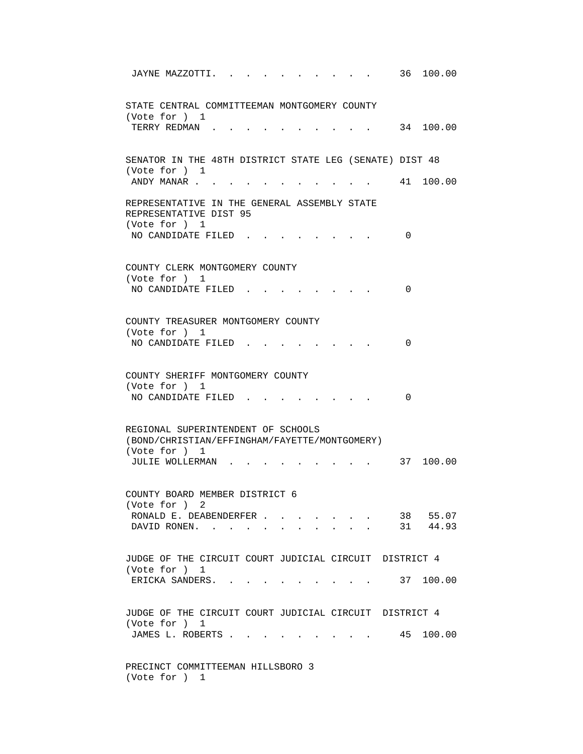| 36<br>100.00<br>JAYNE MAZZOTTI.                                                            |
|--------------------------------------------------------------------------------------------|
| STATE CENTRAL COMMITTEEMAN MONTGOMERY COUNTY<br>(Vote for ) 1<br>34 100.00<br>TERRY REDMAN |
|                                                                                            |
| SENATOR IN THE 48TH DISTRICT STATE LEG (SENATE) DIST 48<br>(Vote for ) 1                   |
| ANDY MANAR<br>41 100.00                                                                    |
| REPRESENTATIVE IN THE GENERAL ASSEMBLY STATE<br>REPRESENTATIVE DIST 95<br>(Vote for ) 1    |
| NO CANDIDATE FILED<br>0                                                                    |
| COUNTY CLERK MONTGOMERY COUNTY<br>(Vote for ) 1                                            |
| NO CANDIDATE FILED<br>0                                                                    |
| COUNTY TREASURER MONTGOMERY COUNTY                                                         |
| (Vote for ) 1<br>NO CANDIDATE FILED.<br>0                                                  |
| COUNTY SHERIFF MONTGOMERY COUNTY<br>(Vote for ) 1                                          |
| NO CANDIDATE FILED<br>0                                                                    |
| REGIONAL SUPERINTENDENT OF SCHOOLS<br>(BOND/CHRISTIAN/EFFINGHAM/FAYETTE/MONTGOMERY)        |
| (Vote for ) 1<br>37 100.00<br>JULIE WOLLERMAN.                                             |
| COUNTY BOARD MEMBER DISTRICT 6<br>(Vote for ) 2                                            |
| 38 55.07<br>RONALD E. DEABENDERFER                                                         |
| 31 44.93<br>DAVID RONEN.                                                                   |
| JUDGE OF THE CIRCUIT COURT JUDICIAL CIRCUIT DISTRICT 4<br>(Vote for ) 1                    |
| ERICKA SANDERS. 37 100.00                                                                  |
| JUDGE OF THE CIRCUIT COURT JUDICIAL CIRCUIT DISTRICT 4<br>(Vote for ) 1                    |
| JAMES L. ROBERTS<br>$\cdot$ , . 45 100.00                                                  |
| PRECINCT COMMITTEEMAN HILLSBORO 3<br>(Vote for ) 1                                         |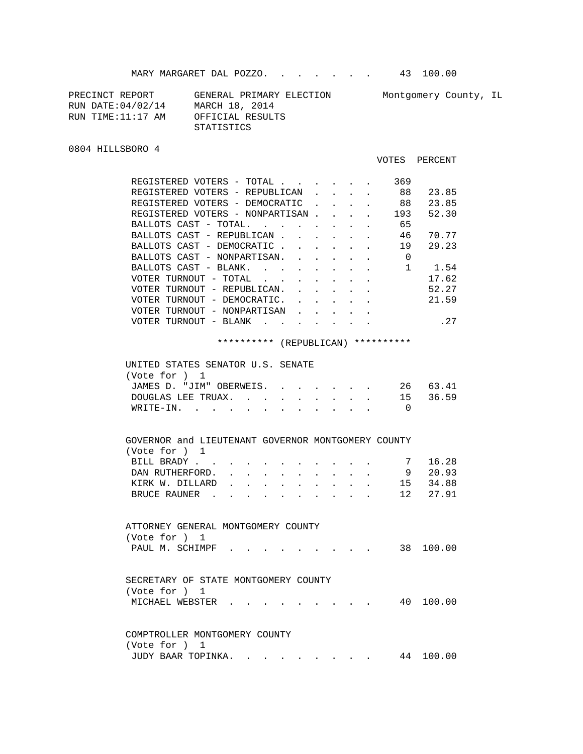| PRECINCT REPORT    | GENERAL PRIMARY ELECTION | Montgomery County, IL |
|--------------------|--------------------------|-----------------------|
| RUN DATE: 04/02/14 | MARCH 18, 2014           |                       |
| RUN TIME:11:17 AM  | OFFICIAL RESULTS         |                       |
|                    | STATISTICS               |                       |

0804 HILLSBORO 4

## VOTES PERCENT

|       | REGISTERED VOTERS               | $-$                               | TOTAL |  |  | 369 |       |
|-------|---------------------------------|-----------------------------------|-------|--|--|-----|-------|
|       | REGISTERED VOTERS - REPUBLICAN  |                                   |       |  |  | 88  | 23.85 |
|       | REGISTERED VOTERS - DEMOCRATIC  |                                   |       |  |  | 88  | 23.85 |
|       | REGISTERED VOTERS - NONPARTISAN |                                   |       |  |  | 193 | 52.30 |
|       | BALLOTS CAST - TOTAL.           |                                   |       |  |  | 65  |       |
|       | BALLOTS CAST - REPUBLICAN       |                                   |       |  |  | 46  | 70.77 |
|       | BALLOTS CAST - DEMOCRATIC       |                                   |       |  |  | 19  | 29.23 |
|       | BALLOTS CAST - NONPARTISAN.     |                                   |       |  |  | 0   |       |
|       | BALLOTS CAST -                  | BLANK.                            |       |  |  |     | 1.54  |
|       | VOTER TURNOUT - TOTAL           |                                   |       |  |  |     | 17.62 |
|       | VOTER TURNOUT - REPUBLICAN.     |                                   |       |  |  |     | 52.27 |
|       | VOTER TURNOUT - DEMOCRATIC.     |                                   |       |  |  |     | 21.59 |
|       | VOTER TURNOUT - NONPARTISAN     |                                   |       |  |  |     |       |
| VOTER | TURNOUT                         | BLANK<br>$\overline{\phantom{a}}$ |       |  |  |     | .27   |
|       |                                 |                                   |       |  |  |     |       |

## \*\*\*\*\*\*\*\*\*\* (REPUBLICAN) \*\*\*\*\*\*\*\*\*\*

| UNITED STATES SENATOR U.S. SENATE |  |  |
|-----------------------------------|--|--|
| (Vote for $1$                     |  |  |
| JAMES D. "JIM" OBERWEIS. 26 63.41 |  |  |
| DOUGLAS LEE TRUAX. 15 36.59       |  |  |
| WRITE-IN.                         |  |  |
|                                   |  |  |

| GOVERNOR and LIEUTENANT GOVERNOR MONTGOMERY COUNTY |  |  |  |  |    |        |
|----------------------------------------------------|--|--|--|--|----|--------|
| (Vote for )<br>$\mathbf{1}$                        |  |  |  |  |    |        |
| BILL BRADY.                                        |  |  |  |  |    | 16.28  |
| DAN RUTHERFORD.                                    |  |  |  |  | 9  | 20.93  |
| KIRK W. DILLARD                                    |  |  |  |  | 15 | 34.88  |
| BRUCE RAUNER                                       |  |  |  |  | 12 | 27.91  |
|                                                    |  |  |  |  |    |        |
|                                                    |  |  |  |  |    |        |
| ATTORNEY GENERAL MONTGOMERY COUNTY                 |  |  |  |  |    |        |
| (Vote for ) 1                                      |  |  |  |  |    |        |
| PAUL M. SCHIMPF                                    |  |  |  |  | 38 | 100.00 |
|                                                    |  |  |  |  |    |        |
|                                                    |  |  |  |  |    |        |
| SECRETARY OF STATE MONTGOMERY COUNTY               |  |  |  |  |    |        |
| (Vote for ) 1                                      |  |  |  |  |    |        |
| MICHAEL WEBSTER                                    |  |  |  |  | 40 | 100.00 |

|               | COMPTROLLER MONTGOMERY COUNTY |  |  |  |  |  |
|---------------|-------------------------------|--|--|--|--|--|
| (Vote for ) 1 |                               |  |  |  |  |  |
|               | JUDY BAAR TOPINKA 44 100.00   |  |  |  |  |  |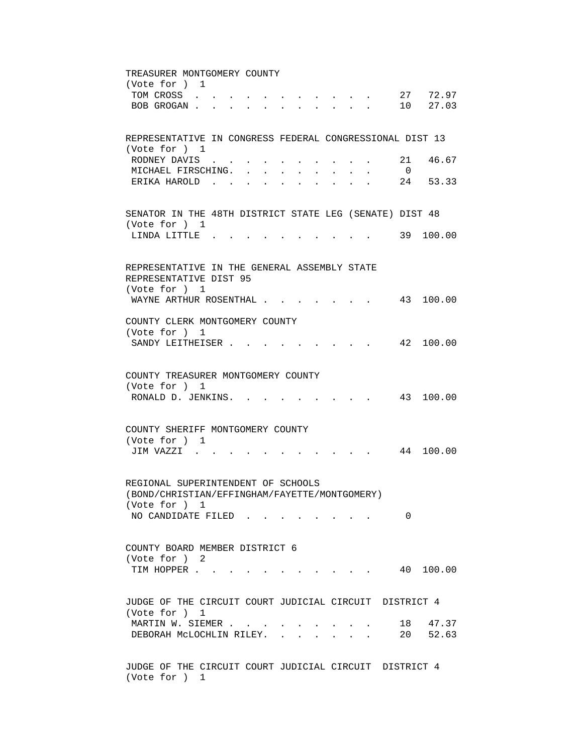TREASURER MONTGOMERY COUNTY (Vote for ) 1 TOM CROSS . . . . . . . . . . . 27 72.97 BOB GROGAN . . . . . . . . . . . 10 27.03 REPRESENTATIVE IN CONGRESS FEDERAL CONGRESSIONAL DIST 13 (Vote for ) 1 RODNEY DAVIS . . . . . . . . . . 21 46.67 MICHAEL FIRSCHING. . . . . . . . . 0 ERIKA HAROLD . . . . . . . . . . 24 53.33 SENATOR IN THE 48TH DISTRICT STATE LEG (SENATE) DIST 48 (Vote for ) 1 LINDA LITTLE . . . . . . . . . . . 39 100.00 REPRESENTATIVE IN THE GENERAL ASSEMBLY STATE REPRESENTATIVE DIST 95 (Vote for ) 1 WAYNE ARTHUR ROSENTHAL . . . . . . . 43 100.00 COUNTY CLERK MONTGOMERY COUNTY (Vote for ) 1 SANDY LEITHEISER . . . . . . . . . 42 100.00 COUNTY TREASURER MONTGOMERY COUNTY (Vote for ) 1 RONALD D. JENKINS. . . . . . . . . 43 100.00 COUNTY SHERIFF MONTGOMERY COUNTY (Vote for ) 1 JIM VAZZI . . . . . . . . . . . 44 100.00 REGIONAL SUPERINTENDENT OF SCHOOLS (BOND/CHRISTIAN/EFFINGHAM/FAYETTE/MONTGOMERY) (Vote for ) 1 NO CANDIDATE FILED . . . . . . . . 0 COUNTY BOARD MEMBER DISTRICT 6 (Vote for ) 2 TIM HOPPER . . . . . . . . . . . . 40 100.00 JUDGE OF THE CIRCUIT COURT JUDICIAL CIRCUIT DISTRICT 4 (Vote for ) 1 MARTIN W. SIEMER . . . . . . . . . . 18 47.37 DEBORAH MCLOCHLIN RILEY. . . . . . . 20 52.63 JUDGE OF THE CIRCUIT COURT JUDICIAL CIRCUIT DISTRICT 4 (Vote for ) 1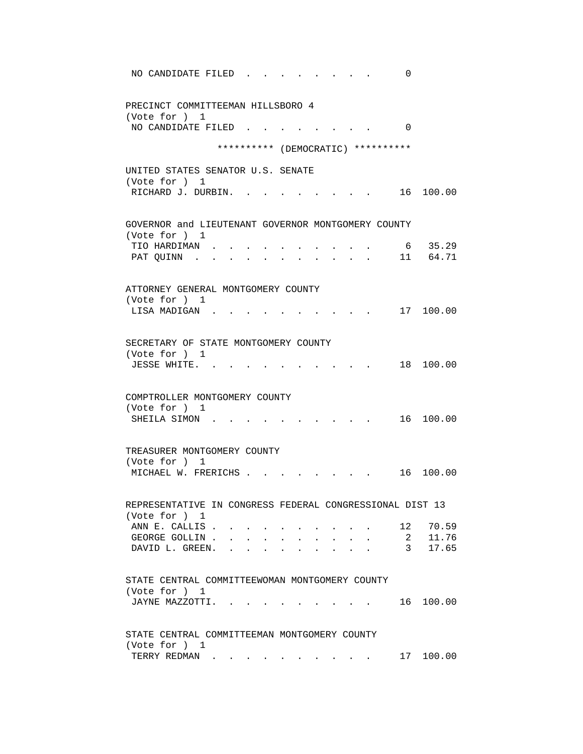| NO CANDIDATE FILED<br>0                                       |
|---------------------------------------------------------------|
| PRECINCT COMMITTEEMAN HILLSBORO 4<br>(Vote for ) 1            |
| NO CANDIDATE FILED<br>$\Omega$                                |
| ********** (DEMOCRATIC) **********                            |
| UNITED STATES SENATOR U.S. SENATE                             |
| (Vote for ) 1<br>RICHARD J. DURBIN.<br>16 100.00              |
| GOVERNOR and LIEUTENANT GOVERNOR MONTGOMERY COUNTY            |
| (Vote for ) 1<br>6 35.29<br>TIO HARDIMAN .                    |
| 11 64.71<br>PAT QUINN.                                        |
| ATTORNEY GENERAL MONTGOMERY COUNTY                            |
| (Vote for ) 1                                                 |
| 17 100.00<br>LISA MADIGAN.                                    |
| SECRETARY OF STATE MONTGOMERY COUNTY                          |
| (Vote for ) 1<br>18 100.00<br>JESSE WHITE                     |
|                                                               |
| COMPTROLLER MONTGOMERY COUNTY                                 |
| (Vote for ) 1<br>16 100.00<br>SHEILA SIMON.                   |
|                                                               |
| TREASURER MONTGOMERY COUNTY                                   |
| (Vote for ) 1<br>MICHAEL W. FRERICHS.<br>100.00<br>16         |
|                                                               |
| REPRESENTATIVE IN CONGRESS FEDERAL CONGRESSIONAL DIST 13      |
| (Vote for ) 1<br>ANN E. CALLIS.<br>70.59<br>12                |
| 11.76<br>GEORGE GOLLIN.<br>$\mathbf{2}$                       |
| DAVID L. GREEN.<br>17.65<br>3 <sup>7</sup>                    |
| STATE CENTRAL COMMITTEEWOMAN MONTGOMERY COUNTY                |
| (Vote for ) 1<br>100.00<br>JAYNE MAZZOTTI.<br>16              |
|                                                               |
| STATE CENTRAL COMMITTEEMAN MONTGOMERY COUNTY<br>(Vote for ) 1 |
| 17 100.00<br>TERRY REDMAN                                     |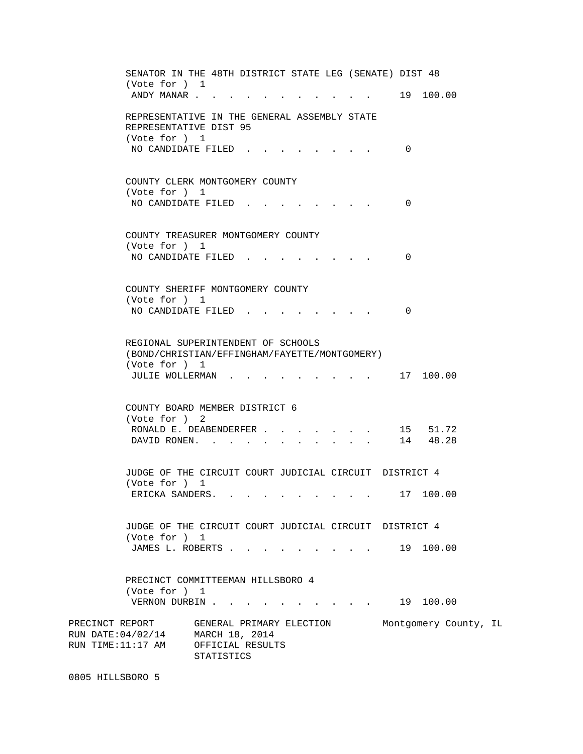SENATOR IN THE 48TH DISTRICT STATE LEG (SENATE) DIST 48 (Vote for ) 1 ANDY MANAR . . . . . . . . . . . . 19 100.00 REPRESENTATIVE IN THE GENERAL ASSEMBLY STATE REPRESENTATIVE DIST 95 (Vote for ) 1 NO CANDIDATE FILED . . . . . . . . 0 COUNTY CLERK MONTGOMERY COUNTY (Vote for ) 1 NO CANDIDATE FILED . . . . . . . . 0 COUNTY TREASURER MONTGOMERY COUNTY (Vote for ) 1 NO CANDIDATE FILED . . . . . . . . 0 COUNTY SHERIFF MONTGOMERY COUNTY (Vote for ) 1 NO CANDIDATE FILED . . . . . . . . 0 REGIONAL SUPERINTENDENT OF SCHOOLS (BOND/CHRISTIAN/EFFINGHAM/FAYETTE/MONTGOMERY) (Vote for ) 1 JULIE WOLLERMAN . . . . . . . . . 17 100.00 COUNTY BOARD MEMBER DISTRICT 6 (Vote for ) 2 RONALD E. DEABENDERFER . . . . . . . 15 51.72 DAVID RONEN. . . . . . . . . . . 14 48.28 JUDGE OF THE CIRCUIT COURT JUDICIAL CIRCUIT DISTRICT 4 (Vote for ) 1 ERICKA SANDERS. . . . . . . . . . 17 100.00 JUDGE OF THE CIRCUIT COURT JUDICIAL CIRCUIT DISTRICT 4 (Vote for ) 1 JAMES L. ROBERTS . . . . . . . . . . 19 100.00 PRECINCT COMMITTEEMAN HILLSBORO 4 (Vote for ) 1 VERNON DURBIN . . . . . . . . . . . 19 100.00 PRECINCT REPORT GENERAL PRIMARY ELECTION Montgomery County, IL RUN DATE:04/02/14 MARCH 18, 2014 RUN TIME:11:17 AM OFFICIAL RESULTS STATISTICS

0805 HILLSBORO 5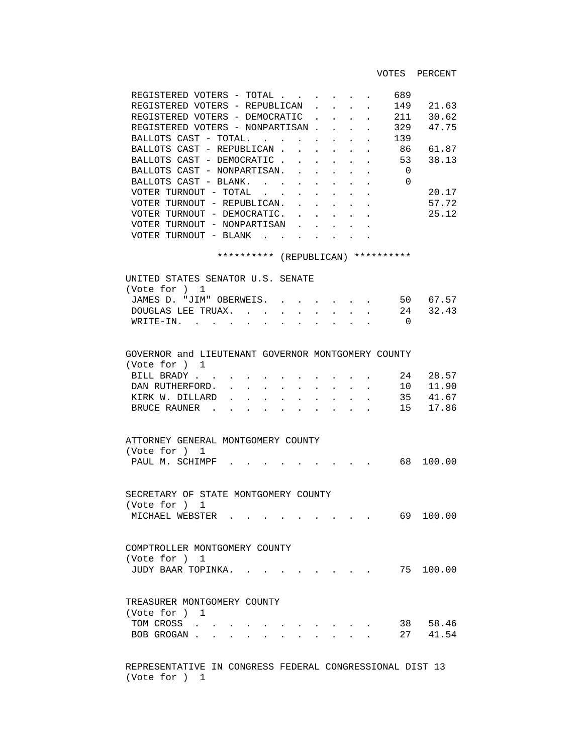VOTES PERCENT

| REGISTERED VOTERS - TOTAL       |            |              |  |            | 689 |       |
|---------------------------------|------------|--------------|--|------------|-----|-------|
| REGISTERED VOTERS - REPUBLICAN  |            |              |  |            | 149 | 21.63 |
| REGISTERED VOTERS - DEMOCRATIC  |            |              |  |            | 211 | 30.62 |
| REGISTERED VOTERS - NONPARTISAN |            |              |  |            | 329 | 47.75 |
| BALLOTS CAST - TOTAL.           |            |              |  |            | 139 |       |
| BALLOTS CAST - REPUBLICAN       |            |              |  |            | 86  | 61.87 |
| BALLOTS CAST - DEMOCRATIC       |            |              |  |            | 53  | 38.13 |
| BALLOTS CAST - NONPARTISAN.     |            |              |  |            | 0   |       |
| BALLOTS CAST - BLANK.           |            |              |  |            | 0   |       |
| VOTER TURNOUT - TOTAL           |            |              |  |            |     | 20.17 |
| VOTER TURNOUT - REPUBLICAN.     |            |              |  |            |     | 57.72 |
| VOTER TURNOUT - DEMOCRATIC.     |            |              |  |            |     | 25.12 |
| VOTER TURNOUT - NONPARTISAN     |            |              |  |            |     |       |
| VOTER TURNOUT - BLANK           |            |              |  |            |     |       |
|                                 |            |              |  |            |     |       |
|                                 | ********** | (REPUBLICAN) |  | ********** |     |       |

 UNITED STATES SENATOR U.S. SENATE (Vote for ) 1 JAMES D. "JIM" OBERWEIS. . . . . . . 50 67.57 DOUGLAS LEE TRUAX.  $\cdot \cdot \cdot \cdot \cdot \cdot \cdot \cdot \cdot \cdot \cdot$  24 32.43 WRITE-IN. . . . . . . . . . . . 0

| GOVERNOR and LIEUTENANT GOVERNOR MONTGOMERY COUNTY<br>(Vote for ) 1 |  |  |  |  |  |          |
|---------------------------------------------------------------------|--|--|--|--|--|----------|
| BILL BRADY. 24                                                      |  |  |  |  |  | - 28.57  |
| DAN RUTHERFORD. 10 11.90                                            |  |  |  |  |  |          |
| KIRK W. DILLARD                                                     |  |  |  |  |  | 35 41.67 |
| BRUCE RAUNER 15 17.86                                               |  |  |  |  |  |          |
|                                                                     |  |  |  |  |  |          |

| ATTORNEY GENERAL MONTGOMERY COUNTY |  |  |  |
|------------------------------------|--|--|--|
| (Vote for ) 1                      |  |  |  |
| PAUL M. SCHIMPF 68 100.00          |  |  |  |
|                                    |  |  |  |
|                                    |  |  |  |

 SECRETARY OF STATE MONTGOMERY COUNTY (Vote for ) 1 MICHAEL WEBSTER . . . . . . . . . . 69 100.00

 COMPTROLLER MONTGOMERY COUNTY (Vote for ) 1 JUDY BAAR TOPINKA. . . . . . . . . 75 100.00

| TREASURER MONTGOMERY COUNTY |  |  |  |    |          |
|-----------------------------|--|--|--|----|----------|
| (Vote for ) 1               |  |  |  |    |          |
| TOM CROSS                   |  |  |  | 38 | 58.46    |
| BOB GROGAN                  |  |  |  |    | 27 41.54 |

 REPRESENTATIVE IN CONGRESS FEDERAL CONGRESSIONAL DIST 13 (Vote for ) 1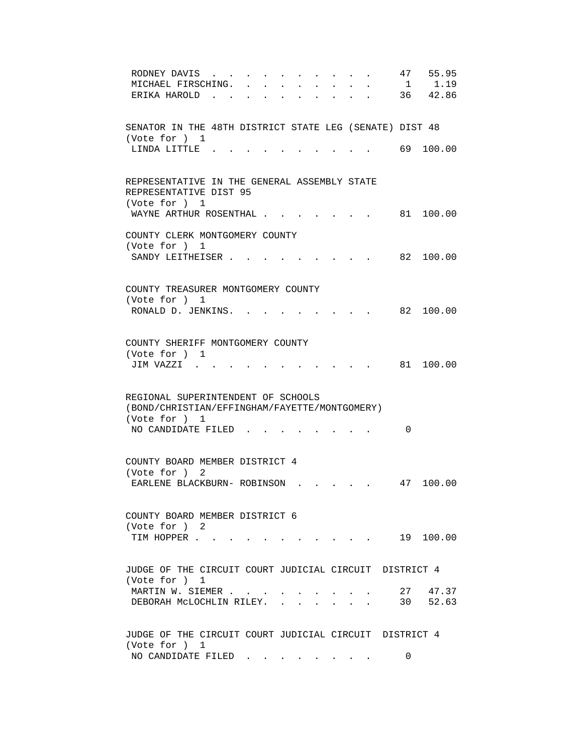| RODNEY DAVIS<br>MICHAEL FIRSCHING.<br>ERIKA HAROLD.                                     |  |  |  |    | 47<br>$\mathbf{1}$ | 55.95<br>1.19<br>36 42.86 |
|-----------------------------------------------------------------------------------------|--|--|--|----|--------------------|---------------------------|
| SENATOR IN THE 48TH DISTRICT STATE LEG (SENATE) DIST 48<br>(Vote for ) 1                |  |  |  |    |                    |                           |
| LINDA LITTLE.                                                                           |  |  |  |    |                    | 69 100.00                 |
| REPRESENTATIVE IN THE GENERAL ASSEMBLY STATE<br>REPRESENTATIVE DIST 95<br>(Vote for ) 1 |  |  |  |    |                    |                           |
| WAYNE ARTHUR ROSENTHAL                                                                  |  |  |  |    | 81                 | 100.00                    |
| COUNTY CLERK MONTGOMERY COUNTY<br>(Vote for ) 1                                         |  |  |  |    |                    |                           |
| SANDY LEITHEISER.                                                                       |  |  |  |    |                    | 82 100.00                 |
| COUNTY TREASURER MONTGOMERY COUNTY<br>(Vote for ) 1                                     |  |  |  |    |                    |                           |
| RONALD D. JENKINS. .                                                                    |  |  |  |    |                    | 82 100.00                 |
| COUNTY SHERIFF MONTGOMERY COUNTY<br>(Vote for ) 1                                       |  |  |  |    |                    |                           |
| JIM VAZZI .                                                                             |  |  |  |    |                    | 81 100.00                 |
| REGIONAL SUPERINTENDENT OF SCHOOLS<br>(BOND/CHRISTIAN/EFFINGHAM/FAYETTE/MONTGOMERY)     |  |  |  |    |                    |                           |
| (Vote for ) 1<br>NO CANDIDATE FILED                                                     |  |  |  |    | $\Omega$           |                           |
| COUNTY BOARD MEMBER DISTRICT 4<br>(Vote for ) 2                                         |  |  |  |    |                    |                           |
| EARLENE BLACKBURN- ROBINSON.                                                            |  |  |  | 47 |                    | 100.00                    |
| COUNTY BOARD MEMBER DISTRICT 6<br>(Vote for ) 2                                         |  |  |  |    |                    |                           |
| TIM HOPPER 19 100.00                                                                    |  |  |  |    |                    |                           |
| JUDGE OF THE CIRCUIT COURT JUDICIAL CIRCUIT DISTRICT 4<br>(Vote for ) 1                 |  |  |  |    |                    |                           |
| MARTIN W. SIEMER 27 47.37<br>DEBORAH MCLOCHLIN RILEY. 30 52.63                          |  |  |  |    |                    |                           |
| JUDGE OF THE CIRCUIT COURT JUDICIAL CIRCUIT DISTRICT 4<br>(Vote for ) 1                 |  |  |  |    |                    |                           |
| NO CANDIDATE FILED $\cdot \cdot \cdot \cdot \cdot$                                      |  |  |  |    | 0                  |                           |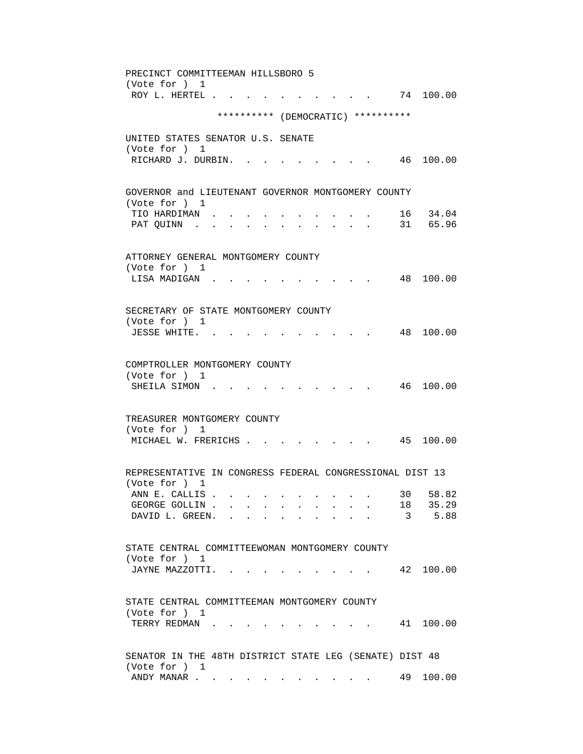PRECINCT COMMITTEEMAN HILLSBORO 5 (Vote for ) 1 ROY L. HERTEL . . . . . . . . . . . 74 100.00 \*\*\*\*\*\*\*\*\*\* (DEMOCRATIC) \*\*\*\*\*\*\*\*\*\* UNITED STATES SENATOR U.S. SENATE (Vote for ) 1 RICHARD J. DURBIN. . . . . . . . . 46 100.00 GOVERNOR and LIEUTENANT GOVERNOR MONTGOMERY COUNTY (Vote for ) 1 TIO HARDIMAN . . . . . . . . . . 16 34.04 PAT QUINN . . . . . . . . . . . 31 65.96 ATTORNEY GENERAL MONTGOMERY COUNTY (Vote for ) 1 LISA MADIGAN . . . . . . . . . . 48 100.00 SECRETARY OF STATE MONTGOMERY COUNTY (Vote for ) 1 JESSE WHITE. . . . . . . . . . . 48 100.00 COMPTROLLER MONTGOMERY COUNTY (Vote for ) 1 SHEILA SIMON . . . . . . . . . . 46 100.00 TREASURER MONTGOMERY COUNTY (Vote for ) 1 MICHAEL W. FRERICHS . . . . . . . . 45 100.00 REPRESENTATIVE IN CONGRESS FEDERAL CONGRESSIONAL DIST 13 (Vote for ) 1 ANN E. CALLIS . . . . . . . . . . . 30 58.82 GEORGE GOLLIN . . . . . . . . . . . 18 35.29 DAVID L. GREEN. . . . . . . . . . . 3 5.88 STATE CENTRAL COMMITTEEWOMAN MONTGOMERY COUNTY (Vote for ) 1 JAYNE MAZZOTTI. . . . . . . . . . 42 100.00 STATE CENTRAL COMMITTEEMAN MONTGOMERY COUNTY (Vote for ) 1 TERRY REDMAN . . . . . . . . . . . 41 100.00 SENATOR IN THE 48TH DISTRICT STATE LEG (SENATE) DIST 48 (Vote for ) 1 ANDY MANAR . . . . . . . . . . . . 49 100.00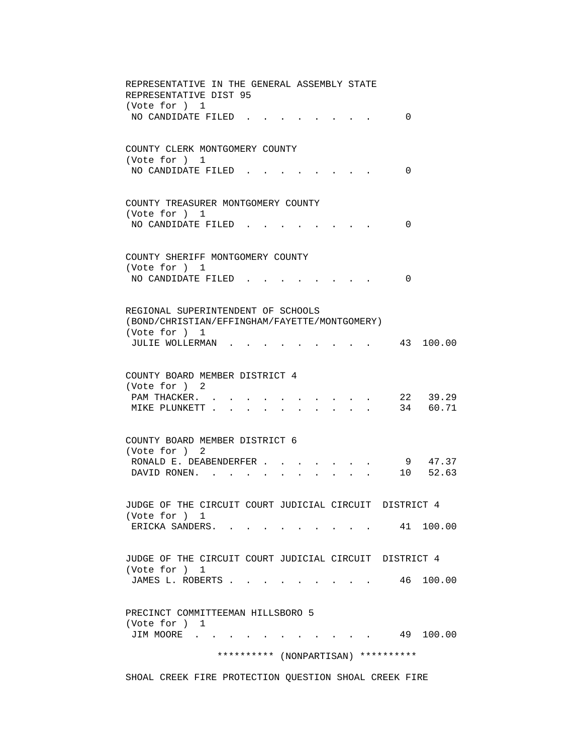| REPRESENTATIVE IN THE GENERAL ASSEMBLY STATE<br>REPRESENTATIVE DIST 95<br>(Vote for ) 1                                               |
|---------------------------------------------------------------------------------------------------------------------------------------|
| NO CANDIDATE FILED.<br>0                                                                                                              |
| COUNTY CLERK MONTGOMERY COUNTY<br>(Vote for ) 1<br>NO CANDIDATE FILED.<br>0                                                           |
| COUNTY TREASURER MONTGOMERY COUNTY<br>(Vote for ) 1<br>NO CANDIDATE FILED<br>$\Omega$                                                 |
| COUNTY SHERIFF MONTGOMERY COUNTY<br>(Vote for ) 1<br>NO CANDIDATE FILED.<br>0                                                         |
| REGIONAL SUPERINTENDENT OF SCHOOLS<br>(BOND/CHRISTIAN/EFFINGHAM/FAYETTE/MONTGOMERY)<br>(Vote for ) 1<br>JULIE WOLLERMAN.<br>43 100.00 |
| COUNTY BOARD MEMBER DISTRICT 4<br>(Vote for ) 2<br>22 39.29<br>PAM THACKER. .<br>34 60.71<br>MIKE PLUNKETT<br>$\mathbf{r}$            |
| COUNTY BOARD MEMBER DISTRICT 6<br>(Vote for ) 2<br>9 47.37<br>RONALD E. DEABENDERFER<br>10 52.63<br>DAVID RONEN. .                    |
| JUDGE OF THE CIRCUIT COURT JUDICIAL CIRCUIT DISTRICT 4<br>(Vote for ) 1<br>ERICKA SANDERS. 41 100.00                                  |
| JUDGE OF THE CIRCUIT COURT JUDICIAL CIRCUIT DISTRICT 4<br>(Vote for ) 1<br>JAMES L. ROBERTS 46 100.00                                 |
| PRECINCT COMMITTEEMAN HILLSBORO 5<br>(Vote for ) 1<br>JIM MOORE 49 100.00                                                             |
| ********** (NONPARTISAN) **********                                                                                                   |

SHOAL CREEK FIRE PROTECTION QUESTION SHOAL CREEK FIRE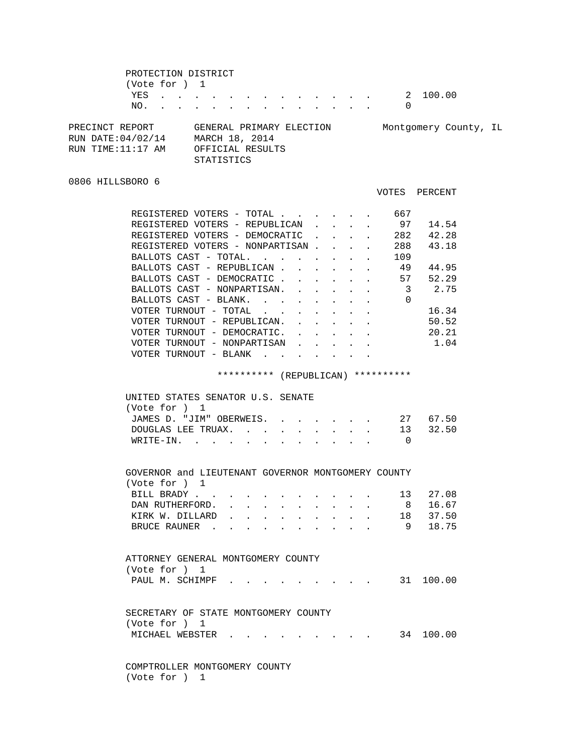PROTECTION DISTRICT (Vote for ) 1 YES . . . . . . . . . . . . . . 2 100.00 NO. . . . . . . . . . . . . . 0 PRECINCT REPORT GENERAL PRIMARY ELECTION Montgomery County, IL RUN DATE:04/02/14 MARCH 18, 2014 RUN TIME:11:17 AM OFFICIAL RESULTS STATISTICS 0806 HILLSBORO 6 VOTES PERCENT REGISTERED VOTERS - TOTAL . . . . . . 667 REGISTERED VOTERS - REPUBLICAN . . . . 97 14.54<br>REGISTERED VOTERS - DEMOCRATIC . . . . 282 42.28<br>200 12.18 REGISTERED VOTERS - DEMOCRATIC . . . . REGISTERED VOTERS - NONPARTISAN . . . . 288 43.18 BALLOTS CAST - TOTAL. . . . . . . . 109<br>BALLOTS CAST - REPUBLICAN . . . . . . 49 44.95 BALLOTS CAST - REPUBLICAN . . . . . . BALLOTS CAST - DEMOCRATIC . . . . . . 57 52.29 BALLOTS CAST - NONPARTISAN. . . . . . 3 2.75 BALLOTS CAST - BLANK. . . . . . . . 0 VOTER TURNOUT - TOTAL . . . . . . . . 16.34 VOTER TURNOUT - REPUBLICAN. . . . . . . 50.52<br>VOTER TURNOUT - DEMOCRATIC. . . . . . 20.21  $\verb|VOTER TURNOUT - DEMOCRATION. . . . . . .$ VOTER TURNOUT - NONPARTISAN . . . . . 1.04 VOTER TURNOUT - BLANK . . . . . . . \*\*\*\*\*\*\*\*\*\* (REPUBLICAN) \*\*\*\*\*\*\*\*\*\* UNITED STATES SENATOR U.S. SENATE (Vote for ) 1 JAMES D. "JIM" OBERWEIS. . . . . . . 27 67.50 DOUGLAS LEE TRUAX. . . . . . . . . 13 32.50 WRITE-IN. . . . . . . . . . . . 0 GOVERNOR and LIEUTENANT GOVERNOR MONTGOMERY COUNTY (Vote for ) 1 BILL BRADY . . . . . . . . . . . 13 27.08 DAN RUTHERFORD. . . . . . . . . . 8 16.67 KIRK W. DILLARD . . . . . . . . . 18 37.50 BRUCE RAUNER . . . . . . . . . . 9 18.75 ATTORNEY GENERAL MONTGOMERY COUNTY (Vote for ) 1 PAUL M. SCHIMPF . . . . . . . . . . 31 100.00 SECRETARY OF STATE MONTGOMERY COUNTY (Vote for ) 1 MICHAEL WEBSTER . . . . . . . . . 34 100.00 COMPTROLLER MONTGOMERY COUNTY

(Vote for ) 1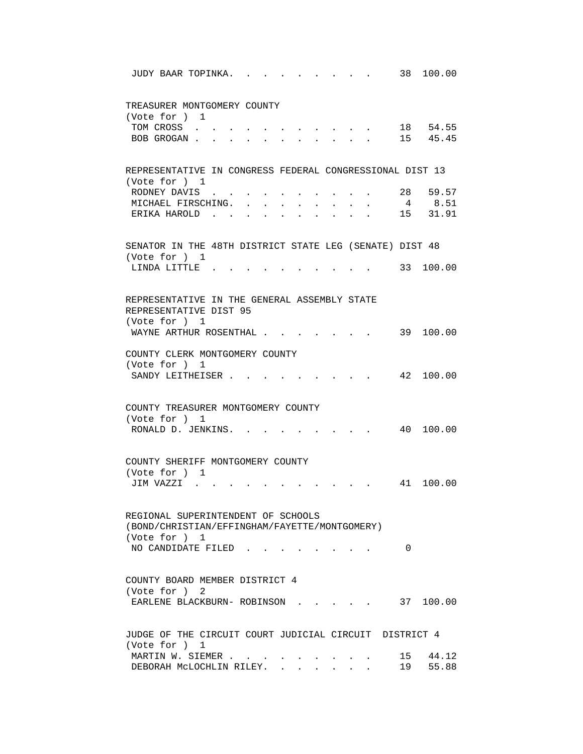| 38<br>100.00<br>JUDY BAAR TOPINKA.                                                                                                                                                                                            |
|-------------------------------------------------------------------------------------------------------------------------------------------------------------------------------------------------------------------------------|
| TREASURER MONTGOMERY COUNTY<br>(Vote for ) 1<br>18 54.55<br>TOM CROSS                                                                                                                                                         |
| 15 45.45<br>BOB GROGAN                                                                                                                                                                                                        |
| REPRESENTATIVE IN CONGRESS FEDERAL CONGRESSIONAL DIST 13<br>(Vote for ) 1                                                                                                                                                     |
| 28 59.57<br>RODNEY DAVIS<br>4 8.51<br>MICHAEL FIRSCHING.<br>and a series of the series of the series of<br>15 31.91<br>ERIKA HAROLD.<br>and a series of the series of the series of the series of the series of the series of |
| SENATOR IN THE 48TH DISTRICT STATE LEG (SENATE) DIST 48<br>(Vote for ) 1                                                                                                                                                      |
| 33 100.00<br>LINDA LITTLE.                                                                                                                                                                                                    |
| REPRESENTATIVE IN THE GENERAL ASSEMBLY STATE<br>REPRESENTATIVE DIST 95<br>(Vote for ) 1                                                                                                                                       |
| WAYNE ARTHUR ROSENTHAL .<br>39 100.00                                                                                                                                                                                         |
| COUNTY CLERK MONTGOMERY COUNTY<br>(Vote for ) 1<br>42 100.00<br>SANDY LEITHEISER.                                                                                                                                             |
| COUNTY TREASURER MONTGOMERY COUNTY<br>(Vote for ) 1<br>RONALD D. JENKINS.<br>40 100.00                                                                                                                                        |
| COUNTY SHERIFF MONTGOMERY COUNTY<br>(Vote for ) 1<br>41<br>100.00<br>JIM VAZZI                                                                                                                                                |
| REGIONAL SUPERINTENDENT OF SCHOOLS<br>(BOND/CHRISTIAN/EFFINGHAM/FAYETTE/MONTGOMERY)<br>(Vote for ) 1                                                                                                                          |
| NO CANDIDATE FILED.<br>0                                                                                                                                                                                                      |
| COUNTY BOARD MEMBER DISTRICT 4<br>(Vote for ) 2<br>EARLENE BLACKBURN- ROBINSON 37 100.00                                                                                                                                      |
| JUDGE OF THE CIRCUIT COURT JUDICIAL CIRCUIT DISTRICT 4<br>(Vote for ) 1                                                                                                                                                       |
| 15 44.12<br>MARTIN W. SIEMER<br>19 55.88<br>DEBORAH MCLOCHLIN RILEY.                                                                                                                                                          |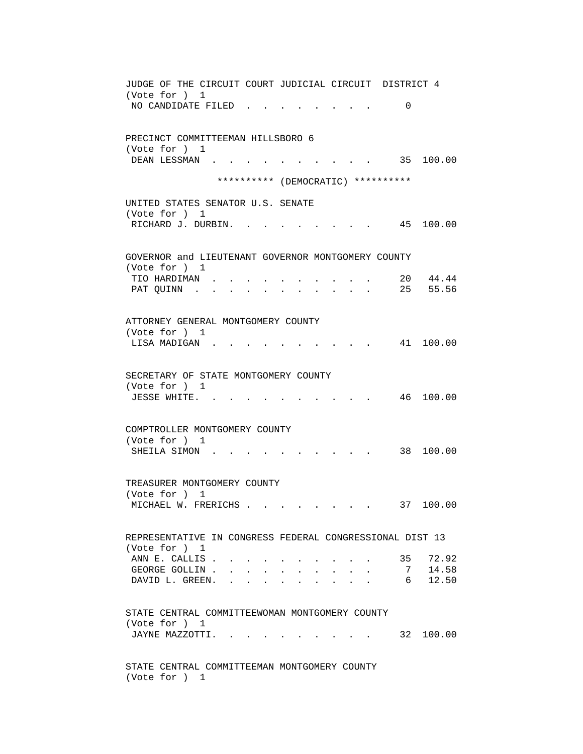JUDGE OF THE CIRCUIT COURT JUDICIAL CIRCUIT DISTRICT 4 (Vote for ) 1 NO CANDIDATE FILED . . . . . . . . 0 PRECINCT COMMITTEEMAN HILLSBORO 6 (Vote for ) 1<br>DEAN LESSMAN . . . DEAN LESSMAN . . . . . . . . . . 35 100.00 \*\*\*\*\*\*\*\*\*\* (DEMOCRATIC) \*\*\*\*\*\*\*\*\*\* UNITED STATES SENATOR U.S. SENATE (Vote for ) 1 RICHARD J. DURBIN. . . . . . . . . 45 100.00 GOVERNOR and LIEUTENANT GOVERNOR MONTGOMERY COUNTY (Vote for ) 1 TIO HARDIMAN . . . . . . . . . . 20 44.44 PAT QUINN . . . . . . . . . . . . 25 55.56 ATTORNEY GENERAL MONTGOMERY COUNTY (Vote for ) 1 LISA MADIGAN . . . . . . . . . . 41 100.00 SECRETARY OF STATE MONTGOMERY COUNTY (Vote for ) 1 JESSE WHITE. . . . . . . . . . . 46 100.00 COMPTROLLER MONTGOMERY COUNTY (Vote for ) 1 SHEILA SIMON . . . . . . . . . . . 38 100.00 TREASURER MONTGOMERY COUNTY (Vote for ) 1 MICHAEL W. FRERICHS . . . . . . . . 37 100.00 REPRESENTATIVE IN CONGRESS FEDERAL CONGRESSIONAL DIST 13 (Vote for ) 1 ANN E. CALLIS . . . . . . . . . . . 35 72.92 GEORGE GOLLIN . . . . . . . . . . . 7 14.58 DAVID L. GREEN. . . . . . . . . . . 6 12.50 STATE CENTRAL COMMITTEEWOMAN MONTGOMERY COUNTY (Vote for ) 1 JAYNE MAZZOTTI. . . . . . . . . . 32 100.00 STATE CENTRAL COMMITTEEMAN MONTGOMERY COUNTY (Vote for ) 1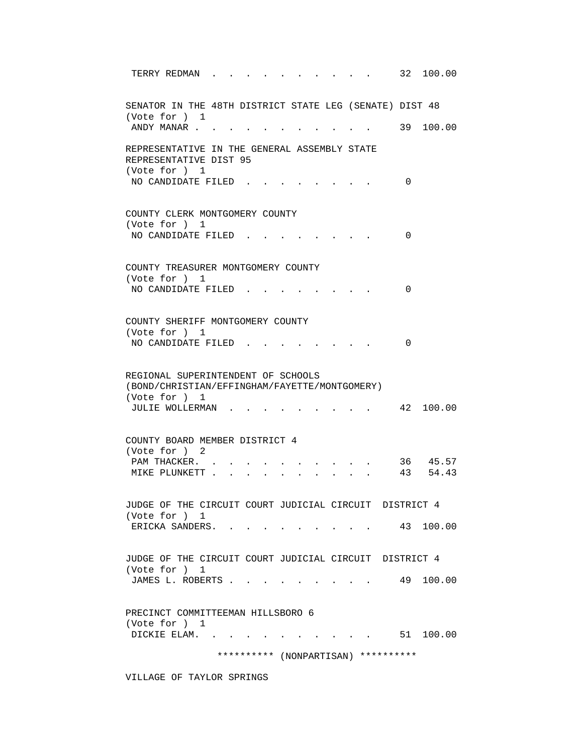| 32<br>100.00<br>TERRY REDMAN                                                                                                         |  |
|--------------------------------------------------------------------------------------------------------------------------------------|--|
| SENATOR IN THE 48TH DISTRICT STATE LEG (SENATE) DIST 48<br>(Vote for ) 1                                                             |  |
| 39 100.00<br>ANDY MANAR                                                                                                              |  |
| REPRESENTATIVE IN THE GENERAL ASSEMBLY STATE<br>REPRESENTATIVE DIST 95<br>(Vote for ) 1                                              |  |
| NO CANDIDATE FILED<br>$\Omega$                                                                                                       |  |
| COUNTY CLERK MONTGOMERY COUNTY<br>(Vote for ) 1                                                                                      |  |
| NO CANDIDATE FILED<br>0                                                                                                              |  |
| COUNTY TREASURER MONTGOMERY COUNTY<br>(Vote for ) 1                                                                                  |  |
| NO CANDIDATE FILED<br>0                                                                                                              |  |
| COUNTY SHERIFF MONTGOMERY COUNTY<br>(Vote for ) 1<br>NO CANDIDATE FILED<br>$\Omega$                                                  |  |
| REGIONAL SUPERINTENDENT OF SCHOOLS<br>(BOND/CHRISTIAN/EFFINGHAM/FAYETTE/MONTGOMERY)<br>(Vote for ) 1<br>42 100.00<br>JULIE WOLLERMAN |  |
| COUNTY BOARD MEMBER DISTRICT 4<br>(Vote for ) 2                                                                                      |  |
| 36 45.57<br>PAM THACKER.<br>43<br>54.43<br>MIKE PLUNKETT.                                                                            |  |
| JUDGE OF THE CIRCUIT COURT JUDICIAL CIRCUIT DISTRICT 4<br>(Vote for ) 1                                                              |  |
| 43 100.00<br>ERICKA SANDERS.                                                                                                         |  |
| JUDGE OF THE CIRCUIT COURT JUDICIAL CIRCUIT DISTRICT 4<br>(Vote for ) 1                                                              |  |
| JAMES L. ROBERTS<br>49 100.00                                                                                                        |  |
| PRECINCT COMMITTEEMAN HILLSBORO 6<br>(Vote for ) 1                                                                                   |  |
| DICKIE ELAM. .<br>$\cdot$ 51 100.00                                                                                                  |  |
| ********** (NONPARTISAN) **********                                                                                                  |  |

VILLAGE OF TAYLOR SPRINGS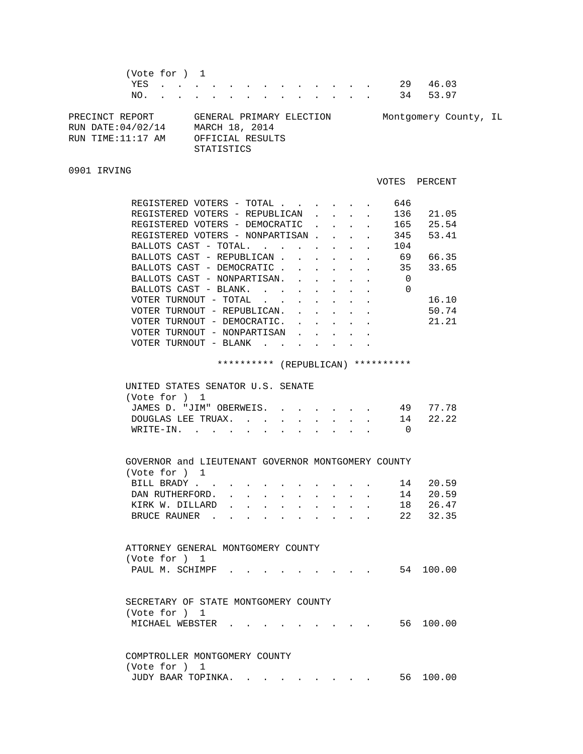|                                                           | (Vote for ) 1<br>NO. |  |  |                   |                                                                |  |  |  | YES 29<br>34 | 46.03<br>53.97        |  |
|-----------------------------------------------------------|----------------------|--|--|-------------------|----------------------------------------------------------------|--|--|--|--------------|-----------------------|--|
| PRECINCT REPORT<br>RUN DATE:04/02/14<br>RUN TIME:11:17 AM |                      |  |  | <b>STATISTICS</b> | GENERAL PRIMARY ELECTION<br>MARCH 18, 2014<br>OFFICIAL RESULTS |  |  |  |              | Montgomery County, IL |  |

## 0901 IRVING

|                                    |  |  |          | VOTES PERCENT |
|------------------------------------|--|--|----------|---------------|
| REGISTERED VOTERS - TOTAL.         |  |  | 646      |               |
| REGISTERED VOTERS - REPUBLICAN     |  |  | 136      | 21.05         |
| REGISTERED VOTERS - DEMOCRATIC     |  |  | 165      | 25.54         |
| REGISTERED VOTERS - NONPARTISAN.   |  |  | 345      | 53.41         |
| BALLOTS CAST - TOTAL.              |  |  | 104      |               |
| BALLOTS CAST - REPUBLICAN.         |  |  | 69       | 66.35         |
| BALLOTS CAST - DEMOCRATIC.         |  |  | 35       | 33.65         |
| BALLOTS CAST - NONPARTISAN.        |  |  | $\Omega$ |               |
| BALLOTS CAST - BLANK.              |  |  | $\Omega$ |               |
| VOTER TURNOUT - TOTAL              |  |  |          | 16.10         |
| VOTER TURNOUT - REPUBLICAN.        |  |  |          | 50.74         |
| VOTER TURNOUT - DEMOCRATIC.        |  |  |          | 21.21         |
| VOTER TURNOUT - NONPARTISAN        |  |  |          |               |
| VOTER TURNOUT - BLANK              |  |  |          |               |
| ********** (REPUBLICAN) ********** |  |  |          |               |
| UNITED STATES SENATOR U.S. SENATE  |  |  |          |               |
| (Vote for ) 1                      |  |  |          |               |
| JAMES D. "JIM" OBERWEIS.           |  |  | 49       | 77.78         |
| DOUGLAS LEE TRUAX.                 |  |  | 14       | 22.22         |
| $W$ R T T $F - T$ N                |  |  | $\cap$   |               |

| GOVERNOR and LIEUTENANT GOVERNOR MONTGOMERY COUNTY |  |  |  |  |  |          |
|----------------------------------------------------|--|--|--|--|--|----------|
| (Vote for ) 1                                      |  |  |  |  |  |          |
| BILL BRADY                                         |  |  |  |  |  | 14 20.59 |
| DAN RUTHERFORD.                                    |  |  |  |  |  | 14 20.59 |
| KIRK W. DILLARD 18 26.47                           |  |  |  |  |  |          |
| BRUCE RAUNER                                       |  |  |  |  |  | 22 32.35 |

WRITE-IN. . . . . . . . . . . . 0

| ATTORNEY GENERAL MONTGOMERY COUNTY |                           |  |  |  |  |  |  |
|------------------------------------|---------------------------|--|--|--|--|--|--|
| (Vote for ) 1                      |                           |  |  |  |  |  |  |
|                                    | PAUL M. SCHIMPF 54 100.00 |  |  |  |  |  |  |

| SECRETARY OF STATE MONTGOMERY COUNTY |  |  |  |  |  |  |           |
|--------------------------------------|--|--|--|--|--|--|-----------|
| (Vote for ) 1                        |  |  |  |  |  |  |           |
|                                      |  |  |  |  |  |  | 56 100.00 |

 COMPTROLLER MONTGOMERY COUNTY (Vote for ) 1 JUDY BAAR TOPINKA. . . . . . . . . 56 100.00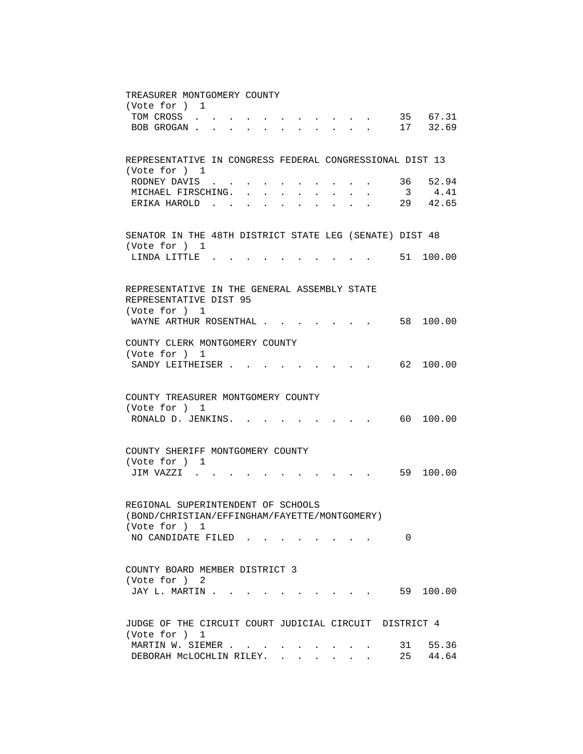TREASURER MONTGOMERY COUNTY (Vote for ) 1 TOM CROSS . . . . . . . . . . . . 35 67.31 BOB GROGAN . . . . . . . . . . . . 17 32.69 REPRESENTATIVE IN CONGRESS FEDERAL CONGRESSIONAL DIST 13 (Vote for ) 1 RODNEY DAVIS  $\ldots$  . . . . . . . . 36 52.94<br>MICHAEL FIRSCHING MICHAEL FIRSCHING. . . . . . . . . 3 4.41 ERIKA HAROLD . . . . . . . . . . 29 42.65 SENATOR IN THE 48TH DISTRICT STATE LEG (SENATE) DIST 48 (Vote for ) 1 LINDA LITTLE . . . . . . . . . . 51 100.00 REPRESENTATIVE IN THE GENERAL ASSEMBLY STATE REPRESENTATIVE DIST 95 (Vote for ) 1 WAYNE ARTHUR ROSENTHAL . . . . . . . 58 100.00 COUNTY CLERK MONTGOMERY COUNTY (Vote for ) 1 SANDY LEITHEISER . . . . . . . . . . 62 100.00 COUNTY TREASURER MONTGOMERY COUNTY (Vote for ) 1 RONALD D. JENKINS. . . . . . . . . . 60 100.00 COUNTY SHERIFF MONTGOMERY COUNTY (Vote for ) 1 JIM VAZZI . . . . . . . . . . . 59 100.00 REGIONAL SUPERINTENDENT OF SCHOOLS (BOND/CHRISTIAN/EFFINGHAM/FAYETTE/MONTGOMERY) (Vote for ) 1 NO CANDIDATE FILED . . . . . . . . 0 COUNTY BOARD MEMBER DISTRICT 3 (Vote for ) 2 JAY L. MARTIN . . . . . . . . . . . . 59 100.00 JUDGE OF THE CIRCUIT COURT JUDICIAL CIRCUIT DISTRICT 4 (Vote for ) 1 MARTIN W. SIEMER . . . . . . . . . . 31 55.36 DEBORAH MCLOCHLIN RILEY. . . . . . . 25 44.64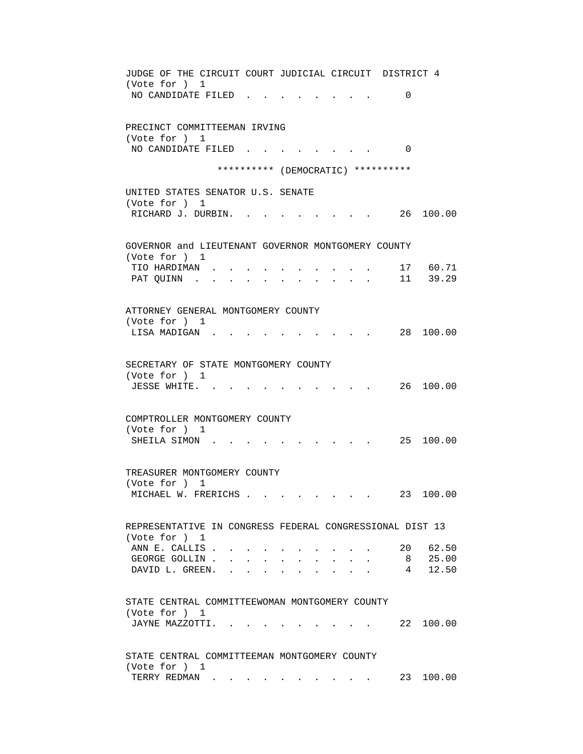| JUDGE OF THE CIRCUIT COURT JUDICIAL CIRCUIT DISTRICT 4                     |
|----------------------------------------------------------------------------|
| (Vote for ) 1<br>NO CANDIDATE FILED<br>$\Omega$                            |
|                                                                            |
| PRECINCT COMMITTEEMAN IRVING                                               |
| (Vote for ) 1<br>NO CANDIDATE FILED<br>$\Omega$                            |
|                                                                            |
| ********** (DEMOCRATIC) **********                                         |
| UNITED STATES SENATOR U.S. SENATE                                          |
| (Vote for ) 1<br>26 100.00<br>RICHARD J. DURBIN.                           |
|                                                                            |
| GOVERNOR and LIEUTENANT GOVERNOR MONTGOMERY COUNTY                         |
| (Vote for ) 1<br>17 60.71                                                  |
| TIO HARDIMAN.<br>11 39.29<br>PAT QUINN .<br>$\sim$                         |
|                                                                            |
| ATTORNEY GENERAL MONTGOMERY COUNTY                                         |
| (Vote for ) 1                                                              |
| 28 100.00<br>LISA MADIGAN                                                  |
| SECRETARY OF STATE MONTGOMERY COUNTY                                       |
| (Vote for ) 1                                                              |
| 26 100.00<br>JESSE WHITE. .                                                |
|                                                                            |
| COMPTROLLER MONTGOMERY COUNTY<br>(Vote for ) 1                             |
| SHEILA SIMON.<br>25 100.00                                                 |
|                                                                            |
| TREASURER MONTGOMERY COUNTY                                                |
| (Vote for ) 1<br>23 100.00<br>MICHAEL W. FRERICHS                          |
|                                                                            |
| REPRESENTATIVE IN CONGRESS FEDERAL CONGRESSIONAL DIST 13                   |
| (Vote for ) 1                                                              |
| 20 62.50<br>ANN E. CALLIS.<br>25.00<br>GEORGE GOLLIN.<br>8<br>$\mathbf{r}$ |
| 4 12.50<br>DAVID L. GREEN.<br>$\mathbf{L}$<br>$\mathbf{r}$                 |
|                                                                            |
| STATE CENTRAL COMMITTEEWOMAN MONTGOMERY COUNTY                             |
| (Vote for ) 1<br>JAYNE MAZZOTTI.<br>22 100.00                              |
|                                                                            |
| STATE CENTRAL COMMITTEEMAN MONTGOMERY COUNTY                               |
| (Vote for ) 1                                                              |
| 23 100.00<br>TERRY REDMAN                                                  |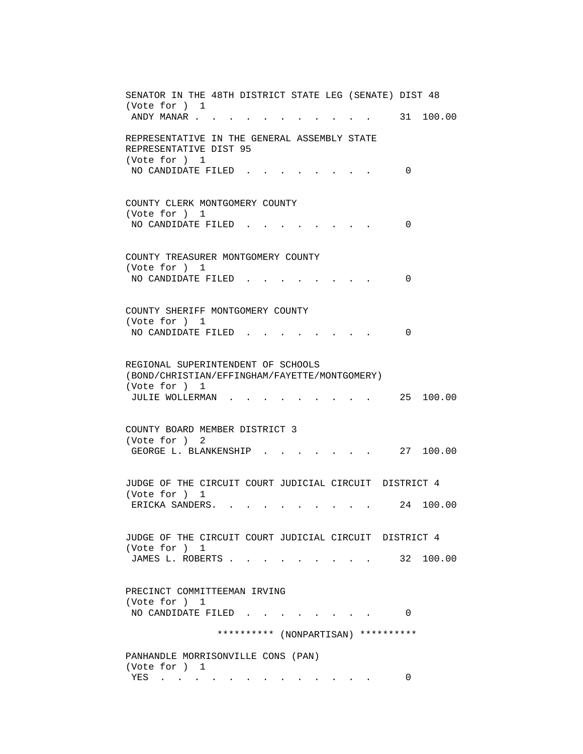SENATOR IN THE 48TH DISTRICT STATE LEG (SENATE) DIST 48 (Vote for ) 1 ANDY MANAR . . . . . . . . . . . . 31 100.00 REPRESENTATIVE IN THE GENERAL ASSEMBLY STATE REPRESENTATIVE DIST 95 (Vote for ) 1 NO CANDIDATE FILED . . . . . . . . 0 COUNTY CLERK MONTGOMERY COUNTY (Vote for ) 1 NO CANDIDATE FILED . . . . . . . . 0 COUNTY TREASURER MONTGOMERY COUNTY (Vote for ) 1 NO CANDIDATE FILED . . . . . . . . 0 COUNTY SHERIFF MONTGOMERY COUNTY (Vote for ) 1 NO CANDIDATE FILED . . . . . . . . 0 REGIONAL SUPERINTENDENT OF SCHOOLS (BOND/CHRISTIAN/EFFINGHAM/FAYETTE/MONTGOMERY) (Vote for ) 1 JULIE WOLLERMAN . . . . . . . . . 25 100.00 COUNTY BOARD MEMBER DISTRICT 3 (Vote for ) 2 GEORGE L. BLANKENSHIP . . . . . . . 27 100.00 JUDGE OF THE CIRCUIT COURT JUDICIAL CIRCUIT DISTRICT 4 (Vote for ) 1 ERICKA SANDERS. . . . . . . . . . 24 100.00 JUDGE OF THE CIRCUIT COURT JUDICIAL CIRCUIT DISTRICT 4 (Vote for ) 1 JAMES L. ROBERTS . . . . . . . . . . 32 100.00 PRECINCT COMMITTEEMAN IRVING (Vote for ) 1 NO CANDIDATE FILED . . . . . . . . 0 \*\*\*\*\*\*\*\*\*\* (NONPARTISAN) \*\*\*\*\*\*\*\*\*\* PANHANDLE MORRISONVILLE CONS (PAN) (Vote for ) 1 YES . . . . . . . . . . . . . 0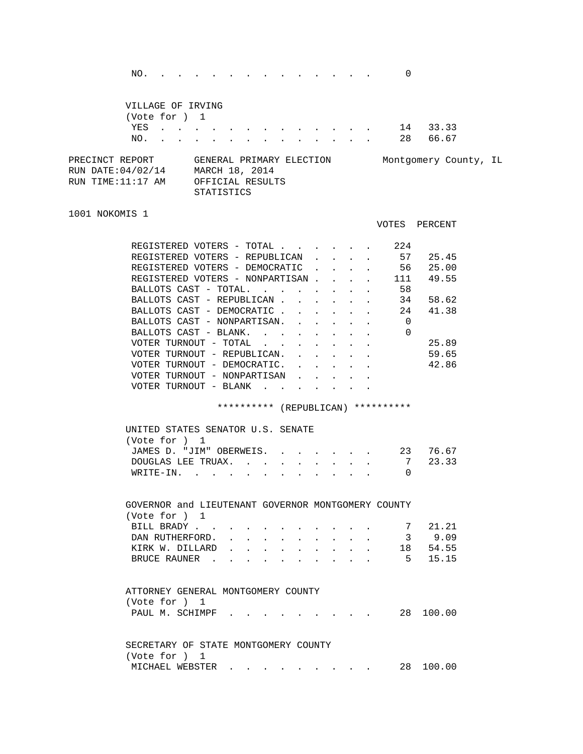NO. . . . . . . . . . . . . . . 0

|                                                            | VILLAGE OF IRVING<br>(Vote for ) 1 |  |                                                                                                                                                                                                                                   |            |                                                                |  |  |  |     |                       |  |
|------------------------------------------------------------|------------------------------------|--|-----------------------------------------------------------------------------------------------------------------------------------------------------------------------------------------------------------------------------------|------------|----------------------------------------------------------------|--|--|--|-----|-----------------------|--|
|                                                            | YES                                |  | $\mathbf{r}$ . The contribution of the contribution of the contribution of the contribution of the contribution of the contribution of the contribution of the contribution of the contribution of the contribution of the contri |            |                                                                |  |  |  | -14 | 33.33                 |  |
|                                                            | NO.                                |  | $\mathbf{r} = \mathbf{r} - \mathbf{r}$ , and $\mathbf{r} = \mathbf{r} - \mathbf{r}$ , and $\mathbf{r} = \mathbf{r} - \mathbf{r}$ , and $\mathbf{r} = \mathbf{r} - \mathbf{r}$                                                     |            |                                                                |  |  |  | 28  | 66.67                 |  |
| PRECINCT REPORT<br>RUN DATE: 04/02/14<br>RUN TIME:11:17 AM |                                    |  |                                                                                                                                                                                                                                   |            | GENERAL PRIMARY ELECTION<br>MARCH 18, 2014<br>OFFICIAL RESULTS |  |  |  |     | Montgomery County, IL |  |
|                                                            |                                    |  |                                                                                                                                                                                                                                   | STATISTICS |                                                                |  |  |  |     |                       |  |

## 1001 NOKOMIS 1

| REGISTERED                      |                          | VOTERS<br>$-$                     | TOTAL               |  |  | 224 |       |
|---------------------------------|--------------------------|-----------------------------------|---------------------|--|--|-----|-------|
| REGISTERED                      |                          |                                   | VOTERS - REPUBLICAN |  |  | 57  | 25.45 |
| REGISTERED VOTERS - DEMOCRATIC  |                          |                                   |                     |  |  | 56  | 25.00 |
| REGISTERED VOTERS - NONPARTISAN |                          |                                   |                     |  |  | 111 | 49.55 |
| BALLOTS CAST                    | $\overline{\phantom{m}}$ | TOTAL.                            |                     |  |  | 58  |       |
| BALLOTS CAST - REPUBLICAN       |                          |                                   |                     |  |  | 34  | 58.62 |
| BALLOTS CAST                    |                          | - DEMOCRATIC                      |                     |  |  | 24  | 41.38 |
| BALLOTS CAST - NONPARTISAN.     |                          |                                   |                     |  |  | 0   |       |
| BALLOTS CAST                    | $\overline{\phantom{m}}$ | BLANK.                            |                     |  |  | 0   |       |
| VOTER TURNOUT                   |                          | TOTAL<br>$\overline{\phantom{m}}$ |                     |  |  |     | 25.89 |
| VOTER                           | TURNOUT                  |                                   | - REPUBLICAN.       |  |  |     | 59.65 |
| VOTER                           | TURNOUT                  | $\overline{\phantom{a}}$          | DEMOCRATIC.         |  |  |     | 42.86 |
| VOTER TURNOUT                   |                          |                                   | - NONPARTISAN       |  |  |     |       |
| VOTER                           | TURNOUT                  | BLANK<br>$\qquad \qquad -$        |                     |  |  |     |       |
|                                 |                          |                                   |                     |  |  |     |       |

VOTES PERCENT

\*\*\*\*\*\*\*\*\*\* (REPUBLICAN) \*\*\*\*\*\*\*\*\*\*

| UNITED STATES SENATOR U.S. SENATE |  |  |  |  |  |
|-----------------------------------|--|--|--|--|--|
| (Vote for ) 1                     |  |  |  |  |  |
| JAMES D. "JIM" OBERWEIS. 23 76.67 |  |  |  |  |  |
| DOUGLAS LEE TRUAX. 7 23.33        |  |  |  |  |  |
| WRITE-IN.                         |  |  |  |  |  |

| GOVERNOR and LIEUTENANT GOVERNOR MONTGOMERY COUNTY |  |  |  |  |  |        |
|----------------------------------------------------|--|--|--|--|--|--------|
| (Vote for ) 1                                      |  |  |  |  |  |        |
| BILL BRADY 7 21.21                                 |  |  |  |  |  |        |
| DAN RUTHERFORD.                                    |  |  |  |  |  | 3 9.09 |
| KIRK W. DILLARD 18 54.55                           |  |  |  |  |  |        |
| BRUCE RAUNER 5 15.15                               |  |  |  |  |  |        |
|                                                    |  |  |  |  |  |        |

|               | ATTORNEY GENERAL MONTGOMERY COUNTY   |  |  |  |
|---------------|--------------------------------------|--|--|--|
| (Vote for ) 1 |                                      |  |  |  |
|               | PAUL M. SCHIMPF 28 100.00            |  |  |  |
|               |                                      |  |  |  |
|               |                                      |  |  |  |
|               | SECRETARY OF STATE MONTGOMERY COUNTY |  |  |  |

 (Vote for ) 1 MICHAEL WEBSTER . . . . . . . . . 28 100.00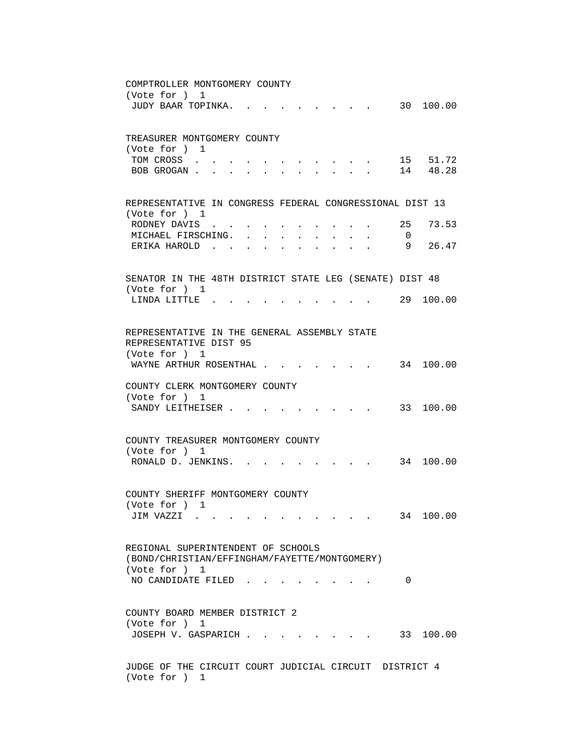COMPTROLLER MONTGOMERY COUNTY (Vote for ) 1 JUDY BAAR TOPINKA. . . . . . . . . 30 100.00 TREASURER MONTGOMERY COUNTY (Vote for ) 1 TOM CROSS . . . . . . . . . . . 15 51.72 BOB GROGAN . . . . . . . . . . . . 14 48.28 REPRESENTATIVE IN CONGRESS FEDERAL CONGRESSIONAL DIST 13 (Vote for ) 1 RODNEY DAVIS . . . . . . . . . . 25 73.53 MICHAEL FIRSCHING. . . . . . . . . 0 ERIKA HAROLD . . . . . . . . . . . 9 26.47 SENATOR IN THE 48TH DISTRICT STATE LEG (SENATE) DIST 48 (Vote for ) 1 LINDA LITTLE . . . . . . . . . . 29 100.00 REPRESENTATIVE IN THE GENERAL ASSEMBLY STATE REPRESENTATIVE DIST 95 (Vote for ) 1 WAYNE ARTHUR ROSENTHAL . . . . . . . 34 100.00 COUNTY CLERK MONTGOMERY COUNTY (Vote for ) 1 SANDY LEITHEISER . . . . . . . . . 33 100.00 COUNTY TREASURER MONTGOMERY COUNTY (Vote for ) 1 RONALD D. JENKINS. . . . . . . . . 34 100.00 COUNTY SHERIFF MONTGOMERY COUNTY (Vote for ) 1 JIM VAZZI . . . . . . . . . . . 34 100.00 REGIONAL SUPERINTENDENT OF SCHOOLS (BOND/CHRISTIAN/EFFINGHAM/FAYETTE/MONTGOMERY) (Vote for ) 1 NO CANDIDATE FILED . . . . . . . . 0 COUNTY BOARD MEMBER DISTRICT 2 (Vote for ) 1 JOSEPH V. GASPARICH . . . . . . . . 33 100.00 JUDGE OF THE CIRCUIT COURT JUDICIAL CIRCUIT DISTRICT 4 (Vote for ) 1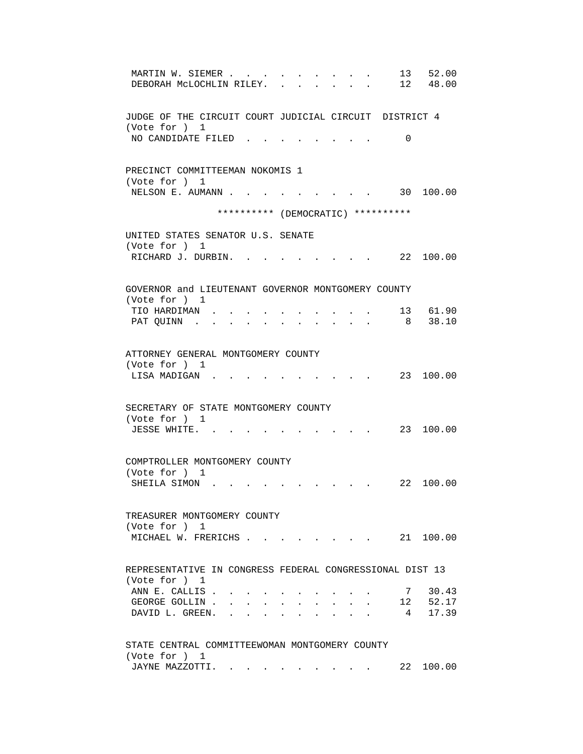| 13<br>52.00<br>MARTIN W. SIEMER<br>12 48.00<br>DEBORAH MCLOCHLIN RILEY.                                                                                                                                                                                                                                                                                                                                           |
|-------------------------------------------------------------------------------------------------------------------------------------------------------------------------------------------------------------------------------------------------------------------------------------------------------------------------------------------------------------------------------------------------------------------|
| JUDGE OF THE CIRCUIT COURT JUDICIAL CIRCUIT DISTRICT 4<br>(Vote for ) 1                                                                                                                                                                                                                                                                                                                                           |
| NO CANDIDATE FILED<br>0                                                                                                                                                                                                                                                                                                                                                                                           |
| PRECINCT COMMITTEEMAN NOKOMIS 1                                                                                                                                                                                                                                                                                                                                                                                   |
| (Vote for ) 1<br>NELSON E. AUMANN<br>30 100.00                                                                                                                                                                                                                                                                                                                                                                    |
| ********** (DEMOCRATIC) **********                                                                                                                                                                                                                                                                                                                                                                                |
| UNITED STATES SENATOR U.S. SENATE<br>(Vote for ) 1                                                                                                                                                                                                                                                                                                                                                                |
| RICHARD J. DURBIN.<br>. 22 100.00                                                                                                                                                                                                                                                                                                                                                                                 |
| GOVERNOR and LIEUTENANT GOVERNOR MONTGOMERY COUNTY                                                                                                                                                                                                                                                                                                                                                                |
| (Vote for ) 1<br>13 61.90<br>TIO HARDIMAN.                                                                                                                                                                                                                                                                                                                                                                        |
| 8 38.10<br>PAT QUINN.                                                                                                                                                                                                                                                                                                                                                                                             |
| ATTORNEY GENERAL MONTGOMERY COUNTY<br>(Vote for ) 1                                                                                                                                                                                                                                                                                                                                                               |
| 23 100.00<br>LISA MADIGAN.                                                                                                                                                                                                                                                                                                                                                                                        |
| SECRETARY OF STATE MONTGOMERY COUNTY<br>(Vote for ) 1                                                                                                                                                                                                                                                                                                                                                             |
| JESSE WHITE.<br>23 100.00                                                                                                                                                                                                                                                                                                                                                                                         |
| COMPTROLLER MONTGOMERY COUNTY                                                                                                                                                                                                                                                                                                                                                                                     |
| (Vote for ) 1<br>22 100.00<br>SHEILA SIMON.                                                                                                                                                                                                                                                                                                                                                                       |
| TREASURER MONTGOMERY COUNTY                                                                                                                                                                                                                                                                                                                                                                                       |
| (Vote for ) 1                                                                                                                                                                                                                                                                                                                                                                                                     |
| MICHAEL W. FRERICHS                                                                                                                                                                                                                                                                                                                                                                                               |
| REPRESENTATIVE IN CONGRESS FEDERAL CONGRESSIONAL DIST 13                                                                                                                                                                                                                                                                                                                                                          |
| (Vote for ) 1<br>ANN E. CALLIS.<br>7 30.43                                                                                                                                                                                                                                                                                                                                                                        |
| 12 52.17<br>GEORGE GOLLIN.<br>$\mathbf{z} = \mathbf{z} + \mathbf{z}$ .                                                                                                                                                                                                                                                                                                                                            |
| 17.39<br>DAVID L. GREEN. .<br>$4\phantom{.0000}\phantom{.0000}\phantom{.0000}\phantom{.0000}\phantom{.0000}\phantom{.0000}\phantom{.0000}\phantom{.0000}\phantom{.0000}\phantom{.0000}\phantom{.0000}\phantom{.0000}\phantom{.0000}\phantom{.0000}\phantom{.0000}\phantom{.0000}\phantom{.0000}\phantom{.0000}\phantom{.0000}\phantom{.0000}\phantom{.0000}\phantom{.0000}\phantom{.0000}\phantom{.0000}\phantom$ |
| STATE CENTRAL COMMITTEEWOMAN MONTGOMERY COUNTY                                                                                                                                                                                                                                                                                                                                                                    |
| (Vote for ) 1<br>22 100.00<br>JAYNE MAZZOTTI.                                                                                                                                                                                                                                                                                                                                                                     |
|                                                                                                                                                                                                                                                                                                                                                                                                                   |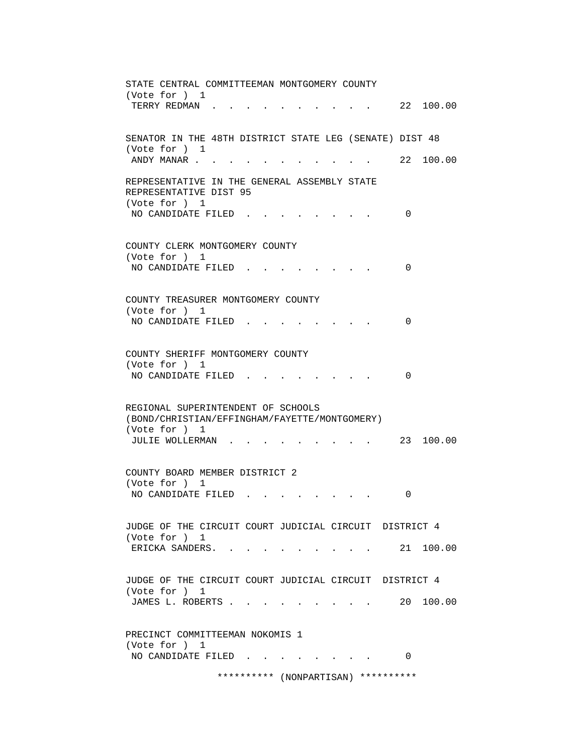| STATE CENTRAL COMMITTEEMAN MONTGOMERY COUNTY                                         |
|--------------------------------------------------------------------------------------|
| (Vote for ) 1<br>22 100.00<br>TERRY REDMAN.                                          |
| SENATOR IN THE 48TH DISTRICT STATE LEG (SENATE) DIST 48                              |
| (Vote for ) 1<br>22 100.00<br>ANDY MANAR                                             |
| REPRESENTATIVE IN THE GENERAL ASSEMBLY STATE<br>REPRESENTATIVE DIST 95               |
| (Vote for ) 1<br>NO CANDIDATE FILED.<br>0                                            |
| COUNTY CLERK MONTGOMERY COUNTY<br>(Vote for ) 1                                      |
| NO CANDIDATE FILED<br>0                                                              |
| COUNTY TREASURER MONTGOMERY COUNTY<br>(Vote for ) 1                                  |
| NO CANDIDATE FILED<br>0                                                              |
| COUNTY SHERIFF MONTGOMERY COUNTY<br>(Vote for ) 1                                    |
| NO CANDIDATE FILED<br>$\Omega$                                                       |
| REGIONAL SUPERINTENDENT OF SCHOOLS<br>(BOND/CHRISTIAN/EFFINGHAM/FAYETTE/MONTGOMERY)  |
| (Vote for ) 1<br>23 100.00<br>JULIE WOLLERMAN                                        |
| COUNTY BOARD MEMBER DISTRICT 2<br>(Vote for ) 1                                      |
| NO CANDIDATE FILED<br>0                                                              |
| JUDGE OF THE CIRCUIT COURT JUDICIAL CIRCUIT DISTRICT 4<br>(Vote for ) 1              |
| 21 100.00<br>ERICKA SANDERS. .                                                       |
| JUDGE OF THE CIRCUIT COURT JUDICIAL CIRCUIT DISTRICT 4<br>(Vote for ) 1              |
| JAMES L. ROBERTS<br>20 100.00<br>and the contract of the contract of the contract of |
| PRECINCT COMMITTEEMAN NOKOMIS 1<br>(Vote for ) 1                                     |
| NO CANDIDATE FILED.<br>0                                                             |
| ********** (NONPARTISAN)<br>**********                                               |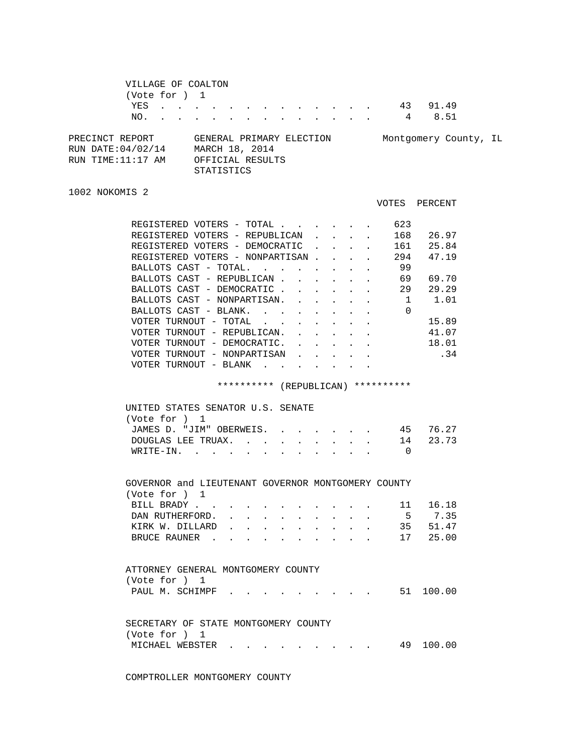|                   | VILLAGE OF COALTON |  |  |                          |  |  |  |  |        |                       |  |
|-------------------|--------------------|--|--|--------------------------|--|--|--|--|--------|-----------------------|--|
|                   | (Vote for ) 1      |  |  |                          |  |  |  |  |        |                       |  |
|                   |                    |  |  |                          |  |  |  |  | YES 43 | 91.49                 |  |
|                   | NO.                |  |  |                          |  |  |  |  | 4      | 8.51                  |  |
| PRECINCT REPORT   |                    |  |  | GENERAL PRIMARY ELECTION |  |  |  |  |        | Montgomery County, IL |  |
| RUN DATE:04/02/14 |                    |  |  | MARCH 18, 2014           |  |  |  |  |        |                       |  |
| RUN TIME:11:17 AM |                    |  |  | OFFICIAL RESULTS         |  |  |  |  |        |                       |  |
|                   |                    |  |  | <b>STATISTICS</b>        |  |  |  |  |        |                       |  |

```
1002 NOKOMIS 2
```

|                                   |  | VOTES | PERCENT |
|-----------------------------------|--|-------|---------|
| REGISTERED VOTERS - TOTAL         |  | 623   |         |
| REGISTERED VOTERS - REPUBLICAN    |  | 168   | 26.97   |
| REGISTERED VOTERS<br>- DEMOCRATIC |  | 161   | 25.84   |
| REGISTERED VOTERS - NONPARTISAN   |  | 294   | 47.19   |
| BALLOTS CAST - TOTAL.             |  | 99    |         |
| BALLOTS CAST - REPUBLICAN         |  | 69    | 69.70   |
| BALLOTS CAST - DEMOCRATIC         |  | 29    | 29.29   |
| BALLOTS CAST - NONPARTISAN.       |  |       | 1.01    |
| BALLOTS CAST - BLANK.             |  | 0     |         |
| VOTER TURNOUT<br>- TOTAL          |  |       | 15.89   |
| - REPUBLICAN.<br>VOTER TURNOUT    |  |       | 41.07   |
| VOTER TURNOUT - DEMOCRATIC.       |  |       | 18.01   |
| VOTER TURNOUT - NONPARTISAN       |  |       | .34     |
| VOTER TURNOUT - BLANK             |  |       |         |
|                                   |  |       |         |

\*\*\*\*\*\*\*\*\*\* (REPUBLICAN) \*\*\*\*\*\*\*\*\*\*

| UNITED STATES SENATOR U.S. SENATE |  |  |  |  |
|-----------------------------------|--|--|--|--|
| (Vote for ) 1                     |  |  |  |  |
| JAMES D. "JIM" OBERWEIS. 45 76.27 |  |  |  |  |
| DOUGLAS LEE TRUAX. 14 23.73       |  |  |  |  |
| WRITE-IN.                         |  |  |  |  |
|                                   |  |  |  |  |

 GOVERNOR and LIEUTENANT GOVERNOR MONTGOMERY COUNTY (Vote for ) 1 BILL BRADY . . . . . . . . . . . 11 16.18 DAN RUTHERFORD. . . . . . . . . . . 5 7.35 KIRK W. DILLARD . . . . . . . . . 35 51.47

|  | BRUCE RAUNER 17 25.00              |  |  |  |  |  |
|--|------------------------------------|--|--|--|--|--|
|  | ATTORNEY GENERAL MONTGOMERY COUNTY |  |  |  |  |  |

 (Vote for ) 1 PAUL M. SCHIMPF . . . . . . . . . . 51 100.00

| SECRETARY OF STATE MONTGOMERY COUNTY |  |  |  |  |  |  |           |
|--------------------------------------|--|--|--|--|--|--|-----------|
| (Vote for ) 1                        |  |  |  |  |  |  |           |
|                                      |  |  |  |  |  |  | 49 100.00 |

COMPTROLLER MONTGOMERY COUNTY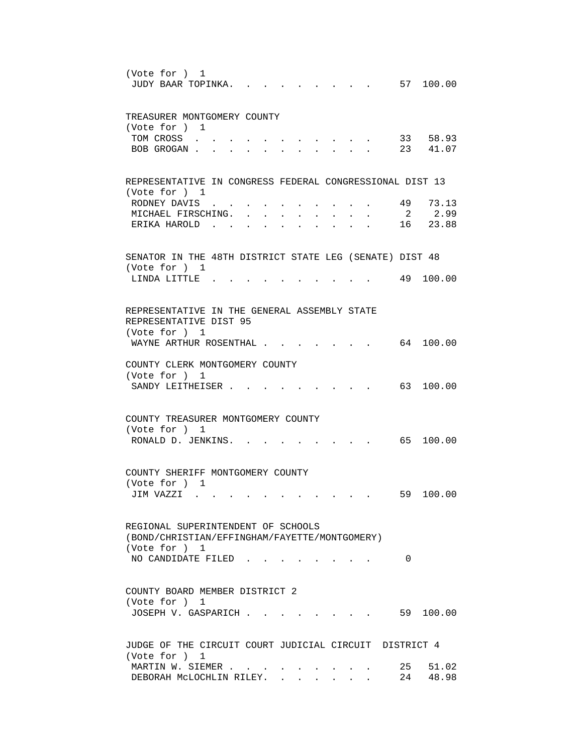| (Vote for ) 1<br>57 100.00<br>JUDY BAAR TOPINKA.                                                         |
|----------------------------------------------------------------------------------------------------------|
| TREASURER MONTGOMERY COUNTY<br>(Vote for ) 1                                                             |
| 33 58.93<br>TOM CROSS<br>23 41.07<br>BOB GROGAN.                                                         |
| REPRESENTATIVE IN CONGRESS FEDERAL CONGRESSIONAL DIST 13                                                 |
| (Vote for ) 1<br>49<br>73.13<br>RODNEY DAVIS<br>2 2.99<br>MICHAEL FIRSCHING.<br>16 23.88<br>ERIKA HAROLD |
| SENATOR IN THE 48TH DISTRICT STATE LEG (SENATE) DIST 48                                                  |
| (Vote for ) 1<br>49 100.00<br>LINDA LITTLE                                                               |
| REPRESENTATIVE IN THE GENERAL ASSEMBLY STATE<br>REPRESENTATIVE DIST 95                                   |
| (Vote for ) 1<br>WAYNE ARTHUR ROSENTHAL .<br>64 100.00                                                   |
| COUNTY CLERK MONTGOMERY COUNTY<br>(Vote for ) 1<br>63 100.00<br>SANDY LEITHEISER.                        |
| COUNTY TREASURER MONTGOMERY COUNTY                                                                       |
| (Vote for ) 1<br>RONALD D. JENKINS. .<br>65 100.00                                                       |
| COUNTY SHERIFF MONTGOMERY COUNTY<br>(Vote for ) 1                                                        |
| 59 100.00<br>JIM VAZZI                                                                                   |
| REGIONAL SUPERINTENDENT OF SCHOOLS<br>(BOND/CHRISTIAN/EFFINGHAM/FAYETTE/MONTGOMERY)<br>(Vote for ) 1     |
| NO CANDIDATE FILED<br>0                                                                                  |
| COUNTY BOARD MEMBER DISTRICT 2<br>(Vote for ) 1<br>59 100.00<br>JOSEPH V. GASPARICH                      |
| JUDGE OF THE CIRCUIT COURT JUDICIAL CIRCUIT DISTRICT 4<br>(Vote for ) 1                                  |
| MARTIN W. SIEMER<br>25 51.02<br>24 48.98<br>DEBORAH MCLOCHLIN RILEY.                                     |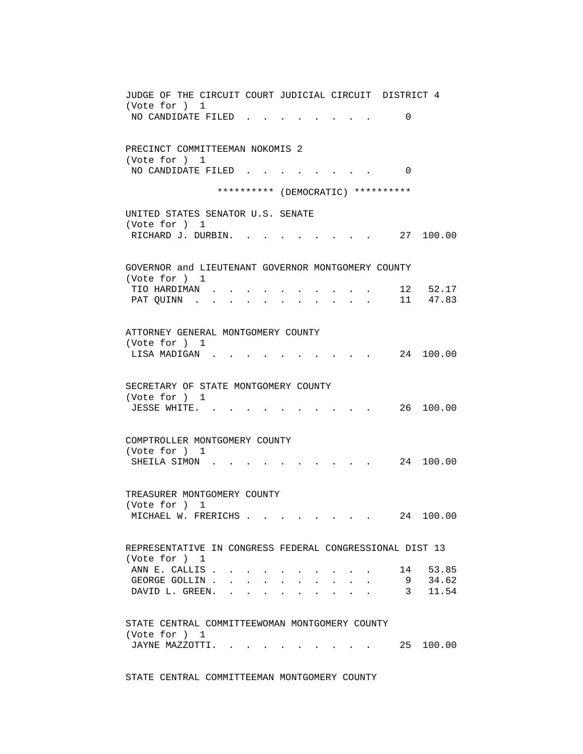| JUDGE OF THE CIRCUIT COURT JUDICIAL CIRCUIT DISTRICT 4                                                                                          |
|-------------------------------------------------------------------------------------------------------------------------------------------------|
| (Vote for ) 1                                                                                                                                   |
| NO CANDIDATE FILED<br>0                                                                                                                         |
|                                                                                                                                                 |
| PRECINCT COMMITTEEMAN NOKOMIS 2                                                                                                                 |
| (Vote for ) 1                                                                                                                                   |
| NO CANDIDATE FILED<br>$\Omega$                                                                                                                  |
|                                                                                                                                                 |
| ********** (DEMOCRATIC) **********                                                                                                              |
|                                                                                                                                                 |
| UNITED STATES SENATOR U.S. SENATE<br>(Vote for ) 1                                                                                              |
| RICHARD J. DURBIN.<br>27 100.00                                                                                                                 |
|                                                                                                                                                 |
|                                                                                                                                                 |
| GOVERNOR and LIEUTENANT GOVERNOR MONTGOMERY COUNTY                                                                                              |
| (Vote for ) 1                                                                                                                                   |
| 12 52.17<br>TIO HARDIMAN.                                                                                                                       |
| 11 47.83<br>PAT QUINN<br>$\mathbf{r} = \mathbf{r} + \mathbf{r} + \mathbf{r} + \mathbf{r} + \mathbf{r}$                                          |
|                                                                                                                                                 |
| ATTORNEY GENERAL MONTGOMERY COUNTY                                                                                                              |
| (Vote for ) 1                                                                                                                                   |
| 24 100.00<br>LISA MADIGAN.                                                                                                                      |
|                                                                                                                                                 |
|                                                                                                                                                 |
| SECRETARY OF STATE MONTGOMERY COUNTY                                                                                                            |
| (Vote for ) 1                                                                                                                                   |
| 26 100.00<br>JESSE WHITE                                                                                                                        |
|                                                                                                                                                 |
| COMPTROLLER MONTGOMERY COUNTY                                                                                                                   |
| (Vote for ) 1                                                                                                                                   |
| 24 100.00<br>SHEILA SIMON.                                                                                                                      |
|                                                                                                                                                 |
|                                                                                                                                                 |
| TREASURER MONTGOMERY COUNTY                                                                                                                     |
| (Vote for ) 1                                                                                                                                   |
| 100.00<br>MICHAEL W. FRERICHS<br>24                                                                                                             |
|                                                                                                                                                 |
| REPRESENTATIVE IN CONGRESS FEDERAL CONGRESSIONAL DIST 13                                                                                        |
| (Vote for ) 1                                                                                                                                   |
| ANN E. CALLIS.<br>14 53.85<br>$\ddot{\phantom{0}}$                                                                                              |
| 9 34.62<br>GEORGE GOLLIN.<br>$\mathbf{r}$ , $\mathbf{r}$ , $\mathbf{r}$<br>$\sim$                                                               |
| 3 11.54<br>DAVID L. GREEN.<br>$\mathbf{r}$ , $\mathbf{r}$ , $\mathbf{r}$ , $\mathbf{r}$                                                         |
|                                                                                                                                                 |
|                                                                                                                                                 |
| STATE CENTRAL COMMITTEEWOMAN MONTGOMERY COUNTY                                                                                                  |
| (Vote for ) 1                                                                                                                                   |
| JAYNE MAZZOTTI.<br>25 100.00<br>the contract of the contract of the contract of the contract of the contract of the contract of the contract of |
|                                                                                                                                                 |

STATE CENTRAL COMMITTEEMAN MONTGOMERY COUNTY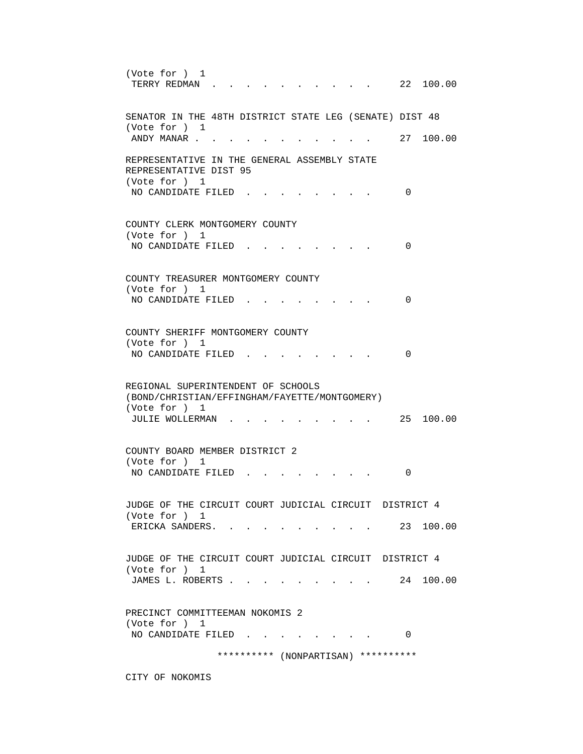(Vote for ) 1 TERRY REDMAN . . . . . . . . . . 22 100.00 SENATOR IN THE 48TH DISTRICT STATE LEG (SENATE) DIST 48 (Vote for ) 1 ANDY MANAR . . . . . . . . . . . . 27 100.00 REPRESENTATIVE IN THE GENERAL ASSEMBLY STATE REPRESENTATIVE DIST 95 (Vote for ) 1 NO CANDIDATE FILED . . . . . . . . 0 COUNTY CLERK MONTGOMERY COUNTY (Vote for ) 1 NO CANDIDATE FILED . . . . . . . . 0 COUNTY TREASURER MONTGOMERY COUNTY (Vote for ) 1 NO CANDIDATE FILED . . . . . . . . 0 COUNTY SHERIFF MONTGOMERY COUNTY (Vote for ) 1 NO CANDIDATE FILED . . . . . . . . 0 REGIONAL SUPERINTENDENT OF SCHOOLS (BOND/CHRISTIAN/EFFINGHAM/FAYETTE/MONTGOMERY) (Vote for ) 1 JULIE WOLLERMAN . . . . . . . . . 25 100.00 COUNTY BOARD MEMBER DISTRICT 2 (Vote for ) 1 NO CANDIDATE FILED . . . . . . . . 0 JUDGE OF THE CIRCUIT COURT JUDICIAL CIRCUIT DISTRICT 4 (Vote for ) 1 ERICKA SANDERS. . . . . . . . . . 23 100.00 JUDGE OF THE CIRCUIT COURT JUDICIAL CIRCUIT DISTRICT 4 (Vote for ) 1 JAMES L. ROBERTS . . . . . . . . . 24 100.00 PRECINCT COMMITTEEMAN NOKOMIS 2 (Vote for ) 1 NO CANDIDATE FILED . . . . . . . . 0 \*\*\*\*\*\*\*\*\*\* (NONPARTISAN) \*\*\*\*\*\*\*\*\*\*

CITY OF NOKOMIS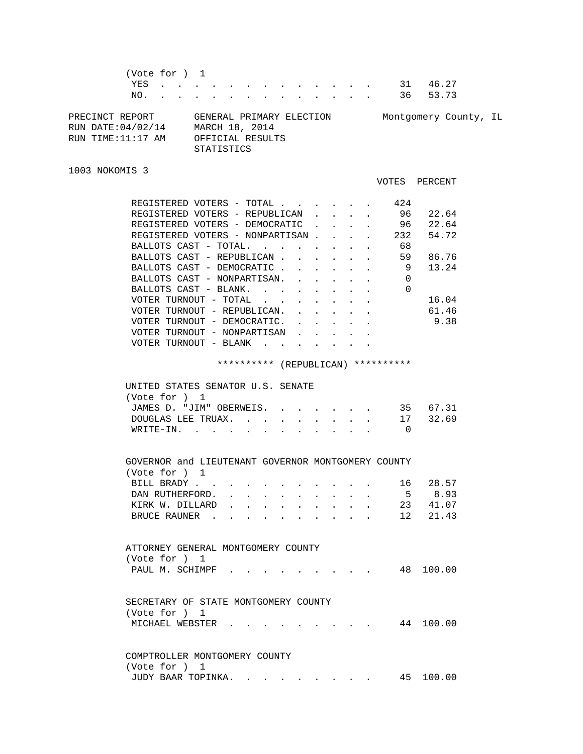(Vote for ) 1 YES . . . . . . . . . . . . . 31 46.27 NO. . . . . . . . . . . . . . 36 53.73 PRECINCT REPORT GENERAL PRIMARY ELECTION Montgomery County, IL RUN DATE:04/02/14 MARCH 18, 2014 RUN TIME:11:17 AM OFFICIAL RESULTS STATISTICS 1003 NOKOMIS 3 VOTES PERCENT REGISTERED VOTERS - TOTAL . . . . . . 424 REGISTERED VOTERS - REPUBLICAN . . . . 96 22.64 REGISTERED VOTERS - DEMOCRATIC . . . . 96 22.64 REGISTERED VOTERS - NONPARTISAN . . . . 232 54.72 BALLOTS CAST - TOTAL. . . . . . . . 68 BALLOTS CAST - TOTAL. . . . . . . . 68<br>BALLOTS CAST - REPUBLICAN . . . . . . 59 86.76 BALLOTS CAST - DEMOCRATIC . . . . . . 9 13.24 BALLOTS CAST - NONPARTISAN. . . . . . 0 BALLOTS CAST - BLANK. . . . . . . . 0 VOTER TURNOUT - TOTAL . . . . . . . . 16.04 VOTER TURNOUT - REPUBLICAN. . . . . . 61.46 VOTER TURNOUT - DEMOCRATIC. . . . . . 9.38 VOTER TURNOUT - NONPARTISAN . . . . . VOTER TURNOUT - BLANK . . . . . .

\*\*\*\*\*\*\*\*\*\* (REPUBLICAN) \*\*\*\*\*\*\*\*\*\*

| UNITED STATES SENATOR U.S. SENATE |  |  |  |
|-----------------------------------|--|--|--|
| (Vote for ) 1                     |  |  |  |
| JAMES D. "JIM" OBERWEIS. 35 67.31 |  |  |  |
| DOUGLAS LEE TRUAX. 17 32.69       |  |  |  |
| WRITE-IN.                         |  |  |  |

| GOVERNOR and LIEUTENANT GOVERNOR MONTGOMERY COUNTY |  |  |  |  |  |          |
|----------------------------------------------------|--|--|--|--|--|----------|
| (Vote for ) 1                                      |  |  |  |  |  |          |
| BILL BRADY 16 28.57                                |  |  |  |  |  |          |
| DAN RUTHERFORD.                                    |  |  |  |  |  | 5 8.93   |
| KIRK W. DILLARD                                    |  |  |  |  |  | 23 41.07 |
| BRUCE RAUNER 12 21.43                              |  |  |  |  |  |          |

| ATTORNEY GENERAL MONTGOMERY COUNTY |  |  |  |  |  |           |
|------------------------------------|--|--|--|--|--|-----------|
| (Vote for ) 1                      |  |  |  |  |  |           |
| PAUL M. SCHIMPF                    |  |  |  |  |  | 48 100.00 |

| SECRETARY OF STATE MONTGOMERY COUNTY |  |  |  |  |           |
|--------------------------------------|--|--|--|--|-----------|
| (Vote for ) 1                        |  |  |  |  |           |
| MICHAEL WEBSTER                      |  |  |  |  | 44 100.00 |

 COMPTROLLER MONTGOMERY COUNTY (Vote for ) 1 JUDY BAAR TOPINKA. . . . . . . . . 45 100.00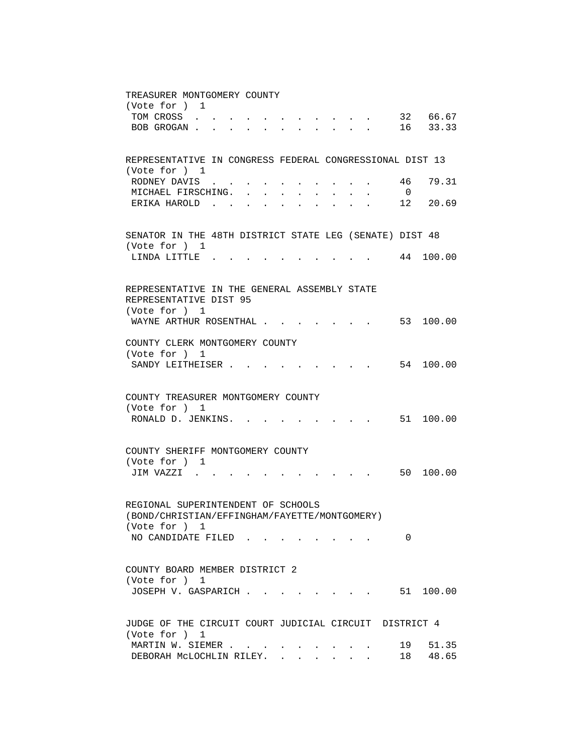| TREASURER MONTGOMERY COUNTY                                                                                                                                                                                      |
|------------------------------------------------------------------------------------------------------------------------------------------------------------------------------------------------------------------|
| (Vote for ) 1<br>32 66.67                                                                                                                                                                                        |
| TOM CROSS<br><b>Provident Control</b> Control Control Control<br>BOB GROGAN 16 33.33                                                                                                                             |
|                                                                                                                                                                                                                  |
|                                                                                                                                                                                                                  |
| REPRESENTATIVE IN CONGRESS FEDERAL CONGRESSIONAL DIST 13                                                                                                                                                         |
| (Vote for ) 1                                                                                                                                                                                                    |
| RODNEY DAVIS<br>46<br>79.31<br>$\sim$<br>$\overline{0}$<br>MICHAEL FIRSCHING.<br>$\sim$ $\sim$<br>$\mathbf{L}^{\text{max}}$ , and $\mathbf{L}^{\text{max}}$<br>$\mathbf{r} = \mathbf{r}$<br>$\ddot{\phantom{a}}$ |
| ERIKA HAROLD<br>12<br>20.69                                                                                                                                                                                      |
|                                                                                                                                                                                                                  |
|                                                                                                                                                                                                                  |
| SENATOR IN THE 48TH DISTRICT STATE LEG (SENATE) DIST 48                                                                                                                                                          |
| (Vote for ) 1<br>44 100.00<br>LINDA LITTLE.                                                                                                                                                                      |
|                                                                                                                                                                                                                  |
|                                                                                                                                                                                                                  |
| REPRESENTATIVE IN THE GENERAL ASSEMBLY STATE                                                                                                                                                                     |
| REPRESENTATIVE DIST 95                                                                                                                                                                                           |
| (Vote for ) 1<br>WAYNE ARTHUR ROSENTHAL<br>53 100.00                                                                                                                                                             |
|                                                                                                                                                                                                                  |
| COUNTY CLERK MONTGOMERY COUNTY                                                                                                                                                                                   |
| (Vote for ) 1                                                                                                                                                                                                    |
| 54 100.00<br>SANDY LEITHEISER.                                                                                                                                                                                   |
|                                                                                                                                                                                                                  |
| COUNTY TREASURER MONTGOMERY COUNTY                                                                                                                                                                               |
| (Vote for ) 1                                                                                                                                                                                                    |
| RONALD D. JENKINS. .<br>$\cdot$ , , , , 51 100.00                                                                                                                                                                |
|                                                                                                                                                                                                                  |
|                                                                                                                                                                                                                  |
| COUNTY SHERIFF MONTGOMERY COUNTY<br>(Vote for ) 1                                                                                                                                                                |
| 50 100.00<br>JIM VAZZI.                                                                                                                                                                                          |
|                                                                                                                                                                                                                  |
|                                                                                                                                                                                                                  |
| REGIONAL SUPERINTENDENT OF SCHOOLS                                                                                                                                                                               |
| (BOND/CHRISTIAN/EFFINGHAM/FAYETTE/MONTGOMERY)                                                                                                                                                                    |
| (Vote for ) 1<br>NO CANDIDATE FILED<br>0                                                                                                                                                                         |
|                                                                                                                                                                                                                  |
|                                                                                                                                                                                                                  |
| COUNTY BOARD MEMBER DISTRICT 2                                                                                                                                                                                   |
| (Vote for ) 1                                                                                                                                                                                                    |
| 51 100.00<br>JOSEPH V. GASPARICH<br>$\mathbf{r}$ , $\mathbf{r}$ , $\mathbf{r}$ , $\mathbf{r}$ , $\mathbf{r}$                                                                                                     |
|                                                                                                                                                                                                                  |
| JUDGE OF THE CIRCUIT COURT JUDICIAL CIRCUIT DISTRICT 4                                                                                                                                                           |
| (Vote for ) 1                                                                                                                                                                                                    |
| MARTIN W. SIEMER<br>19<br>51.35                                                                                                                                                                                  |
| 48.65<br>DEBORAH MCLOCHLIN RILEY.<br>18<br>$\mathbf{r}$                                                                                                                                                          |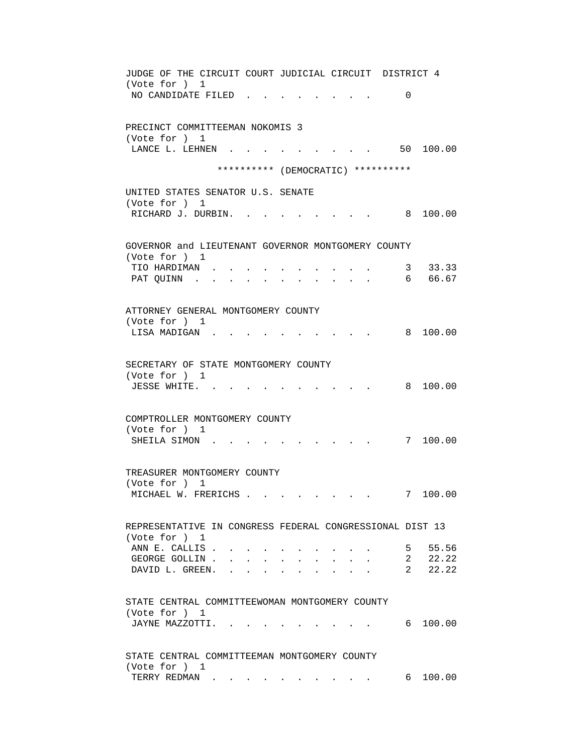JUDGE OF THE CIRCUIT COURT JUDICIAL CIRCUIT DISTRICT 4 (Vote for ) 1 NO CANDIDATE FILED . . . . . . . . 0 PRECINCT COMMITTEEMAN NOKOMIS 3 (Vote for ) 1 LANCE L. LEHNEN . . . . . . . . . . 50 100.00 \*\*\*\*\*\*\*\*\*\* (DEMOCRATIC) \*\*\*\*\*\*\*\*\*\* UNITED STATES SENATOR U.S. SENATE (Vote for ) 1 RICHARD J. DURBIN. . . . . . . . . . 8 100.00 GOVERNOR and LIEUTENANT GOVERNOR MONTGOMERY COUNTY (Vote for ) 1 TIO HARDIMAN . . . . . . . . . . 3 33.33 PAT QUINN . . . . . . . . . . . . 6 66.67 ATTORNEY GENERAL MONTGOMERY COUNTY (Vote for ) 1 LISA MADIGAN . . . . . . . . . . . 8 100.00 SECRETARY OF STATE MONTGOMERY COUNTY (Vote for ) 1 JESSE WHITE. . . . . . . . . . . 8 100.00 COMPTROLLER MONTGOMERY COUNTY (Vote for ) 1 SHEILA SIMON . . . . . . . . . . . 7 100.00 TREASURER MONTGOMERY COUNTY (Vote for ) 1 MICHAEL W. FRERICHS . . . . . . . . 7 100.00 REPRESENTATIVE IN CONGRESS FEDERAL CONGRESSIONAL DIST 13 (Vote for ) 1 ANN E. CALLIS . . . . . . . . . . . 5 55.56 GEORGE GOLLIN . . . . . . . . . . . 2 22.22 DAVID L. GREEN. . . . . . . . . . 2 22.22 STATE CENTRAL COMMITTEEWOMAN MONTGOMERY COUNTY (Vote for ) 1 JAYNE MAZZOTTI. . . . . . . . . . . 6 100.00 STATE CENTRAL COMMITTEEMAN MONTGOMERY COUNTY (Vote for ) 1 TERRY REDMAN . . . . . . . . . . . 6 100.00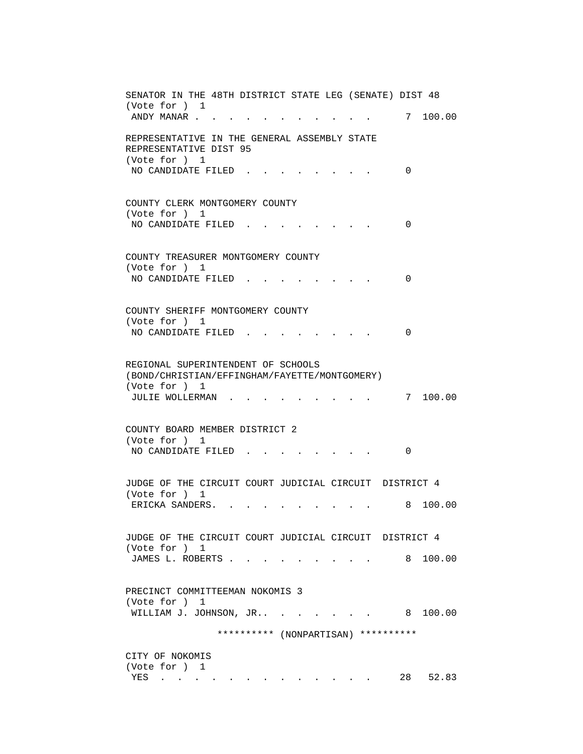SENATOR IN THE 48TH DISTRICT STATE LEG (SENATE) DIST 48 (Vote for ) 1 ANDY MANAR . . . . . . . . . . . . 7 100.00 REPRESENTATIVE IN THE GENERAL ASSEMBLY STATE REPRESENTATIVE DIST 95 (Vote for ) 1 NO CANDIDATE FILED . . . . . . . . 0 COUNTY CLERK MONTGOMERY COUNTY (Vote for ) 1 NO CANDIDATE FILED . . . . . . . . 0 COUNTY TREASURER MONTGOMERY COUNTY (Vote for ) 1 NO CANDIDATE FILED . . . . . . . . 0 COUNTY SHERIFF MONTGOMERY COUNTY (Vote for ) 1 NO CANDIDATE FILED . . . . . . . . 0 REGIONAL SUPERINTENDENT OF SCHOOLS (BOND/CHRISTIAN/EFFINGHAM/FAYETTE/MONTGOMERY) (Vote for ) 1 JULIE WOLLERMAN . . . . . . . . . 7 100.00 COUNTY BOARD MEMBER DISTRICT 2 (Vote for ) 1 NO CANDIDATE FILED . . . . . . . . 0 JUDGE OF THE CIRCUIT COURT JUDICIAL CIRCUIT DISTRICT 4 (Vote for ) 1 ERICKA SANDERS. . . . . . . . . . 8 100.00 JUDGE OF THE CIRCUIT COURT JUDICIAL CIRCUIT DISTRICT 4 (Vote for ) 1 JAMES L. ROBERTS . . . . . . . . . . 8 100.00 PRECINCT COMMITTEEMAN NOKOMIS 3 (Vote for ) 1 WILLIAM J. JOHNSON, JR.. . . . . . . 8 100.00 \*\*\*\*\*\*\*\*\*\* (NONPARTISAN) \*\*\*\*\*\*\*\*\*\* CITY OF NOKOMIS (Vote for ) 1 YES . . . . . . . . . . . . . 28 52.83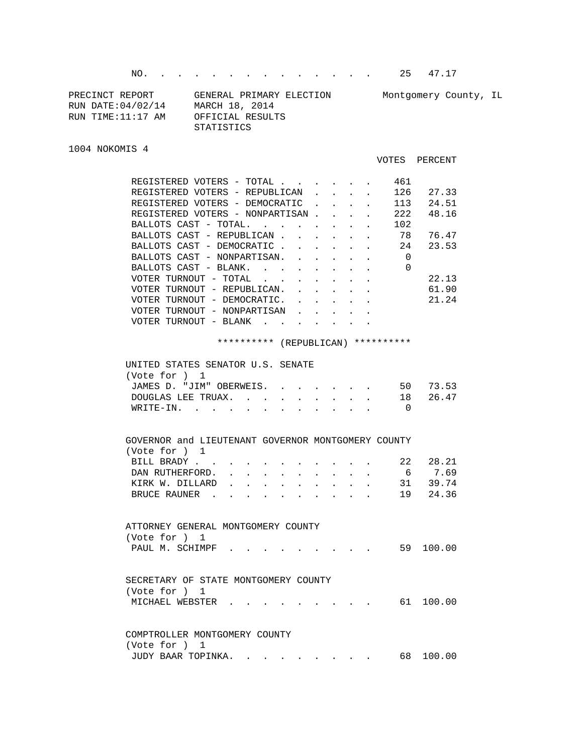NO. . . . . . . . . . . . . . 25 47.17

| PRECINCT REPORT    | GENERAL PRIMARY ELECTION | Montgomery County, IL |
|--------------------|--------------------------|-----------------------|
| RUN DATE: 04/02/14 | MARCH 18, 2014           |                       |
| RUN TIME:11:17 AM  | OFFICIAL RESULTS         |                       |
|                    | STATISTICS               |                       |

1004 NOKOMIS 4

```
 VOTES PERCENT
```

| REGISTERED VOTERS - TOTAL       |                                     |       |  |  |  | 461 |       |
|---------------------------------|-------------------------------------|-------|--|--|--|-----|-------|
| REGISTERED VOTERS - REPUBLICAN  |                                     |       |  |  |  | 126 | 27.33 |
| REGISTERED VOTERS - DEMOCRATIC  |                                     |       |  |  |  | 113 | 24.51 |
| REGISTERED VOTERS - NONPARTISAN |                                     |       |  |  |  | 222 | 48.16 |
| BALLOTS CAST - TOTAL.           |                                     |       |  |  |  | 102 |       |
| BALLOTS CAST - REPUBLICAN       |                                     |       |  |  |  | 78  | 76.47 |
| BALLOTS CAST - DEMOCRATIC       |                                     |       |  |  |  | 24  | 23.53 |
| BALLOTS CAST - NONPARTISAN.     |                                     |       |  |  |  | 0   |       |
| BALLOTS CAST - BLANK.           |                                     |       |  |  |  | 0   |       |
| VOTER TURNOUT - TOTAL           |                                     |       |  |  |  |     | 22.13 |
| VOTER TURNOUT - REPUBLICAN.     |                                     |       |  |  |  |     | 61.90 |
| VOTER TURNOUT - DEMOCRATIC.     |                                     |       |  |  |  |     | 21.24 |
| VOTER TURNOUT - NONPARTISAN     |                                     |       |  |  |  |     |       |
| VOTER                           | TURNOUT<br>$\overline{\phantom{m}}$ | BLANK |  |  |  |     |       |
|                                 |                                     |       |  |  |  |     |       |

\*\*\*\*\*\*\*\*\*\* (REPUBLICAN) \*\*\*\*\*\*\*\*\*\*

| UNITED STATES SENATOR U.S. SENATE<br>(Vote for $1$ |          |
|----------------------------------------------------|----------|
|                                                    |          |
| JAMES D. "JIM" OBERWEIS.                           | 50 73.53 |
| DOUGLAS LEE TRUAX. 18 26.47                        |          |
| WRITE-IN.                                          |          |
|                                                    |          |

|                                      | GOVERNOR and LIEUTENANT GOVERNOR MONTGOMERY COUNTY |  |  |  |  |  |    |        |
|--------------------------------------|----------------------------------------------------|--|--|--|--|--|----|--------|
| (Vote for )                          | $\mathbf{1}$                                       |  |  |  |  |  |    |        |
| BILL BRADY.                          |                                                    |  |  |  |  |  | 22 | 28.21  |
| DAN RUTHERFORD.                      |                                                    |  |  |  |  |  | 6  | 7.69   |
| KIRK W. DILLARD                      |                                                    |  |  |  |  |  | 31 | 39.74  |
| BRUCE RAUNER                         | $\sim$ $\sim$                                      |  |  |  |  |  | 19 | 24.36  |
|                                      |                                                    |  |  |  |  |  |    |        |
|                                      |                                                    |  |  |  |  |  |    |        |
| ATTORNEY GENERAL MONTGOMERY COUNTY   |                                                    |  |  |  |  |  |    |        |
| (Vote for ) 1                        |                                                    |  |  |  |  |  |    |        |
| PAUL M. SCHIMPF                      |                                                    |  |  |  |  |  | 59 | 100.00 |
|                                      |                                                    |  |  |  |  |  |    |        |
|                                      |                                                    |  |  |  |  |  |    |        |
| SECRETARY OF STATE MONTGOMERY COUNTY |                                                    |  |  |  |  |  |    |        |
| (Vote for )                          | $\mathbf{1}$                                       |  |  |  |  |  |    |        |
| MICHAEL WEBSTER                      |                                                    |  |  |  |  |  | 61 | 100.00 |

|               | COMPTROLLER MONTGOMERY COUNTY |  |  |  |  |           |
|---------------|-------------------------------|--|--|--|--|-----------|
| (Vote for ) 1 |                               |  |  |  |  |           |
|               | JUDY BAAR TOPINKA.            |  |  |  |  | 68 100.00 |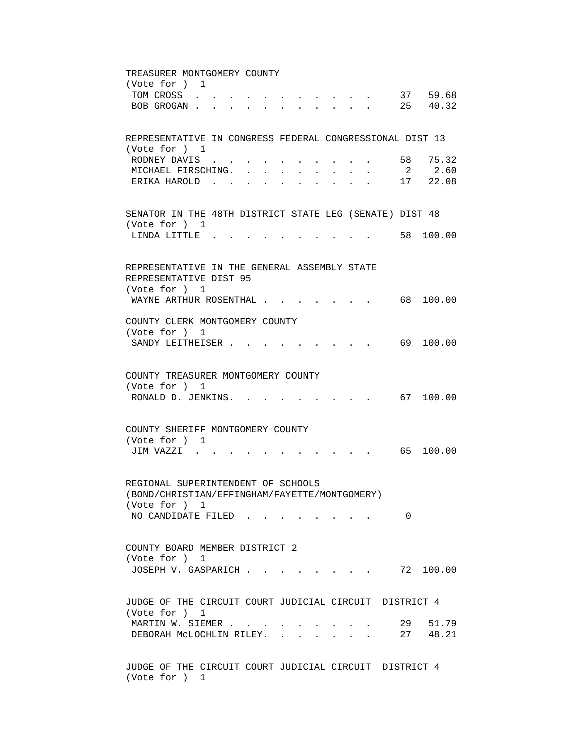TREASURER MONTGOMERY COUNTY (Vote for ) 1 TOM CROSS . . . . . . . . . . . . 37 59.68 BOB GROGAN . . . . . . . . . . . 25 40.32 REPRESENTATIVE IN CONGRESS FEDERAL CONGRESSIONAL DIST 13 (Vote for ) 1 RODNEY DAVIS . . . . . . . . . . . 58 75.32 MICHAEL FIRSCHING. . . . . . . . . 2 2.60 ERIKA HAROLD . . . . . . . . . . 17 22.08 SENATOR IN THE 48TH DISTRICT STATE LEG (SENATE) DIST 48 (Vote for ) 1 LINDA LITTLE . . . . . . . . . . 58 100.00 REPRESENTATIVE IN THE GENERAL ASSEMBLY STATE REPRESENTATIVE DIST 95 (Vote for ) 1 WAYNE ARTHUR ROSENTHAL . . . . . . . 68 100.00 COUNTY CLERK MONTGOMERY COUNTY (Vote for ) 1 SANDY LEITHEISER . . . . . . . . . . 69 100.00 COUNTY TREASURER MONTGOMERY COUNTY (Vote for ) 1 RONALD D. JENKINS. . . . . . . . . . 67 100.00 COUNTY SHERIFF MONTGOMERY COUNTY (Vote for ) 1 JIM VAZZI . . . . . . . . . . . 65 100.00 REGIONAL SUPERINTENDENT OF SCHOOLS (BOND/CHRISTIAN/EFFINGHAM/FAYETTE/MONTGOMERY) (Vote for ) 1 NO CANDIDATE FILED . . . . . . . . 0 COUNTY BOARD MEMBER DISTRICT 2 (Vote for ) 1 JOSEPH V. GASPARICH . . . . . . . . 72 100.00 JUDGE OF THE CIRCUIT COURT JUDICIAL CIRCUIT DISTRICT 4 (Vote for ) 1 MARTIN W. SIEMER . . . . . . . . . . 29 51.79 DEBORAH MCLOCHLIN RILEY. . . . . . . 27 48.21 JUDGE OF THE CIRCUIT COURT JUDICIAL CIRCUIT DISTRICT 4

(Vote for ) 1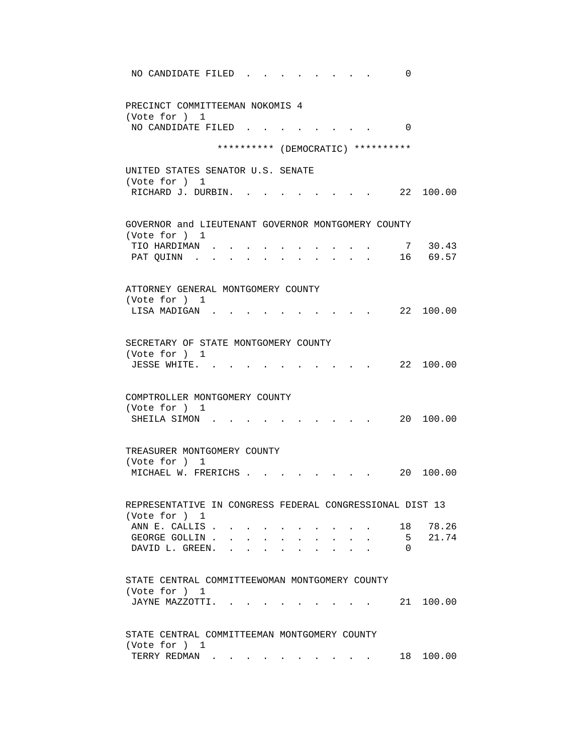| NO CANDIDATE FILED<br>0                                                   |
|---------------------------------------------------------------------------|
| PRECINCT COMMITTEEMAN NOKOMIS 4<br>(Vote for ) 1                          |
| NO CANDIDATE FILED.<br>$\Omega$                                           |
| ********** (DEMOCRATIC) **********                                        |
| UNITED STATES SENATOR U.S. SENATE                                         |
| (Vote for ) 1<br>22 100.00<br>RICHARD J. DURBIN.                          |
| GOVERNOR and LIEUTENANT GOVERNOR MONTGOMERY COUNTY                        |
| (Vote for ) 1<br>7 30.43<br>TIO HARDIMAN                                  |
| 16 69.57<br>PAT QUINN .                                                   |
| ATTORNEY GENERAL MONTGOMERY COUNTY                                        |
| (Vote for ) 1                                                             |
| 22 100.00<br>LISA MADIGAN.                                                |
| SECRETARY OF STATE MONTGOMERY COUNTY                                      |
| (Vote for ) 1<br>22 100.00<br>JESSE WHITE.                                |
|                                                                           |
| COMPTROLLER MONTGOMERY COUNTY                                             |
| (Vote for ) 1<br>20 100.00<br>SHEILA SIMON.                               |
|                                                                           |
| TREASURER MONTGOMERY COUNTY                                               |
| (Vote for ) 1<br>MICHAEL W. FRERICHS .<br>20<br>100.00                    |
|                                                                           |
| REPRESENTATIVE IN CONGRESS FEDERAL CONGRESSIONAL DIST 13<br>(Vote for ) 1 |
| ANN E. CALLIS.<br>78.26<br>18                                             |
| 5 <sub>1</sub><br>21.74<br>GEORGE GOLLIN.<br>DAVID L. GREEN.<br>0         |
|                                                                           |
| STATE CENTRAL COMMITTEEWOMAN MONTGOMERY COUNTY                            |
| (Vote for ) 1<br>JAYNE MAZZOTTI.<br>100.00<br>21<br>$\cdot$ .             |
|                                                                           |
| STATE CENTRAL COMMITTEEMAN MONTGOMERY COUNTY                              |
| (Vote for ) 1<br>TERRY REDMAN<br>18 100.00                                |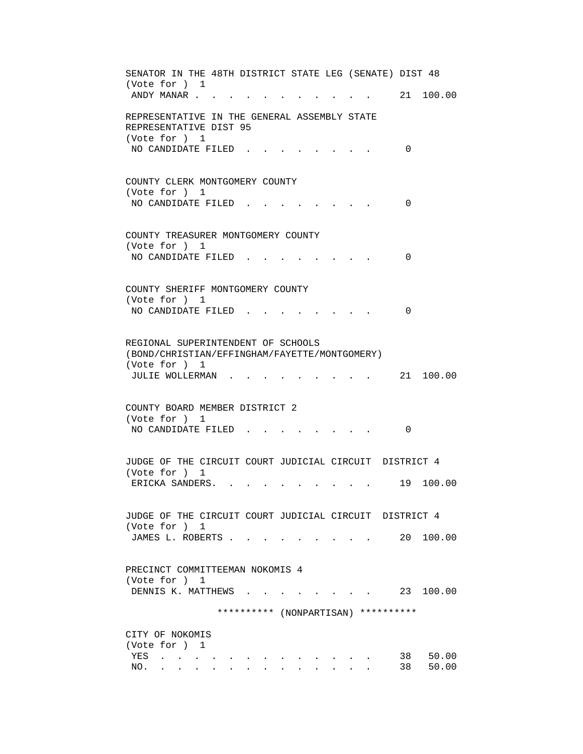SENATOR IN THE 48TH DISTRICT STATE LEG (SENATE) DIST 48 (Vote for ) 1 ANDY MANAR . . . . . . . . . . . . 21 100.00 REPRESENTATIVE IN THE GENERAL ASSEMBLY STATE REPRESENTATIVE DIST 95 (Vote for ) 1 NO CANDIDATE FILED . . . . . . . . 0 COUNTY CLERK MONTGOMERY COUNTY (Vote for ) 1 NO CANDIDATE FILED . . . . . . . . 0 COUNTY TREASURER MONTGOMERY COUNTY (Vote for ) 1 NO CANDIDATE FILED . . . . . . . . 0 COUNTY SHERIFF MONTGOMERY COUNTY (Vote for ) 1 NO CANDIDATE FILED . . . . . . . . 0 REGIONAL SUPERINTENDENT OF SCHOOLS (BOND/CHRISTIAN/EFFINGHAM/FAYETTE/MONTGOMERY) (Vote for ) 1 JULIE WOLLERMAN . . . . . . . . . 21 100.00 COUNTY BOARD MEMBER DISTRICT 2 (Vote for ) 1 NO CANDIDATE FILED . . . . . . . . 0 JUDGE OF THE CIRCUIT COURT JUDICIAL CIRCUIT DISTRICT 4 (Vote for ) 1 ERICKA SANDERS. . . . . . . . . . 19 100.00 JUDGE OF THE CIRCUIT COURT JUDICIAL CIRCUIT DISTRICT 4 (Vote for ) 1 JAMES L. ROBERTS . . . . . . . . . 20 100.00 PRECINCT COMMITTEEMAN NOKOMIS 4 (Vote for ) 1 DENNIS K. MATTHEWS . . . . . . . . 23 100.00 \*\*\*\*\*\*\*\*\*\* (NONPARTISAN) \*\*\*\*\*\*\*\*\*\* CITY OF NOKOMIS (Vote for ) 1 YES . . . . . . . . . . . . . 38 50.00 NO. . . . . . . . . . . . . . 38 50.00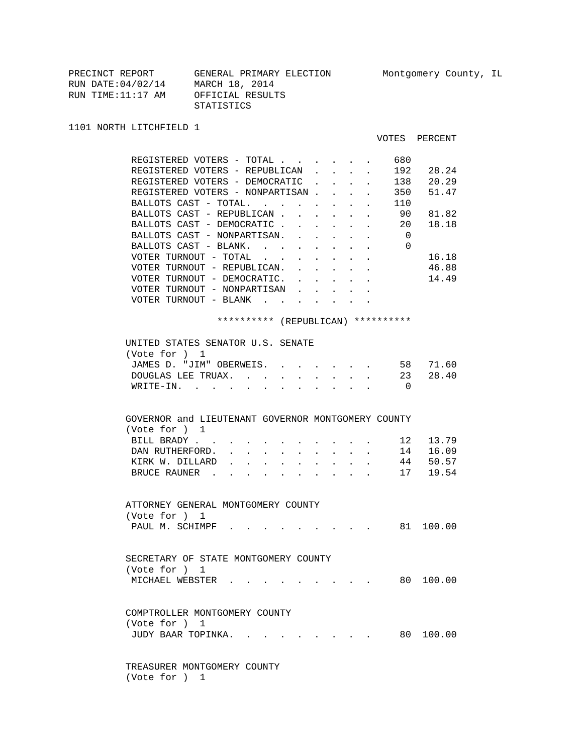| PRECINCT REPORT    | GENERAL PRIMARY ELECTION |
|--------------------|--------------------------|
| RUN DATE: 04/02/14 | MARCH 18, 2014           |
| RUN TIME:11:17 AM  | OFFICIAL RESULTS         |
|                    | STATISTICS               |

1101 NORTH LITCHFIELD 1

## VOTES PERCENT

| REGISTERED VOTERS - TOTAL<br>680                                                                                                                                                  |           |
|-----------------------------------------------------------------------------------------------------------------------------------------------------------------------------------|-----------|
| 192<br>REGISTERED VOTERS - REPUBLICAN<br>$\mathbf{L}$<br>$\sim$<br>$\mathbf{L}^{\text{max}}$                                                                                      | 28.24     |
| $\cdot$ $\cdot$ $\cdot$ 138<br>REGISTERED VOTERS - DEMOCRATIC<br>$\mathbf{L}$                                                                                                     | 20.29     |
| REGISTERED VOTERS - NONPARTISAN<br>350                                                                                                                                            | 51.47     |
| BALLOTS CAST - TOTAL.<br>110                                                                                                                                                      |           |
| BALLOTS CAST - REPUBLICAN.<br>90<br>$\mathbf{r} = \mathbf{r} \cdot \mathbf{r}$ , where $\mathbf{r} = \mathbf{r} \cdot \mathbf{r}$                                                 | 81.82     |
| BALLOTS CAST - DEMOCRATIC<br>20<br><b>All Contracts</b>                                                                                                                           | 18.18     |
| BALLOTS CAST - NONPARTISAN. .<br>$\overline{0}$                                                                                                                                   |           |
| BALLOTS CAST - BLANK.<br>$\Omega$                                                                                                                                                 |           |
| VOTER TURNOUT - TOTAL                                                                                                                                                             | 16.18     |
| VOTER TURNOUT - REPUBLICAN.<br>$\mathbf{r} = \mathbf{r}$<br>$\sim$<br>$\sim$                                                                                                      | 46.88     |
| VOTER TURNOUT - DEMOCRATIC.<br>2.7222<br>$\sim$<br>$\mathbf{L} = \mathbf{L}$                                                                                                      | 14.49     |
| VOTER TURNOUT - NONPARTISAN                                                                                                                                                       |           |
| VOTER TURNOUT - BLANK $\cdot \cdot \cdot \cdot \cdot \cdot \cdot$                                                                                                                 |           |
|                                                                                                                                                                                   |           |
| ********** (REPUBLICAN) **********                                                                                                                                                |           |
|                                                                                                                                                                                   |           |
| UNITED STATES SENATOR U.S. SENATE                                                                                                                                                 |           |
| (Vote for ) 1                                                                                                                                                                     |           |
| JAMES D. "JIM" OBERWEIS.                                                                                                                                                          | 58 71.60  |
| DOUGLAS LEE TRUAX. 23                                                                                                                                                             | 28.40     |
| WRITE-IN.<br>$\overline{0}$                                                                                                                                                       |           |
|                                                                                                                                                                                   |           |
|                                                                                                                                                                                   |           |
| GOVERNOR and LIEUTENANT GOVERNOR MONTGOMERY COUNTY                                                                                                                                |           |
| (Vote for ) 1                                                                                                                                                                     |           |
| BILL BRADY                                                                                                                                                                        | 12 13.79  |
| 14<br>DAN RUTHERFORD.<br>$\sim$<br>$\ddot{\phantom{0}}$<br>$\ddot{\phantom{0}}$<br>$\bullet$<br>$\ddot{\phantom{a}}$<br>$\ddot{\phantom{a}}$<br>$\bullet$<br>$\ddot{\phantom{0}}$ | 16.09     |
| KIRK W. DILLARD<br>$\mathbf{r} = \mathbf{r}$<br>$\sim$<br>$\sim$<br>$\sim$ $\sim$<br>$\ddot{\phantom{0}}$<br>$\ddot{\phantom{0}}$<br>$\sim$ $\sim$<br>$\mathbf{L}$                | 44 50.57  |
| 17<br>BRUCE RAUNER                                                                                                                                                                | 19.54     |
|                                                                                                                                                                                   |           |
|                                                                                                                                                                                   |           |
| ATTORNEY GENERAL MONTGOMERY COUNTY                                                                                                                                                |           |
| (Vote for ) 1                                                                                                                                                                     |           |
| PAUL M. SCHIMPF.<br>$\cdot$ $\cdot$ $\cdot$ $\cdot$ 81 100.00                                                                                                                     |           |
|                                                                                                                                                                                   |           |
|                                                                                                                                                                                   |           |
| SECRETARY OF STATE MONTGOMERY COUNTY                                                                                                                                              |           |
| (Vote for ) 1                                                                                                                                                                     |           |
| MICHAEL WEBSTER                                                                                                                                                                   | 80 100.00 |
|                                                                                                                                                                                   |           |
|                                                                                                                                                                                   |           |
| COMPTROLLER MONTGOMERY COUNTY                                                                                                                                                     |           |
| (Vote for ) 1                                                                                                                                                                     |           |
| JUDY BAAR TOPINKA. .                                                                                                                                                              | 80 100.00 |
|                                                                                                                                                                                   |           |
|                                                                                                                                                                                   |           |
| TREASURER MONTGOMERY COUNTY                                                                                                                                                       |           |

(Vote for ) 1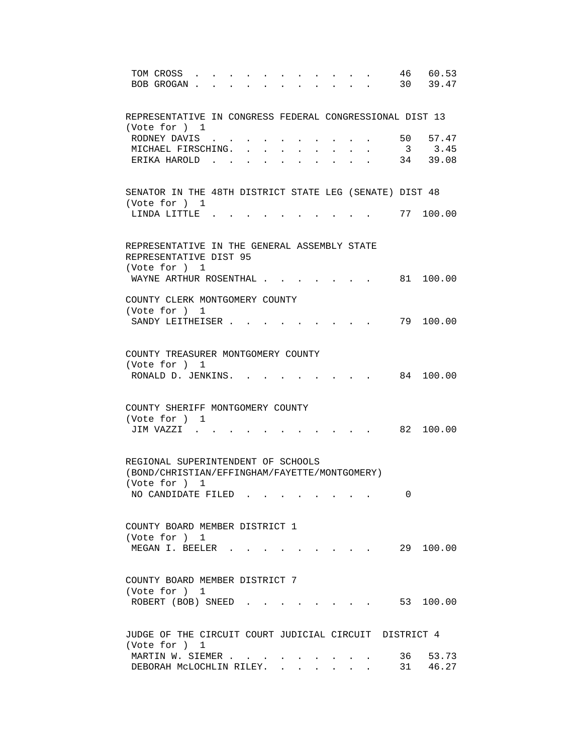| 46 60.53<br>TOM CROSS<br>30 39.47<br>BOB GROGAN.<br>$\mathbf{r} = \mathbf{r}$                                                      |
|------------------------------------------------------------------------------------------------------------------------------------|
| REPRESENTATIVE IN CONGRESS FEDERAL CONGRESSIONAL DIST 13<br>(Vote for ) 1                                                          |
| RODNEY DAVIS<br>50<br>57.47                                                                                                        |
| 3.45<br>MICHAEL FIRSCHING. .<br>3                                                                                                  |
| $34$ $39.08$<br>ERIKA HAROLD.                                                                                                      |
| SENATOR IN THE 48TH DISTRICT STATE LEG (SENATE) DIST 48<br>(Vote for ) 1                                                           |
| 77 100.00<br>LINDA LITTLE.                                                                                                         |
| REPRESENTATIVE IN THE GENERAL ASSEMBLY STATE<br>REPRESENTATIVE DIST 95<br>(Vote for ) 1                                            |
| WAYNE ARTHUR ROSENTHAL<br>81 100.00                                                                                                |
| COUNTY CLERK MONTGOMERY COUNTY<br>(Vote for ) 1<br>79 100.00<br>SANDY LEITHEISER                                                   |
|                                                                                                                                    |
| COUNTY TREASURER MONTGOMERY COUNTY<br>(Vote for ) 1<br>RONALD D. JENKINS. .<br>84 100.00                                           |
| COUNTY SHERIFF MONTGOMERY COUNTY                                                                                                   |
| (Vote for ) 1<br>JIM VAZZI .<br>82 100.00                                                                                          |
| REGIONAL SUPERINTENDENT OF SCHOOLS<br>(BOND/CHRISTIAN/EFFINGHAM/FAYETTE/MONTGOMERY)<br>(Vote for ) 1                               |
| NO CANDIDATE FILED<br>0                                                                                                            |
| COUNTY BOARD MEMBER DISTRICT 1<br>(Vote for ) 1<br>$\cdot$ 29 100.00<br>MEGAN I. BEELER                                            |
| COUNTY BOARD MEMBER DISTRICT 7<br>(Vote for ) 1<br>ROBERT (BOB) SNEED<br>$\cdot$ $\cdot$ $\cdot$ $\cdot$ $\cdot$ $\cdot$ 53 100.00 |
|                                                                                                                                    |
| JUDGE OF THE CIRCUIT COURT JUDICIAL CIRCUIT DISTRICT 4<br>(Vote for ) 1                                                            |
| MARTIN W. SIEMER<br>36 —<br>53.73                                                                                                  |
| 31 46.27<br>DEBORAH MCLOCHLIN RILEY.                                                                                               |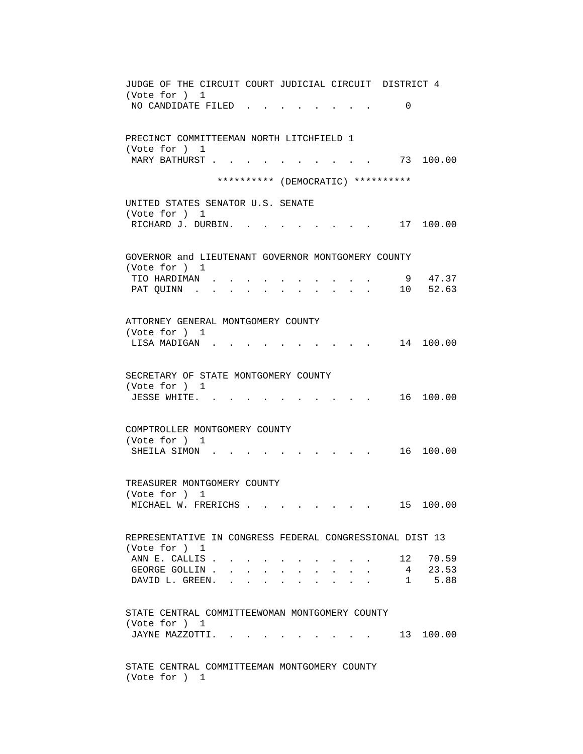JUDGE OF THE CIRCUIT COURT JUDICIAL CIRCUIT DISTRICT 4 (Vote for ) 1 NO CANDIDATE FILED . . . . . . . . 0 PRECINCT COMMITTEEMAN NORTH LITCHFIELD 1 (Vote for ) 1 MARY BATHURST . . . . . . . . . . . 73 100.00 \*\*\*\*\*\*\*\*\*\* (DEMOCRATIC) \*\*\*\*\*\*\*\*\*\* UNITED STATES SENATOR U.S. SENATE (Vote for ) 1 RICHARD J. DURBIN. . . . . . . . . . 17 100.00 GOVERNOR and LIEUTENANT GOVERNOR MONTGOMERY COUNTY (Vote for ) 1 TIO HARDIMAN . . . . . . . . . . 9 47.37 PAT QUINN . . . . . . . . . . . . . 10 52.63 ATTORNEY GENERAL MONTGOMERY COUNTY (Vote for ) 1 LISA MADIGAN . . . . . . . . . . 14 100.00 SECRETARY OF STATE MONTGOMERY COUNTY (Vote for ) 1 JESSE WHITE. . . . . . . . . . . 16 100.00 COMPTROLLER MONTGOMERY COUNTY (Vote for ) 1 SHEILA SIMON . . . . . . . . . . . 16 100.00 TREASURER MONTGOMERY COUNTY (Vote for ) 1 MICHAEL W. FRERICHS . . . . . . . . 15 100.00 REPRESENTATIVE IN CONGRESS FEDERAL CONGRESSIONAL DIST 13 (Vote for ) 1 ANN E. CALLIS . . . . . . . . . . . 12 70.59 GEORGE GOLLIN . . . . . . . . . . . 4 23.53 DAVID L. GREEN. . . . . . . . . . . 1 5.88 STATE CENTRAL COMMITTEEWOMAN MONTGOMERY COUNTY (Vote for ) 1 JAYNE MAZZOTTI. . . . . . . . . . 13 100.00 STATE CENTRAL COMMITTEEMAN MONTGOMERY COUNTY (Vote for ) 1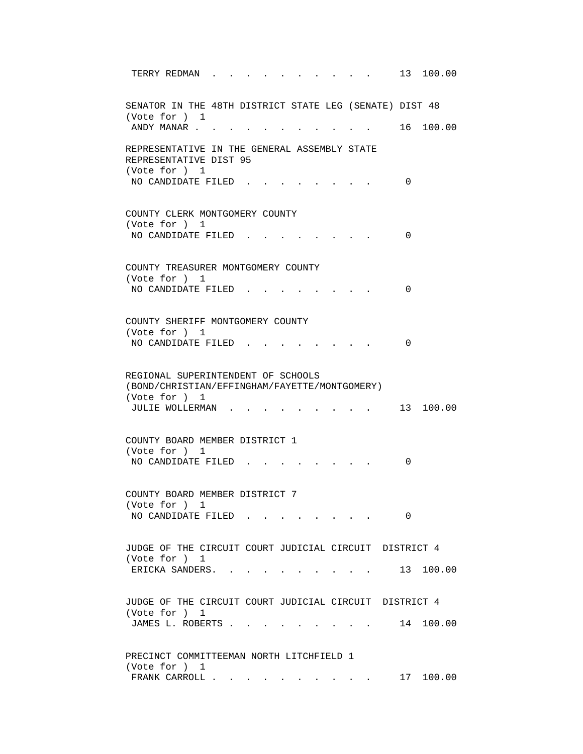| 13 100.00<br>TERRY REDMAN                                                                                                  |
|----------------------------------------------------------------------------------------------------------------------------|
| SENATOR IN THE 48TH DISTRICT STATE LEG (SENATE) DIST 48<br>(Vote for ) 1                                                   |
| 16 100.00<br>ANDY MANAR                                                                                                    |
| REPRESENTATIVE IN THE GENERAL ASSEMBLY STATE<br>REPRESENTATIVE DIST 95<br>(Vote for ) 1<br>NO CANDIDATE FILED.<br>$\Omega$ |
|                                                                                                                            |
| COUNTY CLERK MONTGOMERY COUNTY<br>(Vote for ) 1                                                                            |
| NO CANDIDATE FILED.<br>0                                                                                                   |
| COUNTY TREASURER MONTGOMERY COUNTY<br>(Vote for ) 1                                                                        |
| NO CANDIDATE FILED.<br>0                                                                                                   |
|                                                                                                                            |
| COUNTY SHERIFF MONTGOMERY COUNTY                                                                                           |
| (Vote for ) 1<br>NO CANDIDATE FILED.<br>$\Omega$                                                                           |
|                                                                                                                            |
| REGIONAL SUPERINTENDENT OF SCHOOLS<br>(BOND/CHRISTIAN/EFFINGHAM/FAYETTE/MONTGOMERY)<br>(Vote for ) 1                       |
| 13 100.00<br>JULIE WOLLERMAN                                                                                               |
| COUNTY BOARD MEMBER DISTRICT 1<br>(Vote for ) 1                                                                            |
| NO CANDIDATE FILED.<br>0                                                                                                   |
| COUNTY BOARD MEMBER DISTRICT 7<br>(Vote for ) 1                                                                            |
| NO CANDIDATE FILED<br>0                                                                                                    |
| JUDGE OF THE CIRCUIT COURT JUDICIAL CIRCUIT DISTRICT 4                                                                     |
| (Vote for ) 1<br>13 100.00<br>ERICKA SANDERS.                                                                              |
| JUDGE OF THE CIRCUIT COURT JUDICIAL CIRCUIT DISTRICT 4                                                                     |
| (Vote for ) 1                                                                                                              |
| JAMES L. ROBERTS<br>14 100.00                                                                                              |
|                                                                                                                            |
| PRECINCT COMMITTEEMAN NORTH LITCHFIELD 1<br>(Vote for ) 1                                                                  |
| FRANK CARROLL 17 100.00                                                                                                    |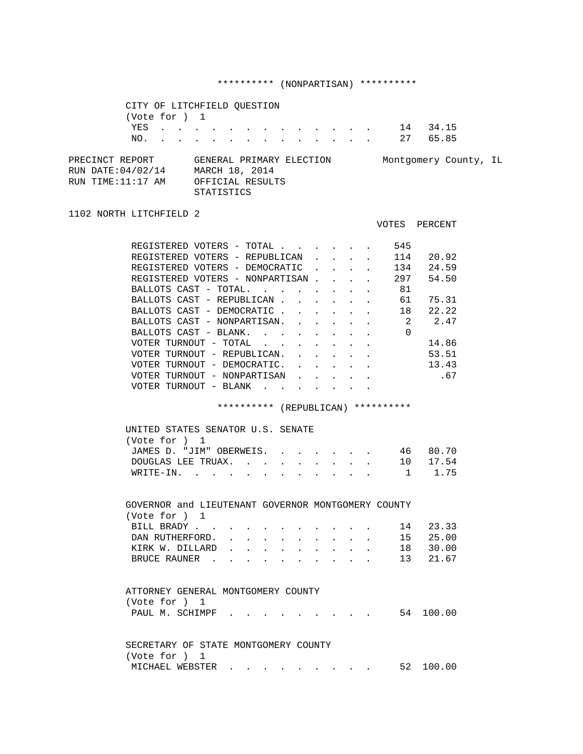# \*\*\*\*\*\*\*\*\*\* (NONPARTISAN) \*\*\*\*\*\*\*\*\*\*

VOTES PERCENT

|                                                            | CITY OF LITCHFIELD OUESTION |  |  |            |                                                                |  |  |  |  |       |                       |  |
|------------------------------------------------------------|-----------------------------|--|--|------------|----------------------------------------------------------------|--|--|--|--|-------|-----------------------|--|
|                                                            | (Vote for ) 1               |  |  |            |                                                                |  |  |  |  |       |                       |  |
|                                                            | YES                         |  |  |            | . 14                                                           |  |  |  |  | 34.15 |                       |  |
|                                                            | NO. 27                      |  |  |            |                                                                |  |  |  |  | 65.85 |                       |  |
| PRECINCT REPORT<br>RUN DATE: 04/02/14<br>RUN TIME:11:17 AM |                             |  |  |            | GENERAL PRIMARY ELECTION<br>MARCH 18, 2014<br>OFFICIAL RESULTS |  |  |  |  |       | Montgomery County, IL |  |
|                                                            |                             |  |  | STATISTICS |                                                                |  |  |  |  |       |                       |  |

## 1102 NORTH LITCHFIELD 2

| REGISTERED VOTERS - TOTAL       |                |                                   |               |  |  | 545 |    |       |
|---------------------------------|----------------|-----------------------------------|---------------|--|--|-----|----|-------|
| REGISTERED VOTERS -             |                |                                   | REPUBLICAN    |  |  | 114 |    | 20.92 |
| REGISTERED VOTERS - DEMOCRATIC  |                |                                   |               |  |  | 134 |    | 24.59 |
| REGISTERED VOTERS - NONPARTISAN |                |                                   |               |  |  | 297 |    | 54.50 |
| BALLOTS CAST - TOTAL.           |                |                                   |               |  |  |     | 81 |       |
| BALLOTS CAST - REPUBLICAN       |                |                                   |               |  |  |     | 61 | 75.31 |
| BALLOTS CAST - DEMOCRATIC       |                |                                   |               |  |  |     | 18 | 22.22 |
| BALLOTS CAST - NONPARTISAN.     |                |                                   |               |  |  |     | 2  | 2.47  |
|                                 | BALLOTS CAST - | BLANK.                            |               |  |  |     | 0  |       |
|                                 | VOTER TURNOUT  | TOTAL<br>$\overline{\phantom{m}}$ |               |  |  |     |    | 14.86 |
| VOTER                           | TURNOUT        | $\overline{\phantom{m}}$          | REPUBLICAN.   |  |  |     |    | 53.51 |
|                                 | VOTER TURNOUT  |                                   | - DEMOCRATIC. |  |  |     |    | 13.43 |
| VOTER.                          | TURNOUT        | $\overline{\phantom{a}}$          | NONPARTISAN   |  |  |     |    | .67   |
|                                 | VOTER TURNOUT  | $-$ BLANK                         |               |  |  |     |    |       |
|                                 |                |                                   |               |  |  |     |    |       |

# \*\*\*\*\*\*\*\*\*\* (REPUBLICAN) \*\*\*\*\*\*\*\*\*\*

| UNITED STATES SENATOR U.S. SENATE |  |  |  |  |          |
|-----------------------------------|--|--|--|--|----------|
| (Vote for ) 1                     |  |  |  |  |          |
| JAMES D. "JIM" OBERWEIS. 46 80.70 |  |  |  |  |          |
| DOUGLAS LEE TRUAX.                |  |  |  |  | 10 17.54 |
| WRITE-IN. 1 1.75                  |  |  |  |  |          |

| GOVERNOR and LIEUTENANT GOVERNOR MONTGOMERY COUNTY |  |  |  |  |  |          |
|----------------------------------------------------|--|--|--|--|--|----------|
| (Vote for ) 1                                      |  |  |  |  |  |          |
| BILL BRADY 14 23.33                                |  |  |  |  |  |          |
| DAN RUTHERFORD.                                    |  |  |  |  |  | 15 25.00 |
| KIRK W. DILLARD                                    |  |  |  |  |  | 18 30.00 |
| BRUCE RAUNER 13 21.67                              |  |  |  |  |  |          |

| ATTORNEY GENERAL MONTGOMERY COUNTY |  |  |  |  |  |  |  |                           |
|------------------------------------|--|--|--|--|--|--|--|---------------------------|
| (Vote for ) 1                      |  |  |  |  |  |  |  |                           |
|                                    |  |  |  |  |  |  |  | PAUL M. SCHIMPF 54 100.00 |
|                                    |  |  |  |  |  |  |  |                           |
|                                    |  |  |  |  |  |  |  |                           |
|                                    |  |  |  |  |  |  |  |                           |

| SECRETARY OF STATE MONTGOMERY COUNTY |  |  |  |           |
|--------------------------------------|--|--|--|-----------|
| (Vote for ) 1                        |  |  |  |           |
|                                      |  |  |  | 52 100.00 |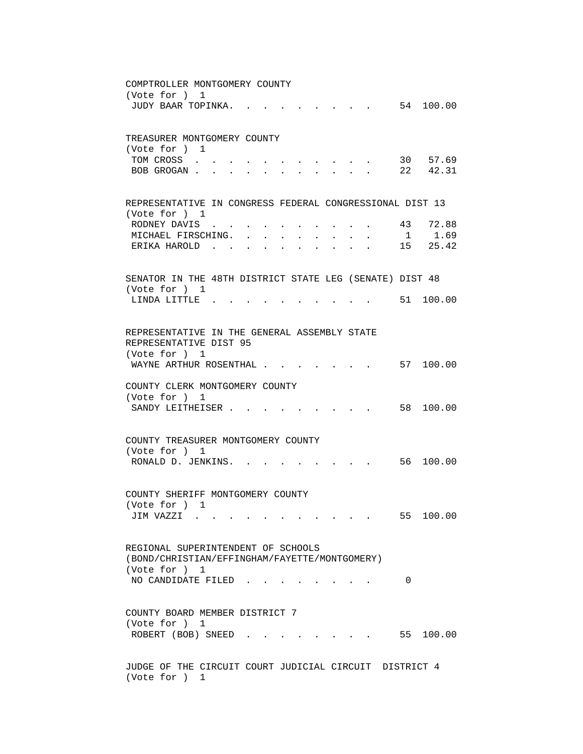COMPTROLLER MONTGOMERY COUNTY (Vote for ) 1 JUDY BAAR TOPINKA. . . . . . . . . . 54 100.00 TREASURER MONTGOMERY COUNTY (Vote for ) 1 TOM CROSS . . . . . . . . . . . 30 57.69 BOB GROGAN . . . . . . . . . . . 22 42.31 REPRESENTATIVE IN CONGRESS FEDERAL CONGRESSIONAL DIST 13 (Vote for ) 1 RODNEY DAVIS . . . . . . . . . . 43 72.88<br>MICHAEL FIRSCHING. . . . . . . . . 1 1.69 MICHAEL FIRSCHING. . . . . . . . . 1 1.69 ERIKA HAROLD . . . . . . . . . . . 15 25.42 SENATOR IN THE 48TH DISTRICT STATE LEG (SENATE) DIST 48 (Vote for ) 1 LINDA LITTLE . . . . . . . . . . 51 100.00 REPRESENTATIVE IN THE GENERAL ASSEMBLY STATE REPRESENTATIVE DIST 95 (Vote for ) 1 WAYNE ARTHUR ROSENTHAL . . . . . . . 57 100.00 COUNTY CLERK MONTGOMERY COUNTY (Vote for ) 1 SANDY LEITHEISER . . . . . . . . . 58 100.00 COUNTY TREASURER MONTGOMERY COUNTY (Vote for ) 1 RONALD D. JENKINS. . . . . . . . . 56 100.00 COUNTY SHERIFF MONTGOMERY COUNTY (Vote for ) 1 JIM VAZZI . . . . . . . . . . . . 55 100.00 REGIONAL SUPERINTENDENT OF SCHOOLS (BOND/CHRISTIAN/EFFINGHAM/FAYETTE/MONTGOMERY) (Vote for ) 1 NO CANDIDATE FILED . . . . . . . . 0 COUNTY BOARD MEMBER DISTRICT 7 (Vote for ) 1 ROBERT (BOB) SNEED . . . . . . . . 55 100.00 JUDGE OF THE CIRCUIT COURT JUDICIAL CIRCUIT DISTRICT 4 (Vote for ) 1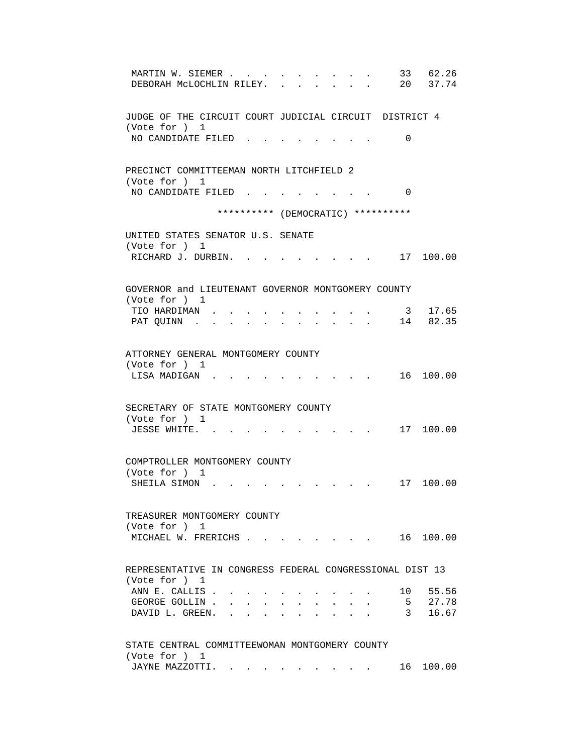| 33<br>62.26<br>MARTIN W. SIEMER<br>20 37.74<br>DEBORAH MCLOCHLIN RILEY.                |
|----------------------------------------------------------------------------------------|
| JUDGE OF THE CIRCUIT COURT JUDICIAL CIRCUIT DISTRICT 4<br>(Vote for ) 1                |
| NO CANDIDATE FILED<br>0                                                                |
| PRECINCT COMMITTEEMAN NORTH LITCHFIELD 2                                               |
| (Vote for ) 1<br>NO CANDIDATE FILED.<br>0                                              |
| ********** (DEMOCRATIC) **********                                                     |
| UNITED STATES SENATOR U.S. SENATE<br>(Vote for ) 1                                     |
| RICHARD J. DURBIN.<br>. 17 100.00                                                      |
| GOVERNOR and LIEUTENANT GOVERNOR MONTGOMERY COUNTY                                     |
| (Vote for ) 1                                                                          |
| 3 17.65<br>TIO HARDIMAN.<br>14 82.35<br>PAT QUINN .                                    |
| ATTORNEY GENERAL MONTGOMERY COUNTY<br>(Vote for ) 1<br>16 100.00<br>LISA MADIGAN.      |
|                                                                                        |
| SECRETARY OF STATE MONTGOMERY COUNTY                                                   |
| (Vote for ) 1<br>JESSE WHITE.<br>17 100.00                                             |
| COMPTROLLER MONTGOMERY COUNTY<br>(Vote for ) 1                                         |
| SHEILA SIMON.<br>17 100.00                                                             |
| TREASURER MONTGOMERY COUNTY                                                            |
| (Vote for ) 1                                                                          |
| MICHAEL W. FRERICHS<br>$\cdot$ 16 100.00                                               |
| REPRESENTATIVE IN CONGRESS FEDERAL CONGRESSIONAL DIST 13<br>(Vote for ) 1              |
| ANN E. CALLIS.<br>10 55.56                                                             |
| 5 27.78<br>GEORGE GOLLIN.<br>$\mathbf{z} = \mathbf{z} + \mathbf{z}$ . The $\mathbf{z}$ |
| 3 <sup>7</sup><br>16.67<br>DAVID L. GREEN. .                                           |
| STATE CENTRAL COMMITTEEWOMAN MONTGOMERY COUNTY                                         |
| (Vote for ) 1<br>JAYNE MAZZOTTI. 16 100.00                                             |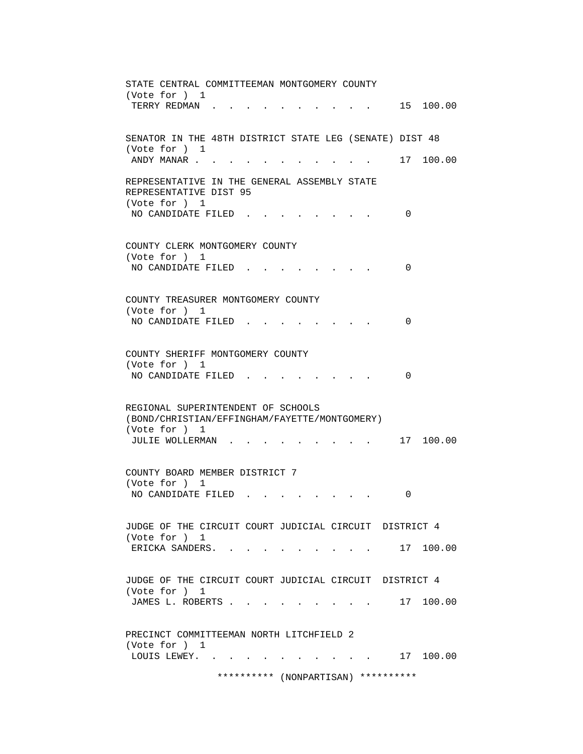| STATE CENTRAL COMMITTEEMAN MONTGOMERY COUNTY                                                         |
|------------------------------------------------------------------------------------------------------|
| (Vote for ) 1<br>15 100.00<br>TERRY REDMAN.                                                          |
| SENATOR IN THE 48TH DISTRICT STATE LEG (SENATE) DIST 48<br>(Vote for ) 1                             |
| 17 100.00<br>ANDY MANAR                                                                              |
| REPRESENTATIVE IN THE GENERAL ASSEMBLY STATE<br>REPRESENTATIVE DIST 95<br>(Vote for ) 1              |
| NO CANDIDATE FILED.<br>0                                                                             |
| COUNTY CLERK MONTGOMERY COUNTY<br>(Vote for ) 1                                                      |
| NO CANDIDATE FILED<br>0                                                                              |
| COUNTY TREASURER MONTGOMERY COUNTY<br>(Vote for ) 1                                                  |
| NO CANDIDATE FILED<br>0                                                                              |
| COUNTY SHERIFF MONTGOMERY COUNTY<br>(Vote for ) 1                                                    |
| NO CANDIDATE FILED<br>$\Omega$                                                                       |
| REGIONAL SUPERINTENDENT OF SCHOOLS<br>(BOND/CHRISTIAN/EFFINGHAM/FAYETTE/MONTGOMERY)<br>(Vote for ) 1 |
| JULIE WOLLERMAN<br>17 100.00                                                                         |
| COUNTY BOARD MEMBER DISTRICT 7<br>(Vote for ) 1                                                      |
| NO CANDIDATE FILED<br>0                                                                              |
| JUDGE OF THE CIRCUIT COURT JUDICIAL CIRCUIT DISTRICT 4<br>(Vote for ) 1                              |
| ERICKA SANDERS. .<br>. 17 100.00                                                                     |
| JUDGE OF THE CIRCUIT COURT JUDICIAL CIRCUIT DISTRICT 4<br>(Vote for ) 1                              |
| 17 100.00<br>JAMES L. ROBERTS                                                                        |
| PRECINCT COMMITTEEMAN NORTH LITCHFIELD 2<br>(Vote for ) 1                                            |
| LOUIS LEWEY. .<br>17 100.00<br><b>Service</b> State                                                  |
| ********** (NONPARTISAN)<br>**********                                                               |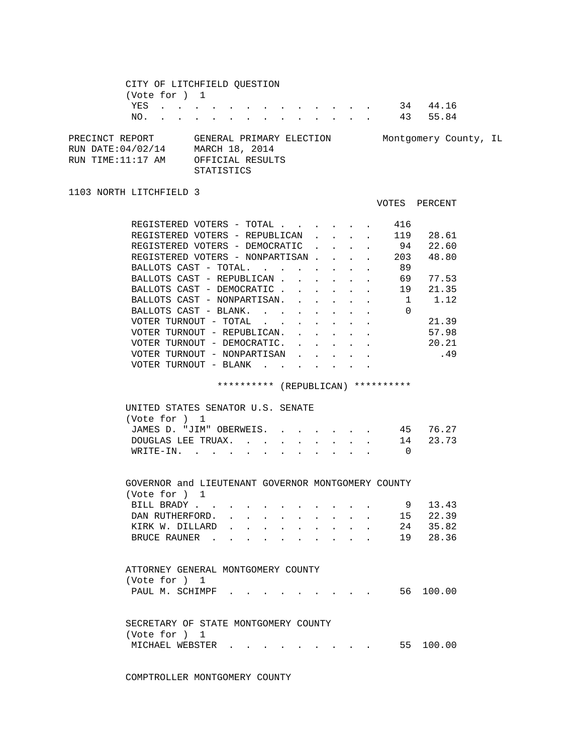| CITY OF LITCHFIELD QUESTION<br>(Vote for ) 1<br>YES<br>NO.                                                                                                                                                                                                                                                                                                                                                                                            |            | the contract of the contract of the  |                                | $\mathbf{L}$ and $\mathbf{L}$             |              |                                                                                        |                                                                                                          | $\cdot$ 34 44.16<br>43 55.84                                                     |  |
|-------------------------------------------------------------------------------------------------------------------------------------------------------------------------------------------------------------------------------------------------------------------------------------------------------------------------------------------------------------------------------------------------------------------------------------------------------|------------|--------------------------------------|--------------------------------|-------------------------------------------|--------------|----------------------------------------------------------------------------------------|----------------------------------------------------------------------------------------------------------|----------------------------------------------------------------------------------|--|
| PRECINCT REPORT GENERAL PRIMARY ELECTION Montgomery County, IL<br>RUN DATE: 04/02/14 MARCH 18, 2014<br>RUN TIME: 11:17 AM OFFICIAL RESULTS                                                                                                                                                                                                                                                                                                            | STATISTICS |                                      |                                |                                           |              |                                                                                        |                                                                                                          |                                                                                  |  |
| 1103 NORTH LITCHFIELD 3                                                                                                                                                                                                                                                                                                                                                                                                                               |            |                                      |                                |                                           |              |                                                                                        |                                                                                                          | VOTES PERCENT                                                                    |  |
| REGISTERED VOTERS - TOTAL<br>REGISTERED VOTERS - REPUBLICAN 119 28.61<br>REGISTERED VOTERS - DEMOCRATIC 94 22.60<br>REGISTERED VOTERS - NONPARTISAN<br>BALLOTS CAST - TOTAL.<br>BALLOTS CAST - REPUBLICAN<br>BALLOTS CAST - DEMOCRATIC<br>BALLOTS CAST - NONPARTISAN.<br>BALLOTS CAST - BLANK.<br>VOTER TURNOUT - TOTAL<br>VOTER TURNOUT - REPUBLICAN.<br>VOTER TURNOUT - DEMOCRATIC.<br>VOTER TURNOUT - NONPARTISAN<br>VOTER TURNOUT - BLANK $\cdot$ |            | ********** (REPUBLICAN) **********   | $\sim$<br>$\sim$ $\sim$        | $\mathbf{L} = \mathbf{L}$<br>$\mathbf{L}$ |              | $\mathbf{L}^{\text{max}}$<br>$\mathbf{L}$<br>$\mathbf{L}$<br>$\mathbf{r} = \mathbf{r}$ | 416<br>$\cdot$ $\cdot$ 203<br>$\cdot$ . 89<br>$\Omega$<br>$\mathbf{r}$ and $\mathbf{r}$ and $\mathbf{r}$ | 48.80<br>. 69 77.53<br>19 21.35<br>$1 \t 1.12$<br>21.39<br>57.98<br>20.21<br>.49 |  |
| UNITED STATES SENATOR U.S. SENATE<br>(Vote for ) 1<br>JAMES D. "JIM" OBERWEIS. 45 76.27<br>DOUGLAS LEE TRUAX.<br>WRITE-IN. 0<br>GOVERNOR and LIEUTENANT GOVERNOR MONTGOMERY COUNTY<br>(Vote for ) 1<br>BILL BRADY<br>DAN RUTHERFORD.<br>KIRK W. DILLARD<br>BRUCE RAUNER                                                                                                                                                                               |            | $\mathbf{L}$<br>$\ddot{\phantom{a}}$ | $\mathbf{r}$<br>$\overline{a}$ | $\sim$<br>$\cdot$ $\cdot$ $\cdot$ $\cdot$ | $\mathbf{L}$ |                                                                                        | 9<br>15<br>24<br>19                                                                                      | 14 23.73<br>13.43<br>22.39<br>35.82<br>28.36                                     |  |
| ATTORNEY GENERAL MONTGOMERY COUNTY<br>(Vote for ) 1<br>PAUL M. SCHIMPF.                                                                                                                                                                                                                                                                                                                                                                               |            |                                      |                                |                                           |              |                                                                                        | 56                                                                                                       | 100.00                                                                           |  |

| SECRETARY OF STATE MONTGOMERY COUNTY |  |  |  |  |  |  |  |
|--------------------------------------|--|--|--|--|--|--|--|
| (Vote for ) 1                        |  |  |  |  |  |  |  |
| MICHAEL WEBSTER 55 100.00            |  |  |  |  |  |  |  |

COMPTROLLER MONTGOMERY COUNTY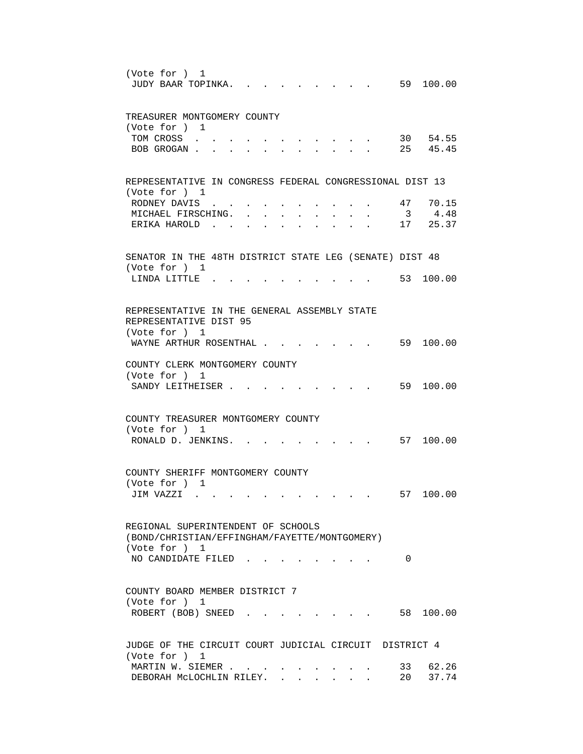| (Vote for ) 1<br>59 100.00<br>JUDY BAAR TOPINKA.                                                      |
|-------------------------------------------------------------------------------------------------------|
| TREASURER MONTGOMERY COUNTY<br>(Vote for ) 1                                                          |
| 30 54.55<br>TOM CROSS<br>25 45.45<br>BOB GROGAN.                                                      |
| REPRESENTATIVE IN CONGRESS FEDERAL CONGRESSIONAL DIST 13                                              |
| (Vote for ) 1<br>47 70.15<br>RODNEY DAVIS<br>3 4.48<br>MICHAEL FIRSCHING.<br>17 25.37<br>ERIKA HAROLD |
| SENATOR IN THE 48TH DISTRICT STATE LEG (SENATE) DIST 48                                               |
| (Vote for ) 1<br>53 100.00<br>LINDA LITTLE.                                                           |
| REPRESENTATIVE IN THE GENERAL ASSEMBLY STATE<br>REPRESENTATIVE DIST 95<br>(Vote for ) 1               |
| WAYNE ARTHUR ROSENTHAL .<br>59 100.00                                                                 |
| COUNTY CLERK MONTGOMERY COUNTY<br>(Vote for ) 1<br>59 100.00<br>SANDY LEITHEISER.                     |
| COUNTY TREASURER MONTGOMERY COUNTY<br>(Vote for ) 1                                                   |
| RONALD D. JENKINS. .<br>57 100.00                                                                     |
| COUNTY SHERIFF MONTGOMERY COUNTY<br>(Vote for ) 1                                                     |
| 57 100.00<br>JIM VAZZI                                                                                |
| REGIONAL SUPERINTENDENT OF SCHOOLS<br>(BOND/CHRISTIAN/EFFINGHAM/FAYETTE/MONTGOMERY)<br>(Vote for ) 1  |
| NO CANDIDATE FILED<br>0                                                                               |
| COUNTY BOARD MEMBER DISTRICT 7<br>(Vote for ) 1                                                       |
| 58 100.00<br>ROBERT (BOB) SNEED                                                                       |
| JUDGE OF THE CIRCUIT COURT JUDICIAL CIRCUIT DISTRICT 4<br>(Vote for ) 1                               |
| 33 62.26<br>MARTIN W. SIEMER<br>20 37.74<br>DEBORAH MCLOCHLIN RILEY.                                  |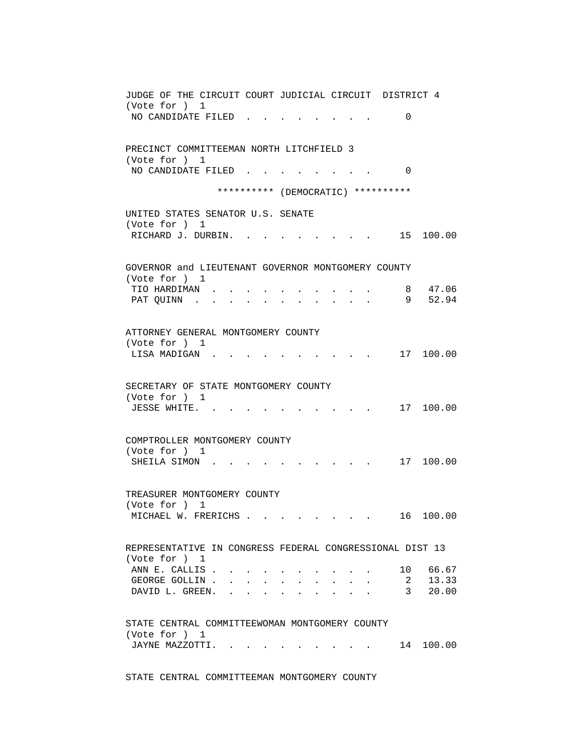| JUDGE OF THE CIRCUIT COURT JUDICIAL CIRCUIT DISTRICT 4                                                                                                                                                                                                                                  |
|-----------------------------------------------------------------------------------------------------------------------------------------------------------------------------------------------------------------------------------------------------------------------------------------|
| (Vote for ) 1                                                                                                                                                                                                                                                                           |
| NO CANDIDATE FILED<br>0                                                                                                                                                                                                                                                                 |
|                                                                                                                                                                                                                                                                                         |
| PRECINCT COMMITTEEMAN NORTH LITCHFIELD 3                                                                                                                                                                                                                                                |
| (Vote for ) 1                                                                                                                                                                                                                                                                           |
| NO CANDIDATE FILED<br>$\Omega$                                                                                                                                                                                                                                                          |
|                                                                                                                                                                                                                                                                                         |
| ********** (DEMOCRATIC) **********                                                                                                                                                                                                                                                      |
|                                                                                                                                                                                                                                                                                         |
| UNITED STATES SENATOR U.S. SENATE<br>(Vote for ) 1                                                                                                                                                                                                                                      |
| RICHARD J. DURBIN.<br>15 100.00                                                                                                                                                                                                                                                         |
|                                                                                                                                                                                                                                                                                         |
|                                                                                                                                                                                                                                                                                         |
| GOVERNOR and LIEUTENANT GOVERNOR MONTGOMERY COUNTY                                                                                                                                                                                                                                      |
| (Vote for ) 1                                                                                                                                                                                                                                                                           |
| 8 47.06<br>TIO HARDIMAN.                                                                                                                                                                                                                                                                |
| 9 52.94<br>PAT QUINN<br>$\mathbf{r}$ and $\mathbf{r}$<br>$\sim$<br><b>Contract Contract Contract</b><br>$\sim$ $\sim$<br>$\sim$                                                                                                                                                         |
|                                                                                                                                                                                                                                                                                         |
| ATTORNEY GENERAL MONTGOMERY COUNTY                                                                                                                                                                                                                                                      |
| (Vote for ) 1                                                                                                                                                                                                                                                                           |
| 17 100.00<br>LISA MADIGAN.                                                                                                                                                                                                                                                              |
|                                                                                                                                                                                                                                                                                         |
|                                                                                                                                                                                                                                                                                         |
| SECRETARY OF STATE MONTGOMERY COUNTY                                                                                                                                                                                                                                                    |
| (Vote for ) 1<br>17 100.00<br>JESSE WHITE                                                                                                                                                                                                                                               |
|                                                                                                                                                                                                                                                                                         |
|                                                                                                                                                                                                                                                                                         |
| COMPTROLLER MONTGOMERY COUNTY                                                                                                                                                                                                                                                           |
| (Vote for ) 1                                                                                                                                                                                                                                                                           |
| 17 100.00<br>SHEILA SIMON.                                                                                                                                                                                                                                                              |
|                                                                                                                                                                                                                                                                                         |
| TREASURER MONTGOMERY COUNTY                                                                                                                                                                                                                                                             |
| (Vote for ) 1                                                                                                                                                                                                                                                                           |
| 100.00<br>MICHAEL W. FRERICHS<br>16                                                                                                                                                                                                                                                     |
|                                                                                                                                                                                                                                                                                         |
|                                                                                                                                                                                                                                                                                         |
| REPRESENTATIVE IN CONGRESS FEDERAL CONGRESSIONAL DIST 13                                                                                                                                                                                                                                |
| (Vote for ) 1                                                                                                                                                                                                                                                                           |
| 10 66.67<br>ANN E. CALLIS.<br>2 13.33                                                                                                                                                                                                                                                   |
| GEORGE GOLLIN<br>$\mathbf{L} = \mathbf{L}$<br>$\mathbf{L} = \mathbf{L} \mathbf{L}$<br>$\mathbf{L} = \mathbf{L}$<br>$\sim$<br>3 <sup>7</sup><br>DAVID L. GREEN.<br>20.00<br>$\mathbf{r} = \mathbf{r} + \mathbf{r} + \mathbf{r} + \mathbf{r}$<br>$\sim$ 100 $\mu$<br>$\ddot{\phantom{a}}$ |
|                                                                                                                                                                                                                                                                                         |
|                                                                                                                                                                                                                                                                                         |
| STATE CENTRAL COMMITTEEWOMAN MONTGOMERY COUNTY                                                                                                                                                                                                                                          |
| (Vote for ) 1                                                                                                                                                                                                                                                                           |
| JAYNE MAZZOTTI.<br>14 100.00                                                                                                                                                                                                                                                            |
|                                                                                                                                                                                                                                                                                         |

STATE CENTRAL COMMITTEEMAN MONTGOMERY COUNTY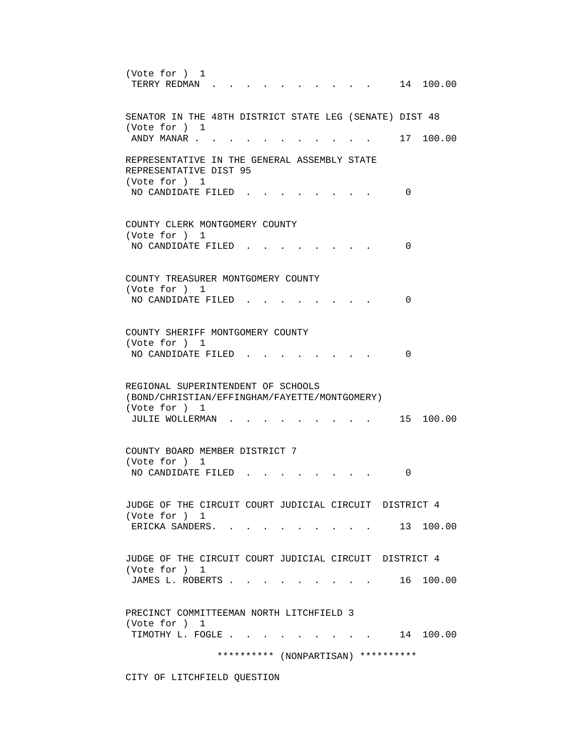(Vote for ) 1 TERRY REDMAN . . . . . . . . . . 14 100.00 SENATOR IN THE 48TH DISTRICT STATE LEG (SENATE) DIST 48 (Vote for ) 1 ANDY MANAR . . . . . . . . . . . . 17 100.00 REPRESENTATIVE IN THE GENERAL ASSEMBLY STATE REPRESENTATIVE DIST 95 (Vote for ) 1 NO CANDIDATE FILED . . . . . . . . 0 COUNTY CLERK MONTGOMERY COUNTY (Vote for ) 1 NO CANDIDATE FILED . . . . . . . . 0 COUNTY TREASURER MONTGOMERY COUNTY (Vote for ) 1 NO CANDIDATE FILED . . . . . . . . 0 COUNTY SHERIFF MONTGOMERY COUNTY (Vote for ) 1 NO CANDIDATE FILED . . . . . . . . 0 REGIONAL SUPERINTENDENT OF SCHOOLS (BOND/CHRISTIAN/EFFINGHAM/FAYETTE/MONTGOMERY) (Vote for ) 1 JULIE WOLLERMAN . . . . . . . . . . 15 100.00 COUNTY BOARD MEMBER DISTRICT 7 (Vote for ) 1 NO CANDIDATE FILED . . . . . . . . 0 JUDGE OF THE CIRCUIT COURT JUDICIAL CIRCUIT DISTRICT 4 (Vote for ) 1 ERICKA SANDERS. . . . . . . . . . 13 100.00 JUDGE OF THE CIRCUIT COURT JUDICIAL CIRCUIT DISTRICT 4 (Vote for ) 1 JAMES L. ROBERTS . . . . . . . . . . 16 100.00 PRECINCT COMMITTEEMAN NORTH LITCHFIELD 3 (Vote for ) 1 TIMOTHY L. FOGLE . . . . . . . . . 14 100.00 \*\*\*\*\*\*\*\*\*\* (NONPARTISAN) \*\*\*\*\*\*\*\*\*\*

CITY OF LITCHFIELD QUESTION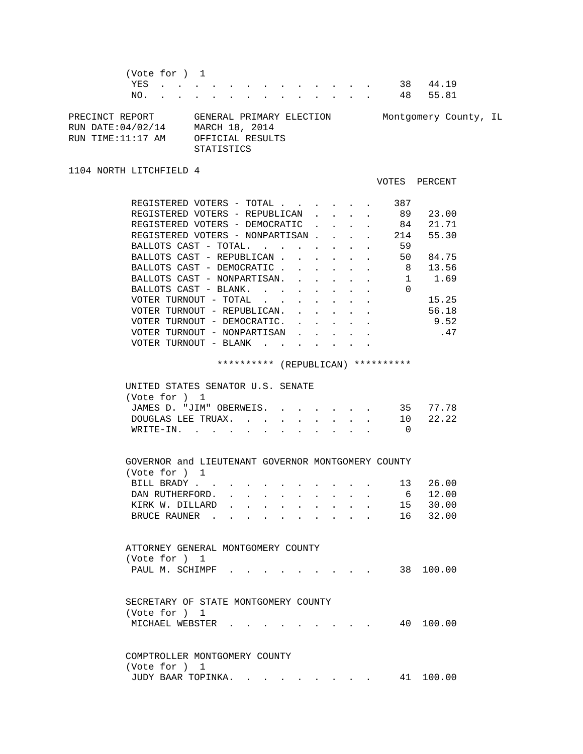(Vote for ) 1 YES . . . . . . . . . . . . . 38 44.19 NO. . . . . . . . . . . . . . 48 55.81 PRECINCT REPORT GENERAL PRIMARY ELECTION Montgomery County, IL RUN DATE:04/02/14 MARCH 18, 2014

RUN TIME:11:17 AM OFFICIAL RESULTS STATISTICS

1104 NORTH LITCHFIELD 4

VOTES PERCENT

| REGISTERED VOTERS - TOTAL       |                                   |             |  |  | 387 |       |
|---------------------------------|-----------------------------------|-------------|--|--|-----|-------|
| REGISTERED VOTERS - REPUBLICAN  |                                   |             |  |  | 89  | 23.00 |
| REGISTERED VOTERS - DEMOCRATIC  |                                   |             |  |  | 84  | 21.71 |
| REGISTERED VOTERS - NONPARTISAN |                                   |             |  |  | 214 | 55.30 |
| BALLOTS CAST - TOTAL.           |                                   |             |  |  | 59  |       |
| BALLOTS CAST - REPUBLICAN       |                                   |             |  |  | 50  | 84.75 |
| BALLOTS CAST - DEMOCRATIC       |                                   |             |  |  | 8   | 13.56 |
| BALLOTS CAST - NONPARTISAN.     |                                   |             |  |  |     | 1.69  |
| BALLOTS CAST - BLANK.           |                                   |             |  |  | 0   |       |
| VOTER TURNOUT                   | - TOTAL                           |             |  |  |     | 15.25 |
| VOTER TURNOUT - REPUBLICAN.     |                                   |             |  |  |     | 56.18 |
| VOTER TURNOUT - DEMOCRATIC.     |                                   |             |  |  |     | 9.52  |
| VOTER TURNOUT -                 |                                   | NONPARTISAN |  |  |     | .47   |
| VOTER TURNOUT                   | BLANK<br>$\overline{\phantom{m}}$ |             |  |  |     |       |

\*\*\*\*\*\*\*\*\*\* (REPUBLICAN) \*\*\*\*\*\*\*\*\*\*

| UNITED STATES SENATOR U.S. SENATE |  |  |  |  |
|-----------------------------------|--|--|--|--|
| (Vote for ) 1                     |  |  |  |  |
| JAMES D. "JIM" OBERWEIS. 35 77.78 |  |  |  |  |
| DOUGLAS LEE TRUAX. 10 22.22       |  |  |  |  |
| WRITE-IN.                         |  |  |  |  |

| GOVERNOR and LIEUTENANT GOVERNOR MONTGOMERY COUNTY |  |  |  |  |  |          |
|----------------------------------------------------|--|--|--|--|--|----------|
| (Vote for ) 1                                      |  |  |  |  |  |          |
| BILL BRADY 13 26.00                                |  |  |  |  |  |          |
| DAN RUTHERFORD. 6 12.00                            |  |  |  |  |  |          |
| KIRK W. DILLARD 15 30.00                           |  |  |  |  |  |          |
| BRUCE RAUNER                                       |  |  |  |  |  | 16 32.00 |

|  | ATTORNEY GENERAL MONTGOMERY COUNTY |  |  |  |  |  |           |
|--|------------------------------------|--|--|--|--|--|-----------|
|  | (Vote for ) 1                      |  |  |  |  |  |           |
|  | PAUL M. SCHIMPF                    |  |  |  |  |  | 38 100.00 |

| SECRETARY OF STATE MONTGOMERY COUNTY |  |  |  |  |           |
|--------------------------------------|--|--|--|--|-----------|
| (Vote for ) 1                        |  |  |  |  |           |
|                                      |  |  |  |  | 40 100.00 |

 COMPTROLLER MONTGOMERY COUNTY (Vote for ) 1 JUDY BAAR TOPINKA. . . . . . . . . 41 100.00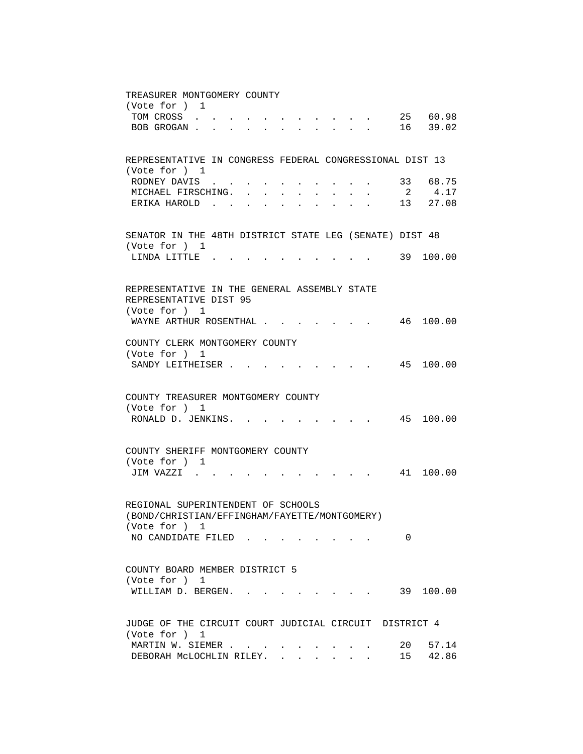| TREASURER MONTGOMERY COUNTY                                                                                                                                                             |
|-----------------------------------------------------------------------------------------------------------------------------------------------------------------------------------------|
| (Vote for ) 1<br>25 60.98<br>TOM CROSS                                                                                                                                                  |
| $\mathbf{r}$ , and $\mathbf{r}$ , and $\mathbf{r}$ , and $\mathbf{r}$<br>BOB GROGAN 16 39.02                                                                                            |
|                                                                                                                                                                                         |
|                                                                                                                                                                                         |
| REPRESENTATIVE IN CONGRESS FEDERAL CONGRESSIONAL DIST 13<br>(Vote for ) 1                                                                                                               |
| RODNEY DAVIS<br>33 68.75<br>$\ddot{\phantom{0}}$                                                                                                                                        |
| $\overline{2}$<br>4.17<br>MICHAEL FIRSCHING.<br>$\sim$<br>$\mathbf{r} = \mathbf{r}$<br>$\sim$ $\sim$<br>$\sim$ $\sim$<br>$\ddot{\phantom{a}}$                                           |
| 13 27.08<br>ERIKA HAROLD<br>$\mathbf{L} = \mathbf{L} \mathbf{L} = \mathbf{L} \mathbf{L}$<br>$\mathbf{r} = \mathbf{r} \cdot \mathbf{r}$ , and $\mathbf{r} = \mathbf{r} \cdot \mathbf{r}$ |
|                                                                                                                                                                                         |
| SENATOR IN THE 48TH DISTRICT STATE LEG (SENATE) DIST 48                                                                                                                                 |
| (Vote for ) 1                                                                                                                                                                           |
| . 39 100.00<br>LINDA LITTLE.                                                                                                                                                            |
|                                                                                                                                                                                         |
| REPRESENTATIVE IN THE GENERAL ASSEMBLY STATE                                                                                                                                            |
| REPRESENTATIVE DIST 95                                                                                                                                                                  |
| (Vote for ) 1                                                                                                                                                                           |
| WAYNE ARTHUR ROSENTHAL<br>100.00<br>46                                                                                                                                                  |
| COUNTY CLERK MONTGOMERY COUNTY                                                                                                                                                          |
| (Vote for ) 1                                                                                                                                                                           |
| 45 100.00<br>SANDY LEITHEISER.                                                                                                                                                          |
|                                                                                                                                                                                         |
| COUNTY TREASURER MONTGOMERY COUNTY                                                                                                                                                      |
| (Vote for ) 1                                                                                                                                                                           |
| RONALD D. JENKINS. .<br>45 100.00<br>and the state of the state of                                                                                                                      |
|                                                                                                                                                                                         |
| COUNTY SHERIFF MONTGOMERY COUNTY                                                                                                                                                        |
| (Vote for ) 1                                                                                                                                                                           |
| 41 100.00<br>JIM VAZZI .                                                                                                                                                                |
|                                                                                                                                                                                         |
|                                                                                                                                                                                         |
| REGIONAL SUPERINTENDENT OF SCHOOLS<br>(BOND/CHRISTIAN/EFFINGHAM/FAYETTE/MONTGOMERY)                                                                                                     |
| (Vote for ) 1                                                                                                                                                                           |
| NO CANDIDATE FILED<br>0                                                                                                                                                                 |
|                                                                                                                                                                                         |
| COUNTY BOARD MEMBER DISTRICT 5                                                                                                                                                          |
| (Vote for ) 1                                                                                                                                                                           |
| $\cdot$ $\cdot$ $\cdot$ $\cdot$ $\cdot$ $\cdot$ 39 100.00<br>WILLIAM D. BERGEN.                                                                                                         |
|                                                                                                                                                                                         |
| JUDGE OF THE CIRCUIT COURT JUDICIAL CIRCUIT DISTRICT 4                                                                                                                                  |
| (Vote for ) 1                                                                                                                                                                           |
| MARTIN W. SIEMER<br>20<br>57.14                                                                                                                                                         |
| 42.86<br>15<br>DEBORAH MCLOCHLIN RILEY.<br>$\mathbf{L}$                                                                                                                                 |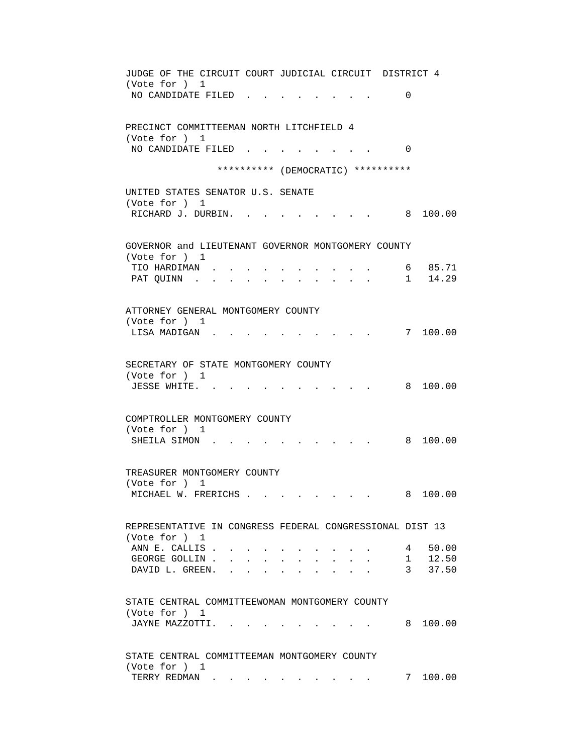| JUDGE OF THE CIRCUIT COURT JUDICIAL CIRCUIT DISTRICT 4   |  |
|----------------------------------------------------------|--|
| (Vote for ) 1<br>NO CANDIDATE FILED<br>0                 |  |
|                                                          |  |
| PRECINCT COMMITTEEMAN NORTH LITCHFIELD 4                 |  |
| (Vote for ) 1                                            |  |
| NO CANDIDATE FILED<br>$\Omega$                           |  |
| ********** (DEMOCRATIC) **********                       |  |
| UNITED STATES SENATOR U.S. SENATE                        |  |
| (Vote for ) 1                                            |  |
| RICHARD J. DURBIN. .<br>8 100.00                         |  |
| GOVERNOR and LIEUTENANT GOVERNOR MONTGOMERY COUNTY       |  |
| (Vote for ) 1                                            |  |
| 6 85.71<br>TIO HARDIMAN.                                 |  |
| 1, 14.29<br>PAT QUINN.<br>$\ddot{\phantom{0}}$           |  |
| ATTORNEY GENERAL MONTGOMERY COUNTY                       |  |
| (Vote for ) 1                                            |  |
| 7 100.00<br>LISA MADIGAN                                 |  |
|                                                          |  |
| SECRETARY OF STATE MONTGOMERY COUNTY                     |  |
| (Vote for ) 1<br>8 100.00<br>JESSE WHITE. .              |  |
|                                                          |  |
| COMPTROLLER MONTGOMERY COUNTY                            |  |
| (Vote for ) 1                                            |  |
| 8 100.00<br>SHEILA SIMON                                 |  |
|                                                          |  |
| TREASURER MONTGOMERY COUNTY<br>(Vote for ) 1             |  |
| 8 100.00<br>MICHAEL W. FRERICHS                          |  |
|                                                          |  |
| REPRESENTATIVE IN CONGRESS FEDERAL CONGRESSIONAL DIST 13 |  |
| (Vote for ) 1<br>ANN E. CALLIS.<br>50.00                 |  |
| $4\degree$<br>GEORGE GOLLIN.                             |  |
| $1$ 12.50<br>3 37.50<br>DAVID L. GREEN.                  |  |
|                                                          |  |
| STATE CENTRAL COMMITTEEWOMAN MONTGOMERY COUNTY           |  |
| (Vote for ) 1                                            |  |
| 8 100.00<br>JAYNE MAZZOTTI.                              |  |
| STATE CENTRAL COMMITTEEMAN MONTGOMERY COUNTY             |  |
| (Vote for ) 1                                            |  |
| 7 100.00<br>TERRY REDMAN                                 |  |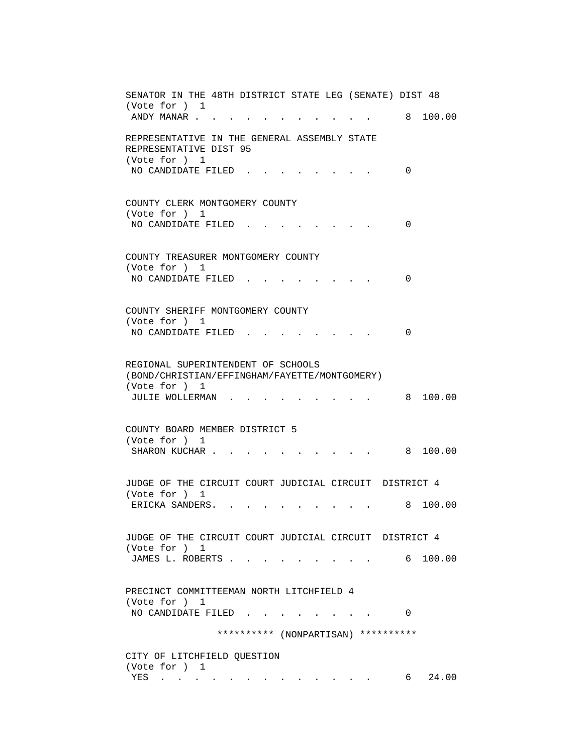| SENATOR IN THE 48TH DISTRICT STATE LEG (SENATE) DIST 48                                       |
|-----------------------------------------------------------------------------------------------|
| (Vote for ) 1<br>8 100.00<br>ANDY MANAR                                                       |
| REPRESENTATIVE IN THE GENERAL ASSEMBLY STATE<br>REPRESENTATIVE DIST 95<br>(Vote for ) 1       |
| NO CANDIDATE FILED.<br>0                                                                      |
| COUNTY CLERK MONTGOMERY COUNTY<br>(Vote for ) 1<br>$\Omega$                                   |
| NO CANDIDATE FILED                                                                            |
| COUNTY TREASURER MONTGOMERY COUNTY<br>(Vote for ) 1<br>NO CANDIDATE FILED.<br>0               |
|                                                                                               |
| COUNTY SHERIFF MONTGOMERY COUNTY<br>(Vote for ) 1<br>$\Omega$<br>NO CANDIDATE FILED.          |
| REGIONAL SUPERINTENDENT OF SCHOOLS                                                            |
| (BOND/CHRISTIAN/EFFINGHAM/FAYETTE/MONTGOMERY)<br>(Vote for ) 1<br>JULIE WOLLERMAN<br>8 100.00 |
| COUNTY BOARD MEMBER DISTRICT 5                                                                |
| (Vote for ) 1<br>SHARON KUCHAR.<br>8 100.00                                                   |
| JUDGE OF THE CIRCUIT COURT JUDICIAL CIRCUIT DISTRICT 4<br>(Vote for ) 1                       |
| 8 100.00<br>ERICKA SANDERS. .                                                                 |
| JUDGE OF THE CIRCUIT COURT JUDICIAL CIRCUIT DISTRICT 4<br>(Vote for ) 1                       |
| JAMES L. ROBERTS<br>6 100.00                                                                  |
| PRECINCT COMMITTEEMAN NORTH LITCHFIELD 4<br>(Vote for ) 1<br>NO CANDIDATE FILED<br>$\Omega$   |
| ********** (NONPARTISAN) **********                                                           |
| CITY OF LITCHFIELD QUESTION<br>(Vote for ) 1                                                  |
| 24.00<br>YES<br>6<br>والمتواطن والمتناوب والمتناوب والمتناوب والمتناوب والمناوب               |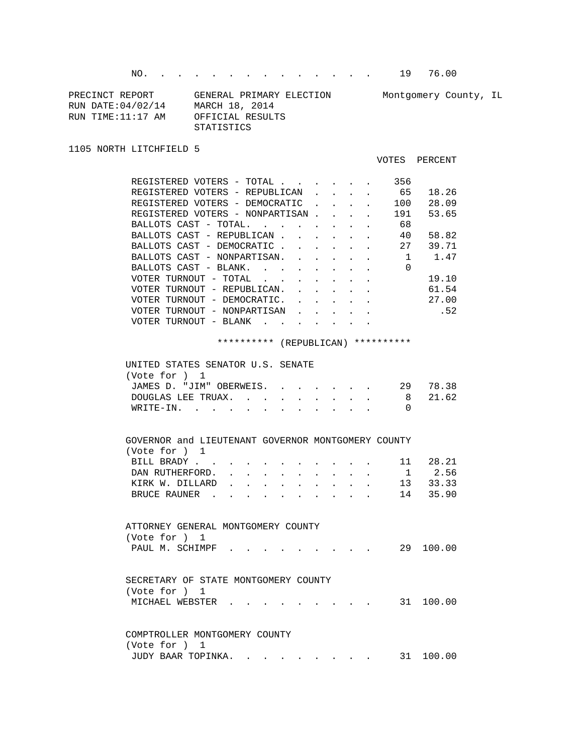NO. . . . . . . . . . . . . . 19 76.00

| PRECINCT REPORT    | GENERAL PRIMARY ELECTION | Montgomery County, IL |  |
|--------------------|--------------------------|-----------------------|--|
| RUN DATE: 04/02/14 | MARCH 18, 2014           |                       |  |
| RUN TIME:11:17 AM  | OFFICIAL RESULTS         |                       |  |
|                    | STATISTICS               |                       |  |

1105 NORTH LITCHFIELD 5

VOTES PERCENT

| REGISTERED VOTERS - TOTAL        |  |  | 356 |       |
|----------------------------------|--|--|-----|-------|
| REGISTERED VOTERS - REPUBLICAN.  |  |  | 65  | 18.26 |
| REGISTERED VOTERS - DEMOCRATIC   |  |  | 100 | 28.09 |
| REGISTERED VOTERS - NONPARTISAN. |  |  | 191 | 53.65 |
| BALLOTS CAST - TOTAL             |  |  | 68  |       |
| BALLOTS CAST - REPUBLICAN        |  |  | 40  | 58.82 |
| BALLOTS CAST - DEMOCRATIC.       |  |  | 27  | 39.71 |
| BALLOTS CAST - NONPARTISAN.      |  |  |     | 1.47  |
| BALLOTS CAST - BLANK.            |  |  | 0   |       |
| VOTER TURNOUT - TOTAL            |  |  |     | 19.10 |
| VOTER TURNOUT - REPUBLICAN.      |  |  |     | 61.54 |
| VOTER TURNOUT - DEMOCRATIC.      |  |  |     | 27.00 |
| VOTER TURNOUT - NONPARTISAN      |  |  |     | .52   |
| VOTER TURNOUT<br>- BLANK         |  |  |     |       |
|                                  |  |  |     |       |

\*\*\*\*\*\*\*\*\*\* (REPUBLICAN) \*\*\*\*\*\*\*\*\*\*

| UNITED STATES SENATOR U.S. SENATE |  |
|-----------------------------------|--|
| (Vote for ) 1                     |  |
| JAMES D. "JIM" OBERWEIS. 29 78.38 |  |
| DOUGLAS LEE TRUAX. 8 21.62        |  |
| WRITE-IN.                         |  |
|                                   |  |

| GOVERNOR and LIEUTENANT GOVERNOR MONTGOMERY COUNTY |  |  |  |  |              |  |  |  |    |        |
|----------------------------------------------------|--|--|--|--|--------------|--|--|--|----|--------|
| (Vote for ) 1                                      |  |  |  |  |              |  |  |  |    |        |
| BILL BRADY,                                        |  |  |  |  |              |  |  |  | 11 | 28.21  |
| DAN RUTHERFORD.                                    |  |  |  |  | $\sim$       |  |  |  | 1  | 2.56   |
| KIRK W. DILLARD                                    |  |  |  |  | $\mathbf{r}$ |  |  |  | 13 | 33.33  |
| BRUCE RAUNER                                       |  |  |  |  |              |  |  |  | 14 | 35.90  |
|                                                    |  |  |  |  |              |  |  |  |    |        |
|                                                    |  |  |  |  |              |  |  |  |    |        |
| ATTORNEY GENERAL MONTGOMERY COUNTY                 |  |  |  |  |              |  |  |  |    |        |
| (Vote for ) 1                                      |  |  |  |  |              |  |  |  |    |        |
| PAUL M. SCHIMPF                                    |  |  |  |  |              |  |  |  | 29 | 100.00 |
|                                                    |  |  |  |  |              |  |  |  |    |        |
|                                                    |  |  |  |  |              |  |  |  |    |        |
| SECRETARY OF STATE MONTGOMERY COUNTY               |  |  |  |  |              |  |  |  |    |        |
| (Vote for ) 1                                      |  |  |  |  |              |  |  |  |    |        |
| MICHAEL WEBSTER                                    |  |  |  |  |              |  |  |  | 31 | 100.00 |
|                                                    |  |  |  |  |              |  |  |  |    |        |
|                                                    |  |  |  |  |              |  |  |  |    |        |
| COMPTROLLER MONTGOMERY COUNTY                      |  |  |  |  |              |  |  |  |    |        |

| (Vote for ) 1      |  |  |  |  |  |           |
|--------------------|--|--|--|--|--|-----------|
| JUDY BAAR TOPINKA. |  |  |  |  |  | 31 100.00 |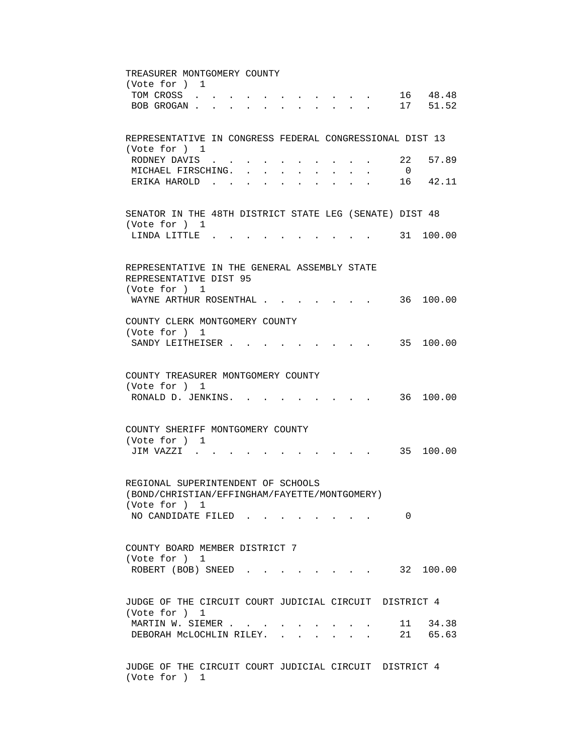TREASURER MONTGOMERY COUNTY (Vote for ) 1 TOM CROSS . . . . . . . . . . . . 16 48.48 BOB GROGAN . . . . . . . . . . . . 17 51.52 REPRESENTATIVE IN CONGRESS FEDERAL CONGRESSIONAL DIST 13 (Vote for ) 1 RODNEY DAVIS . . . . . . . . . . 22 57.89 MICHAEL FIRSCHING. . . . . . . . . 0 ERIKA HAROLD . . . . . . . . . . 16 42.11 SENATOR IN THE 48TH DISTRICT STATE LEG (SENATE) DIST 48 (Vote for ) 1 LINDA LITTLE . . . . . . . . . . 31 100.00 REPRESENTATIVE IN THE GENERAL ASSEMBLY STATE REPRESENTATIVE DIST 95 (Vote for ) 1 WAYNE ARTHUR ROSENTHAL . . . . . . . 36 100.00 COUNTY CLERK MONTGOMERY COUNTY (Vote for ) 1 SANDY LEITHEISER . . . . . . . . . 35 100.00 COUNTY TREASURER MONTGOMERY COUNTY (Vote for ) 1 RONALD D. JENKINS. . . . . . . . . 36 100.00 COUNTY SHERIFF MONTGOMERY COUNTY (Vote for ) 1 JIM VAZZI . . . . . . . . . . . 35 100.00 REGIONAL SUPERINTENDENT OF SCHOOLS (BOND/CHRISTIAN/EFFINGHAM/FAYETTE/MONTGOMERY) (Vote for ) 1 NO CANDIDATE FILED . . . . . . . . 0 COUNTY BOARD MEMBER DISTRICT 7 (Vote for ) 1 ROBERT (BOB) SNEED . . . . . . . . 32 100.00 JUDGE OF THE CIRCUIT COURT JUDICIAL CIRCUIT DISTRICT 4 (Vote for ) 1 MARTIN W. SIEMER . . . . . . . . . . 11 34.38 DEBORAH MCLOCHLIN RILEY. . . . . . . 21 65.63 JUDGE OF THE CIRCUIT COURT JUDICIAL CIRCUIT DISTRICT 4

(Vote for ) 1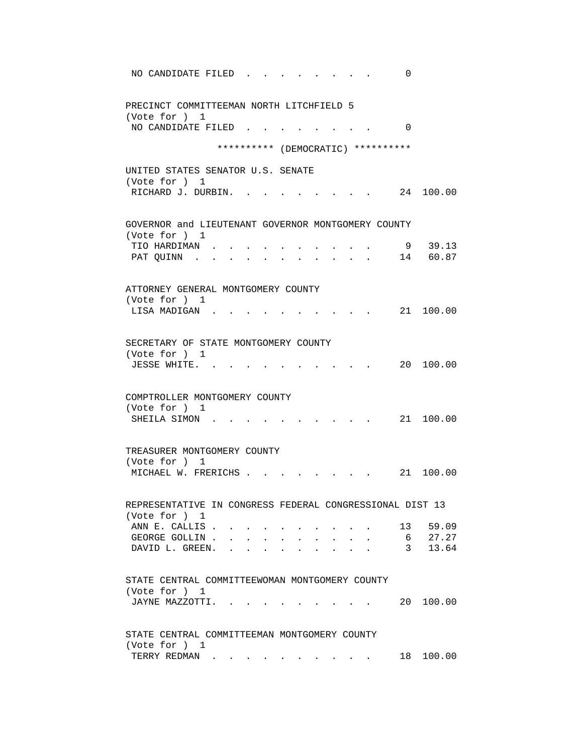| NO CANDIDATE FILED<br>0                                                   |
|---------------------------------------------------------------------------|
| PRECINCT COMMITTEEMAN NORTH LITCHFIELD 5<br>(Vote for ) 1                 |
| NO CANDIDATE FILED.<br>$\Omega$                                           |
| ********** (DEMOCRATIC) **********                                        |
| UNITED STATES SENATOR U.S. SENATE                                         |
| (Vote for ) 1<br>RICHARD J. DURBIN.<br>24 100.00                          |
| GOVERNOR and LIEUTENANT GOVERNOR MONTGOMERY COUNTY                        |
| (Vote for ) 1<br>9 39.13<br>TIO HARDIMAN                                  |
| 14 60.87<br>PAT QUINN.                                                    |
| ATTORNEY GENERAL MONTGOMERY COUNTY                                        |
| (Vote for ) 1                                                             |
| 21 100.00<br>LISA MADIGAN.                                                |
| SECRETARY OF STATE MONTGOMERY COUNTY                                      |
| (Vote for ) 1<br>20 100.00<br>JESSE WHITE.                                |
|                                                                           |
| COMPTROLLER MONTGOMERY COUNTY                                             |
| (Vote for ) 1<br>21 100.00<br>SHEILA SIMON.                               |
|                                                                           |
| TREASURER MONTGOMERY COUNTY                                               |
| (Vote for ) 1<br>MICHAEL W. FRERICHS .<br>21 100.00                       |
|                                                                           |
| REPRESENTATIVE IN CONGRESS FEDERAL CONGRESSIONAL DIST 13<br>(Vote for ) 1 |
| ANN E. CALLIS.<br>13 59.09                                                |
| 27.27<br>GEORGE GOLLIN.<br>6<br>13.64<br>DAVID L. GREEN.<br>$3^{\circ}$   |
|                                                                           |
| STATE CENTRAL COMMITTEEWOMAN MONTGOMERY COUNTY                            |
| (Vote for ) 1<br>JAYNE MAZZOTTI.<br>100.00<br>20                          |
|                                                                           |
| STATE CENTRAL COMMITTEEMAN MONTGOMERY COUNTY                              |
| (Vote for ) 1<br>TERRY REDMAN<br>18 100.00                                |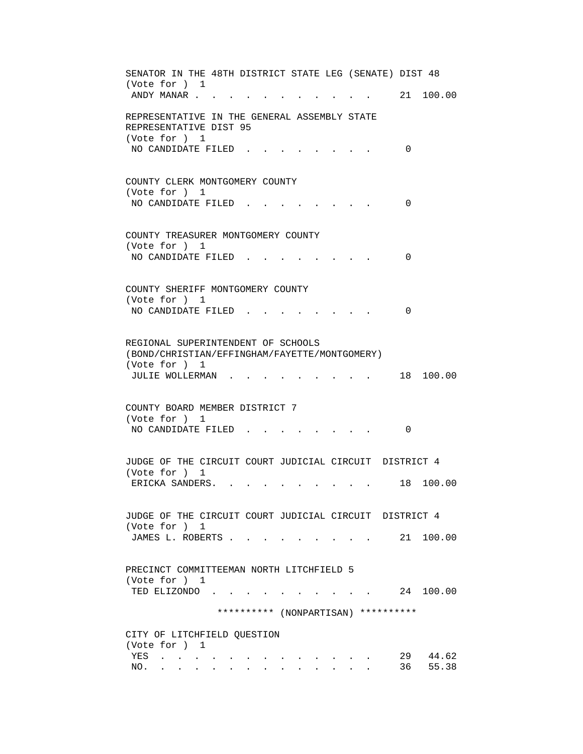SENATOR IN THE 48TH DISTRICT STATE LEG (SENATE) DIST 48 (Vote for ) 1 ANDY MANAR . . . . . . . . . . . . 21 100.00 REPRESENTATIVE IN THE GENERAL ASSEMBLY STATE REPRESENTATIVE DIST 95 (Vote for ) 1 NO CANDIDATE FILED . . . . . . . . 0 COUNTY CLERK MONTGOMERY COUNTY (Vote for ) 1 NO CANDIDATE FILED . . . . . . . . 0 COUNTY TREASURER MONTGOMERY COUNTY (Vote for ) 1 NO CANDIDATE FILED . . . . . . . . 0 COUNTY SHERIFF MONTGOMERY COUNTY (Vote for ) 1 NO CANDIDATE FILED . . . . . . . . 0 REGIONAL SUPERINTENDENT OF SCHOOLS (BOND/CHRISTIAN/EFFINGHAM/FAYETTE/MONTGOMERY) (Vote for ) 1 JULIE WOLLERMAN . . . . . . . . . . 18 100.00 COUNTY BOARD MEMBER DISTRICT 7 (Vote for ) 1 NO CANDIDATE FILED . . . . . . . . 0 JUDGE OF THE CIRCUIT COURT JUDICIAL CIRCUIT DISTRICT 4 (Vote for ) 1 ERICKA SANDERS. . . . . . . . . . 18 100.00 JUDGE OF THE CIRCUIT COURT JUDICIAL CIRCUIT DISTRICT 4 (Vote for ) 1 JAMES L. ROBERTS . . . . . . . . . 21 100.00 PRECINCT COMMITTEEMAN NORTH LITCHFIELD 5 (Vote for ) 1 TED ELIZONDO . . . . . . . . . . 24 100.00 \*\*\*\*\*\*\*\*\*\* (NONPARTISAN) \*\*\*\*\*\*\*\*\*\* CITY OF LITCHFIELD QUESTION (Vote for ) 1 YES . . . . . . . . . . . . . 29 44.62 NO. . . . . . . . . . . . . . 36 55.38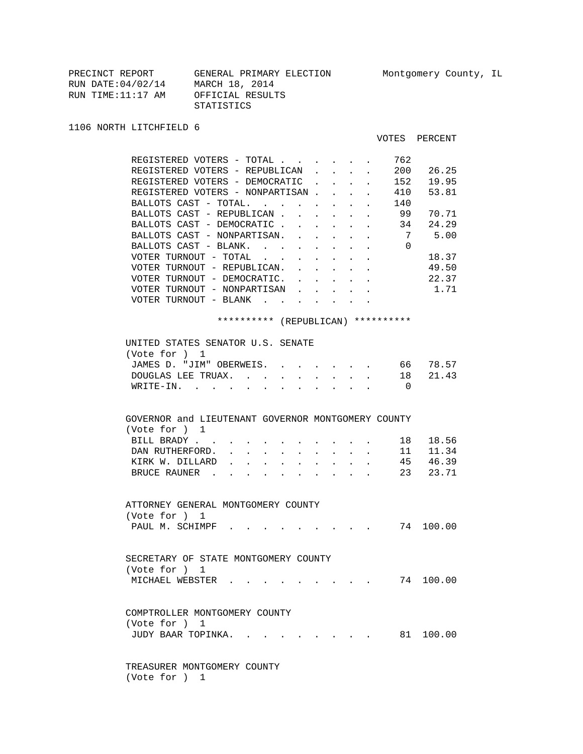| PRECINCT REPORT    | GENERAL PRIMARY ELECTION |
|--------------------|--------------------------|
| RUN DATE: 04/02/14 | MARCH 18, 2014           |
| RUN TIME:11:17 AM  | OFFICIAL RESULTS         |
|                    | STATISTICS               |
|                    |                          |

1106 NORTH LITCHFIELD 6

## VOTES PERCENT

| REGISTERED VOTERS - TOTAL                                                                                                                     |                                      |                                                                  |                           | 762            |                                                                                       |
|-----------------------------------------------------------------------------------------------------------------------------------------------|--------------------------------------|------------------------------------------------------------------|---------------------------|----------------|---------------------------------------------------------------------------------------|
| REGISTERED VOTERS - REPUBLICAN                                                                                                                |                                      |                                                                  |                           | $\sim 200$     | 26.25                                                                                 |
| REGISTERED VOTERS - DEMOCRATIC                                                                                                                |                                      |                                                                  | $\ddot{\phantom{0}}$      | 152            | 19.95                                                                                 |
| REGISTERED VOTERS - NONPARTISAN.                                                                                                              |                                      | $\mathbf{r}$                                                     |                           | 410            | 53.81                                                                                 |
| BALLOTS CAST - TOTAL.                                                                                                                         |                                      | $\mathcal{L}^{\text{max}}$                                       | $\mathbf{L} = \mathbf{L}$ | 140            |                                                                                       |
|                                                                                                                                               |                                      |                                                                  |                           |                |                                                                                       |
| BALLOTS CAST - REPUBLICAN 99                                                                                                                  |                                      |                                                                  |                           |                | 70.71                                                                                 |
| BALLOTS CAST - DEMOCRATIC 34 24.29                                                                                                            |                                      |                                                                  |                           |                |                                                                                       |
| BALLOTS CAST - NONPARTISAN. .                                                                                                                 |                                      | $\mathbf{r} = \mathbf{r} + \mathbf{r} + \mathbf{r} + \mathbf{r}$ |                           |                | 7 5.00                                                                                |
| BALLOTS CAST - BLANK.                                                                                                                         | $\ddotsc$                            | <b>All Carl Adams</b>                                            |                           | $\Omega$       |                                                                                       |
| VOTER TURNOUT - TOTAL<br>$\sim$                                                                                                               |                                      | $\sim$ 100 $\pm$                                                 |                           |                | 18.37                                                                                 |
| VOTER TURNOUT - REPUBLICAN.                                                                                                                   |                                      |                                                                  |                           |                | 49.50                                                                                 |
| VOTER TURNOUT - DEMOCRATIC.                                                                                                                   |                                      |                                                                  |                           |                | 22.37                                                                                 |
| VOTER TURNOUT - NONPARTISAN                                                                                                                   |                                      |                                                                  |                           |                | 1.71                                                                                  |
| VOTER TURNOUT - BLANK                                                                                                                         | $\mathbf{L} = \mathbf{L} \mathbf{L}$ | $\sim$                                                           |                           |                |                                                                                       |
|                                                                                                                                               |                                      |                                                                  |                           |                |                                                                                       |
| ********** (REPUBLICAN) **********                                                                                                            |                                      |                                                                  |                           |                |                                                                                       |
|                                                                                                                                               |                                      |                                                                  |                           |                |                                                                                       |
| UNITED STATES SENATOR U.S. SENATE                                                                                                             |                                      |                                                                  |                           |                |                                                                                       |
| (Vote for ) 1                                                                                                                                 |                                      |                                                                  |                           |                |                                                                                       |
| JAMES D. "JIM" OBERWEIS. .                                                                                                                    |                                      |                                                                  |                           |                | 66 78.57                                                                              |
| DOUGLAS LEE TRUAX.                                                                                                                            |                                      |                                                                  |                           |                | 18 21.43                                                                              |
|                                                                                                                                               |                                      |                                                                  |                           |                |                                                                                       |
| WRITE-IN.                                                                                                                                     |                                      |                                                                  |                           | $\overline{0}$ |                                                                                       |
|                                                                                                                                               |                                      |                                                                  |                           |                |                                                                                       |
|                                                                                                                                               |                                      |                                                                  |                           |                |                                                                                       |
|                                                                                                                                               |                                      |                                                                  |                           |                |                                                                                       |
| GOVERNOR and LIEUTENANT GOVERNOR MONTGOMERY COUNTY                                                                                            |                                      |                                                                  |                           |                |                                                                                       |
| (Vote for ) 1                                                                                                                                 |                                      |                                                                  |                           |                |                                                                                       |
| BILL BRADY                                                                                                                                    |                                      |                                                                  |                           | $\cdot$ 18     | 18.56                                                                                 |
| DAN RUTHERFORD.<br>$\ddot{\phantom{a}}$<br>$\ddot{\phantom{0}}$<br>$\mathbf{A}^{(1)}$ and $\mathbf{A}^{(2)}$ and<br>$\mathbf{L}^{\text{max}}$ | $\bullet$ .                          |                                                                  |                           |                |                                                                                       |
| KIRK W. DILLARD                                                                                                                               |                                      |                                                                  |                           |                | $\begin{array}{ccccccccc}\n\cdot & \cdot & \cdot & \cdot & 11 & 11.34 \\ \end{array}$ |
| BRUCE RAUNER.                                                                                                                                 |                                      |                                                                  |                           |                | 45 46.39<br>23 23.71                                                                  |
|                                                                                                                                               |                                      |                                                                  |                           |                |                                                                                       |
|                                                                                                                                               |                                      |                                                                  |                           |                |                                                                                       |
|                                                                                                                                               |                                      |                                                                  |                           |                |                                                                                       |
| ATTORNEY GENERAL MONTGOMERY COUNTY                                                                                                            |                                      |                                                                  |                           |                |                                                                                       |
| (Vote for ) 1                                                                                                                                 |                                      |                                                                  |                           |                |                                                                                       |
| PAUL M. SCHIMPF.                                                                                                                              |                                      |                                                                  |                           |                |                                                                                       |
|                                                                                                                                               |                                      |                                                                  |                           |                |                                                                                       |
|                                                                                                                                               |                                      |                                                                  |                           |                |                                                                                       |
| SECRETARY OF STATE MONTGOMERY COUNTY                                                                                                          |                                      |                                                                  |                           |                |                                                                                       |
| (Vote for ) 1                                                                                                                                 |                                      |                                                                  |                           |                |                                                                                       |
| MICHAEL WEBSTER .                                                                                                                             |                                      |                                                                  |                           |                | 74 100.00                                                                             |
|                                                                                                                                               |                                      |                                                                  |                           |                |                                                                                       |
|                                                                                                                                               |                                      |                                                                  |                           |                |                                                                                       |
| COMPTROLLER MONTGOMERY COUNTY                                                                                                                 |                                      |                                                                  |                           |                |                                                                                       |
| (Vote for ) 1                                                                                                                                 |                                      |                                                                  |                           |                |                                                                                       |
| JUDY BAAR TOPINKA.                                                                                                                            |                                      |                                                                  |                           |                | 81 100.00                                                                             |
|                                                                                                                                               |                                      |                                                                  |                           |                |                                                                                       |

 TREASURER MONTGOMERY COUNTY (Vote for ) 1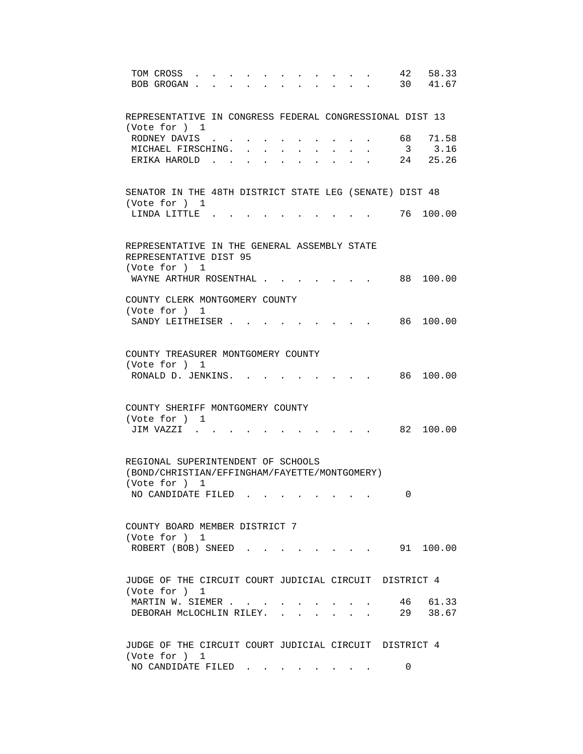| 42<br>58.33<br>TOM CROSS<br>30 41.67<br>BOB GROGAN.<br>$\mathbf{r}$ $\mathbf{r}$        |  |
|-----------------------------------------------------------------------------------------|--|
| REPRESENTATIVE IN CONGRESS FEDERAL CONGRESSIONAL DIST 13<br>(Vote for ) 1               |  |
| RODNEY DAVIS<br>68 -<br>71.58                                                           |  |
| $\overline{\mathbf{3}}$<br>3.16<br>MICHAEL FIRSCHING.<br>$\sim$                         |  |
| 24 25.26<br>ERIKA HAROLD.                                                               |  |
| SENATOR IN THE 48TH DISTRICT STATE LEG (SENATE) DIST 48<br>(Vote for ) 1                |  |
| 76<br>LINDA LITTLE.<br>100.00                                                           |  |
| REPRESENTATIVE IN THE GENERAL ASSEMBLY STATE<br>REPRESENTATIVE DIST 95<br>(Vote for ) 1 |  |
| WAYNE ARTHUR ROSENTHAL<br>88 100.00                                                     |  |
| COUNTY CLERK MONTGOMERY COUNTY<br>(Vote for ) 1                                         |  |
| 86 100.00<br>SANDY LEITHEISER                                                           |  |
| COUNTY TREASURER MONTGOMERY COUNTY<br>(Vote for ) 1<br>RONALD D. JENKINS. .<br>86       |  |
| 100.00                                                                                  |  |
| COUNTY SHERIFF MONTGOMERY COUNTY                                                        |  |
| (Vote for ) 1<br>JIM VAZZI .<br>82 100.00                                               |  |
| REGIONAL SUPERINTENDENT OF SCHOOLS<br>(BOND/CHRISTIAN/EFFINGHAM/FAYETTE/MONTGOMERY)     |  |
| (Vote for ) 1                                                                           |  |
| NO CANDIDATE FILED<br>0                                                                 |  |
| COUNTY BOARD MEMBER DISTRICT 7                                                          |  |
| (Vote for ) 1<br>$\cdot$ 91 100.00<br>ROBERT (BOB) SNEED.                               |  |
| JUDGE OF THE CIRCUIT COURT JUDICIAL CIRCUIT DISTRICT 4<br>(Vote for ) 1                 |  |
| 46 61.33<br>MARTIN W. SIEMER<br>29 38.67<br>DEBORAH MCLOCHLIN RILEY.                    |  |
| JUDGE OF THE CIRCUIT COURT JUDICIAL CIRCUIT DISTRICT 4<br>(Vote for ) 1                 |  |
| NO CANDIDATE FILED<br>0                                                                 |  |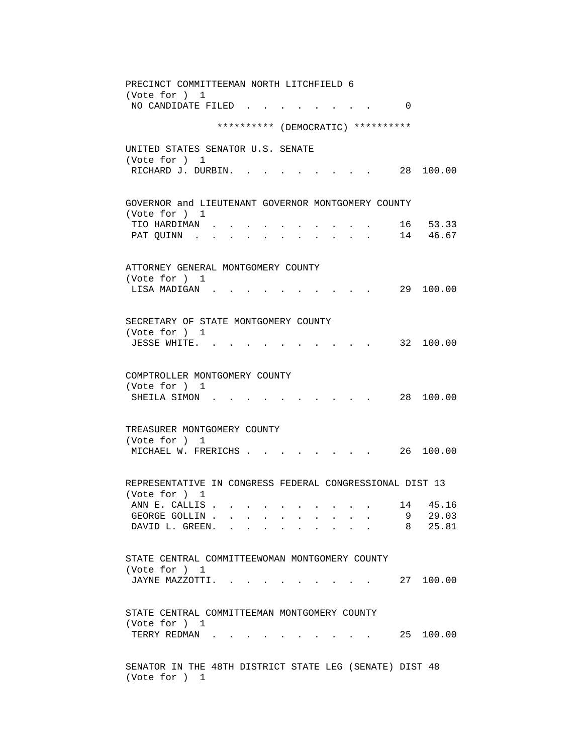PRECINCT COMMITTEEMAN NORTH LITCHFIELD 6 (Vote for ) 1 NO CANDIDATE FILED . . . . . . . . 0 \*\*\*\*\*\*\*\*\*\* (DEMOCRATIC) \*\*\*\*\*\*\*\*\*\* UNITED STATES SENATOR U.S. SENATE (Vote for ) 1 RICHARD J. DURBIN. . . . . . . . . 28 100.00 GOVERNOR and LIEUTENANT GOVERNOR MONTGOMERY COUNTY (Vote for ) 1 TIO HARDIMAN . . . . . . . . . . 16 53.33 PAT QUINN . . . . . . . . . . . 14 46.67 ATTORNEY GENERAL MONTGOMERY COUNTY (Vote for ) 1 LISA MADIGAN . . . . . . . . . . 29 100.00 SECRETARY OF STATE MONTGOMERY COUNTY (Vote for ) 1 JESSE WHITE. . . . . . . . . . . 32 100.00 COMPTROLLER MONTGOMERY COUNTY (Vote for ) 1 SHEILA SIMON . . . . . . . . . . 28 100.00 TREASURER MONTGOMERY COUNTY (Vote for ) 1 MICHAEL W. FRERICHS . . . . . . . . 26 100.00 REPRESENTATIVE IN CONGRESS FEDERAL CONGRESSIONAL DIST 13 (Vote for ) 1 ANN E. CALLIS . . . . . . . . . . 14 45.16 GEORGE GOLLIN . . . . . . . . . . . 9 29.03 DAVID L. GREEN. . . . . . . . . . 8 25.81 STATE CENTRAL COMMITTEEWOMAN MONTGOMERY COUNTY (Vote for ) 1 JAYNE MAZZOTTI. . . . . . . . . . 27 100.00 STATE CENTRAL COMMITTEEMAN MONTGOMERY COUNTY (Vote for ) 1 TERRY REDMAN . . . . . . . . . . . 25 100.00 SENATOR IN THE 48TH DISTRICT STATE LEG (SENATE) DIST 48 (Vote for ) 1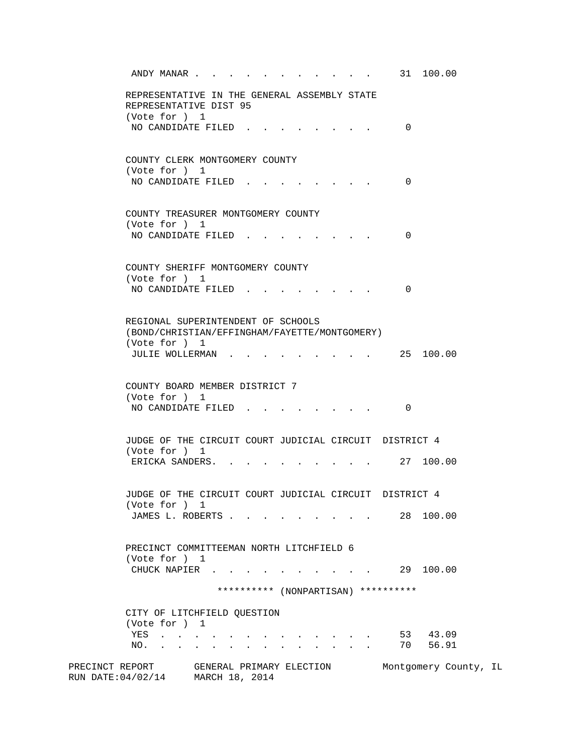| ANDY MANAR 31 100.00                                                                                                                                                                                                                                                                      |                     |                       |  |  |  |  |  |
|-------------------------------------------------------------------------------------------------------------------------------------------------------------------------------------------------------------------------------------------------------------------------------------------|---------------------|-----------------------|--|--|--|--|--|
| REPRESENTATIVE IN THE GENERAL ASSEMBLY STATE<br>REPRESENTATIVE DIST 95                                                                                                                                                                                                                    |                     |                       |  |  |  |  |  |
| (Vote for ) 1                                                                                                                                                                                                                                                                             |                     |                       |  |  |  |  |  |
| NO CANDIDATE FILED                                                                                                                                                                                                                                                                        | $\Omega$            |                       |  |  |  |  |  |
| COUNTY CLERK MONTGOMERY COUNTY<br>(Vote for ) 1                                                                                                                                                                                                                                           |                     |                       |  |  |  |  |  |
| NO CANDIDATE FILED                                                                                                                                                                                                                                                                        | $\Omega$            |                       |  |  |  |  |  |
| COUNTY TREASURER MONTGOMERY COUNTY                                                                                                                                                                                                                                                        |                     |                       |  |  |  |  |  |
| (Vote for ) 1<br>NO CANDIDATE FILED<br>$\mathbf{r} = \mathbf{r}$ , where $\mathbf{r} = \mathbf{r}$                                                                                                                                                                                        | 0                   |                       |  |  |  |  |  |
|                                                                                                                                                                                                                                                                                           |                     |                       |  |  |  |  |  |
| COUNTY SHERIFF MONTGOMERY COUNTY                                                                                                                                                                                                                                                          |                     |                       |  |  |  |  |  |
| (Vote for ) 1<br>NO CANDIDATE FILED.                                                                                                                                                                                                                                                      | 0                   |                       |  |  |  |  |  |
|                                                                                                                                                                                                                                                                                           |                     |                       |  |  |  |  |  |
| REGIONAL SUPERINTENDENT OF SCHOOLS                                                                                                                                                                                                                                                        |                     |                       |  |  |  |  |  |
| (BOND/CHRISTIAN/EFFINGHAM/FAYETTE/MONTGOMERY)<br>(Vote for ) 1                                                                                                                                                                                                                            |                     |                       |  |  |  |  |  |
| JULIE WOLLERMAN                                                                                                                                                                                                                                                                           |                     | 25 100.00             |  |  |  |  |  |
| COUNTY BOARD MEMBER DISTRICT 7                                                                                                                                                                                                                                                            |                     |                       |  |  |  |  |  |
| (Vote for ) 1<br>NO CANDIDATE FILED.                                                                                                                                                                                                                                                      | 0                   |                       |  |  |  |  |  |
| JUDGE OF THE CIRCUIT COURT JUDICIAL CIRCUIT DISTRICT 4                                                                                                                                                                                                                                    |                     |                       |  |  |  |  |  |
| (Vote for ) 1                                                                                                                                                                                                                                                                             |                     |                       |  |  |  |  |  |
| ERICKA SANDERS.                                                                                                                                                                                                                                                                           | $\cdot$ . 27 100.00 |                       |  |  |  |  |  |
| JUDGE OF THE CIRCUIT COURT JUDICIAL CIRCUIT DISTRICT 4                                                                                                                                                                                                                                    |                     |                       |  |  |  |  |  |
| (Vote for ) 1<br>JAMES L. ROBERTS                                                                                                                                                                                                                                                         |                     | 28 100.00             |  |  |  |  |  |
|                                                                                                                                                                                                                                                                                           |                     |                       |  |  |  |  |  |
| PRECINCT COMMITTEEMAN NORTH LITCHFIELD 6                                                                                                                                                                                                                                                  |                     |                       |  |  |  |  |  |
| (Vote for ) 1<br>CHUCK NAPIER 29 100.00                                                                                                                                                                                                                                                   |                     |                       |  |  |  |  |  |
| ********** (NONPARTISAN) **********                                                                                                                                                                                                                                                       |                     |                       |  |  |  |  |  |
| CITY OF LITCHFIELD QUESTION                                                                                                                                                                                                                                                               |                     |                       |  |  |  |  |  |
| (Vote for ) 1                                                                                                                                                                                                                                                                             |                     |                       |  |  |  |  |  |
| YES                                                                                                                                                                                                                                                                                       |                     | 53 43.09              |  |  |  |  |  |
| NO. .<br>$\mathbf{r}$ , $\mathbf{r}$ , $\mathbf{r}$<br>$\mathbf{A}$ and $\mathbf{A}$<br><b>All Card Control</b><br>$\bullet$ . In the case of the $\bullet$<br>$\bullet$ .<br><br><br><br><br><br><br><br><br><br><br><br><br>$\bullet$ .<br><br><br><br><br><br><br><br><br><br><br><br> | 70                  | 56.91                 |  |  |  |  |  |
| PRECINCT REPORT<br>GENERAL PRIMARY ELECTION<br>RUN DATE: 04/02/14 MARCH 18, 2014                                                                                                                                                                                                          |                     | Montgomery County, IL |  |  |  |  |  |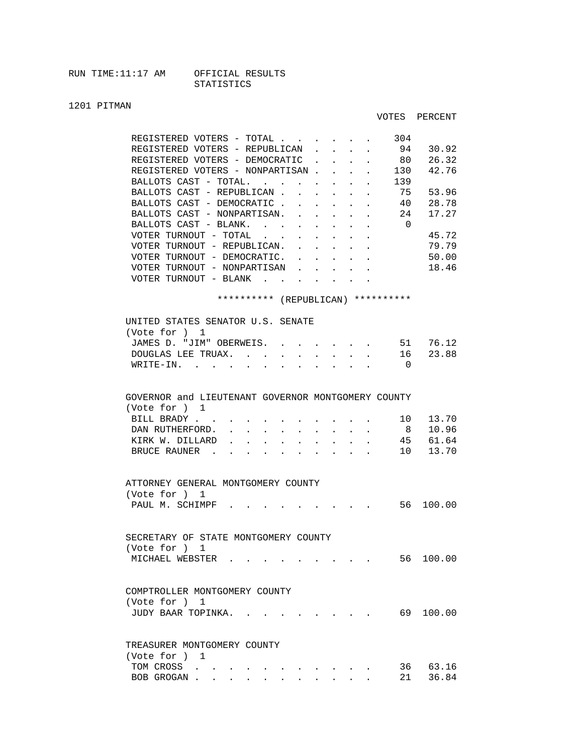## 1201 PITMAN

|                                                                                                           |                                            |                                        |                                                           |                | VOTES PERCENT     |  |
|-----------------------------------------------------------------------------------------------------------|--------------------------------------------|----------------------------------------|-----------------------------------------------------------|----------------|-------------------|--|
| REGISTERED VOTERS - TOTAL                                                                                 |                                            |                                        |                                                           | 304            |                   |  |
| REGISTERED VOTERS - REPUBLICAN                                                                            |                                            | $\mathbf{L} = \mathbf{L} \mathbf{L}$   | $\sim$                                                    | 94             | 30.92             |  |
| REGISTERED VOTERS - DEMOCRATIC                                                                            |                                            | <b>Service Control</b>                 |                                                           | 80             | 26.32             |  |
| REGISTERED VOTERS - NONPARTISAN                                                                           |                                            |                                        |                                                           | 130            | 42.76             |  |
| BALLOTS CAST - TOTAL.                                                                                     |                                            |                                        |                                                           | 139            |                   |  |
| BALLOTS CAST - REPUBLICAN                                                                                 |                                            |                                        |                                                           | 75             | 53.96             |  |
| BALLOTS CAST - DEMOCRATIC                                                                                 |                                            |                                        | <b>All Card Control</b>                                   | 40             | 28.78             |  |
| BALLOTS CAST - NONPARTISAN.                                                                               |                                            | $\sim$ 100 $\pm$                       | $\mathbf{z} = \mathbf{z} + \mathbf{z}$ . The $\mathbf{z}$ | 24             | 17.27             |  |
| BALLOTS CAST - BLANK.                                                                                     |                                            |                                        |                                                           | $\overline{0}$ |                   |  |
| VOTER TURNOUT - TOTAL                                                                                     |                                            |                                        |                                                           |                | 45.72             |  |
| VOTER TURNOUT - REPUBLICAN.<br>$\sim$                                                                     | $\sim$                                     |                                        |                                                           |                | 79.79             |  |
| VOTER TURNOUT - DEMOCRATIC.                                                                               | $\sim$ $\sim$ $\sim$                       | $\sim$                                 | $\sim$<br>$\mathbf{L}$                                    |                | 50.00             |  |
| VOTER TURNOUT - NONPARTISAN                                                                               |                                            |                                        |                                                           |                | 18.46             |  |
| VOTER TURNOUT - BLANK                                                                                     |                                            |                                        |                                                           |                |                   |  |
| ********** (REPUBLICAN) **********                                                                        |                                            |                                        |                                                           |                |                   |  |
|                                                                                                           |                                            |                                        |                                                           |                |                   |  |
| UNITED STATES SENATOR U.S. SENATE                                                                         |                                            |                                        |                                                           |                |                   |  |
| (Vote for ) 1                                                                                             |                                            |                                        |                                                           |                |                   |  |
| JAMES D. "JIM" OBERWEIS.                                                                                  |                                            |                                        |                                                           | 51             | 76.12             |  |
| DOUGLAS LEE TRUAX.<br>$\mathbf{r} = \mathbf{r} + \mathbf{r} + \mathbf{r} + \mathbf{r} + \mathbf{r}$       |                                            |                                        |                                                           | 16             | 23.88             |  |
| WRITE-IN.                                                                                                 |                                            |                                        |                                                           | $\overline{0}$ |                   |  |
| GOVERNOR and LIEUTENANT GOVERNOR MONTGOMERY COUNTY<br>(Vote for ) 1                                       |                                            |                                        |                                                           |                |                   |  |
| BILL BRADY                                                                                                |                                            |                                        |                                                           | 10             | 13.70             |  |
| DAN RUTHERFORD.<br>and a strategic state                                                                  | $\mathbf{r} = \mathbf{r} \cdot \mathbf{r}$ | $\mathbf{r} = \mathbf{r} + \mathbf{r}$ |                                                           | 8              | 10.96<br>45 61.64 |  |
| KIRK W. DILLARD                                                                                           |                                            |                                        |                                                           |                |                   |  |
| BRUCE RAUNER .<br>$\sim$<br><b>Contract Contract</b><br>$\mathbf{r}$ $\mathbf{r}$<br>$\ddot{\phantom{a}}$ | $\sim$                                     | $\mathbf{L}$                           |                                                           | 10             | 13.70             |  |
|                                                                                                           |                                            |                                        |                                                           |                |                   |  |
| ATTORNEY GENERAL MONTGOMERY COUNTY<br>(Vote for ) 1                                                       |                                            |                                        |                                                           |                |                   |  |
| PAUL M. SCHIMPF .                                                                                         |                                            |                                        |                                                           |                | . 56 100.00       |  |
|                                                                                                           |                                            |                                        |                                                           |                |                   |  |
| SECRETARY OF STATE MONTGOMERY COUNTY                                                                      |                                            |                                        |                                                           |                |                   |  |
| (Vote for ) 1                                                                                             |                                            |                                        |                                                           |                |                   |  |
| MICHAEL WEBSTER                                                                                           |                                            |                                        |                                                           |                | 56 100.00         |  |
|                                                                                                           |                                            |                                        |                                                           |                |                   |  |
| COMPTROLLER MONTGOMERY COUNTY                                                                             |                                            |                                        |                                                           |                |                   |  |
| (Vote for ) 1                                                                                             |                                            |                                        |                                                           |                |                   |  |
| JUDY BAAR TOPINKA. .                                                                                      |                                            |                                        |                                                           |                | 69 100.00         |  |
|                                                                                                           |                                            |                                        |                                                           |                |                   |  |
| TREASURER MONTGOMERY COUNTY                                                                               |                                            |                                        |                                                           |                |                   |  |
| (Vote for ) 1                                                                                             |                                            |                                        |                                                           |                |                   |  |
| TOM CROSS                                                                                                 |                                            |                                        |                                                           | 36             | 63.16             |  |
|                                                                                                           |                                            |                                        |                                                           |                |                   |  |

BOB GROGAN . . . . . . . . . . . 21 36.84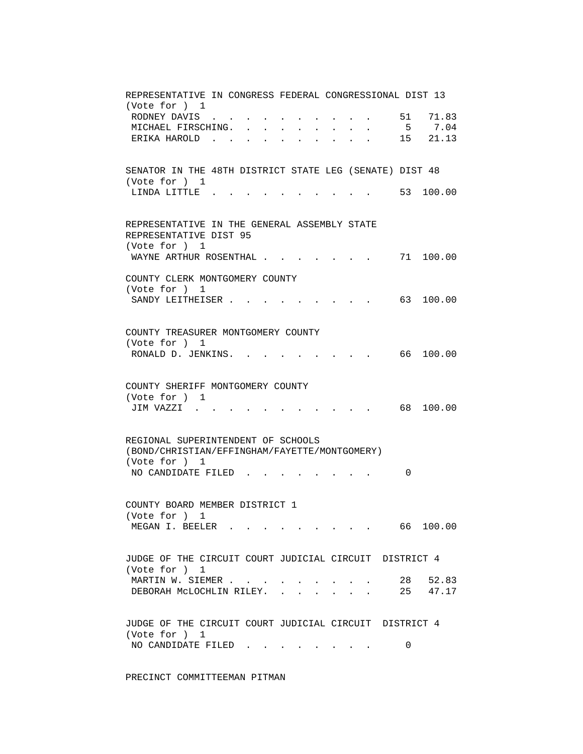| REPRESENTATIVE IN CONGRESS FEDERAL CONGRESSIONAL DIST 13<br>(Vote for ) 1                                                |
|--------------------------------------------------------------------------------------------------------------------------|
| RODNEY DAVIS<br>51<br>71.83                                                                                              |
| 5 7.04<br>MICHAEL FIRSCHING.<br>$\mathbf{L}^{\text{max}}$ , and $\mathbf{L}^{\text{max}}$                                |
| 15 21.13<br>ERIKA HAROLD<br><b>Professor Control</b> Control Control Control<br>$\mathbf{z} = \mathbf{z} + \mathbf{z}$ . |
|                                                                                                                          |
|                                                                                                                          |
| SENATOR IN THE 48TH DISTRICT STATE LEG (SENATE) DIST 48<br>(Vote for ) 1                                                 |
| 53 100.00<br>LINDA LITTLE.                                                                                               |
|                                                                                                                          |
|                                                                                                                          |
| REPRESENTATIVE IN THE GENERAL ASSEMBLY STATE                                                                             |
| REPRESENTATIVE DIST 95<br>(Vote for ) 1                                                                                  |
| WAYNE ARTHUR ROSENTHAL<br>71 100.00                                                                                      |
|                                                                                                                          |
| COUNTY CLERK MONTGOMERY COUNTY                                                                                           |
| (Vote for ) 1                                                                                                            |
| 63 100.00<br>SANDY LEITHEISER.                                                                                           |
|                                                                                                                          |
| COUNTY TREASURER MONTGOMERY COUNTY                                                                                       |
| (Vote for ) 1                                                                                                            |
| RONALD D. JENKINS.<br>66 100.00                                                                                          |
|                                                                                                                          |
| COUNTY SHERIFF MONTGOMERY COUNTY                                                                                         |
| (Vote for ) 1                                                                                                            |
| 68<br>100.00<br>JIM VAZZI                                                                                                |
|                                                                                                                          |
|                                                                                                                          |
| REGIONAL SUPERINTENDENT OF SCHOOLS<br>(BOND/CHRISTIAN/EFFINGHAM/FAYETTE/MONTGOMERY)                                      |
| (Vote for ) 1                                                                                                            |
| NO CANDIDATE FILED<br>0                                                                                                  |
|                                                                                                                          |
|                                                                                                                          |
| COUNTY BOARD MEMBER DISTRICT 1                                                                                           |
| (Vote for ) 1<br>MEGAN I. BEELER 66<br>100.00                                                                            |
|                                                                                                                          |
|                                                                                                                          |
| JUDGE OF THE CIRCUIT COURT JUDICIAL CIRCUIT DISTRICT 4                                                                   |
| (Vote for ) 1                                                                                                            |
| 28 52.83<br>MARTIN W. SIEMER                                                                                             |
| $\cdot$ $\cdot$ 25 47.17<br>DEBORAH MCLOCHLIN RILEY.<br>$\mathbf{r}$                                                     |
|                                                                                                                          |
| JUDGE OF THE CIRCUIT COURT JUDICIAL CIRCUIT DISTRICT 4                                                                   |
| (Vote for ) 1                                                                                                            |
| NO CANDIDATE FILED.<br>0                                                                                                 |
|                                                                                                                          |

PRECINCT COMMITTEEMAN PITMAN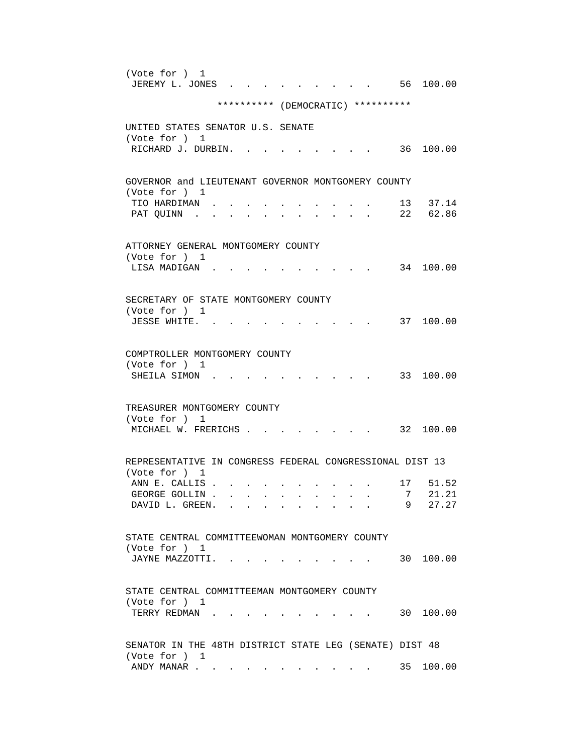| (Vote for ) 1<br>JEREMY L. JONES<br>56 100.00                                                                                             |  |
|-------------------------------------------------------------------------------------------------------------------------------------------|--|
| ********** (DEMOCRATIC) **********                                                                                                        |  |
| UNITED STATES SENATOR U.S. SENATE                                                                                                         |  |
| (Vote for ) 1<br>RICHARD J. DURBIN.<br>36 100.00                                                                                          |  |
| GOVERNOR and LIEUTENANT GOVERNOR MONTGOMERY COUNTY                                                                                        |  |
| (Vote for ) 1<br>13 37.14<br>TIO HARDIMAN.<br>22 62.86<br>PAT QUINN .<br>$\mathbf{r} = \mathbf{r} + \mathbf{r} + \mathbf{r} + \mathbf{r}$ |  |
| ATTORNEY GENERAL MONTGOMERY COUNTY<br>(Vote for ) 1                                                                                       |  |
| 34 100.00<br>LISA MADIGAN                                                                                                                 |  |
| SECRETARY OF STATE MONTGOMERY COUNTY<br>(Vote for ) 1                                                                                     |  |
| 37 100.00<br>JESSE WHITE.                                                                                                                 |  |
| COMPTROLLER MONTGOMERY COUNTY<br>(Vote for ) 1<br>33 100.00<br>SHEILA SIMON.                                                              |  |
| TREASURER MONTGOMERY COUNTY<br>(Vote for ) 1<br>32 100.00<br>MICHAEL W. FRERICHS                                                          |  |
| REPRESENTATIVE IN CONGRESS FEDERAL CONGRESSIONAL DIST 13<br>(Vote for ) 1                                                                 |  |
| ANN E. CALLIS.<br>17 51.52                                                                                                                |  |
| 7 21.21<br>GEORGE GOLLIN.                                                                                                                 |  |
| 9 27.27<br>DAVID L. GREEN.                                                                                                                |  |
| STATE CENTRAL COMMITTEEWOMAN MONTGOMERY COUNTY<br>(Vote for ) 1                                                                           |  |
| 30 100.00<br>JAYNE MAZZOTTI. .                                                                                                            |  |
| STATE CENTRAL COMMITTEEMAN MONTGOMERY COUNTY<br>(Vote for ) 1                                                                             |  |
| 30 100.00<br>TERRY REDMAN                                                                                                                 |  |
| SENATOR IN THE 48TH DISTRICT STATE LEG (SENATE) DIST 48<br>(Vote for ) 1                                                                  |  |
| 35 100.00<br>ANDY MANAR<br><b>Contract Contract Street</b>                                                                                |  |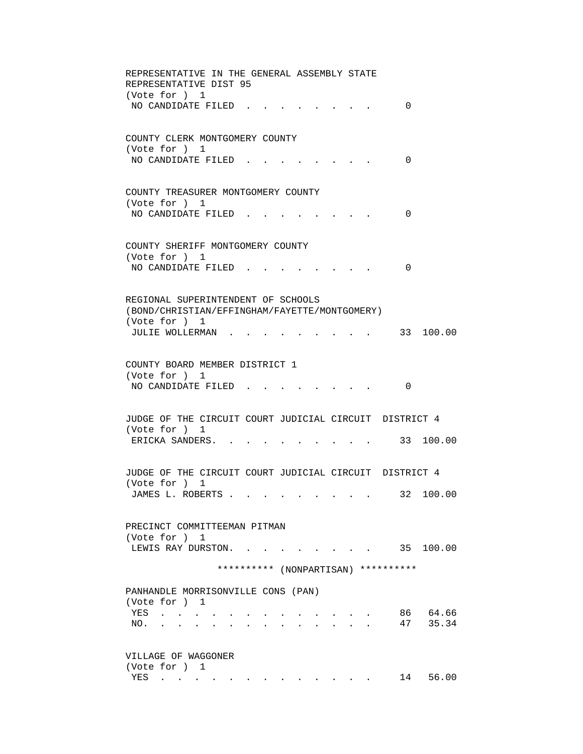| REPRESENTATIVE IN THE GENERAL ASSEMBLY STATE<br>REPRESENTATIVE DIST 95<br>(Vote for ) 1                                                                                                                                                                                             |
|-------------------------------------------------------------------------------------------------------------------------------------------------------------------------------------------------------------------------------------------------------------------------------------|
| NO CANDIDATE FILED.<br>0                                                                                                                                                                                                                                                            |
| COUNTY CLERK MONTGOMERY COUNTY<br>(Vote for ) 1<br>NO CANDIDATE FILED.<br>0                                                                                                                                                                                                         |
| COUNTY TREASURER MONTGOMERY COUNTY<br>(Vote for ) 1<br>NO CANDIDATE FILED.<br>0                                                                                                                                                                                                     |
| COUNTY SHERIFF MONTGOMERY COUNTY<br>(Vote for ) 1<br>NO CANDIDATE FILED.<br>0                                                                                                                                                                                                       |
| REGIONAL SUPERINTENDENT OF SCHOOLS<br>(BOND/CHRISTIAN/EFFINGHAM/FAYETTE/MONTGOMERY)<br>(Vote for ) 1<br>JULIE WOLLERMAN.<br>33 100.00                                                                                                                                               |
| COUNTY BOARD MEMBER DISTRICT 1<br>(Vote for ) 1<br>NO CANDIDATE FILED.<br>0                                                                                                                                                                                                         |
| JUDGE OF THE CIRCUIT COURT JUDICIAL CIRCUIT DISTRICT 4<br>(Vote for ) 1<br>ERICKA SANDERS.<br>. 33 100.00                                                                                                                                                                           |
| JUDGE OF THE CIRCUIT COURT JUDICIAL CIRCUIT DISTRICT 4<br>(Vote for ) 1<br>32 100.00<br>JAMES L. ROBERTS                                                                                                                                                                            |
| PRECINCT COMMITTEEMAN PITMAN<br>(Vote for ) 1<br>35 100.00<br>LEWIS RAY DURSTON.<br>$\mathbf{r} = \mathbf{r} \cdot \mathbf{r}$ , where $\mathbf{r} = \mathbf{r} \cdot \mathbf{r}$                                                                                                   |
| ********** (NONPARTISAN) **********                                                                                                                                                                                                                                                 |
| PANHANDLE MORRISONVILLE CONS (PAN)<br>(Vote for ) 1<br>86 64.66<br>YES<br><b>Contract Contract Contract</b><br>47 35.34<br>NO.<br>and the state of the state of the                                                                                                                 |
| VILLAGE OF WAGGONER<br>(Vote for ) 1<br>14 56.00<br>YES<br>$\mathbf{a} = \mathbf{a} \times \mathbf{a}$ , and $\mathbf{a} = \mathbf{a} \times \mathbf{a}$ , and<br>$\mathcal{A}$ , and $\mathcal{A}$ , and $\mathcal{A}$ , and $\mathcal{A}$ , and $\mathcal{A}$ , and $\mathcal{A}$ |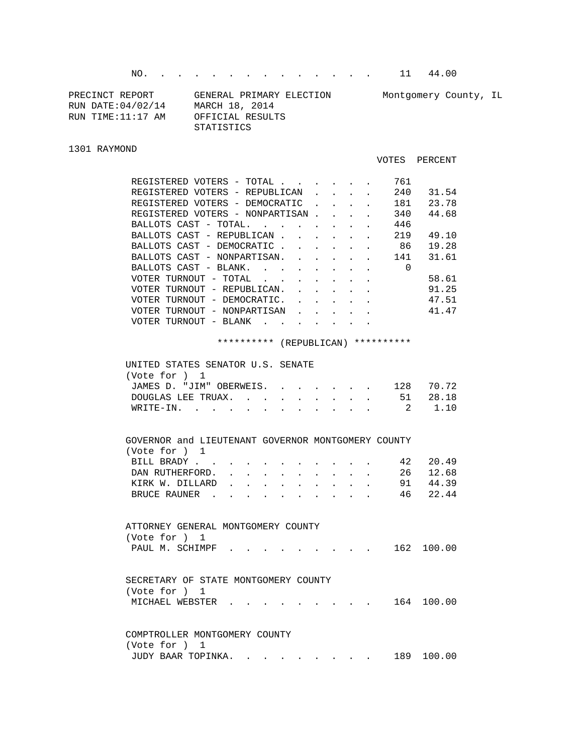NO. . . . . . . . . . . . . . . 11 44.00

| PRECINCT REPORT    | GENERAL PRIMARY ELECTION | Montgomery County, IL |
|--------------------|--------------------------|-----------------------|
| RUN DATE: 04/02/14 | MARCH 18, 2014           |                       |
| RUN TIME:11:17 AM  | OFFICIAL RESULTS         |                       |
|                    | STATISTICS               |                       |

## 1301 RAYMOND

## VOTES PERCENT

|  | REGISTERED VOTERS - TOTAL       |                                   |             |  |  | 761 |       |
|--|---------------------------------|-----------------------------------|-------------|--|--|-----|-------|
|  | REGISTERED VOTERS - REPUBLICAN  |                                   |             |  |  | 240 | 31.54 |
|  | REGISTERED VOTERS - DEMOCRATIC  |                                   |             |  |  | 181 | 23.78 |
|  | REGISTERED VOTERS - NONPARTISAN |                                   |             |  |  | 340 | 44.68 |
|  | BALLOTS CAST - TOTAL.           |                                   | $\sim$      |  |  | 446 |       |
|  | BALLOTS CAST - REPUBLICAN       |                                   |             |  |  | 219 | 49.10 |
|  | BALLOTS CAST - DEMOCRATIC       |                                   |             |  |  | 86  | 19.28 |
|  | BALLOTS CAST - NONPARTISAN.     |                                   |             |  |  | 141 | 31.61 |
|  | BALLOTS CAST - BLANK.           |                                   |             |  |  | 0   |       |
|  | VOTER TURNOUT - TOTAL           |                                   |             |  |  |     | 58.61 |
|  | VOTER TURNOUT - REPUBLICAN.     |                                   |             |  |  |     | 91.25 |
|  | VOTER TURNOUT                   | $\hspace{0.1mm}$                  | DEMOCRATIC. |  |  |     | 47.51 |
|  | VOTER TURNOUT - NONPARTISAN     |                                   |             |  |  |     | 41.47 |
|  | VOTER TURNOUT                   | BLANK<br>$\overline{\phantom{m}}$ |             |  |  |     |       |
|  |                                 |                                   |             |  |  |     |       |

## \*\*\*\*\*\*\*\*\*\* (REPUBLICAN) \*\*\*\*\*\*\*\*\*\*

| UNITED STATES SENATOR U.S. SENATE |  |  |  |  |           |
|-----------------------------------|--|--|--|--|-----------|
| (Vote for ) 1                     |  |  |  |  |           |
| JAMES D. "JIM" OBERWEIS.          |  |  |  |  | 128 70.72 |
| DOUGLAS LEE TRUAX. 51 28.18       |  |  |  |  |           |
| WRITE-IN. 2 1.10                  |  |  |  |  |           |
|                                   |  |  |  |  |           |

| GOVERNOR and LIEUTENANT GOVERNOR MONTGOMERY COUNTY |  |  |  |  |  |          |
|----------------------------------------------------|--|--|--|--|--|----------|
| (Vote for ) 1                                      |  |  |  |  |  |          |
| BILL BRADY. 42 20.49                               |  |  |  |  |  |          |
| DAN RUTHERFORD. 26 12.68                           |  |  |  |  |  |          |
| KIRK W. DILLARD 91 44.39                           |  |  |  |  |  |          |
| BRUCE RAUNER                                       |  |  |  |  |  | 46 22.44 |
|                                                    |  |  |  |  |  |          |

| ATTORNEY GENERAL MONTGOMERY COUNTY |  |  |  |  |
|------------------------------------|--|--|--|--|
| (Vote for ) 1                      |  |  |  |  |
| PAUL M. SCHIMPF 162 100.00         |  |  |  |  |

| SECRETARY OF STATE MONTGOMERY COUNTY |  |  |  |  |            |
|--------------------------------------|--|--|--|--|------------|
| (Vote for ) 1                        |  |  |  |  |            |
|                                      |  |  |  |  | 164 100.00 |

|               | COMPTROLLER MONTGOMERY COUNTY |  |  |  |  |            |
|---------------|-------------------------------|--|--|--|--|------------|
| (Vote for ) 1 |                               |  |  |  |  |            |
|               | JUDY BAAR TOPINKA.            |  |  |  |  | 189 100.00 |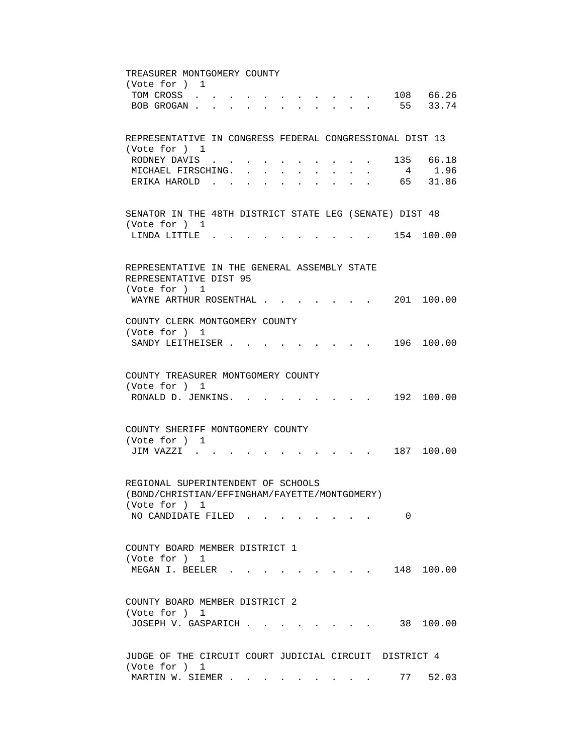TREASURER MONTGOMERY COUNTY (Vote for ) 1 TOM CROSS . . . . . . . . . . . 108 66.26 BOB GROGAN . . . . . . . . . . . . 55 33.74 REPRESENTATIVE IN CONGRESS FEDERAL CONGRESSIONAL DIST 13 (Vote for ) 1 RODNEY DAVIS . . . . . . . . . . 135 66.18 MICHAEL FIRSCHING. . . . . . . . . 4 1.96 ERIKA HAROLD . . . . . . . . . . . 65 31.86 SENATOR IN THE 48TH DISTRICT STATE LEG (SENATE) DIST 48 (Vote for ) 1 LINDA LITTLE . . . . . . . . . . 154 100.00 REPRESENTATIVE IN THE GENERAL ASSEMBLY STATE REPRESENTATIVE DIST 95 (Vote for ) 1 WAYNE ARTHUR ROSENTHAL . . . . . . 201 100.00 COUNTY CLERK MONTGOMERY COUNTY (Vote for ) 1 SANDY LEITHEISER . . . . . . . . . 196 100.00 COUNTY TREASURER MONTGOMERY COUNTY (Vote for ) 1 RONALD D. JENKINS. . . . . . . . . 192 100.00 COUNTY SHERIFF MONTGOMERY COUNTY (Vote for ) 1 JIM VAZZI . . . . . . . . . . . 187 100.00 REGIONAL SUPERINTENDENT OF SCHOOLS (BOND/CHRISTIAN/EFFINGHAM/FAYETTE/MONTGOMERY) (Vote for ) 1 NO CANDIDATE FILED . . . . . . . . 0 COUNTY BOARD MEMBER DISTRICT 1 (Vote for ) 1 MEGAN I. BEELER . . . . . . . . . 148 100.00 COUNTY BOARD MEMBER DISTRICT 2 (Vote for ) 1 JOSEPH V. GASPARICH . . . . . . . . 38 100.00 JUDGE OF THE CIRCUIT COURT JUDICIAL CIRCUIT DISTRICT 4 (Vote for ) 1 MARTIN W. SIEMER . . . . . . . . . . 77 52.03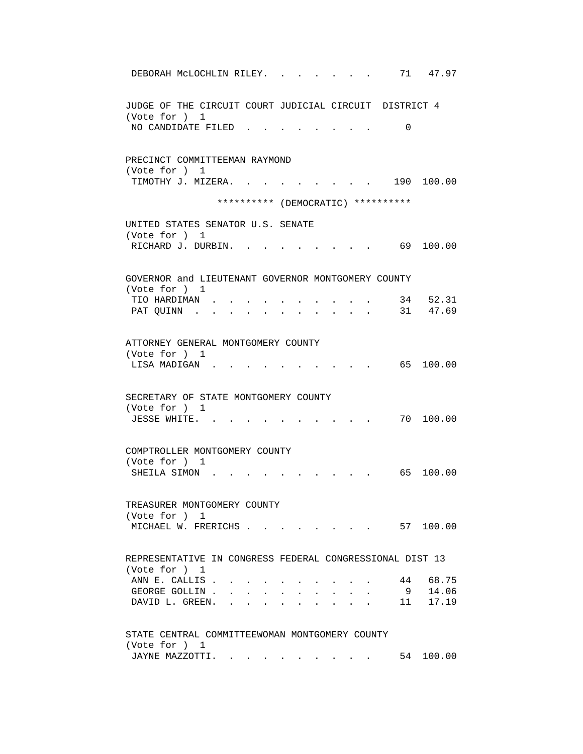| 71<br>47.97<br>DEBORAH MCLOCHLIN RILEY.                                                                                                                                                                                     |
|-----------------------------------------------------------------------------------------------------------------------------------------------------------------------------------------------------------------------------|
| JUDGE OF THE CIRCUIT COURT JUDICIAL CIRCUIT DISTRICT 4<br>(Vote for ) 1                                                                                                                                                     |
| NO CANDIDATE FILED<br>$\Omega$                                                                                                                                                                                              |
| PRECINCT COMMITTEEMAN RAYMOND                                                                                                                                                                                               |
| (Vote for ) 1<br>190 100.00<br>TIMOTHY J. MIZERA. .                                                                                                                                                                         |
| ********** (DEMOCRATIC) **********                                                                                                                                                                                          |
| UNITED STATES SENATOR U.S. SENATE<br>(Vote for ) 1                                                                                                                                                                          |
| RICHARD J. DURBIN.<br>69 100.00                                                                                                                                                                                             |
| GOVERNOR and LIEUTENANT GOVERNOR MONTGOMERY COUNTY                                                                                                                                                                          |
| (Vote for ) 1                                                                                                                                                                                                               |
| 34 52.31<br>TIO HARDIMAN.<br>31 47.69<br>PAT QUINN .<br>$\bullet \qquad \bullet \qquad \bullet$<br>$\mathbf{r} = \mathbf{r}$<br>$\sim$ 100 $\sim$                                                                           |
| ATTORNEY GENERAL MONTGOMERY COUNTY                                                                                                                                                                                          |
| (Vote for ) 1                                                                                                                                                                                                               |
| 65 100.00<br>LISA MADIGAN.                                                                                                                                                                                                  |
| SECRETARY OF STATE MONTGOMERY COUNTY                                                                                                                                                                                        |
| (Vote for ) 1<br>70 100.00<br>JESSE WHITE.                                                                                                                                                                                  |
| COMPTROLLER MONTGOMERY COUNTY                                                                                                                                                                                               |
| (Vote for ) 1                                                                                                                                                                                                               |
| 100.00<br>SHEILA SIMON<br>65 —                                                                                                                                                                                              |
| TREASURER MONTGOMERY COUNTY                                                                                                                                                                                                 |
| (Vote for ) 1                                                                                                                                                                                                               |
| $\cdot$ $\cdot$ $\cdot$ $\cdot$ $\cdot$ $\cdot$ 57 100.00<br>MICHAEL W. FRERICHS                                                                                                                                            |
| REPRESENTATIVE IN CONGRESS FEDERAL CONGRESSIONAL DIST 13                                                                                                                                                                    |
| (Vote for ) 1                                                                                                                                                                                                               |
| 44 68.75<br>ANN E. CALLIS.<br>14.06<br>GEORGE GOLLIN.<br>9<br>$\mathbf{r} = \mathbf{r} + \mathbf{r} + \mathbf{r} + \mathbf{r} + \mathbf{r} + \mathbf{r}$                                                                    |
| $\bullet$ . The set of $\bullet$<br>$\bullet$ .<br><br><br><br><br><br><br><br><br><br><br><br><br><br>$\bullet$ .<br><br><br><br><br><br><br><br><br><br><br><br><br>11 17.19<br>DAVID L. GREEN. .<br>$\ddot{\phantom{0}}$ |
| STATE CENTRAL COMMITTEEWOMAN MONTGOMERY COUNTY                                                                                                                                                                              |
| (Vote for ) 1                                                                                                                                                                                                               |
| 54 100.00<br>JAYNE MAZZOTTI.                                                                                                                                                                                                |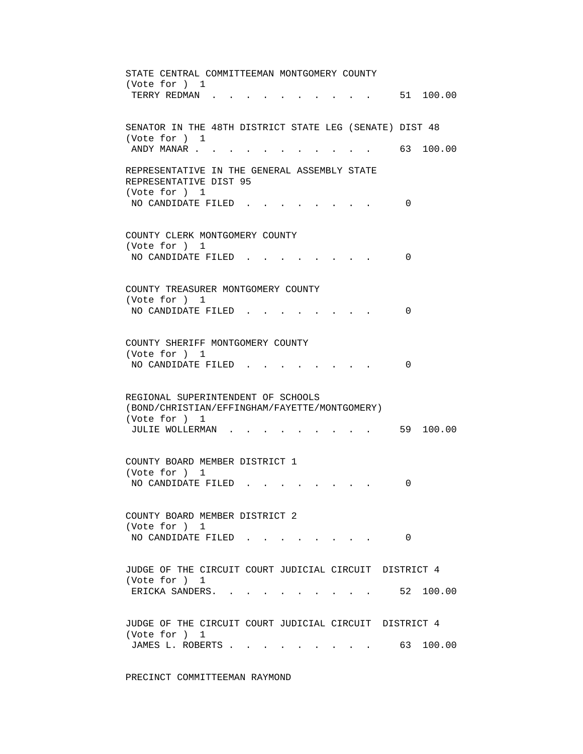STATE CENTRAL COMMITTEEMAN MONTGOMERY COUNTY (Vote for ) 1 TERRY REDMAN . . . . . . . . . . . 51 100.00 SENATOR IN THE 48TH DISTRICT STATE LEG (SENATE) DIST 48 (Vote for ) 1 ANDY MANAR . . . . . . . . . . . . 63 100.00 REPRESENTATIVE IN THE GENERAL ASSEMBLY STATE REPRESENTATIVE DIST 95 (Vote for ) 1 NO CANDIDATE FILED . . . . . . . . 0 COUNTY CLERK MONTGOMERY COUNTY (Vote for ) 1 NO CANDIDATE FILED . . . . . . . . 0 COUNTY TREASURER MONTGOMERY COUNTY (Vote for ) 1 NO CANDIDATE FILED . . . . . . . . 0 COUNTY SHERIFF MONTGOMERY COUNTY (Vote for ) 1 NO CANDIDATE FILED . . . . . . . . 0 REGIONAL SUPERINTENDENT OF SCHOOLS (BOND/CHRISTIAN/EFFINGHAM/FAYETTE/MONTGOMERY) (Vote for ) 1 JULIE WOLLERMAN . . . . . . . . . . 59 100.00 COUNTY BOARD MEMBER DISTRICT 1 (Vote for ) 1 NO CANDIDATE FILED . . . . . . . . 0 COUNTY BOARD MEMBER DISTRICT 2 (Vote for ) 1 NO CANDIDATE FILED . . . . . . . . 0 JUDGE OF THE CIRCUIT COURT JUDICIAL CIRCUIT DISTRICT 4 (Vote for ) 1 ERICKA SANDERS. . . . . . . . . . 52 100.00 JUDGE OF THE CIRCUIT COURT JUDICIAL CIRCUIT DISTRICT 4 (Vote for ) 1 JAMES L. ROBERTS . . . . . . . . . 63 100.00

PRECINCT COMMITTEEMAN RAYMOND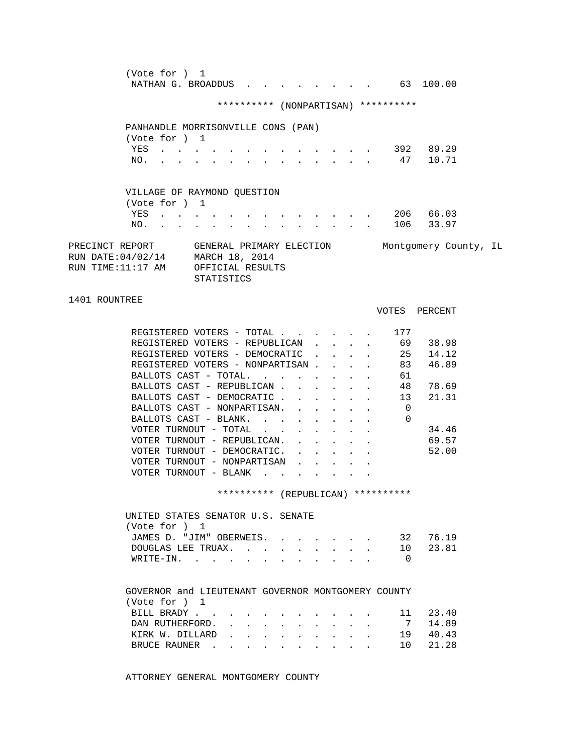| (Vote for ) 1<br>NATHAN G. BROADDUS 63 100.00                                                                                                           |               |
|---------------------------------------------------------------------------------------------------------------------------------------------------------|---------------|
| ********** (NONPARTISAN) **********                                                                                                                     |               |
| PANHANDLE MORRISONVILLE CONS (PAN)                                                                                                                      |               |
| (Vote for ) 1                                                                                                                                           |               |
| YES 392 89.29                                                                                                                                           |               |
| . 47 10.71<br>NO.                                                                                                                                       |               |
|                                                                                                                                                         |               |
| VILLAGE OF RAYMOND QUESTION                                                                                                                             |               |
| (Vote for ) 1                                                                                                                                           |               |
| YES 206 66.03                                                                                                                                           |               |
| $\cdot$ 106 33.97<br>NO.                                                                                                                                |               |
| PRECINCT REPORT GENERAL PRIMARY ELECTION Montgomery County, IL<br>RUN DATE: 04/02/14 MARCH 18, 2014<br>RUN TIME:11:17 AM OFFICIAL RESULTS<br>STATISTICS |               |
| 1401 ROUNTREE                                                                                                                                           | VOTES PERCENT |
|                                                                                                                                                         |               |
| REGISTERED VOTERS - TOTAL 177                                                                                                                           |               |
| REGISTERED VOTERS - REPUBLICAN 69 38.98                                                                                                                 |               |
| REGISTERED VOTERS - DEMOCRATIC 25 14.12                                                                                                                 |               |
| REGISTERED VOTERS - NONPARTISAN 83 46.89                                                                                                                |               |
| BALLOTS CAST - TOTAL.<br>61                                                                                                                             |               |
| BALLOTS CAST - REPUBLICAN<br>$\bullet$ - $\bullet$ - $\bullet$ - $\bullet$                                                                              | 48 78.69      |
| . 13 21.31<br>BALLOTS CAST - DEMOCRATIC                                                                                                                 |               |
| BALLOTS CAST - NONPARTISAN.<br>$\overline{\phantom{0}}$                                                                                                 |               |
| BALLOTS CAST - BLANK.<br>$\Omega$<br>$\sim$<br>$\mathbf{L}$                                                                                             |               |
| VOTER TURNOUT - TOTAL                                                                                                                                   | 34.46         |
| VOTER TURNOUT - REPUBLICAN.                                                                                                                             | 69.57         |
| VOTER TURNOUT - DEMOCRATIC.                                                                                                                             | 52.00         |
| VOTER TURNOUT - NONPARTISAN                                                                                                                             |               |
| VOTER TURNOUT - BLANK $\cdot$                                                                                                                           |               |
| ********** (REPUBLICAN) **********                                                                                                                      |               |
|                                                                                                                                                         |               |
| UNITED STATES SENATOR U.S. SENATE                                                                                                                       |               |
| (Vote for ) 1                                                                                                                                           |               |
| JAMES D. "JIM" OBERWEIS.                                                                                                                                | 32 76.19      |
| 10<br>DOUGLAS LEE TRUAX.                                                                                                                                | 23.81         |
| WRITE-IN.<br>$\overline{\phantom{0}}$                                                                                                                   |               |
| GOVERNOR and LIEUTENANT GOVERNOR MONTGOMERY COUNTY<br>(Vote for ) 1                                                                                     |               |
| BILL BRADY                                                                                                                                              | 11 23.40      |
| $7\overline{ }$<br>DAN RUTHERFORD.                                                                                                                      | 14.89         |
| KIRK W. DILLARD                                                                                                                                         | 19 40.43      |
| 10<br>BRUCE RAUNER                                                                                                                                      | 21.28         |
|                                                                                                                                                         |               |

ATTORNEY GENERAL MONTGOMERY COUNTY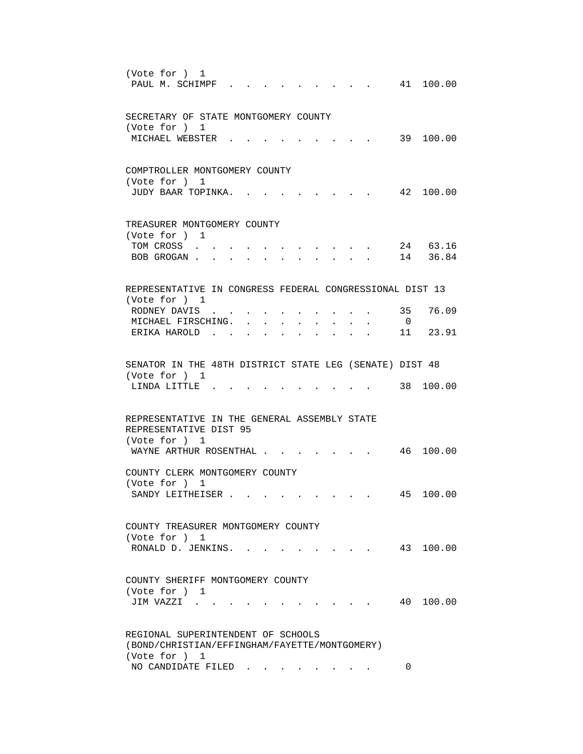| (Vote for ) 1<br>PAUL M. SCHIMPF.<br>41 100.00<br>$\mathbf{r}$ , $\mathbf{r}$ , $\mathbf{r}$                                                                                                                          |  |
|-----------------------------------------------------------------------------------------------------------------------------------------------------------------------------------------------------------------------|--|
| SECRETARY OF STATE MONTGOMERY COUNTY<br>(Vote for ) 1                                                                                                                                                                 |  |
| MICHAEL WEBSTER .<br>39 100.00                                                                                                                                                                                        |  |
| COMPTROLLER MONTGOMERY COUNTY<br>(Vote for ) 1<br>42 100.00<br>JUDY BAAR TOPINKA.                                                                                                                                     |  |
| TREASURER MONTGOMERY COUNTY<br>(Vote for ) 1                                                                                                                                                                          |  |
| 24 63.16<br>TOM CROSS<br>14 36.84<br>BOB GROGAN.<br>$\ddot{\phantom{a}}$                                                                                                                                              |  |
| REPRESENTATIVE IN CONGRESS FEDERAL CONGRESSIONAL DIST 13<br>(Vote for ) 1                                                                                                                                             |  |
| 35<br>76.09<br>RODNEY DAVIS                                                                                                                                                                                           |  |
| $\overline{0}$<br>MICHAEL FIRSCHING.<br>$\mathbf{r} = \mathbf{r} \cdot \mathbf{r}$ , where $\mathbf{r} = \mathbf{r} \cdot \mathbf{r}$<br>11 23.91<br>ERIKA HAROLD.<br>$\cdot$ $\cdot$ $\cdot$ $\cdot$ $\cdot$ $\cdot$ |  |
| SENATOR IN THE 48TH DISTRICT STATE LEG (SENATE) DIST 48<br>(Vote for ) 1                                                                                                                                              |  |
| 38 100.00<br>LINDA LITTLE.                                                                                                                                                                                            |  |
| REPRESENTATIVE IN THE GENERAL ASSEMBLY STATE<br>REPRESENTATIVE DIST 95                                                                                                                                                |  |
| (Vote for ) 1<br>WAYNE ARTHUR ROSENTHAL<br>. 46 100.00                                                                                                                                                                |  |
| COUNTY CLERK MONTGOMERY COUNTY<br>(Vote for ) 1                                                                                                                                                                       |  |
| 45 100.00<br>SANDY LEITHEISER                                                                                                                                                                                         |  |
| COUNTY TREASURER MONTGOMERY COUNTY<br>(Vote for ) 1                                                                                                                                                                   |  |
| 43 100.00<br>RONALD D. JENKINS. .                                                                                                                                                                                     |  |
| COUNTY SHERIFF MONTGOMERY COUNTY<br>(Vote for ) 1<br>40<br>100.00<br>JIM VAZZI                                                                                                                                        |  |
| REGIONAL SUPERINTENDENT OF SCHOOLS                                                                                                                                                                                    |  |
| (BOND/CHRISTIAN/EFFINGHAM/FAYETTE/MONTGOMERY)<br>(Vote for ) 1                                                                                                                                                        |  |
| NO CANDIDATE FILED<br>$\Omega$                                                                                                                                                                                        |  |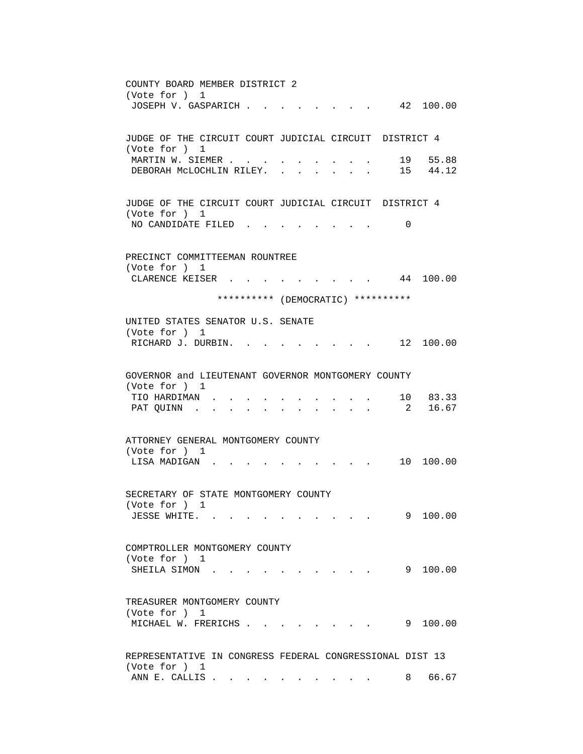COUNTY BOARD MEMBER DISTRICT 2 (Vote for ) 1 JOSEPH V. GASPARICH . . . . . . . . 42 100.00 JUDGE OF THE CIRCUIT COURT JUDICIAL CIRCUIT DISTRICT 4 (Vote for ) 1 Vote for , <u>.</u><br>MARTIN W. SIEMER . . . . . . . . . . . 19 55.88<br>ARTIN W. SIEMER . . . . . . . . . . 15 44.12 DEBORAH MCLOCHLIN RILEY. . . . . . JUDGE OF THE CIRCUIT COURT JUDICIAL CIRCUIT DISTRICT 4 (Vote for ) 1 NO CANDIDATE FILED . . . . . . . . 0 PRECINCT COMMITTEEMAN ROUNTREE (Vote for ) 1 CLARENCE KEISER . . . . . . . . . 44 100.00 \*\*\*\*\*\*\*\*\*\* (DEMOCRATIC) \*\*\*\*\*\*\*\*\*\* UNITED STATES SENATOR U.S. SENATE (Vote for ) 1 RICHARD J. DURBIN. . . . . . . . . 12 100.00 GOVERNOR and LIEUTENANT GOVERNOR MONTGOMERY COUNTY (Vote for ) 1 TIO HARDIMAN . . . . . . . . . . 10 83.33 PAT QUINN . . . . . . . . . . . . 2 16.67 ATTORNEY GENERAL MONTGOMERY COUNTY (Vote for ) 1 LISA MADIGAN . . . . . . . . . . 10 100.00 SECRETARY OF STATE MONTGOMERY COUNTY (Vote for ) 1 JESSE WHITE. . . . . . . . . . . 9 100.00 COMPTROLLER MONTGOMERY COUNTY (Vote for ) 1 SHEILA SIMON . . . . . . . . . . . 9 100.00 TREASURER MONTGOMERY COUNTY (Vote for ) 1 MICHAEL W. FRERICHS . . . . . . . . 9 100.00 REPRESENTATIVE IN CONGRESS FEDERAL CONGRESSIONAL DIST 13 (Vote for ) 1 ANN E. CALLIS . . . . . . . . . . . 8 66.67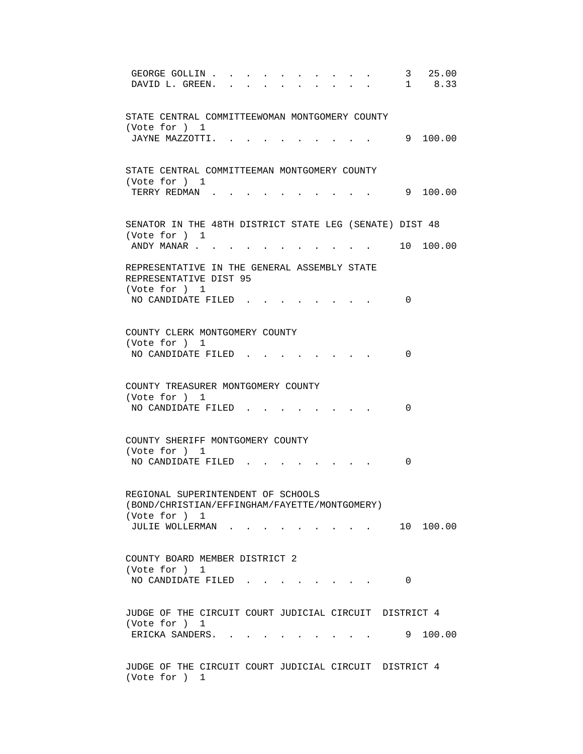GEORGE GOLLIN . . . . . . . . . . 3 25.00 DAVID L. GREEN. . . . . . . . . . . 1 8.33 STATE CENTRAL COMMITTEEWOMAN MONTGOMERY COUNTY (Vote for ) 1 JAYNE MAZZOTTI. . . . . . . . . . 9 100.00 STATE CENTRAL COMMITTEEMAN MONTGOMERY COUNTY (Vote for ) 1 TERRY REDMAN . . . . . . . . . . . 9 100.00 SENATOR IN THE 48TH DISTRICT STATE LEG (SENATE) DIST 48 (Vote for ) 1 ANDY MANAR . . . . . . . . . . . . 10 100.00 REPRESENTATIVE IN THE GENERAL ASSEMBLY STATE REPRESENTATIVE DIST 95 (Vote for ) 1 NO CANDIDATE FILED . . . . . . . . 0 COUNTY CLERK MONTGOMERY COUNTY (Vote for ) 1 NO CANDIDATE FILED . . . . . . . . 0 COUNTY TREASURER MONTGOMERY COUNTY (Vote for ) 1 NO CANDIDATE FILED . . . . . . . . 0 COUNTY SHERIFF MONTGOMERY COUNTY (Vote for ) 1 NO CANDIDATE FILED . . . . . . . . 0 REGIONAL SUPERINTENDENT OF SCHOOLS (BOND/CHRISTIAN/EFFINGHAM/FAYETTE/MONTGOMERY) (Vote for ) 1 JULIE WOLLERMAN . . . . . . . . . 10 100.00 COUNTY BOARD MEMBER DISTRICT 2 (Vote for ) 1 NO CANDIDATE FILED . . . . . . . . 0 JUDGE OF THE CIRCUIT COURT JUDICIAL CIRCUIT DISTRICT 4 (Vote for ) 1 ERICKA SANDERS. . . . . . . . . . 9 100.00 JUDGE OF THE CIRCUIT COURT JUDICIAL CIRCUIT DISTRICT 4 (Vote for ) 1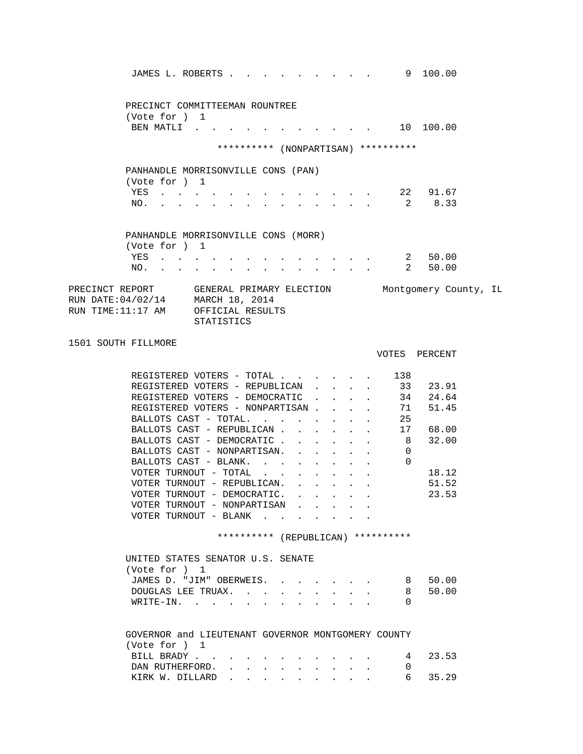|                                                                                                                                                                              | JAMES L. ROBERTS 9 100.00                                                                                  |                                                                       |                                                           |                                 |                        |  |
|------------------------------------------------------------------------------------------------------------------------------------------------------------------------------|------------------------------------------------------------------------------------------------------------|-----------------------------------------------------------------------|-----------------------------------------------------------|---------------------------------|------------------------|--|
| (Vote for ) 1                                                                                                                                                                | PRECINCT COMMITTEEMAN ROUNTREE<br>BEN MATLI                                                                |                                                                       |                                                           |                                 |                        |  |
|                                                                                                                                                                              | ********** (NONPARTISAN) **********                                                                        |                                                                       |                                                           |                                 |                        |  |
|                                                                                                                                                                              | PANHANDLE MORRISONVILLE CONS (PAN)                                                                         |                                                                       |                                                           |                                 |                        |  |
| (Vote for ) 1                                                                                                                                                                | YES                                                                                                        |                                                                       |                                                           |                                 | 22 91.67               |  |
| NO.                                                                                                                                                                          | $\mathbf{r}$ , and $\mathbf{r}$ , and $\mathbf{r}$ , and $\mathbf{r}$                                      | $\mathcal{L}^{\text{max}}$<br><b>Contract</b>                         | $\mathbf{L}^{\text{max}}$ , and $\mathbf{L}^{\text{max}}$ | $\overline{2}$                  | 8.33                   |  |
| (Vote for ) 1                                                                                                                                                                | PANHANDLE MORRISONVILLE CONS (MORR)<br>YES                                                                 |                                                                       |                                                           |                                 | 2 50.00                |  |
| NO.<br><b>Contract Contract</b>                                                                                                                                              | $\ddot{\phantom{0}}$                                                                                       | $\bullet$                                                             |                                                           |                                 | 2 50.00                |  |
| PRECINCT REPORT      GENERAL PRIMARY ELECTION         Montgomery County, IL RUN DATE:04/02/14    MARCH 18, 2014<br>RUN TIME:11:17 AM OFFICIAL RESULTS<br>1501 SOUTH FILLMORE | STATISTICS                                                                                                 |                                                                       |                                                           |                                 |                        |  |
|                                                                                                                                                                              |                                                                                                            |                                                                       |                                                           |                                 | VOTES PERCENT          |  |
|                                                                                                                                                                              | REGISTERED VOTERS - TOTAL 138<br>REGISTERED VOTERS - REPUBLICAN 33 23.91<br>REGISTERED VOTERS - DEMOCRATIC |                                                                       |                                                           | $\mathbf{L} = \mathbf{L}$       |                        |  |
|                                                                                                                                                                              | REGISTERED VOTERS - NONPARTISAN<br>BALLOTS CAST - TOTAL.                                                   |                                                                       | $\sim$                                                    | 25<br>$\mathbf{z} = \mathbf{z}$ | 34  24.64<br>71  51.45 |  |
|                                                                                                                                                                              | BALLOTS CAST - REPUBLICAN<br>BALLOTS CAST - DEMOCRATIC.<br>BALLOTS CAST - NONPARTISAN.                     | $\mathcal{L}^{\text{max}}$<br>$\mathbf{L}$<br>$\sim 100$ km s $^{-1}$ | $\mathbf{L} = \mathbf{L} \mathbf{L}$<br>$\mathbf{L}$      | $\mathbf{0}$                    | 17 68.00<br>8 32.00    |  |
|                                                                                                                                                                              | BALLOTS CAST - BLANK.<br>VOTER TURNOUT - TOTAL                                                             | $\mathbf{L}$<br>$\mathbf{L}$<br>$\sim$                                | $\ddot{\phantom{0}}$<br>$\sim$<br>$\ddot{\phantom{0}}$    | $\mathbf{L}$<br>$\Omega$        | 18.12                  |  |
|                                                                                                                                                                              | VOTER TURNOUT - REPUBLICAN. .<br>VOTER TURNOUT - DEMOCRATIC.<br>VOTER TURNOUT - NONPARTISAN                | $\sim$ $\sim$<br>$\mathbf{L}$<br>$\mathbf{L}$                         | $\mathbf{A}$<br>$\ddot{\phantom{0}}$<br>$\sim$            |                                 | 51.52<br>23.53         |  |
|                                                                                                                                                                              | VOTER TURNOUT - BLANK                                                                                      |                                                                       |                                                           |                                 |                        |  |
|                                                                                                                                                                              | ********** (REPUBLICAN) **********                                                                         |                                                                       |                                                           |                                 |                        |  |

| UNITED STATES SENATOR U.S. SENATE |         |
|-----------------------------------|---------|
| (Vote for ) 1                     |         |
| JAMES D. "JIM" OBERWEIS. 8 50.00  |         |
| DOUGLAS LEE TRUAX.                | 8 50.00 |
| WRITE-IN.                         |         |

| GOVERNOR and LIEUTENANT GOVERNOR MONTGOMERY COUNTY |  |  |  |  |  |  |
|----------------------------------------------------|--|--|--|--|--|--|
| (Vote for ) $1$                                    |  |  |  |  |  |  |
| BILL BRADY 4 23.53                                 |  |  |  |  |  |  |
| DAN RUTHERFORD.                                    |  |  |  |  |  |  |
| KIRK W. DILLARD 6 35.29                            |  |  |  |  |  |  |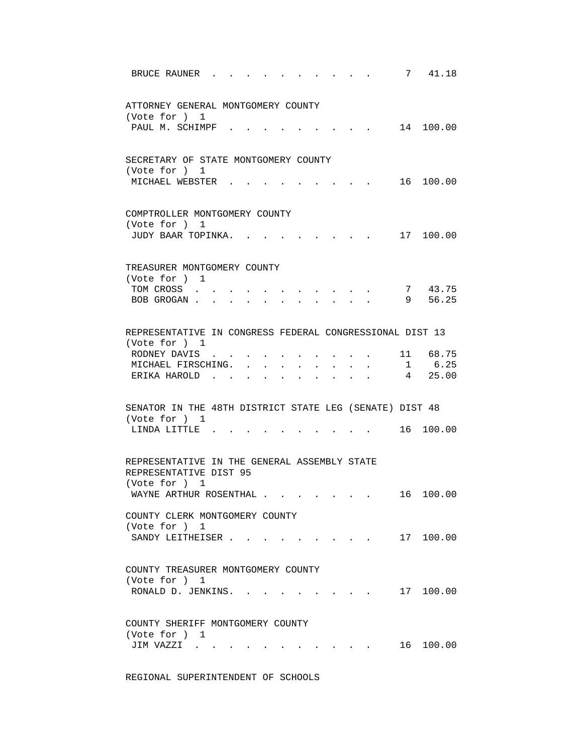| 7 41.18<br>BRUCE RAUNER                                                                                                                                                           |  |
|-----------------------------------------------------------------------------------------------------------------------------------------------------------------------------------|--|
| ATTORNEY GENERAL MONTGOMERY COUNTY<br>(Vote for ) 1                                                                                                                               |  |
| 14 100.00<br>PAUL M. SCHIMPF.                                                                                                                                                     |  |
| SECRETARY OF STATE MONTGOMERY COUNTY<br>(Vote for ) 1                                                                                                                             |  |
| 16 100.00<br>MICHAEL WEBSTER .                                                                                                                                                    |  |
| COMPTROLLER MONTGOMERY COUNTY<br>(Vote for ) 1                                                                                                                                    |  |
| 17 100.00<br>JUDY BAAR TOPINKA.                                                                                                                                                   |  |
| TREASURER MONTGOMERY COUNTY<br>(Vote for ) 1                                                                                                                                      |  |
| 7 43.75<br>TOM CROSS<br>the contract of the contract of the contract of the contract of the contract of the contract of the contract of<br>9 56.25<br>BOB GROGAN                  |  |
| REPRESENTATIVE IN CONGRESS FEDERAL CONGRESSIONAL DIST 13<br>(Vote for ) 1                                                                                                         |  |
| RODNEY DAVIS<br>11 68.75<br>$\sim$<br>1 6.25<br>MICHAEL FIRSCHING.<br>$\mathbf{L}$<br>$\ddot{\phantom{0}}$                                                                        |  |
| $4$ 25.00<br>ERIKA HAROLD<br>$\mathbf{L}$<br>$\sim$<br>$\mathbf{r}$<br>$\sim$ $\sim$<br>$\mathbf{L}$                                                                              |  |
| SENATOR IN THE 48TH DISTRICT STATE LEG (SENATE) DIST 48<br>(Vote for ) 1                                                                                                          |  |
| $16$ 100.00<br>LINDA LITTLE .                                                                                                                                                     |  |
| REPRESENTATIVE IN THE GENERAL ASSEMBLY STATE<br>REPRESENTATIVE DIST 95                                                                                                            |  |
| (Vote for ) 1<br>16 100.00<br>WAYNE ARTHUR ROSENTHAL                                                                                                                              |  |
| COUNTY CLERK MONTGOMERY COUNTY<br>(Vote for ) 1<br>$\cdot$ 17 100.00<br>SANDY LEITHEISER                                                                                          |  |
|                                                                                                                                                                                   |  |
| COUNTY TREASURER MONTGOMERY COUNTY<br>(Vote for ) 1<br>17 100.00<br>RONALD D. JENKINS.<br>$\mathbf{r}$ , $\mathbf{r}$ , $\mathbf{r}$ , $\mathbf{r}$ , $\mathbf{r}$ , $\mathbf{r}$ |  |
| COUNTY SHERIFF MONTGOMERY COUNTY<br>(Vote for ) 1                                                                                                                                 |  |
| JIM VAZZI<br>16 100.00                                                                                                                                                            |  |

REGIONAL SUPERINTENDENT OF SCHOOLS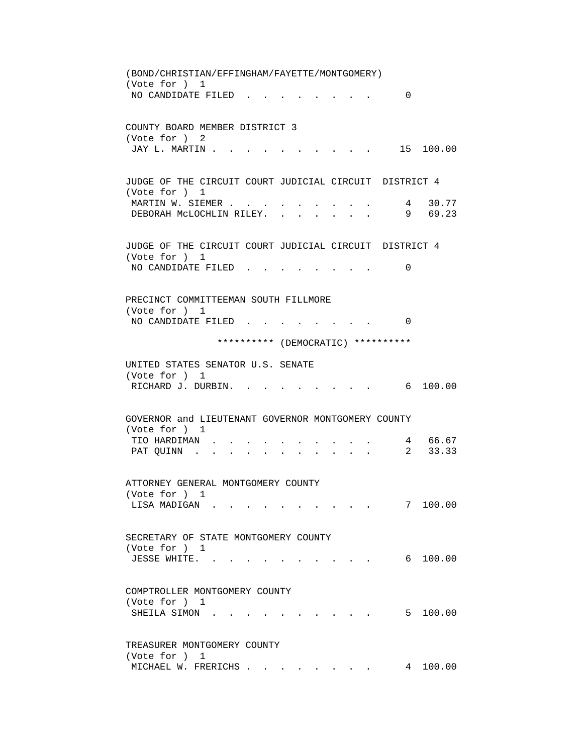(BOND/CHRISTIAN/EFFINGHAM/FAYETTE/MONTGOMERY) (Vote for ) 1 NO CANDIDATE FILED . . . . . . . . 0 COUNTY BOARD MEMBER DISTRICT 3 (Vote for ) 2 JAY L. MARTIN . . . . . . . . . . . 15 100.00 JUDGE OF THE CIRCUIT COURT JUDICIAL CIRCUIT DISTRICT 4 (Vote for ) 1 MARTIN W. SIEMER . . . . . . . . . . 4 30.77 DEBORAH MCLOCHLIN RILEY. . . . . . . 9 69.23 JUDGE OF THE CIRCUIT COURT JUDICIAL CIRCUIT DISTRICT 4 (Vote for ) 1 NO CANDIDATE FILED . . . . . . . . 0 PRECINCT COMMITTEEMAN SOUTH FILLMORE (Vote for ) 1 NO CANDIDATE FILED . . . . . . . . 0 \*\*\*\*\*\*\*\*\*\* (DEMOCRATIC) \*\*\*\*\*\*\*\*\*\* UNITED STATES SENATOR U.S. SENATE (Vote for ) 1 RICHARD J. DURBIN. . . . . . . . . . 6 100.00 GOVERNOR and LIEUTENANT GOVERNOR MONTGOMERY COUNTY (Vote for ) 1 TIO HARDIMAN . . . . . . . . . . . 4 66.67<br>PAT OUINN . . . . . . . . . . . 2 33.33 PAT QUINN . . . . . . . . . . . . ATTORNEY GENERAL MONTGOMERY COUNTY (Vote for ) 1 LISA MADIGAN . . . . . . . . . . 7 100.00 SECRETARY OF STATE MONTGOMERY COUNTY (Vote for ) 1 JESSE WHITE. . . . . . . . . . . 6 100.00 COMPTROLLER MONTGOMERY COUNTY (Vote for ) 1 SHEILA SIMON . . . . . . . . . . . 5 100.00 TREASURER MONTGOMERY COUNTY (Vote for ) 1 MICHAEL W. FRERICHS . . . . . . . . 4 100.00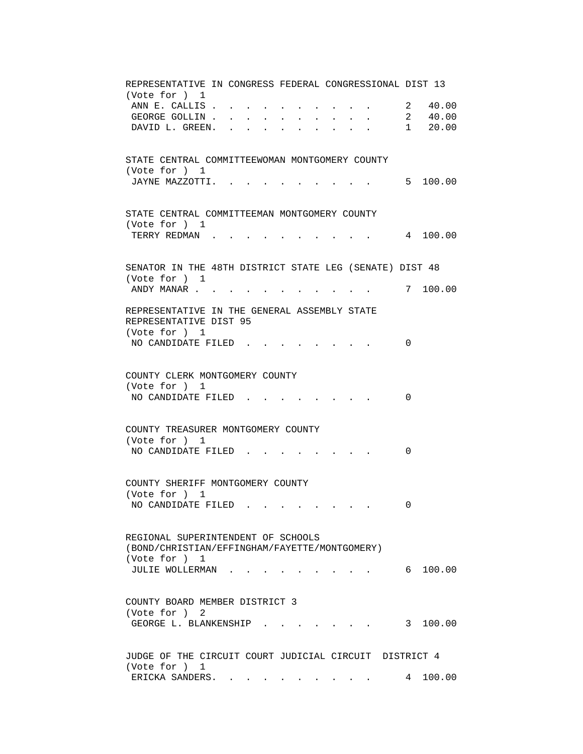| REPRESENTATIVE IN CONGRESS FEDERAL CONGRESSIONAL DIST 13<br>(Vote for ) 1 |                           |                                                                                         |            |
|---------------------------------------------------------------------------|---------------------------|-----------------------------------------------------------------------------------------|------------|
|                                                                           |                           |                                                                                         |            |
| ANN E. CALLIS.                                                            |                           |                                                                                         | 2 40.00    |
| GEORGE GOLLIN.                                                            | $\mathbf{L}^{\text{max}}$ |                                                                                         | 2, 40.00   |
| DAVID L. GREEN. .                                                         |                           |                                                                                         | 1 20.00    |
|                                                                           |                           |                                                                                         |            |
|                                                                           |                           |                                                                                         |            |
| STATE CENTRAL COMMITTEEWOMAN MONTGOMERY COUNTY                            |                           |                                                                                         |            |
| (Vote for ) 1                                                             |                           |                                                                                         |            |
| JAYNE MAZZOTTI. .                                                         |                           |                                                                                         | 5 100.00   |
|                                                                           |                           |                                                                                         |            |
|                                                                           |                           |                                                                                         |            |
| STATE CENTRAL COMMITTEEMAN MONTGOMERY COUNTY                              |                           |                                                                                         |            |
| (Vote for ) 1                                                             |                           |                                                                                         |            |
| TERRY REDMAN                                                              |                           |                                                                                         | 4 100.00   |
|                                                                           |                           |                                                                                         |            |
|                                                                           |                           |                                                                                         |            |
| SENATOR IN THE 48TH DISTRICT STATE LEG (SENATE) DIST 48                   |                           |                                                                                         |            |
| (Vote for ) 1                                                             |                           |                                                                                         |            |
| ANDY MANAR                                                                |                           |                                                                                         | . 7 100.00 |
|                                                                           |                           |                                                                                         |            |
| REPRESENTATIVE IN THE GENERAL ASSEMBLY STATE                              |                           |                                                                                         |            |
|                                                                           |                           |                                                                                         |            |
| REPRESENTATIVE DIST 95                                                    |                           |                                                                                         |            |
| (Vote for ) 1                                                             |                           |                                                                                         |            |
| NO CANDIDATE FILED                                                        |                           |                                                                                         | 0          |
|                                                                           |                           |                                                                                         |            |
|                                                                           |                           |                                                                                         |            |
| COUNTY CLERK MONTGOMERY COUNTY                                            |                           |                                                                                         |            |
| (Vote for ) 1                                                             |                           |                                                                                         |            |
| NO CANDIDATE FILED.                                                       |                           |                                                                                         | $\Omega$   |
|                                                                           |                           |                                                                                         |            |
|                                                                           |                           |                                                                                         |            |
| COUNTY TREASURER MONTGOMERY COUNTY                                        |                           |                                                                                         |            |
| (Vote for ) 1                                                             |                           |                                                                                         |            |
| NO CANDIDATE FILED                                                        |                           |                                                                                         | 0          |
|                                                                           |                           |                                                                                         |            |
|                                                                           |                           |                                                                                         |            |
| COUNTY SHERIFF MONTGOMERY COUNTY                                          |                           |                                                                                         |            |
| (Vote for ) 1                                                             |                           |                                                                                         |            |
| NO CANDIDATE FILED                                                        |                           |                                                                                         | $\cap$     |
|                                                                           |                           |                                                                                         |            |
|                                                                           |                           |                                                                                         |            |
| REGIONAL SUPERINTENDENT OF SCHOOLS                                        |                           |                                                                                         |            |
|                                                                           |                           |                                                                                         |            |
| (BOND/CHRISTIAN/EFFINGHAM/FAYETTE/MONTGOMERY)                             |                           |                                                                                         |            |
| (Vote for ) 1                                                             |                           |                                                                                         |            |
| JULIE WOLLERMAN.                                                          |                           |                                                                                         | 6 100.00   |
|                                                                           |                           |                                                                                         |            |
|                                                                           |                           |                                                                                         |            |
| COUNTY BOARD MEMBER DISTRICT 3                                            |                           |                                                                                         |            |
| (Vote for ) 2                                                             |                           |                                                                                         |            |
| GEORGE L. BLANKENSHIP                                                     |                           | $\mathbf{r}$ , $\mathbf{r}$ , $\mathbf{r}$ , $\mathbf{r}$ , $\mathbf{r}$ , $\mathbf{r}$ | 3 100.00   |
|                                                                           |                           |                                                                                         |            |
|                                                                           |                           |                                                                                         |            |
| JUDGE OF THE CIRCUIT COURT JUDICIAL CIRCUIT DISTRICT 4                    |                           |                                                                                         |            |
| (Vote for ) 1                                                             |                           |                                                                                         |            |
| ERICKA SANDERS.                                                           |                           |                                                                                         | 4 100.00   |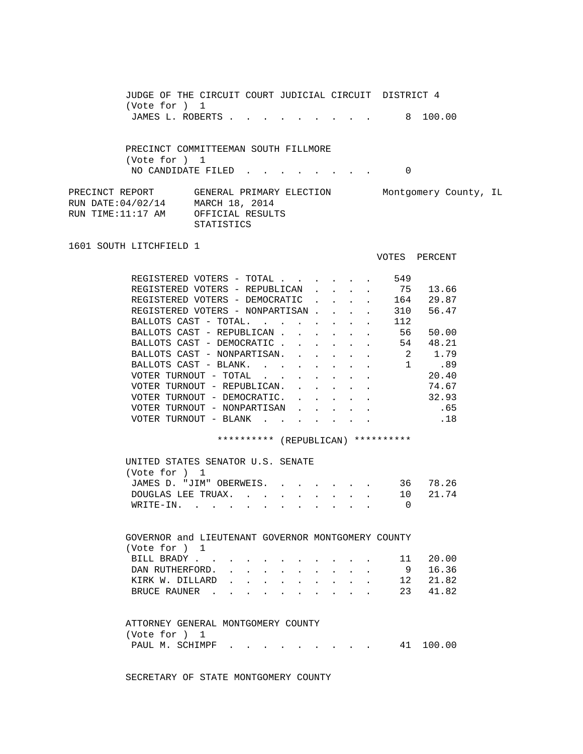JUDGE OF THE CIRCUIT COURT JUDICIAL CIRCUIT DISTRICT 4 (Vote for ) 1 JAMES L. ROBERTS . . . . . . . . . . 8 100.00

 PRECINCT COMMITTEEMAN SOUTH FILLMORE (Vote for ) 1 NO CANDIDATE FILED . . . . . . . . 0

PRECINCT REPORT GENERAL PRIMARY ELECTION Montgomery County, IL RUN DATE:04/02/14 MARCH 18, 2014 RUN TIME:11:17 AM OFFICIAL RESULTS STATISTICS

1601 SOUTH LITCHFIELD 1

VOTES PERCENT

| REGISTERED VOTERS<br>- TOTAL                             | 549 |       |
|----------------------------------------------------------|-----|-------|
| REGISTERED VOTERS - REPUBLICAN                           | 75  | 13.66 |
| REGISTERED VOTERS - DEMOCRATIC                           | 164 | 29.87 |
| REGISTERED VOTERS - NONPARTISAN                          | 310 | 56.47 |
| BALLOTS CAST - TOTAL.                                    | 112 |       |
| BALLOTS CAST - REPUBLICAN                                | 56  | 50.00 |
| BALLOTS CAST - DEMOCRATIC                                | 54  | 48.21 |
| BALLOTS CAST - NONPARTISAN.                              | 2   | 1.79  |
| BALLOTS CAST -<br>BLANK.                                 |     | .89   |
| VOTER TURNOUT - TOTAL                                    |     | 20.40 |
| VOTER TURNOUT - REPUBLICAN.                              |     | 74.67 |
| VOTER TURNOUT<br>DEMOCRATIC.<br>$\overline{\phantom{m}}$ |     | 32.93 |
| VOTER TURNOUT - NONPARTISAN                              |     | .65   |
| VOTER TURNOUT<br>BLANK<br>$\overline{\phantom{m}}$       |     | .18   |
|                                                          |     |       |

\*\*\*\*\*\*\*\*\*\* (REPUBLICAN) \*\*\*\*\*\*\*\*\*\*

| UNITED STATES SENATOR U.S. SENATE |  |  |  |  |          |
|-----------------------------------|--|--|--|--|----------|
| (Vote for ) 1                     |  |  |  |  |          |
| JAMES D. "JIM" OBERWEIS.          |  |  |  |  | 36 78.26 |
| DOUGLAS LEE TRUAX.                |  |  |  |  | 10 21.74 |
| WRITE-IN.                         |  |  |  |  |          |

 GOVERNOR and LIEUTENANT GOVERNOR MONTGOMERY COUNTY (Vote for ) 1 BILL BRADY . . . . . . . . . . . . 11 20.00<br>DAN RUTHERFORD. . . . . . . . . . 9 16.36 DAN RUTHERFORD. . . . . . . . . . KIRK W. DILLARD . . . . . . . . . . 12 21.82<br>BRUCE RAUNER . . . . . . . . . . . 23 41.82 BRUCE RAUNER . . . . . . . . . .

| ATTORNEY GENERAL MONTGOMERY COUNTY |                 |  |  |  |  |           |
|------------------------------------|-----------------|--|--|--|--|-----------|
| (Vote for ) 1                      |                 |  |  |  |  |           |
|                                    | PAUL M. SCHIMPF |  |  |  |  | 41 100.00 |

SECRETARY OF STATE MONTGOMERY COUNTY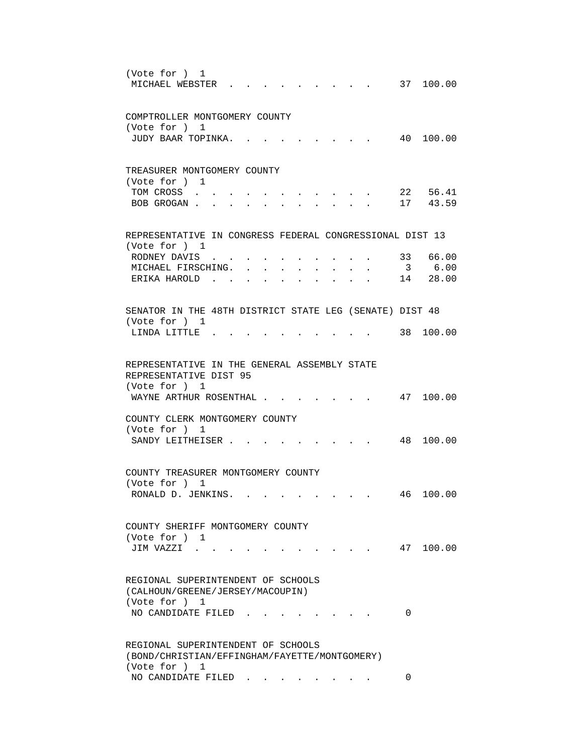| (Vote for ) 1<br>MICHAEL WEBSTER.<br>37 100.00                                                                                                            |  |
|-----------------------------------------------------------------------------------------------------------------------------------------------------------|--|
| COMPTROLLER MONTGOMERY COUNTY                                                                                                                             |  |
| (Vote for ) 1<br>40 100.00<br>JUDY BAAR TOPINKA.                                                                                                          |  |
|                                                                                                                                                           |  |
| TREASURER MONTGOMERY COUNTY<br>(Vote for ) 1                                                                                                              |  |
| 22 56.41<br>TOM CROSS<br>17 43.59<br>BOB GROGAN<br>$\cdot$ $\cdot$ $\cdot$ $\cdot$ $\cdot$ $\cdot$<br>$\ddot{\phantom{0}}$                                |  |
| REPRESENTATIVE IN CONGRESS FEDERAL CONGRESSIONAL DIST 13                                                                                                  |  |
| (Vote for ) 1                                                                                                                                             |  |
| 33 66.00<br>RODNEY DAVIS .<br>3 6.00<br>MICHAEL FIRSCHING.<br>$\mathbf{r}$ . The set of $\mathbf{r}$<br>$\mathbf{r} = \mathbf{r}$<br>$\ddot{\phantom{a}}$ |  |
| 14 28.00<br>ERIKA HAROLD.<br>$\sim$ $\sim$ $\sim$ $\sim$ $\sim$ $\sim$ $\sim$<br>$\mathbf{r}$ $\mathbf{r}$<br>$\sim$<br>$\sim$<br>$\ddot{\phantom{a}}$    |  |
| SENATOR IN THE 48TH DISTRICT STATE LEG (SENATE) DIST 48                                                                                                   |  |
| (Vote for ) 1<br>38 100.00<br>LINDA LITTLE .                                                                                                              |  |
| REPRESENTATIVE IN THE GENERAL ASSEMBLY STATE                                                                                                              |  |
| REPRESENTATIVE DIST 95<br>(Vote for ) 1                                                                                                                   |  |
| WAYNE ARTHUR ROSENTHAL .<br>47 100.00                                                                                                                     |  |
| COUNTY CLERK MONTGOMERY COUNTY                                                                                                                            |  |
| (Vote for ) 1<br>48 100.00<br>SANDY LEITHEISER.                                                                                                           |  |
|                                                                                                                                                           |  |
| COUNTY TREASURER MONTGOMERY COUNTY<br>(Vote for ) 1                                                                                                       |  |
| 100.00<br>RONALD D. JENKINS.<br>46                                                                                                                        |  |
|                                                                                                                                                           |  |
| COUNTY SHERIFF MONTGOMERY COUNTY<br>(Vote for ) 1                                                                                                         |  |
| 47 100.00<br>JIM VAZZI .                                                                                                                                  |  |
| REGIONAL SUPERINTENDENT OF SCHOOLS                                                                                                                        |  |
| (CALHOUN/GREENE/JERSEY/MACOUPIN)<br>(Vote for ) 1                                                                                                         |  |
| NO CANDIDATE FILED<br>0                                                                                                                                   |  |
| REGIONAL SUPERINTENDENT OF SCHOOLS                                                                                                                        |  |
| (BOND/CHRISTIAN/EFFINGHAM/FAYETTE/MONTGOMERY)<br>(Vote for ) 1                                                                                            |  |
| NO CANDIDATE FILED<br>0                                                                                                                                   |  |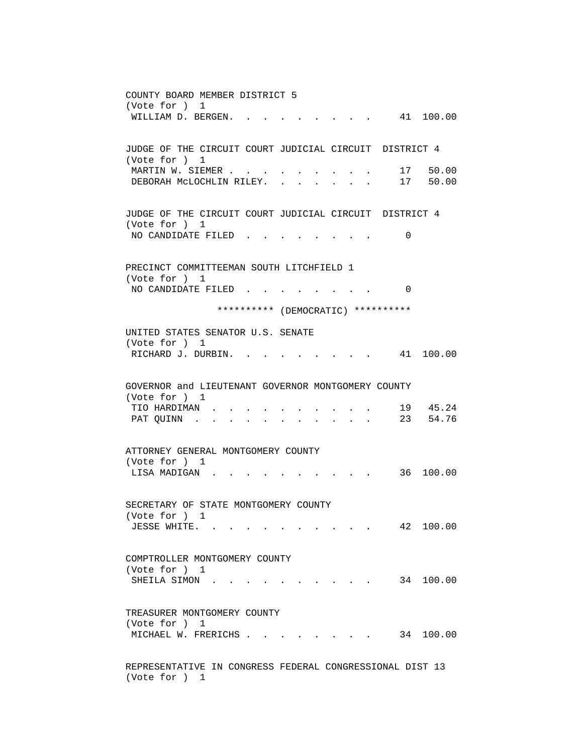COUNTY BOARD MEMBER DISTRICT 5 (Vote for ) 1 WILLIAM D. BERGEN. . . . . . . . . 41 100.00 JUDGE OF THE CIRCUIT COURT JUDICIAL CIRCUIT DISTRICT 4 (Vote for ) 1 MARTIN W. SIEMER . . . . . . . . . . 17 50.00 DEBORAH MCLOCHLIN RILEY. . . . . . . 17 50.00 JUDGE OF THE CIRCUIT COURT JUDICIAL CIRCUIT DISTRICT 4 (Vote for ) 1 NO CANDIDATE FILED . . . . . . . . 0 PRECINCT COMMITTEEMAN SOUTH LITCHFIELD 1 (Vote for ) 1 NO CANDIDATE FILED . . . . . . . . 0 \*\*\*\*\*\*\*\*\*\* (DEMOCRATIC) \*\*\*\*\*\*\*\*\*\* UNITED STATES SENATOR U.S. SENATE (Vote for ) 1 RICHARD J. DURBIN. . . . . . . . . 41 100.00 GOVERNOR and LIEUTENANT GOVERNOR MONTGOMERY COUNTY (Vote for ) 1 TIO HARDIMAN . . . . . . . . . . 19 45.24 PAT QUINN . . . . . . . . . . . 23 54.76 ATTORNEY GENERAL MONTGOMERY COUNTY (Vote for ) 1 LISA MADIGAN . . . . . . . . . . . 36 100.00 SECRETARY OF STATE MONTGOMERY COUNTY (Vote for ) 1 JESSE WHITE. . . . . . . . . . . 42 100.00 COMPTROLLER MONTGOMERY COUNTY (Vote for ) 1 SHEILA SIMON . . . . . . . . . . . 34 100.00 TREASURER MONTGOMERY COUNTY (Vote for ) 1 MICHAEL W. FRERICHS . . . . . . . . 34 100.00 REPRESENTATIVE IN CONGRESS FEDERAL CONGRESSIONAL DIST 13 (Vote for ) 1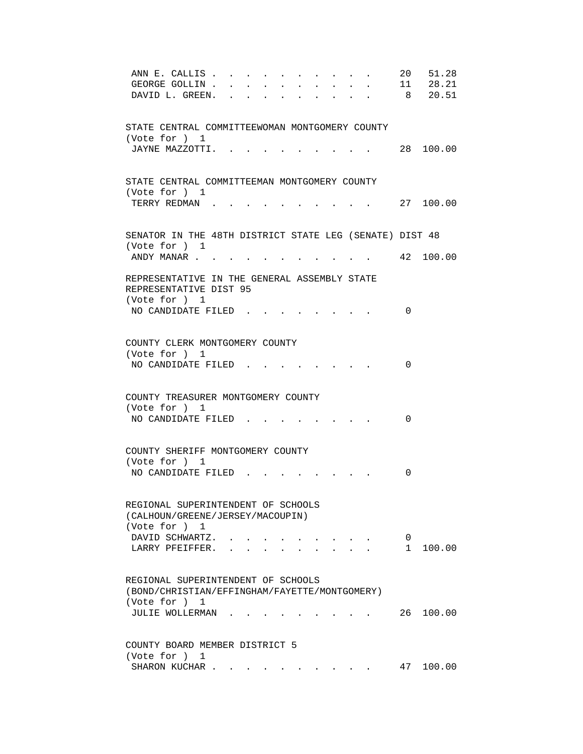| ANN E. CALLIS.                                          |  |  |  |  |        | 20           | 51.28     |
|---------------------------------------------------------|--|--|--|--|--------|--------------|-----------|
| GEORGE GOLLIN.                                          |  |  |  |  | $\sim$ |              | 11 28.21  |
| DAVID L. GREEN.                                         |  |  |  |  |        |              | 8 20.51   |
|                                                         |  |  |  |  |        |              |           |
| STATE CENTRAL COMMITTEEWOMAN MONTGOMERY COUNTY          |  |  |  |  |        |              |           |
| (Vote for ) 1                                           |  |  |  |  |        |              |           |
| JAYNE MAZZOTTI.                                         |  |  |  |  |        |              | 28 100.00 |
|                                                         |  |  |  |  |        |              |           |
|                                                         |  |  |  |  |        |              |           |
| STATE CENTRAL COMMITTEEMAN MONTGOMERY COUNTY            |  |  |  |  |        |              |           |
| (Vote for ) 1                                           |  |  |  |  |        |              |           |
| TERRY REDMAN.                                           |  |  |  |  |        |              | 27 100.00 |
|                                                         |  |  |  |  |        |              |           |
|                                                         |  |  |  |  |        |              |           |
| SENATOR IN THE 48TH DISTRICT STATE LEG (SENATE) DIST 48 |  |  |  |  |        |              |           |
| (Vote for ) 1<br>ANDY MANAR                             |  |  |  |  |        |              | 42 100.00 |
|                                                         |  |  |  |  |        |              |           |
| REPRESENTATIVE IN THE GENERAL ASSEMBLY STATE            |  |  |  |  |        |              |           |
| REPRESENTATIVE DIST 95                                  |  |  |  |  |        |              |           |
| (Vote for ) 1                                           |  |  |  |  |        |              |           |
| NO CANDIDATE FILED.                                     |  |  |  |  |        | 0            |           |
|                                                         |  |  |  |  |        |              |           |
|                                                         |  |  |  |  |        |              |           |
| COUNTY CLERK MONTGOMERY COUNTY                          |  |  |  |  |        |              |           |
| (Vote for ) 1                                           |  |  |  |  |        |              |           |
| NO CANDIDATE FILED                                      |  |  |  |  |        | $\Omega$     |           |
|                                                         |  |  |  |  |        |              |           |
| COUNTY TREASURER MONTGOMERY COUNTY                      |  |  |  |  |        |              |           |
| (Vote for ) 1                                           |  |  |  |  |        |              |           |
| NO CANDIDATE FILED.                                     |  |  |  |  |        | 0            |           |
|                                                         |  |  |  |  |        |              |           |
|                                                         |  |  |  |  |        |              |           |
| COUNTY SHERIFF MONTGOMERY COUNTY                        |  |  |  |  |        |              |           |
| (Vote for ) 1                                           |  |  |  |  |        |              |           |
| NO CANDIDATE FILED                                      |  |  |  |  |        | 0            |           |
|                                                         |  |  |  |  |        |              |           |
| REGIONAL SUPERINTENDENT OF SCHOOLS                      |  |  |  |  |        |              |           |
| (CALHOUN/GREENE/JERSEY/MACOUPIN)                        |  |  |  |  |        |              |           |
| (Vote for ) 1                                           |  |  |  |  |        |              |           |
| DAVID SCHWARTZ.                                         |  |  |  |  |        | $\mathbf{0}$ |           |
| LARRY PFEIFFER.                                         |  |  |  |  |        | 1            | 100.00    |
|                                                         |  |  |  |  |        |              |           |
|                                                         |  |  |  |  |        |              |           |
| REGIONAL SUPERINTENDENT OF SCHOOLS                      |  |  |  |  |        |              |           |
| (BOND/CHRISTIAN/EFFINGHAM/FAYETTE/MONTGOMERY)           |  |  |  |  |        |              |           |
| (Vote for ) 1                                           |  |  |  |  |        |              | 26 100.00 |
| JULIE WOLLERMAN                                         |  |  |  |  |        |              |           |
|                                                         |  |  |  |  |        |              |           |
| COUNTY BOARD MEMBER DISTRICT 5                          |  |  |  |  |        |              |           |
| (Vote for ) 1                                           |  |  |  |  |        |              |           |
| SHARON KUCHAR                                           |  |  |  |  |        | 47           | 100.00    |
|                                                         |  |  |  |  |        |              |           |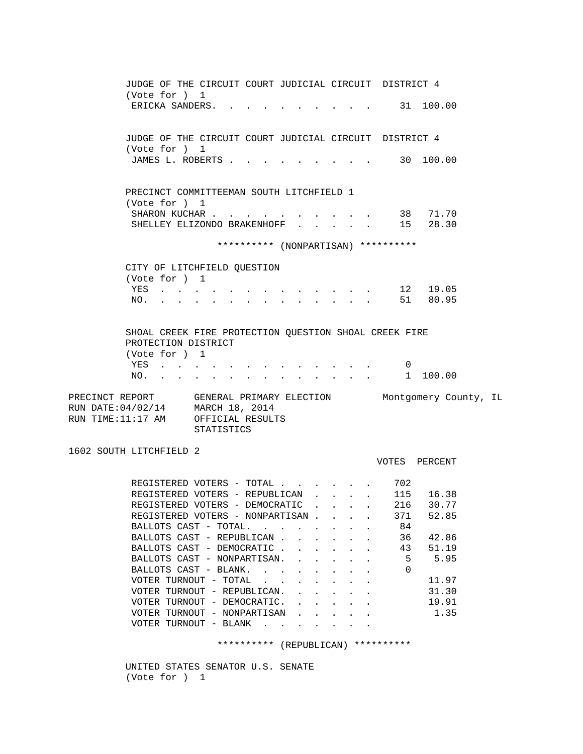JUDGE OF THE CIRCUIT COURT JUDICIAL CIRCUIT DISTRICT 4 (Vote for ) 1 ERICKA SANDERS. . . . . . . . . . 31 100.00 JUDGE OF THE CIRCUIT COURT JUDICIAL CIRCUIT DISTRICT 4 (Vote for ) 1 JAMES L. ROBERTS . . . . . . . . . . 30 100.00 PRECINCT COMMITTEEMAN SOUTH LITCHFIELD 1 (Vote for ) 1 SHARON KUCHAR . . . . . . . . . . 38 71.70 SHELLEY ELIZONDO BRAKENHOFF . . . . . 15 28.30 \*\*\*\*\*\*\*\*\*\* (NONPARTISAN) \*\*\*\*\*\*\*\*\*\* CITY OF LITCHFIELD QUESTION (Vote for ) 1 YES . . . . . . . . . . . . . 12 19.05 NO. . . . . . . . . . . . . . 51 80.95 SHOAL CREEK FIRE PROTECTION QUESTION SHOAL CREEK FIRE PROTECTION DISTRICT (Vote for ) 1 YES . . . . . . . . . . . . . 0 NO. . . . . . . . . . . . . . . 1 100.00 PRECINCT REPORT GENERAL PRIMARY ELECTION Montgomery County, IL RUN DATE:04/02/14 MARCH 18, 2014 RUN TIME:11:17 AM OFFICIAL RESULTS STATISTICS 1602 SOUTH LITCHFIELD 2 VOTES PERCENT REGISTERED VOTERS - TOTAL . . . . . . 702 REGISTERED VOTERS - REPUBLICAN . . . . 115 16.38 REGISTERED VOTERS - DEMOCRATIC . . . . 216 30.77 REGISTERED VOTERS - NONPARTISAN . . . . 371 52.85 BALLOTS CAST - TOTAL. . . . . . . . 84<br>BALLOTS CAST - REPUBLICAN . . . . . . 36 BALLOTS CAST - REPUBLICAN . . . . . . 36 42.86 BALLOTS CAST - DEMOCRATIC . . . . . . 43 51.19 BALLOTS CAST - NONPARTISAN. . . . . . 5 5.95 BALLOTS CAST - BLANK. . . . . . . . 0  $\verb|VOTER TURNOUT - TOTAL . . . . . . . | 11.97$ VOTER TURNOUT - REPUBLICAN. . . . . . 31.30 VOTER TURNOUT - DEMOCRATIC. . . . . . 19.91 VOTER TURNOUT - NONPARTISAN . . . . . 1.35 VOTER TURNOUT - BLANK . . . . . .

\*\*\*\*\*\*\*\*\*\* (REPUBLICAN) \*\*\*\*\*\*\*\*\*\*

 UNITED STATES SENATOR U.S. SENATE (Vote for ) 1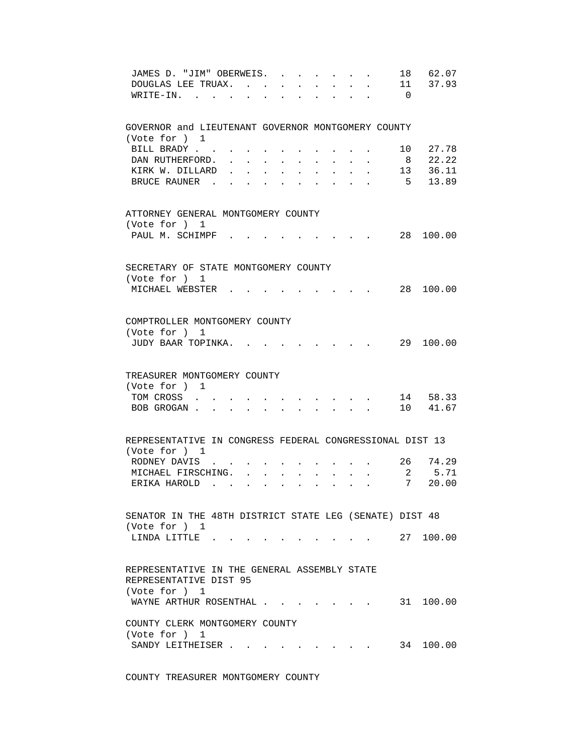| JAMES D. "JIM" OBERWEIS.<br>$\sim$ $\sim$<br>$\sim$ $\sim$<br>DOUGLAS LEE TRUAX.<br>WRITE-IN.                                                 | 18<br>$\overline{0}$ | 62.07<br>11 37.93 |
|-----------------------------------------------------------------------------------------------------------------------------------------------|----------------------|-------------------|
| GOVERNOR and LIEUTENANT GOVERNOR MONTGOMERY COUNTY                                                                                            |                      |                   |
| (Vote for ) 1<br>BILL BRADY                                                                                                                   | 10                   | 27.78             |
| DAN RUTHERFORD.                                                                                                                               | 8                    | 22.22             |
| KIRK W. DILLARD                                                                                                                               |                      | 13 36.11          |
| BRUCE RAUNER                                                                                                                                  | 5                    | 13.89             |
| ATTORNEY GENERAL MONTGOMERY COUNTY<br>(Vote for ) 1                                                                                           |                      |                   |
| PAUL M. SCHIMPF                                                                                                                               |                      | 28 100.00         |
|                                                                                                                                               |                      |                   |
| SECRETARY OF STATE MONTGOMERY COUNTY<br>(Vote for ) 1                                                                                         |                      |                   |
| MICHAEL WEBSTER .                                                                                                                             |                      | 28 100.00         |
|                                                                                                                                               |                      |                   |
| COMPTROLLER MONTGOMERY COUNTY                                                                                                                 |                      |                   |
| (Vote for ) 1<br>JUDY BAAR TOPINKA.                                                                                                           |                      | 29 100.00         |
|                                                                                                                                               |                      |                   |
| TREASURER MONTGOMERY COUNTY                                                                                                                   |                      |                   |
| (Vote for ) 1<br>TOM CROSS                                                                                                                    |                      | 14 58.33          |
| BOB GROGAN.<br>$\ddot{\phantom{a}}$<br>$\mathbf{r} = \mathbf{r} \cdot \mathbf{r}$<br>$\mathbf{L}$<br>$\ddot{\phantom{a}}$<br>$\sim$           |                      | 10 41.67          |
|                                                                                                                                               |                      |                   |
| REPRESENTATIVE IN CONGRESS FEDERAL CONGRESSIONAL DIST 13                                                                                      |                      |                   |
| (Vote for ) 1<br>RODNEY DAVIS .                                                                                                               |                      | 26 74.29          |
| MICHAEL FIRSCHING.<br>$\mathbf{L}$                                                                                                            | $2^{\circ}$          | 5.71              |
| ERIKA HAROLD<br>$\mathbf{L}$<br>$\sim$<br>$\sim$<br>$\sim$<br><b>Contract</b><br>$\ddot{\phantom{a}}$<br>$\ddot{\phantom{a}}$<br>$\mathbf{r}$ | 7                    | 20.00             |
| SENATOR IN THE 48TH DISTRICT STATE LEG (SENATE) DIST 48                                                                                       |                      |                   |
| (Vote for ) 1                                                                                                                                 |                      |                   |
| LINDA LITTLE 27 100.00                                                                                                                        |                      |                   |
| REPRESENTATIVE IN THE GENERAL ASSEMBLY STATE                                                                                                  |                      |                   |
| REPRESENTATIVE DIST 95<br>(Vote for ) 1                                                                                                       |                      |                   |
| WAYNE ARTHUR ROSENTHAL                                                                                                                        |                      | 31 100.00         |
| COUNTY CLERK MONTGOMERY COUNTY                                                                                                                |                      |                   |
| (Vote for ) 1<br>SANDY LEITHEISER<br>$\mathbf{r}$ , and $\mathbf{r}$ , and $\mathbf{r}$ , and $\mathbf{r}$                                    |                      | 34 100.00         |
|                                                                                                                                               |                      |                   |

COUNTY TREASURER MONTGOMERY COUNTY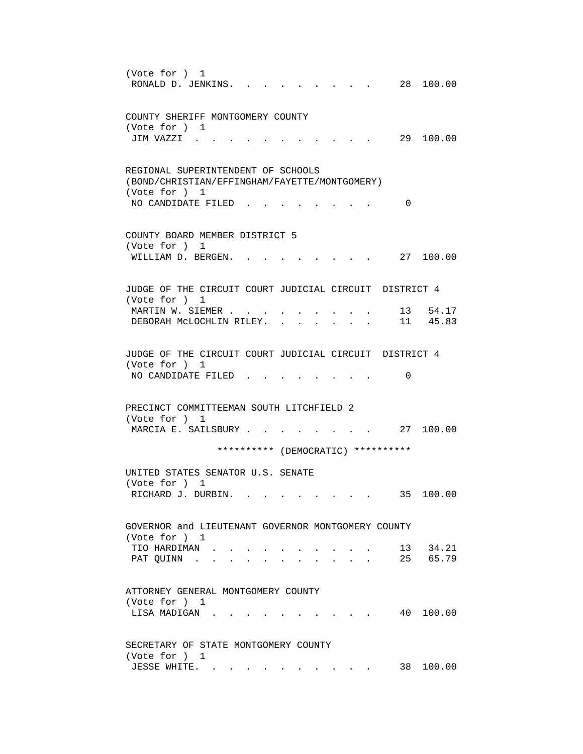(Vote for ) 1 RONALD D. JENKINS. . . . . . . . . 28 100.00 COUNTY SHERIFF MONTGOMERY COUNTY (Vote for ) 1 JIM VAZZI . . . . . . . . . . . 29 100.00 REGIONAL SUPERINTENDENT OF SCHOOLS (BOND/CHRISTIAN/EFFINGHAM/FAYETTE/MONTGOMERY) (Vote for ) 1 NO CANDIDATE FILED . . . . . . . . 0 COUNTY BOARD MEMBER DISTRICT 5 (Vote for ) 1 WILLIAM D. BERGEN. . . . . . . . . 27 100.00 JUDGE OF THE CIRCUIT COURT JUDICIAL CIRCUIT DISTRICT 4 (Vote for ) 1 MARTIN W. SIEMER . . . . . . . . . . 13 54.17 DEBORAH MCLOCHLIN RILEY. . . . . . . 11 45.83 JUDGE OF THE CIRCUIT COURT JUDICIAL CIRCUIT DISTRICT 4 (Vote for ) 1 NO CANDIDATE FILED . . . . . . . . 0 PRECINCT COMMITTEEMAN SOUTH LITCHFIELD 2 (Vote for ) 1 MARCIA E. SAILSBURY . . . . . . . . 27 100.00 \*\*\*\*\*\*\*\*\*\* (DEMOCRATIC) \*\*\*\*\*\*\*\*\*\* UNITED STATES SENATOR U.S. SENATE (Vote for ) 1 RICHARD J. DURBIN. . . . . . . . . . 35 100.00 GOVERNOR and LIEUTENANT GOVERNOR MONTGOMERY COUNTY (Vote for ) 1 TIO HARDIMAN . . . . . . . . . . 13 34.21 PAT QUINN . . . . . . . . . . . 25 65.79 ATTORNEY GENERAL MONTGOMERY COUNTY (Vote for ) 1 LISA MADIGAN . . . . . . . . . . . 40 100.00 SECRETARY OF STATE MONTGOMERY COUNTY (Vote for ) 1 JESSE WHITE. . . . . . . . . . . 38 100.00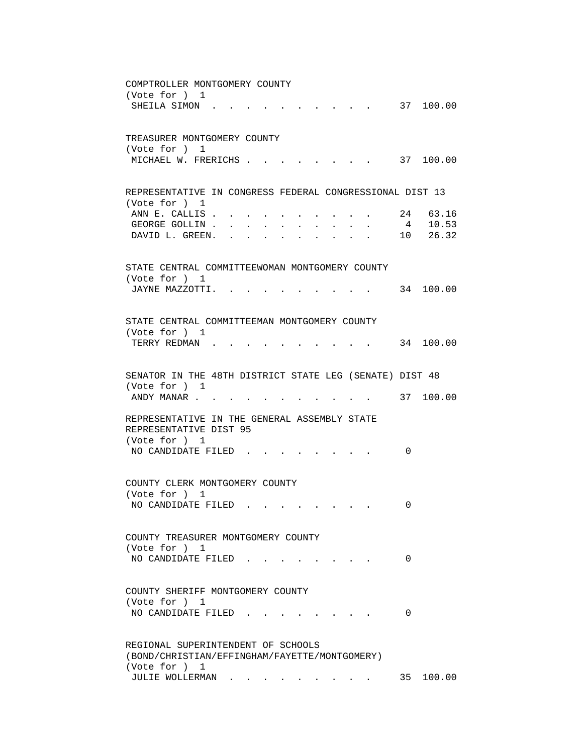| COMPTROLLER MONTGOMERY COUNTY                                                                                                                                                                                                                                 |
|---------------------------------------------------------------------------------------------------------------------------------------------------------------------------------------------------------------------------------------------------------------|
| (Vote for ) 1                                                                                                                                                                                                                                                 |
| 37 100.00<br>SHEILA SIMON.                                                                                                                                                                                                                                    |
|                                                                                                                                                                                                                                                               |
|                                                                                                                                                                                                                                                               |
| TREASURER MONTGOMERY COUNTY                                                                                                                                                                                                                                   |
| (Vote for ) 1                                                                                                                                                                                                                                                 |
| MICHAEL W. FRERICHS<br>37 100.00                                                                                                                                                                                                                              |
|                                                                                                                                                                                                                                                               |
|                                                                                                                                                                                                                                                               |
| REPRESENTATIVE IN CONGRESS FEDERAL CONGRESSIONAL DIST 13                                                                                                                                                                                                      |
| (Vote for ) 1                                                                                                                                                                                                                                                 |
| 24 63.16<br>ANN E. CALLIS                                                                                                                                                                                                                                     |
| 4 10.53<br>GEORGE GOLLIN                                                                                                                                                                                                                                      |
| 10 26.32<br>DAVID L. GREEN.<br>and a series of the contract of the series of the series of the series of the series of the series of the series of the series of the series of the series of the series of the series of the series of the series of the seri |
|                                                                                                                                                                                                                                                               |
|                                                                                                                                                                                                                                                               |
| STATE CENTRAL COMMITTEEWOMAN MONTGOMERY COUNTY                                                                                                                                                                                                                |
| (Vote for ) 1                                                                                                                                                                                                                                                 |
| 34 100.00<br>JAYNE MAZZOTTI.                                                                                                                                                                                                                                  |
|                                                                                                                                                                                                                                                               |
| STATE CENTRAL COMMITTEEMAN MONTGOMERY COUNTY                                                                                                                                                                                                                  |
| (Vote for ) 1                                                                                                                                                                                                                                                 |
| TERRY REDMAN.<br>34 100.00                                                                                                                                                                                                                                    |
|                                                                                                                                                                                                                                                               |
|                                                                                                                                                                                                                                                               |
| SENATOR IN THE 48TH DISTRICT STATE LEG (SENATE) DIST 48                                                                                                                                                                                                       |
| (Vote for ) 1                                                                                                                                                                                                                                                 |
| 37 100.00<br>ANDY MANAR                                                                                                                                                                                                                                       |
|                                                                                                                                                                                                                                                               |
| REPRESENTATIVE IN THE GENERAL ASSEMBLY STATE                                                                                                                                                                                                                  |
| REPRESENTATIVE DIST 95                                                                                                                                                                                                                                        |
| (Vote for ) 1                                                                                                                                                                                                                                                 |
| NO CANDIDATE FILED.<br>0                                                                                                                                                                                                                                      |
|                                                                                                                                                                                                                                                               |
|                                                                                                                                                                                                                                                               |
| COUNTY CLERK MONTGOMERY COUNTY                                                                                                                                                                                                                                |
| (Vote for ) 1                                                                                                                                                                                                                                                 |
| NO CANDIDATE FILED<br>0                                                                                                                                                                                                                                       |
|                                                                                                                                                                                                                                                               |
|                                                                                                                                                                                                                                                               |
| COUNTY TREASURER MONTGOMERY COUNTY                                                                                                                                                                                                                            |
| (Vote for ) 1                                                                                                                                                                                                                                                 |
| NO CANDIDATE FILED.<br>0                                                                                                                                                                                                                                      |
|                                                                                                                                                                                                                                                               |
| COUNTY SHERIFF MONTGOMERY COUNTY                                                                                                                                                                                                                              |
| (Vote for ) 1                                                                                                                                                                                                                                                 |
| NO CANDIDATE FILED<br>0                                                                                                                                                                                                                                       |
|                                                                                                                                                                                                                                                               |
|                                                                                                                                                                                                                                                               |
| REGIONAL SUPERINTENDENT OF SCHOOLS                                                                                                                                                                                                                            |
| (BOND/CHRISTIAN/EFFINGHAM/FAYETTE/MONTGOMERY)                                                                                                                                                                                                                 |
| (Vote for ) 1                                                                                                                                                                                                                                                 |
| JULIE WOLLERMAN<br>35 100.00                                                                                                                                                                                                                                  |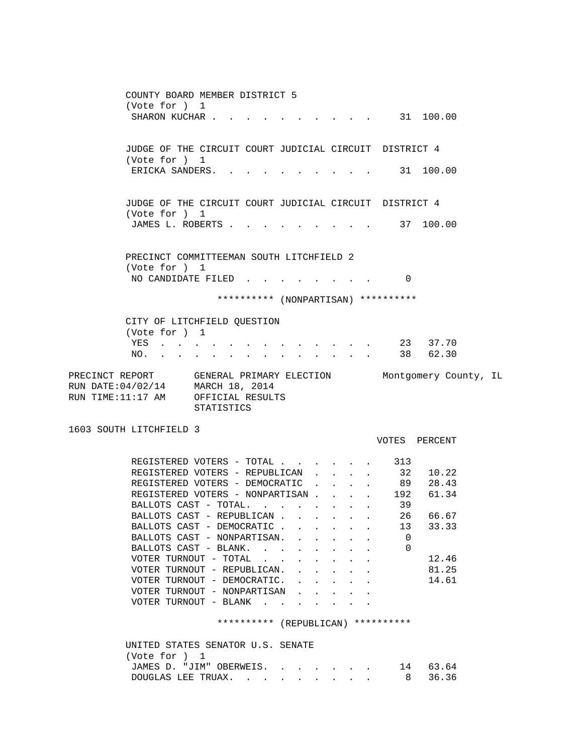COUNTY BOARD MEMBER DISTRICT 5 (Vote for ) 1 SHARON KUCHAR . . . . . . . . . . . 31 100.00 JUDGE OF THE CIRCUIT COURT JUDICIAL CIRCUIT DISTRICT 4 (Vote for ) 1 ERICKA SANDERS. . . . . . . . . . 31 100.00 JUDGE OF THE CIRCUIT COURT JUDICIAL CIRCUIT DISTRICT 4 (Vote for ) 1 JAMES L. ROBERTS . . . . . . . . . . 37 100.00 PRECINCT COMMITTEEMAN SOUTH LITCHFIELD 2 (Vote for ) 1 NO CANDIDATE FILED . . . . . . . . 0 \*\*\*\*\*\*\*\*\*\* (NONPARTISAN) \*\*\*\*\*\*\*\*\*\* CITY OF LITCHFIELD QUESTION (Vote for ) 1 YES . . . . . . . . . . . . . 23 37.70 NO. . . . . . . . . . . . . . 38 62.30 PRECINCT REPORT GENERAL PRIMARY ELECTION Montgomery County, IL RUN DATE:04/02/14 MARCH 18, 2014 RUN TIME:11:17 AM OFFICIAL RESULTS STATISTICS 1603 SOUTH LITCHFIELD 3 VOTES PERCENT REGISTERED VOTERS - TOTAL . . . . . . 313<br>REGISTERED VOTERS - REPUBLICAN . . . . 32 REGISTERED VOTERS - REPUBLICAN . . . . 32 10.22<br>REGISTERED VOTERS - DEMOCRATIC . . . . 89 28.43 REGISTERED VOTERS - DEMOCRATIC . . . . 89 REGISTERED VOTERS - NONPARTISAN . . . . 192 61.34 BALLOTS CAST - TOTAL. . . . . . . . . 39 BALLOTS CAST - REPUBLICAN . . . . . . 26 66.67<br>BALLOTS CAST - DEMOCRATIC . . . . . . 13 33.33 BALLOTS CAST - DEMOCRATIC . . . . . . 13 33.33 BALLOTS CAST - NONPARTISAN. . . . . . 0 BALLOTS CAST - BLANK. . . . . . . . 0 VOTER TURNOUT - TOTAL . . . . . . . . 12.46 VOTER TURNOUT - REPUBLICAN. . . . . . 81.25 VOTER TURNOUT - DEMOCRATIC. . . . . . 14.61 VOTER TURNOUT - NONPARTISAN . . . . . VOTER TURNOUT - BLANK . . . . \*\*\*\*\*\*\*\*\*\* (REPUBLICAN) \*\*\*\*\*\*\*\*\*\*

| UNITED STATES SENATOR U.S. SENATE |  |
|-----------------------------------|--|
| (Vote for ) 1                     |  |
| JAMES D. "JIM" OBERWEIS. 14 63.64 |  |
| DOUGLAS LEE TRUAX. 8 36.36        |  |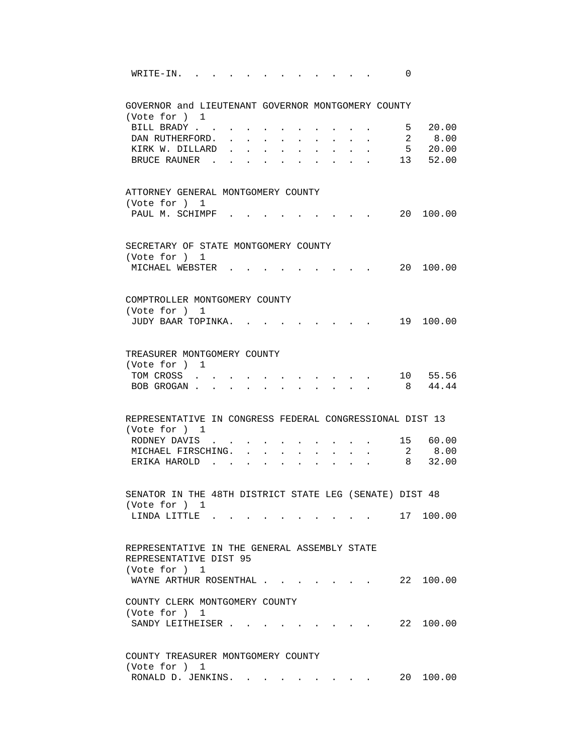| WRITE-IN.                                                |                                                                                                                                              |                                                                                                                                                                                                                                |    | 0              |                                                                        |
|----------------------------------------------------------|----------------------------------------------------------------------------------------------------------------------------------------------|--------------------------------------------------------------------------------------------------------------------------------------------------------------------------------------------------------------------------------|----|----------------|------------------------------------------------------------------------|
| GOVERNOR and LIEUTENANT GOVERNOR MONTGOMERY COUNTY       |                                                                                                                                              |                                                                                                                                                                                                                                |    |                |                                                                        |
| (Vote for ) 1<br>BILL BRADY                              |                                                                                                                                              |                                                                                                                                                                                                                                |    | 5              | 20.00                                                                  |
| DAN RUTHERFORD.                                          | $\sim 100$<br>$\sim 100$                                                                                                                     |                                                                                                                                                                                                                                |    |                |                                                                        |
| KIRK W. DILLARD                                          |                                                                                                                                              |                                                                                                                                                                                                                                |    |                | $\begin{array}{ccc} 2 & \quad 8\,.00 \\ 5 & \quad 20\,.00 \end{array}$ |
| BRUCE RAUNER.                                            |                                                                                                                                              |                                                                                                                                                                                                                                |    |                | 13 52.00                                                               |
|                                                          |                                                                                                                                              |                                                                                                                                                                                                                                |    |                |                                                                        |
| ATTORNEY GENERAL MONTGOMERY COUNTY                       |                                                                                                                                              |                                                                                                                                                                                                                                |    |                |                                                                        |
| (Vote for ) 1                                            |                                                                                                                                              |                                                                                                                                                                                                                                |    |                |                                                                        |
| PAUL M. SCHIMPF                                          |                                                                                                                                              |                                                                                                                                                                                                                                |    |                | 20 100.00                                                              |
|                                                          |                                                                                                                                              |                                                                                                                                                                                                                                |    |                |                                                                        |
| SECRETARY OF STATE MONTGOMERY COUNTY                     |                                                                                                                                              |                                                                                                                                                                                                                                |    |                |                                                                        |
| (Vote for ) 1<br>MICHAEL WEBSTER                         |                                                                                                                                              |                                                                                                                                                                                                                                |    |                | 20 100.00                                                              |
|                                                          |                                                                                                                                              |                                                                                                                                                                                                                                |    |                |                                                                        |
|                                                          |                                                                                                                                              |                                                                                                                                                                                                                                |    |                |                                                                        |
| COMPTROLLER MONTGOMERY COUNTY<br>(Vote for ) 1           |                                                                                                                                              |                                                                                                                                                                                                                                |    |                |                                                                        |
| JUDY BAAR TOPINKA.                                       |                                                                                                                                              |                                                                                                                                                                                                                                |    |                | 19 100.00                                                              |
|                                                          |                                                                                                                                              |                                                                                                                                                                                                                                |    |                |                                                                        |
|                                                          |                                                                                                                                              |                                                                                                                                                                                                                                |    |                |                                                                        |
| TREASURER MONTGOMERY COUNTY                              |                                                                                                                                              |                                                                                                                                                                                                                                |    |                |                                                                        |
| (Vote for ) 1<br>TOM CROSS                               | $\mathbf{r} = \mathbf{r} \cdot \mathbf{r}$ , and $\mathbf{r} = \mathbf{r} \cdot \mathbf{r}$ , and $\mathbf{r} = \mathbf{r} \cdot \mathbf{r}$ |                                                                                                                                                                                                                                |    |                | 10 55.56                                                               |
| BOB GROGAN                                               |                                                                                                                                              | $\mathbf{r} = \mathbf{r}$ , and $\mathbf{r} = \mathbf{r}$ , and $\mathbf{r} = \mathbf{r}$                                                                                                                                      |    |                | 8 44.44                                                                |
|                                                          |                                                                                                                                              |                                                                                                                                                                                                                                |    |                |                                                                        |
| REPRESENTATIVE IN CONGRESS FEDERAL CONGRESSIONAL DIST 13 |                                                                                                                                              |                                                                                                                                                                                                                                |    |                |                                                                        |
| (Vote for ) 1                                            |                                                                                                                                              |                                                                                                                                                                                                                                |    |                |                                                                        |
| RODNEY DAVIS .                                           |                                                                                                                                              |                                                                                                                                                                                                                                |    |                | 15 60.00                                                               |
| MICHAEL FIRSCHING.<br>$\sim$                             | $\sim$                                                                                                                                       |                                                                                                                                                                                                                                |    | $\overline{2}$ | 8.00                                                                   |
| ERIKA HAROLD<br>$\mathbf{L}$                             | $\sim$                                                                                                                                       | $\mathbf{r}$<br>$\mathbf{L}$                                                                                                                                                                                                   | ÷. |                | 8 32.00                                                                |
|                                                          |                                                                                                                                              |                                                                                                                                                                                                                                |    |                |                                                                        |
| SENATOR IN THE 48TH DISTRICT STATE LEG (SENATE) DIST 48  |                                                                                                                                              |                                                                                                                                                                                                                                |    |                |                                                                        |
| (Vote for ) 1                                            |                                                                                                                                              |                                                                                                                                                                                                                                |    |                |                                                                        |
| LINDA LITTLE 17 100.00                                   |                                                                                                                                              |                                                                                                                                                                                                                                |    |                |                                                                        |
|                                                          |                                                                                                                                              |                                                                                                                                                                                                                                |    |                |                                                                        |
| REPRESENTATIVE IN THE GENERAL ASSEMBLY STATE             |                                                                                                                                              |                                                                                                                                                                                                                                |    |                |                                                                        |
| REPRESENTATIVE DIST 95                                   |                                                                                                                                              |                                                                                                                                                                                                                                |    |                |                                                                        |
| (Vote for ) 1                                            |                                                                                                                                              |                                                                                                                                                                                                                                |    |                |                                                                        |
| WAYNE ARTHUR ROSENTHAL                                   |                                                                                                                                              |                                                                                                                                                                                                                                |    |                | 22 100.00                                                              |
| COUNTY CLERK MONTGOMERY COUNTY                           |                                                                                                                                              |                                                                                                                                                                                                                                |    |                |                                                                        |
| (Vote for ) 1                                            |                                                                                                                                              |                                                                                                                                                                                                                                |    |                |                                                                        |
| SANDY LEITHEISER                                         |                                                                                                                                              |                                                                                                                                                                                                                                |    |                | 22 100.00                                                              |
|                                                          |                                                                                                                                              |                                                                                                                                                                                                                                |    |                |                                                                        |
| COUNTY TREASURER MONTGOMERY COUNTY                       |                                                                                                                                              |                                                                                                                                                                                                                                |    |                |                                                                        |
| (Vote for ) 1                                            |                                                                                                                                              |                                                                                                                                                                                                                                |    |                |                                                                        |
| RONALD D. JENKINS.                                       |                                                                                                                                              | and the contract of the contract of the contract of the contract of the contract of the contract of the contract of the contract of the contract of the contract of the contract of the contract of the contract of the contra |    | 20             | 100.00                                                                 |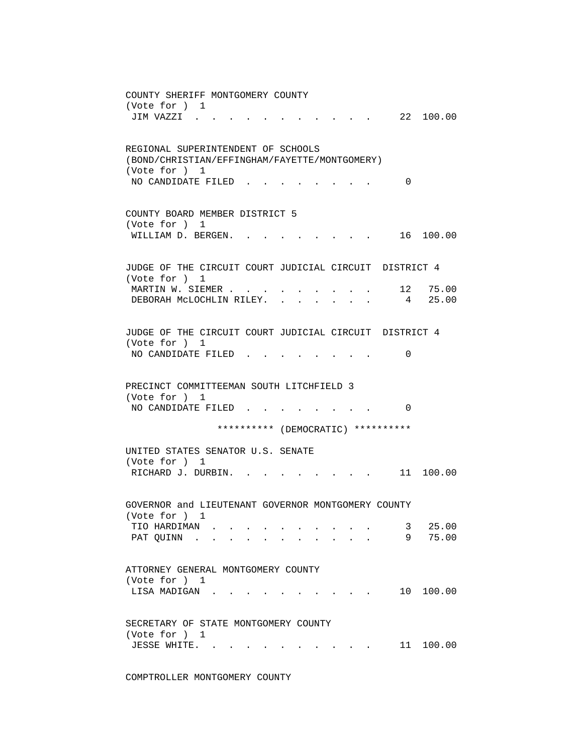COUNTY SHERIFF MONTGOMERY COUNTY (Vote for ) 1 JIM VAZZI . . . . . . . . . . . 22 100.00 REGIONAL SUPERINTENDENT OF SCHOOLS (BOND/CHRISTIAN/EFFINGHAM/FAYETTE/MONTGOMERY) (Vote for ) 1 NO CANDIDATE FILED . . . . . . . . 0 COUNTY BOARD MEMBER DISTRICT 5 (Vote for ) 1 WILLIAM D. BERGEN. . . . . . . . . 16 100.00 JUDGE OF THE CIRCUIT COURT JUDICIAL CIRCUIT DISTRICT 4 (Vote for ) 1 MARTIN W. SIEMER . . . . . . . . . . . 12 75.00 DEBORAH MCLOCHLIN RILEY. . . . . . . 4 25.00 JUDGE OF THE CIRCUIT COURT JUDICIAL CIRCUIT DISTRICT 4 (Vote for ) 1 NO CANDIDATE FILED . . . . . . . . 0 PRECINCT COMMITTEEMAN SOUTH LITCHFIELD 3 (Vote for ) 1 NO CANDIDATE FILED . . . . . . . . 0 \*\*\*\*\*\*\*\*\*\* (DEMOCRATIC) \*\*\*\*\*\*\*\*\*\* UNITED STATES SENATOR U.S. SENATE (Vote for ) 1 RICHARD J. DURBIN. . . . . . . . . 11 100.00 GOVERNOR and LIEUTENANT GOVERNOR MONTGOMERY COUNTY (Vote for ) 1 TIO HARDIMAN . . . . . . . . . . 3 25.00 PAT QUINN . . . . . . . . . . . 9 75.00 ATTORNEY GENERAL MONTGOMERY COUNTY (Vote for ) 1 LISA MADIGAN . . . . . . . . . . 10 100.00 SECRETARY OF STATE MONTGOMERY COUNTY (Vote for ) 1 JESSE WHITE. . . . . . . . . . . 11 100.00

COMPTROLLER MONTGOMERY COUNTY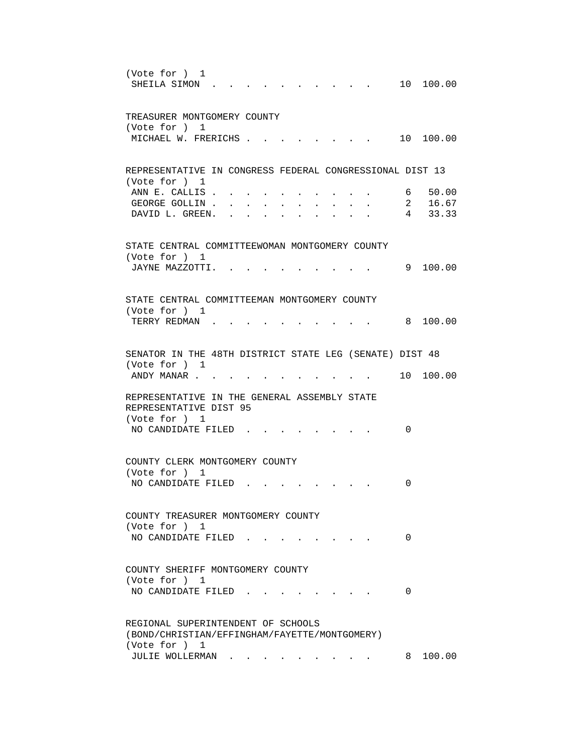| (Vote for ) 1<br>10 100.00<br>SHEILA SIMON                                                                                                                                                                                                                                                                                                                                                                                                                                                                                                                                                            |
|-------------------------------------------------------------------------------------------------------------------------------------------------------------------------------------------------------------------------------------------------------------------------------------------------------------------------------------------------------------------------------------------------------------------------------------------------------------------------------------------------------------------------------------------------------------------------------------------------------|
| TREASURER MONTGOMERY COUNTY<br>(Vote for ) 1                                                                                                                                                                                                                                                                                                                                                                                                                                                                                                                                                          |
| 10 100.00<br>MICHAEL W. FRERICHS.                                                                                                                                                                                                                                                                                                                                                                                                                                                                                                                                                                     |
| REPRESENTATIVE IN CONGRESS FEDERAL CONGRESSIONAL DIST 13<br>(Vote for ) 1                                                                                                                                                                                                                                                                                                                                                                                                                                                                                                                             |
| ANN E. CALLIS.<br>6 50.00<br>GEORGE GOLLIN.<br>2 16.67<br>and a strong control of the strong strong strong and a strong strong strong strong strong strong strong strong<br>4 33.33<br>DAVID L. GREEN.<br>$\bullet$ . The set of the set of the set of the set of the set of the set of the set of the set of the set of the set of the set of the set of the set of the set of the set of the set of the set of the set of the set of the s<br>$\bullet$ .<br><br><br><br><br><br><br><br><br><br><br><br><br><br><br>$\bullet$ .<br><br><br><br><br><br><br><br><br><br><br><br><br>$\cdot$ $\cdot$ |
| STATE CENTRAL COMMITTEEWOMAN MONTGOMERY COUNTY<br>(Vote for ) 1                                                                                                                                                                                                                                                                                                                                                                                                                                                                                                                                       |
| 9 100.00<br>JAYNE MAZZOTTI.                                                                                                                                                                                                                                                                                                                                                                                                                                                                                                                                                                           |
| STATE CENTRAL COMMITTEEMAN MONTGOMERY COUNTY<br>(Vote for ) 1                                                                                                                                                                                                                                                                                                                                                                                                                                                                                                                                         |
| 100.00<br>TERRY REDMAN.<br>8                                                                                                                                                                                                                                                                                                                                                                                                                                                                                                                                                                          |
| SENATOR IN THE 48TH DISTRICT STATE LEG (SENATE) DIST 48<br>(Vote for ) 1                                                                                                                                                                                                                                                                                                                                                                                                                                                                                                                              |
| 10 100.00<br>ANDY MANAR                                                                                                                                                                                                                                                                                                                                                                                                                                                                                                                                                                               |
| REPRESENTATIVE IN THE GENERAL ASSEMBLY STATE<br>REPRESENTATIVE DIST 95                                                                                                                                                                                                                                                                                                                                                                                                                                                                                                                                |
| (Vote for ) 1<br>NO CANDIDATE FILED.<br>0                                                                                                                                                                                                                                                                                                                                                                                                                                                                                                                                                             |
| COUNTY CLERK MONTGOMERY COUNTY<br>(Vote for ) 1                                                                                                                                                                                                                                                                                                                                                                                                                                                                                                                                                       |
| NO CANDIDATE FILED<br>0                                                                                                                                                                                                                                                                                                                                                                                                                                                                                                                                                                               |
| COUNTY TREASURER MONTGOMERY COUNTY<br>(Vote for ) 1                                                                                                                                                                                                                                                                                                                                                                                                                                                                                                                                                   |
| NO CANDIDATE FILED.<br>0                                                                                                                                                                                                                                                                                                                                                                                                                                                                                                                                                                              |
| COUNTY SHERIFF MONTGOMERY COUNTY<br>(Vote for ) 1                                                                                                                                                                                                                                                                                                                                                                                                                                                                                                                                                     |
| NO CANDIDATE FILED.<br>0                                                                                                                                                                                                                                                                                                                                                                                                                                                                                                                                                                              |
| REGIONAL SUPERINTENDENT OF SCHOOLS<br>(BOND/CHRISTIAN/EFFINGHAM/FAYETTE/MONTGOMERY)<br>(Vote for ) 1                                                                                                                                                                                                                                                                                                                                                                                                                                                                                                  |
| 8 100.00<br>JULIE WOLLERMAN                                                                                                                                                                                                                                                                                                                                                                                                                                                                                                                                                                           |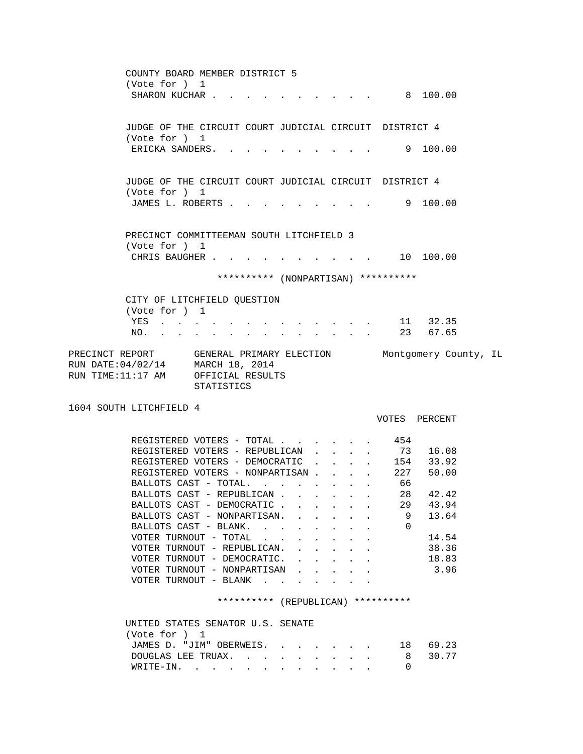COUNTY BOARD MEMBER DISTRICT 5 (Vote for ) 1 SHARON KUCHAR . . . . . . . . . . . 8 100.00 JUDGE OF THE CIRCUIT COURT JUDICIAL CIRCUIT DISTRICT 4 (Vote for ) 1 ERICKA SANDERS. . . . . . . . . . 9 100.00 JUDGE OF THE CIRCUIT COURT JUDICIAL CIRCUIT DISTRICT 4 (Vote for ) 1 JAMES L. ROBERTS . . . . . . . . . . 9 100.00 PRECINCT COMMITTEEMAN SOUTH LITCHFIELD 3 (Vote for ) 1 CHRIS BAUGHER . . . . . . . . . . . 10 100.00 \*\*\*\*\*\*\*\*\*\* (NONPARTISAN) \*\*\*\*\*\*\*\*\*\* CITY OF LITCHFIELD QUESTION (Vote for ) 1 YES . . . . . . . . . . . . . 11 32.35 NO. . . . . . . . . . . . . . 23 67.65 STATISTICS VOTES PERCENT REGISTERED VOTERS - TOTAL . . . . . . 454 REGISTERED VOTERS - REPUBLICAN . . . . 73 16.08 REGISTERED VOTERS - DEMOCRATIC . . . . 154 33.92

PRECINCT REPORT GENERAL PRIMARY ELECTION Montgomery County, IL RUN DATE:04/02/14 MARCH 18, 2014 RUN TIME:11:17 AM OFFICIAL RESULTS

1604 SOUTH LITCHFIELD 4

| REGISTERED VOTERS - TOTAL                          |  |  | 454 |       |
|----------------------------------------------------|--|--|-----|-------|
| REGISTERED VOTERS - REPUBLICAN                     |  |  | 73  | 16.08 |
| REGISTERED VOTERS - DEMOCRATIC                     |  |  | 154 | 33.92 |
| REGISTERED VOTERS - NONPARTISAN.                   |  |  | 227 | 50.00 |
| BALLOTS CAST - TOTAL.                              |  |  | 66  |       |
| BALLOTS CAST - REPUBLICAN                          |  |  | 28  | 42.42 |
| BALLOTS CAST - DEMOCRATIC                          |  |  | 29  | 43.94 |
| BALLOTS CAST - NONPARTISAN.                        |  |  | 9   | 13.64 |
| BALLOTS CAST - BLANK.                              |  |  | 0   |       |
| VOTER TURNOUT - TOTAL                              |  |  |     | 14.54 |
| VOTER TURNOUT - REPUBLICAN.                        |  |  |     | 38.36 |
| VOTER TURNOUT - DEMOCRATIC.                        |  |  |     | 18.83 |
| VOTER TURNOUT - NONPARTISAN                        |  |  |     | 3.96  |
| VOTER TURNOUT<br>BLANK<br>$\overline{\phantom{m}}$ |  |  |     |       |

\*\*\*\*\*\*\*\*\*\* (REPUBLICAN) \*\*\*\*\*\*\*\*\*\*

| UNITED STATES SENATOR U.S. SENATE |                                   |
|-----------------------------------|-----------------------------------|
| (Vote for ) 1                     |                                   |
|                                   | JAMES D. "JIM" OBERWEIS. 18 69.23 |
|                                   | DOUGLAS LEE TRUAX. 8 30.77        |
| WRITE-IN.                         |                                   |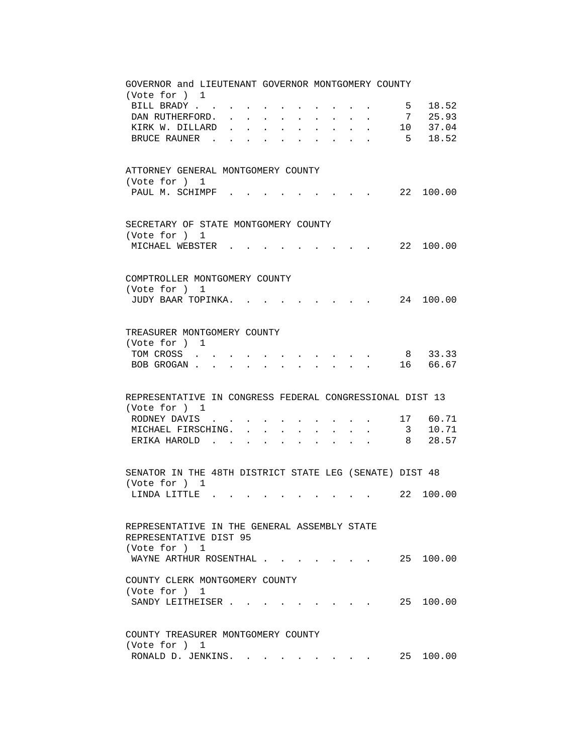| GOVERNOR and LIEUTENANT GOVERNOR MONTGOMERY COUNTY<br>(Vote for ) 1                                                                                           |  |
|---------------------------------------------------------------------------------------------------------------------------------------------------------------|--|
| 18.52<br>BILL BRADY<br>5 <sub>5</sub>                                                                                                                         |  |
| 7 25.93<br>DAN RUTHERFORD.                                                                                                                                    |  |
| 10 37.04<br>KIRK W. DILLARD<br>$\ddot{\phantom{0}}$<br>$\ddot{\phantom{a}}$<br>$\ddot{\phantom{a}}$                                                           |  |
| $5 \t18.52$<br>BRUCE RAUNER                                                                                                                                   |  |
|                                                                                                                                                               |  |
| ATTORNEY GENERAL MONTGOMERY COUNTY<br>(Vote for ) 1                                                                                                           |  |
| PAUL M. SCHIMPF<br>22 100.00                                                                                                                                  |  |
| SECRETARY OF STATE MONTGOMERY COUNTY<br>(Vote for ) 1                                                                                                         |  |
| 22 100.00<br>MICHAEL WEBSTER                                                                                                                                  |  |
| COMPTROLLER MONTGOMERY COUNTY                                                                                                                                 |  |
| (Vote for ) 1                                                                                                                                                 |  |
| JUDY BAAR TOPINKA.<br>24 100.00                                                                                                                               |  |
| TREASURER MONTGOMERY COUNTY                                                                                                                                   |  |
| (Vote for ) 1<br>8 33.33<br>TOM CROSS                                                                                                                         |  |
| 16 66.67<br>BOB GROGAN.<br>$\ddot{\phantom{a}}$<br>$\ddot{\phantom{a}}$                                                                                       |  |
|                                                                                                                                                               |  |
| REPRESENTATIVE IN CONGRESS FEDERAL CONGRESSIONAL DIST 13<br>(Vote for ) 1                                                                                     |  |
| 17 60.71<br>RODNEY DAVIS                                                                                                                                      |  |
| 3 10.71<br>MICHAEL FIRSCHING.<br>$\mathbf{L}$<br>$\ddot{\phantom{0}}$<br>$\sim$<br>$\bullet$ . The set of $\bullet$                                           |  |
| 28.57<br>ERIKA HAROLD<br>8 <sup>8</sup><br>$\overline{a}$<br>$\ddot{\phantom{a}}$<br>$\ddot{\phantom{a}}$<br><b>Contract Contract</b><br>$\ddot{\phantom{a}}$ |  |
|                                                                                                                                                               |  |
| SENATOR IN THE 48TH DISTRICT STATE LEG (SENATE) DIST 48<br>(Vote for ) 1                                                                                      |  |
| 22 100.00<br>LINDA LITTLE                                                                                                                                     |  |
|                                                                                                                                                               |  |
| REPRESENTATIVE IN THE GENERAL ASSEMBLY STATE<br>REPRESENTATIVE DIST 95                                                                                        |  |
| (Vote for ) 1<br>25 100.00<br>WAYNE ARTHUR ROSENTHAL                                                                                                          |  |
| COUNTY CLERK MONTGOMERY COUNTY                                                                                                                                |  |
| (Vote for ) 1                                                                                                                                                 |  |
| SANDY LEITHEISER                                                                                                                                              |  |
| COUNTY TREASURER MONTGOMERY COUNTY                                                                                                                            |  |
| (Vote for ) 1                                                                                                                                                 |  |
| RONALD D. JENKINS.<br>25 100.00                                                                                                                               |  |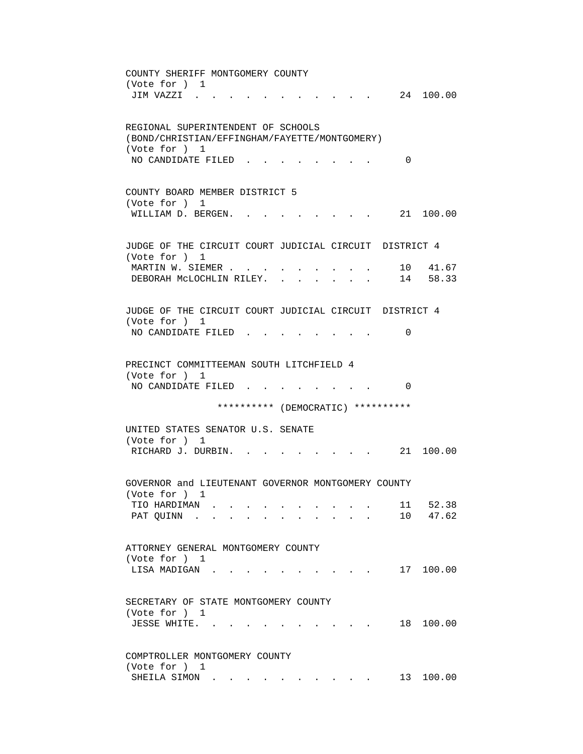COUNTY SHERIFF MONTGOMERY COUNTY (Vote for ) 1 JIM VAZZI . . . . . . . . . . . 24 100.00 REGIONAL SUPERINTENDENT OF SCHOOLS (BOND/CHRISTIAN/EFFINGHAM/FAYETTE/MONTGOMERY) (Vote for ) 1 NO CANDIDATE FILED . . . . . . . . 0 COUNTY BOARD MEMBER DISTRICT 5 (Vote for ) 1 WILLIAM D. BERGEN. . . . . . . . . 21 100.00 JUDGE OF THE CIRCUIT COURT JUDICIAL CIRCUIT DISTRICT 4 (Vote for ) 1 MARTIN W. SIEMER . . . . . . . . . . 10 41.67 DEBORAH MCLOCHLIN RILEY. . . . . . . 14 58.33 JUDGE OF THE CIRCUIT COURT JUDICIAL CIRCUIT DISTRICT 4 (Vote for ) 1 NO CANDIDATE FILED . . . . . . . . 0 PRECINCT COMMITTEEMAN SOUTH LITCHFIELD 4 (Vote for ) 1 NO CANDIDATE FILED . . . . . . . . 0 \*\*\*\*\*\*\*\*\*\* (DEMOCRATIC) \*\*\*\*\*\*\*\*\*\* UNITED STATES SENATOR U.S. SENATE (Vote for ) 1 RICHARD J. DURBIN. . . . . . . . . 21 100.00 GOVERNOR and LIEUTENANT GOVERNOR MONTGOMERY COUNTY (Vote for ) 1 TIO HARDIMAN . . . . . . . . . . 11 52.38 PAT QUINN . . . . . . . . . . . 10 47.62 ATTORNEY GENERAL MONTGOMERY COUNTY (Vote for ) 1 LISA MADIGAN . . . . . . . . . . . 17 100.00 SECRETARY OF STATE MONTGOMERY COUNTY (Vote for ) 1 JESSE WHITE. . . . . . . . . . . 18 100.00 COMPTROLLER MONTGOMERY COUNTY (Vote for ) 1 SHEILA SIMON . . . . . . . . . . . 13 100.00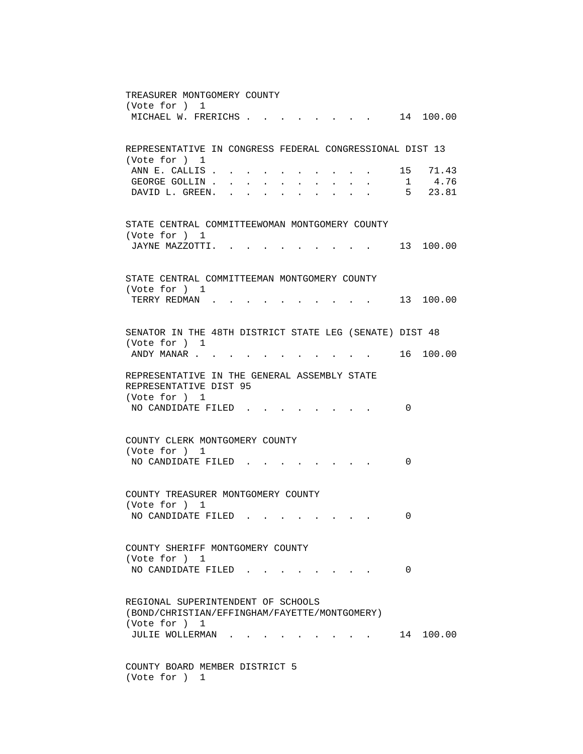TREASURER MONTGOMERY COUNTY (Vote for ) 1 MICHAEL W. FRERICHS . . . . . . . . 14 100.00 REPRESENTATIVE IN CONGRESS FEDERAL CONGRESSIONAL DIST 13 (Vote for ) 1 ANN E. CALLIS . . . . . . . . . . . 15 71.43 GEORGE GOLLIN . . . . . . . . . . . 1 4.76 DAVID L. GREEN. . . . . . . . . . 5 23.81 STATE CENTRAL COMMITTEEWOMAN MONTGOMERY COUNTY (Vote for ) 1 JAYNE MAZZOTTI. . . . . . . . . . 13 100.00 STATE CENTRAL COMMITTEEMAN MONTGOMERY COUNTY (Vote for ) 1 TERRY REDMAN . . . . . . . . . . 13 100.00 SENATOR IN THE 48TH DISTRICT STATE LEG (SENATE) DIST 48 (Vote for ) 1 ANDY MANAR . . . . . . . . . . . . 16 100.00 REPRESENTATIVE IN THE GENERAL ASSEMBLY STATE REPRESENTATIVE DIST 95 (Vote for ) 1 NO CANDIDATE FILED . . . . . . . . 0 COUNTY CLERK MONTGOMERY COUNTY (Vote for ) 1 NO CANDIDATE FILED . . . . . . . . 0 COUNTY TREASURER MONTGOMERY COUNTY (Vote for ) 1 NO CANDIDATE FILED . . . . . . . . 0 COUNTY SHERIFF MONTGOMERY COUNTY (Vote for ) 1 NO CANDIDATE FILED . . . . . . . . 0 REGIONAL SUPERINTENDENT OF SCHOOLS (BOND/CHRISTIAN/EFFINGHAM/FAYETTE/MONTGOMERY) (Vote for ) 1 JULIE WOLLERMAN . . . . . . . . . . 14 100.00 COUNTY BOARD MEMBER DISTRICT 5 (Vote for ) 1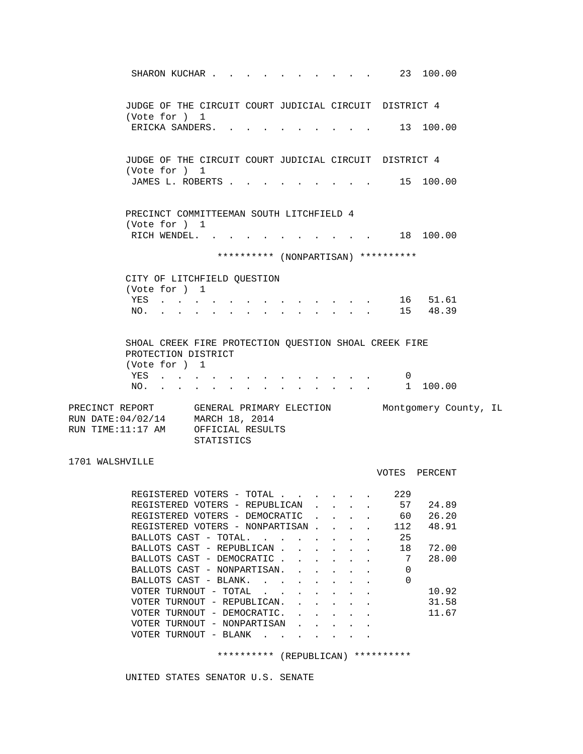| SHARON KUCHAR                                                                                             |                                                  |  |                                                             |                               | $\cdot$ 23 100.00                   |           |  |
|-----------------------------------------------------------------------------------------------------------|--------------------------------------------------|--|-------------------------------------------------------------|-------------------------------|-------------------------------------|-----------|--|
| JUDGE OF THE CIRCUIT COURT JUDICIAL CIRCUIT DISTRICT 4<br>(Vote for ) 1                                   |                                                  |  |                                                             |                               |                                     |           |  |
| ERICKA SANDERS. .                                                                                         |                                                  |  |                                                             |                               | 13 100.00                           |           |  |
| JUDGE OF THE CIRCUIT COURT JUDICIAL CIRCUIT DISTRICT 4<br>(Vote for ) 1                                   |                                                  |  |                                                             |                               |                                     |           |  |
| JAMES L. ROBERTS                                                                                          |                                                  |  |                                                             |                               | $\cdot$ 15 100.00                   |           |  |
| PRECINCT COMMITTEEMAN SOUTH LITCHFIELD 4<br>(Vote for ) 1                                                 |                                                  |  |                                                             |                               |                                     |           |  |
| RICH WENDEL.                                                                                              |                                                  |  |                                                             |                               |                                     | 18 100.00 |  |
|                                                                                                           |                                                  |  |                                                             |                               | ********** (NONPARTISAN) ********** |           |  |
| CITY OF LITCHFIELD QUESTION                                                                               |                                                  |  |                                                             |                               |                                     |           |  |
| (Vote for ) 1                                                                                             |                                                  |  |                                                             |                               |                                     |           |  |
| YES                                                                                                       |                                                  |  |                                                             |                               |                                     | 16 51.61  |  |
| NO. 15 48.39                                                                                              |                                                  |  |                                                             |                               |                                     |           |  |
| SHOAL CREEK FIRE PROTECTION QUESTION SHOAL CREEK FIRE<br>PROTECTION DISTRICT<br>(Vote for ) 1<br>YES      |                                                  |  |                                                             |                               | 0                                   |           |  |
| NO.                                                                                                       |                                                  |  |                                                             |                               |                                     | 1 100.00  |  |
| PRECINCT REPORT GENERAL PRIMARY ELECTION Montgomery County, IL<br>RUN DATE: 04/02/14<br>RUN TIME:11:17 AM | MARCH 18, 2014<br>OFFICIAL RESULTS<br>STATISTICS |  |                                                             |                               |                                     |           |  |
| 1701 WALSHVILLE                                                                                           |                                                  |  |                                                             |                               | VOTES PERCENT                       |           |  |
| REGISTERED VOTERS - TOTAL                                                                                 |                                                  |  |                                                             |                               | 229                                 |           |  |
| REGISTERED VOTERS - REPUBLICAN                                                                            |                                                  |  |                                                             |                               | 57                                  | 24.89     |  |
| REGISTERED VOTERS - DEMOCRATIC                                                                            |                                                  |  |                                                             |                               | 60                                  | 26.20     |  |
| REGISTERED VOTERS - NONPARTISAN.                                                                          |                                                  |  |                                                             | $\mathbf{L}^{\text{max}}$     | 112                                 | 48.91     |  |
| BALLOTS CAST - TOTAL.<br>BALLOTS CAST - REPUBLICAN                                                        |                                                  |  |                                                             | $\sim$                        | 25<br>18                            | 72.00     |  |
| BALLOTS CAST - DEMOCRATIC                                                                                 |                                                  |  |                                                             | $\mathbf{L}$ and $\mathbf{L}$ | 7                                   | 28.00     |  |
| BALLOTS CAST - NONPARTISAN. .                                                                             |                                                  |  | $\ddot{\phantom{0}}$                                        | $\ddot{\phantom{0}}$          | 0                                   |           |  |
| BALLOTS CAST - BLANK.                                                                                     |                                                  |  | $\bullet$ .<br><br><br><br><br><br><br><br><br><br><br><br> |                               | 0                                   |           |  |
| VOTER TURNOUT - TOTAL                                                                                     |                                                  |  |                                                             |                               |                                     | 10.92     |  |
| VOTER TURNOUT - REPUBLICAN.                                                                               |                                                  |  |                                                             |                               |                                     | 31.58     |  |
| VOTER TURNOUT - DEMOCRATIC.<br>VOTER TURNOUT - NONPARTISAN                                                |                                                  |  |                                                             |                               |                                     | 11.67     |  |
| VOTER TURNOUT - BLANK                                                                                     |                                                  |  |                                                             |                               |                                     |           |  |

\*\*\*\*\*\*\*\*\*\* (REPUBLICAN) \*\*\*\*\*\*\*\*\*\*

UNITED STATES SENATOR U.S. SENATE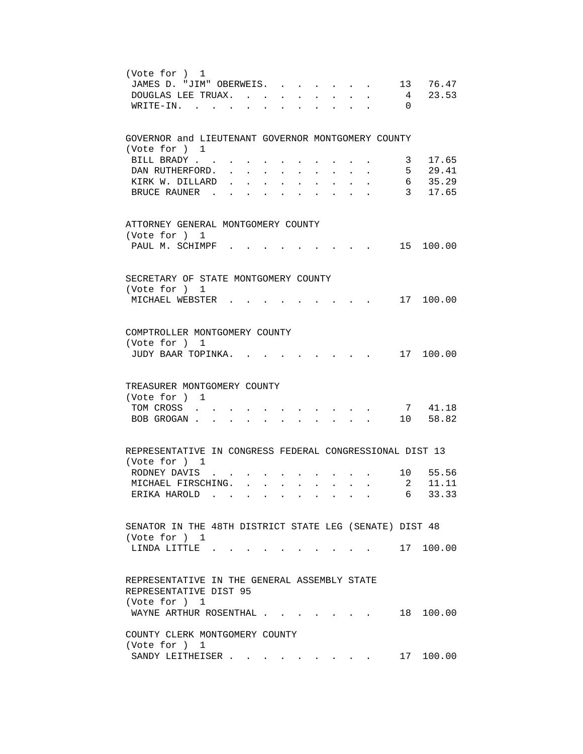| (Vote for ) 1<br>13 76.47<br>JAMES D. "JIM" OBERWEIS.                                                        |
|--------------------------------------------------------------------------------------------------------------|
| 23.53<br>$\overline{4}$<br>DOUGLAS LEE TRUAX.                                                                |
| $\Omega$<br>$W\text{RITE}-\text{IN}.$                                                                        |
| GOVERNOR and LIEUTENANT GOVERNOR MONTGOMERY COUNTY                                                           |
| (Vote for ) 1                                                                                                |
| 17.65<br>BILL BRADY<br>3                                                                                     |
| 5 <sub>5</sub><br>29.41<br>DAN RUTHERFORD.                                                                   |
| 35.29<br>6<br>KIRK W. DILLARD<br>3 17.65                                                                     |
| BRUCE RAUNER.                                                                                                |
| ATTORNEY GENERAL MONTGOMERY COUNTY                                                                           |
| (Vote for ) 1                                                                                                |
| PAUL M. SCHIMPF.<br>15 100.00                                                                                |
| SECRETARY OF STATE MONTGOMERY COUNTY                                                                         |
| (Vote for ) 1                                                                                                |
| MICHAEL WEBSTER .<br>17 100.00                                                                               |
|                                                                                                              |
| COMPTROLLER MONTGOMERY COUNTY                                                                                |
| (Vote for ) 1                                                                                                |
| JUDY BAAR TOPINKA.<br>17 100.00                                                                              |
|                                                                                                              |
| TREASURER MONTGOMERY COUNTY<br>(Vote for ) 1                                                                 |
| 7 41.18<br>TOM CROSS                                                                                         |
| 10 58.82<br>BOB GROGAN<br>$\mathbf{r} = \mathbf{r}$<br>$\bullet$ . The set of $\bullet$<br>$\sim$ 100 $\sim$ |
|                                                                                                              |
| REPRESENTATIVE IN CONGRESS FEDERAL CONGRESSIONAL DIST 13<br>(Vote for ) 1                                    |
| 10 55.56<br>RODNEY DAVIS.                                                                                    |
| $\overline{a}$<br>11.11<br>MICHAEL FIRSCHING. .<br>$\sim$                                                    |
| 33.33<br>ERIKA HAROLD.<br>6                                                                                  |
|                                                                                                              |
| SENATOR IN THE 48TH DISTRICT STATE LEG (SENATE) DIST 48                                                      |
| (Vote for ) 1                                                                                                |
| LINDA LITTLE.<br>. 17 100.00                                                                                 |
| REPRESENTATIVE IN THE GENERAL ASSEMBLY STATE                                                                 |
| REPRESENTATIVE DIST 95                                                                                       |
| (Vote for ) 1<br>18 100.00                                                                                   |
| WAYNE ARTHUR ROSENTHAL                                                                                       |
| COUNTY CLERK MONTGOMERY COUNTY<br>(Vote for ) 1                                                              |
| 17 100.00<br>SANDY LEITHEISER                                                                                |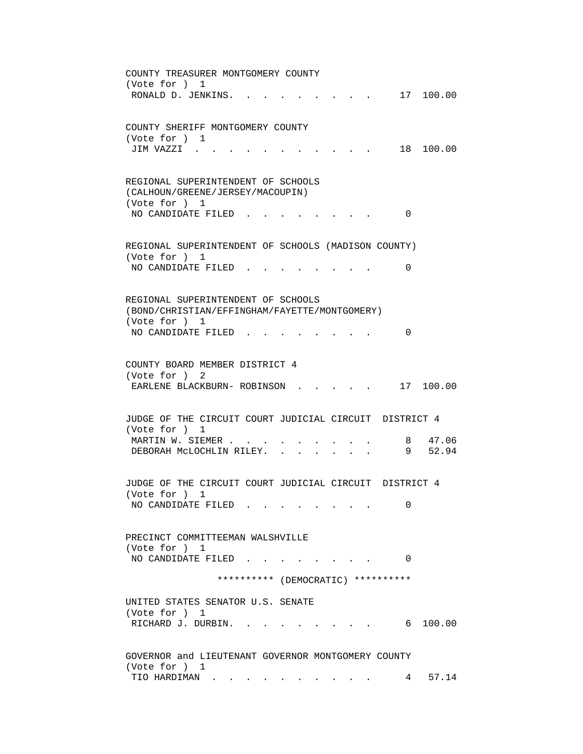COUNTY TREASURER MONTGOMERY COUNTY (Vote for ) 1 RONALD D. JENKINS. . . . . . . . . 17 100.00 COUNTY SHERIFF MONTGOMERY COUNTY (Vote for ) 1 JIM VAZZI . . . . . . . . . . . 18 100.00 REGIONAL SUPERINTENDENT OF SCHOOLS (CALHOUN/GREENE/JERSEY/MACOUPIN) (Vote for ) 1 NO CANDIDATE FILED . . . . . . . . 0 REGIONAL SUPERINTENDENT OF SCHOOLS (MADISON COUNTY) (Vote for ) 1 NO CANDIDATE FILED . . . . . . . . 0 REGIONAL SUPERINTENDENT OF SCHOOLS (BOND/CHRISTIAN/EFFINGHAM/FAYETTE/MONTGOMERY) (Vote for ) 1 NO CANDIDATE FILED . . . . . . . . 0 COUNTY BOARD MEMBER DISTRICT 4 (Vote for ) 2 EARLENE BLACKBURN- ROBINSON . . . . . 17 100.00 JUDGE OF THE CIRCUIT COURT JUDICIAL CIRCUIT DISTRICT 4 (Vote for ) 1 MARTIN W. SIEMER . . . . . . . . . . . 8 47.06<br>DEBORAH McLOCHLIN RILEY. . . . . . . 9 52.94 DEBORAH MCLOCHLIN RILEY. . . . . . . JUDGE OF THE CIRCUIT COURT JUDICIAL CIRCUIT DISTRICT 4 (Vote for ) 1 NO CANDIDATE FILED . . . . . . . . 0 PRECINCT COMMITTEEMAN WALSHVILLE (Vote for ) 1 NO CANDIDATE FILED . . . . . . . . 0 \*\*\*\*\*\*\*\*\*\* (DEMOCRATIC) \*\*\*\*\*\*\*\*\*\* UNITED STATES SENATOR U.S. SENATE (Vote for ) 1 RICHARD J. DURBIN. . . . . . . . . . 6 100.00 GOVERNOR and LIEUTENANT GOVERNOR MONTGOMERY COUNTY (Vote for ) 1 TIO HARDIMAN . . . . . . . . . . 4 57.14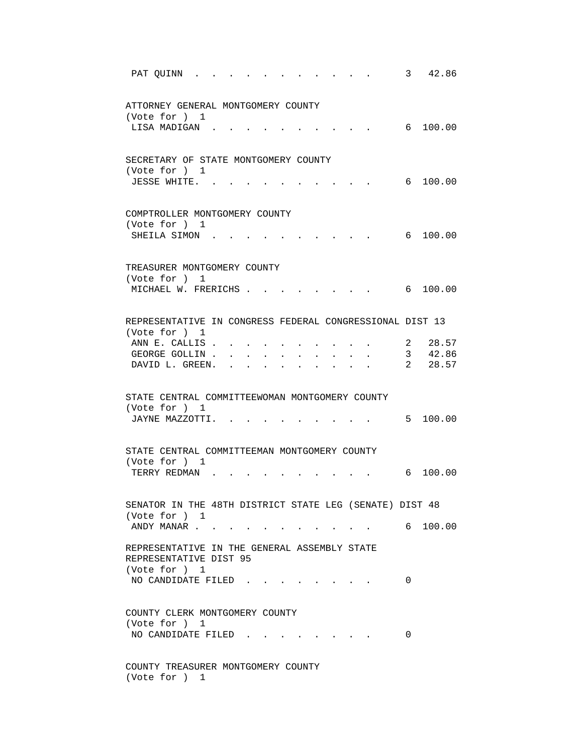| 3<br>42.86<br>PAT QUINN                                                                               |
|-------------------------------------------------------------------------------------------------------|
| ATTORNEY GENERAL MONTGOMERY COUNTY<br>(Vote for ) 1                                                   |
| 6 100.00<br>LISA MADIGAN.                                                                             |
| SECRETARY OF STATE MONTGOMERY COUNTY<br>(Vote for ) 1                                                 |
| JESSE WHITE.<br>6 100.00                                                                              |
| COMPTROLLER MONTGOMERY COUNTY<br>(Vote for ) 1                                                        |
| 6 100.00<br>SHEILA SIMON.                                                                             |
| TREASURER MONTGOMERY COUNTY                                                                           |
| (Vote for ) 1<br>MICHAEL W. FRERICHS.<br>6, 100, 00                                                   |
| REPRESENTATIVE IN CONGRESS FEDERAL CONGRESSIONAL DIST 13                                              |
| (Vote for ) 1                                                                                         |
| ANN E. CALLIS.<br>2 28.57                                                                             |
| $\frac{2}{3}$ $\frac{42.86}{28.57}$<br>GEORGE GOLLIN.<br>$\ddot{\phantom{0}}$<br>$\ddot{\phantom{0}}$ |
| DAVID L. GREEN.                                                                                       |
| STATE CENTRAL COMMITTEEWOMAN MONTGOMERY COUNTY                                                        |
| (Vote for ) 1<br>5 100.00<br>JAYNE MAZZOTTI.                                                          |
|                                                                                                       |
| STATE CENTRAL COMMITTEEMAN MONTGOMERY COUNTY                                                          |
| (Vote for ) 1<br>100.00<br>TERRY REDMAN<br>6                                                          |
| SENATOR IN THE 48TH DISTRICT STATE LEG (SENATE) DIST 48                                               |
| (Vote for ) 1<br>6 100.00<br>ANDY MANAR                                                               |
| REPRESENTATIVE IN THE GENERAL ASSEMBLY STATE<br>REPRESENTATIVE DIST 95                                |
| (Vote for ) 1<br>NO CANDIDATE FILED<br>0                                                              |
| COUNTY CLERK MONTGOMERY COUNTY                                                                        |
| (Vote for ) 1<br>NO CANDIDATE FILED.<br>0                                                             |
| COUNTY TREASURER MONTGOMERY COUNTY<br>(Vote for ) 1                                                   |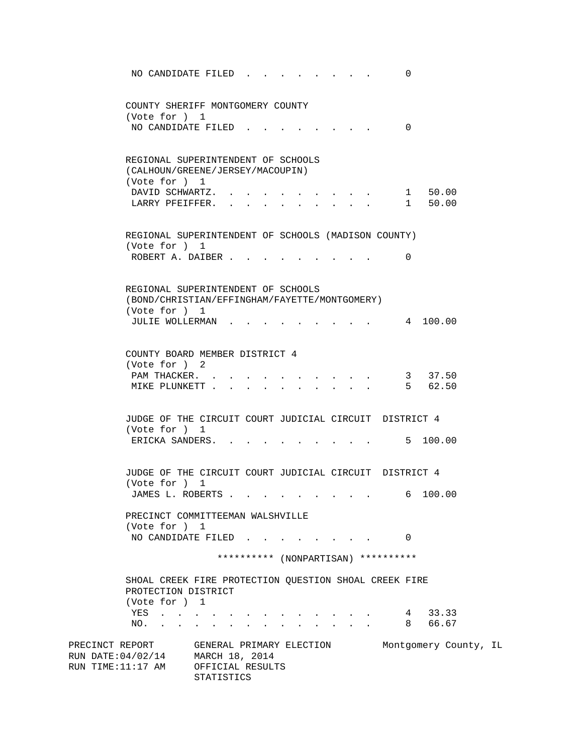NO CANDIDATE FILED . . . . . . . . 0 COUNTY SHERIFF MONTGOMERY COUNTY (Vote for ) 1 NO CANDIDATE FILED . . . . . . . . 0 REGIONAL SUPERINTENDENT OF SCHOOLS (CALHOUN/GREENE/JERSEY/MACOUPIN) (Vote for ) 1 DAVID SCHWARTZ. . . . . . . . . . . 1 50.00 LARRY PFEIFFER. . . . . . . . . . 1 50.00 REGIONAL SUPERINTENDENT OF SCHOOLS (MADISON COUNTY) (Vote for ) 1 ROBERT A. DAIBER . . . . . . . . . 0 REGIONAL SUPERINTENDENT OF SCHOOLS (BOND/CHRISTIAN/EFFINGHAM/FAYETTE/MONTGOMERY) (Vote for ) 1 JULIE WOLLERMAN . . . . . . . . . 4 100.00 COUNTY BOARD MEMBER DISTRICT 4 (Vote for ) 2 PAM THACKER. . . . . . . . . . . 3 37.50 MIKE PLUNKETT . . . . . . . . . . 5 62.50 JUDGE OF THE CIRCUIT COURT JUDICIAL CIRCUIT DISTRICT 4 (Vote for ) 1 ERICKA SANDERS. . . . . . . . . . 5 100.00 JUDGE OF THE CIRCUIT COURT JUDICIAL CIRCUIT DISTRICT 4 (Vote for ) 1 JAMES L. ROBERTS . . . . . . . . . . 6 100.00 PRECINCT COMMITTEEMAN WALSHVILLE (Vote for ) 1 NO CANDIDATE FILED . . . . . . . . 0 \*\*\*\*\*\*\*\*\*\* (NONPARTISAN) \*\*\*\*\*\*\*\*\*\* SHOAL CREEK FIRE PROTECTION QUESTION SHOAL CREEK FIRE PROTECTION DISTRICT (Vote for ) 1 YES . . . . . . . . . . . . . 4 33.33 NO. . . . . . . . . . . . . . 8 66.67 PRECINCT REPORT GENERAL PRIMARY ELECTION Montgomery County, IL RUN DATE:04/02/14 MARCH 18, 2014 RUN TIME:11:17 AM OFFICIAL RESULTS STATISTICS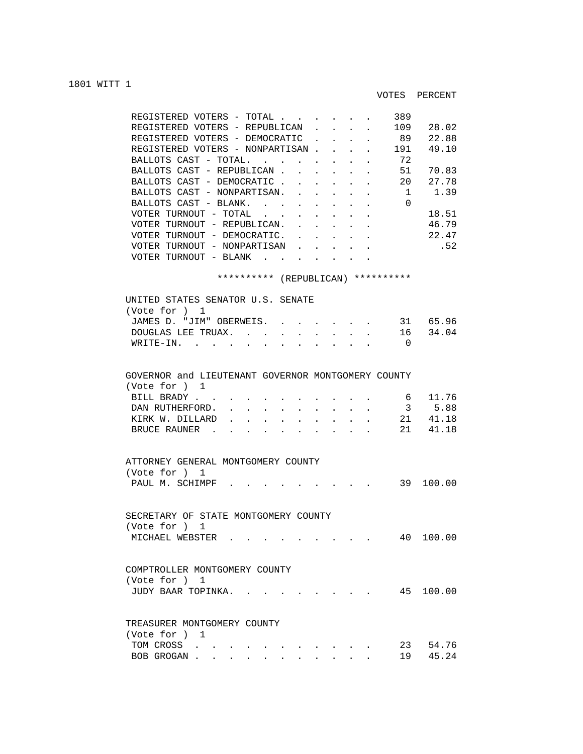## 1801 WITT 1

| REGISTERED<br>VOTERS<br>TOTAL                                      |  |  | 389 |       |
|--------------------------------------------------------------------|--|--|-----|-------|
| REGISTERED VOTERS - REPUBLICAN                                     |  |  | 109 | 28.02 |
| REGISTERED VOTERS - DEMOCRATIC                                     |  |  | 89  | 22.88 |
| REGISTERED VOTERS - NONPARTISAN.                                   |  |  | 191 | 49.10 |
| BALLOTS CAST<br>- TOTAL.                                           |  |  | 72  |       |
| BALLOTS CAST - REPUBLICAN                                          |  |  | 51  | 70.83 |
| BALLOTS CAST - DEMOCRATIC                                          |  |  | 20  | 27.78 |
| BALLOTS CAST - NONPARTISAN.                                        |  |  |     | 1.39  |
| BALLOTS CAST - BLANK.                                              |  |  | 0   |       |
| VOTER TURNOUT<br>TOTAL<br>$\overline{\phantom{m}}$                 |  |  |     | 18.51 |
| - REPUBLICAN.<br>VOTER TURNOUT                                     |  |  |     | 46.79 |
| VOTER TURNOUT - DEMOCRATIC.                                        |  |  |     | 22.47 |
| NONPARTISAN<br>TURNOUT<br>VOTER<br>$\hspace{0.1mm}-\hspace{0.1mm}$ |  |  |     | .52   |
| VOTER<br>TURNOUT<br>BLANK<br>$\overline{\phantom{m}}$              |  |  |     |       |

## \*\*\*\*\*\*\*\*\*\* (REPUBLICAN) \*\*\*\*\*\*\*\*\*\*

| UNITED STATES SENATOR U.S. SENATE<br>(Vote for ) 1                                                                                                                                                                                                                                                                                                                                                       |  |
|----------------------------------------------------------------------------------------------------------------------------------------------------------------------------------------------------------------------------------------------------------------------------------------------------------------------------------------------------------------------------------------------------------|--|
| 31 65.96<br>JAMES D. "JIM" OBERWEIS.<br>16 34.04<br>DOUGLAS LEE TRUAX.<br>$\sim$<br>$\sim$<br>$\sim$<br>$\sim$<br>WRITE-IN.<br>$\cap$                                                                                                                                                                                                                                                                    |  |
| GOVERNOR and LIEUTENANT GOVERNOR MONTGOMERY COUNTY                                                                                                                                                                                                                                                                                                                                                       |  |
| (Vote for ) 1<br>11.76<br>BILL BRADY<br>6<br>3 5.88<br>DAN RUTHERFORD.<br>$\mathbf{r} = \mathbf{r} - \mathbf{r}$ , and $\mathbf{r} = \mathbf{r} - \mathbf{r}$ , and $\mathbf{r} = \mathbf{r} - \mathbf{r}$<br>21 41.18<br>KIRK W. DILLARD<br>$\mathbf{r} = \mathbf{r}$<br>$\mathbf{r} = \mathbf{r}$ , $\mathbf{r} = \mathbf{r}$ , $\mathbf{r} = \mathbf{r}$<br>$\mathbf{r}$<br>21 41.18<br>BRUCE RAUNER. |  |
| ATTORNEY GENERAL MONTGOMERY COUNTY<br>(Vote for ) 1<br>39 100.00<br>PAUL M. SCHIMPF.                                                                                                                                                                                                                                                                                                                     |  |
| SECRETARY OF STATE MONTGOMERY COUNTY<br>(Vote for ) 1<br>40 100.00<br>MICHAEL WEBSTER                                                                                                                                                                                                                                                                                                                    |  |
| COMPTROLLER MONTGOMERY COUNTY<br>(Vote for ) 1<br>45 100.00<br>JUDY BAAR TOPINKA.                                                                                                                                                                                                                                                                                                                        |  |
| TREASURER MONTGOMERY COUNTY<br>(Vote for ) 1<br>23 54.76<br>TOM CROSS<br>$\mathcal{L}(\mathcal{A})$ and $\mathcal{A}(\mathcal{A})$ and $\mathcal{A}(\mathcal{A})$                                                                                                                                                                                                                                        |  |

BOB GROGAN . . . . . . . . . . . 19 45.24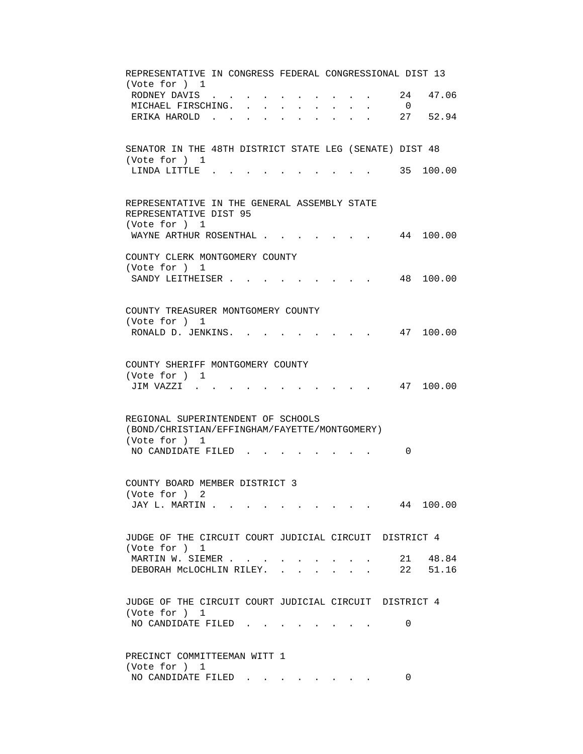REPRESENTATIVE IN CONGRESS FEDERAL CONGRESSIONAL DIST 13 (Vote for ) 1 RODNEY DAVIS . . . . . . . . . . 24 47.06 MICHAEL FIRSCHING. . . . . . . . . 0 ERIKA HAROLD . . . . . . . . . . 27 52.94 SENATOR IN THE 48TH DISTRICT STATE LEG (SENATE) DIST 48 (Vote for ) 1 LINDA LITTLE . . . . . . . . . . 35 100.00 REPRESENTATIVE IN THE GENERAL ASSEMBLY STATE REPRESENTATIVE DIST 95 (Vote for ) 1 WAYNE ARTHUR ROSENTHAL . . . . . . . 44 100.00 COUNTY CLERK MONTGOMERY COUNTY (Vote for ) 1 SANDY LEITHEISER . . . . . . . . . 48 100.00 COUNTY TREASURER MONTGOMERY COUNTY (Vote for ) 1 RONALD D. JENKINS. . . . . . . . . 47 100.00 COUNTY SHERIFF MONTGOMERY COUNTY (Vote for ) 1 JIM VAZZI . . . . . . . . . . . 47 100.00 REGIONAL SUPERINTENDENT OF SCHOOLS (BOND/CHRISTIAN/EFFINGHAM/FAYETTE/MONTGOMERY) (Vote for ) 1 NO CANDIDATE FILED . . . . . . . . 0 COUNTY BOARD MEMBER DISTRICT 3 (Vote for ) 2 JAY L. MARTIN . . . . . . . . . . . 44 100.00 JUDGE OF THE CIRCUIT COURT JUDICIAL CIRCUIT DISTRICT 4 (Vote for ) 1 MARTIN W. SIEMER . . . . . . . . . . . 21 48.84 DEBORAH MCLOCHLIN RILEY. . . . . . . 22 51.16 JUDGE OF THE CIRCUIT COURT JUDICIAL CIRCUIT DISTRICT 4 (Vote for ) 1 NO CANDIDATE FILED . . . . . . . . 0 PRECINCT COMMITTEEMAN WITT 1 (Vote for ) 1 NO CANDIDATE FILED . . . . . . . . 0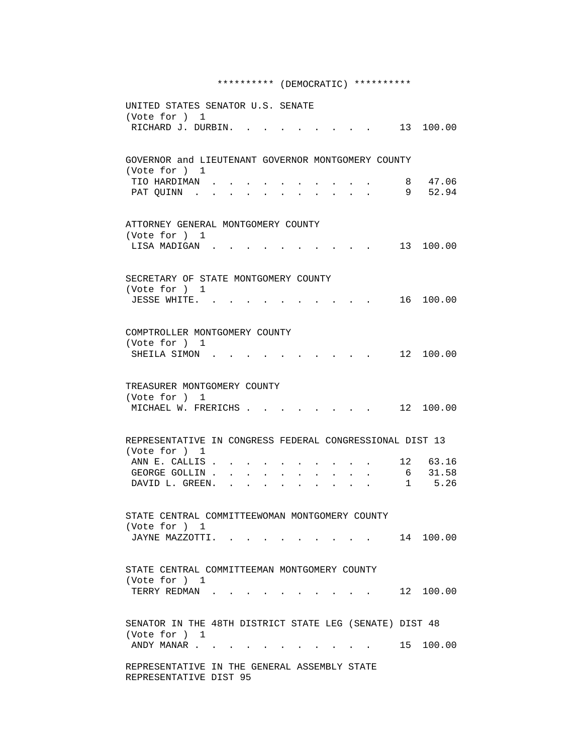## \*\*\*\*\*\*\*\*\*\* (DEMOCRATIC) \*\*\*\*\*\*\*\*\*\*

| UNITED STATES SENATOR U.S. SENATE<br>(Vote for ) 1<br>RICHARD J. DURBIN. . |                                |                                                                                                                                                  |        | $\sim$ 13 100.00  |
|----------------------------------------------------------------------------|--------------------------------|--------------------------------------------------------------------------------------------------------------------------------------------------|--------|-------------------|
|                                                                            |                                |                                                                                                                                                  |        |                   |
| GOVERNOR and LIEUTENANT GOVERNOR MONTGOMERY COUNTY<br>(Vote for ) 1        |                                |                                                                                                                                                  |        |                   |
| TIO HARDIMAN.<br>PAT QUINN .                                               |                                |                                                                                                                                                  | 8<br>9 | 47.06<br>52.94    |
| ATTORNEY GENERAL MONTGOMERY COUNTY<br>(Vote for ) 1                        |                                |                                                                                                                                                  |        |                   |
| LISA MADIGAN.                                                              |                                |                                                                                                                                                  |        | 13 100.00         |
| SECRETARY OF STATE MONTGOMERY COUNTY<br>(Vote for ) 1                      |                                |                                                                                                                                                  |        |                   |
| JESSE WHITE. .                                                             |                                | <b><i>Committee State State State</i></b>                                                                                                        |        | 16 100.00         |
| COMPTROLLER MONTGOMERY COUNTY<br>(Vote for ) 1                             |                                |                                                                                                                                                  |        |                   |
| SHEILA SIMON                                                               |                                |                                                                                                                                                  |        | 12 100.00         |
| TREASURER MONTGOMERY COUNTY<br>(Vote for ) 1                               |                                |                                                                                                                                                  |        |                   |
| MICHAEL W. FRERICHS                                                        |                                |                                                                                                                                                  |        | . 12 100.00       |
| REPRESENTATIVE IN CONGRESS FEDERAL CONGRESSIONAL DIST 13<br>(Vote for ) 1  |                                |                                                                                                                                                  |        |                   |
| ANN E. CALLIS.                                                             |                                |                                                                                                                                                  |        | 12 63.16          |
| GEORGE GOLLIN.<br>DAVID L. GREEN.                                          | $\sim$<br>$\ddot{\phantom{0}}$ |                                                                                                                                                  |        | 6 31.58<br>1 5.26 |
|                                                                            |                                |                                                                                                                                                  |        |                   |
| STATE CENTRAL COMMITTEEWOMAN MONTGOMERY COUNTY<br>(Vote for ) 1            |                                |                                                                                                                                                  |        |                   |
|                                                                            | JAYNE MAZZOTTI.                | $\mathbf{r} = \mathbf{r} \cdot \mathbf{r}$ , where $\mathbf{r} = \mathbf{r} \cdot \mathbf{r}$ , where $\mathbf{r} = \mathbf{r} \cdot \mathbf{r}$ |        | 14 100.00         |
| STATE CENTRAL COMMITTEEMAN MONTGOMERY COUNTY                               |                                |                                                                                                                                                  |        |                   |
| (Vote for ) 1<br>TERRY REDMAN                                              |                                | $\cdot$ 12 100.00                                                                                                                                |        |                   |
| SENATOR IN THE 48TH DISTRICT STATE LEG (SENATE) DIST 48                    |                                |                                                                                                                                                  |        |                   |
| (Vote for ) 1<br>ANDY MANAR                                                |                                |                                                                                                                                                  |        | 15 100.00         |
| REPRESENTATIVE IN THE GENERAL ASSEMBLY STATE<br>REPRESENTATIVE DIST 95     |                                |                                                                                                                                                  |        |                   |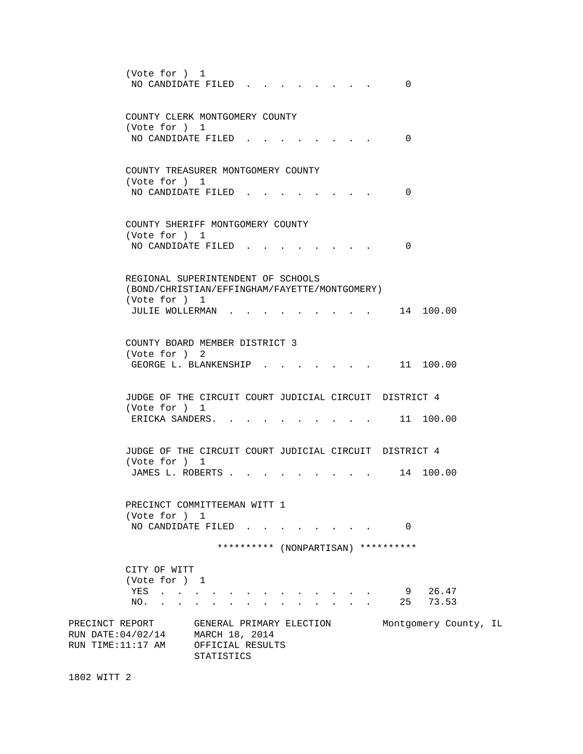| (Vote for ) 1<br>NO CANDIDATE FILED.                           | 0                                                                                                |                                |
|----------------------------------------------------------------|--------------------------------------------------------------------------------------------------|--------------------------------|
| (Vote for ) 1                                                  | COUNTY CLERK MONTGOMERY COUNTY<br>NO CANDIDATE FILED.<br>$\Omega$                                |                                |
| (Vote for ) 1                                                  | COUNTY TREASURER MONTGOMERY COUNTY<br>NO CANDIDATE FILED.<br>0                                   |                                |
| (Vote for ) 1<br>NO CANDIDATE FILED.                           | COUNTY SHERIFF MONTGOMERY COUNTY<br>0                                                            |                                |
| (Vote for ) 1<br>JULIE WOLLERMAN.                              | REGIONAL SUPERINTENDENT OF SCHOOLS<br>(BOND/CHRISTIAN/EFFINGHAM/FAYETTE/MONTGOMERY)<br>14 100.00 |                                |
| (Vote for ) 2                                                  | COUNTY BOARD MEMBER DISTRICT 3<br>11 100.00<br>GEORGE L. BLANKENSHIP                             |                                |
| (Vote for ) 1<br>ERICKA SANDERS.                               | JUDGE OF THE CIRCUIT COURT JUDICIAL CIRCUIT DISTRICT 4<br>$\,.\qquad$ 11 100.00                  |                                |
| (Vote for ) 1<br>JAMES L. ROBERTS                              | JUDGE OF THE CIRCUIT COURT JUDICIAL CIRCUIT DISTRICT 4<br>14 100.00                              |                                |
| (Vote for ) 1                                                  | PRECINCT COMMITTEEMAN WITT 1<br>NO CANDIDATE FILED 0                                             |                                |
|                                                                | ********** (NONPARTISAN) **********                                                              |                                |
| CITY OF WITT<br>(Vote for ) 1<br>YES<br>NO.<br>PRECINCT REPORT | 9 26.47<br>25<br>GENERAL PRIMARY ELECTION                                                        | 73.53<br>Montgomery County, IL |
| RUN DATE:04/02/14<br>RUN TIME:11:17 AM                         | MARCH 18, 2014<br>OFFICIAL RESULTS<br>STATISTICS                                                 |                                |

1802 WITT 2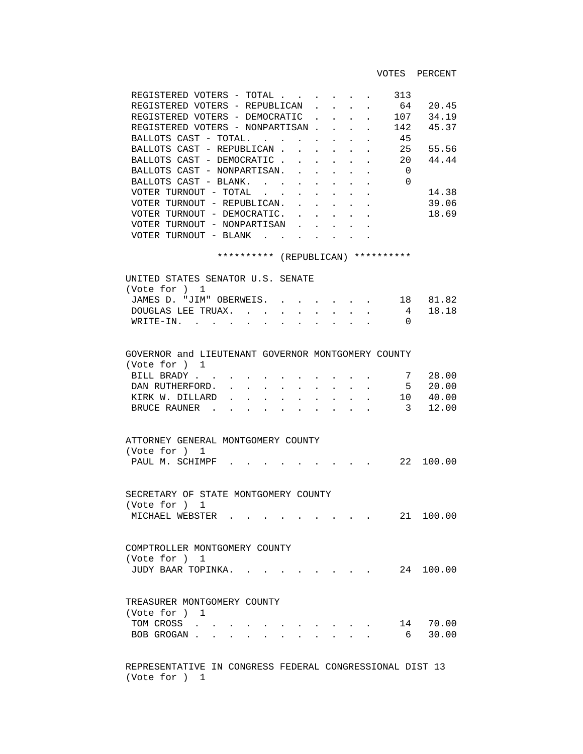VOTES PERCENT

| REGISTERED VOTERS - TOTAL        |        |  |  | 313      |       |
|----------------------------------|--------|--|--|----------|-------|
| REGISTERED VOTERS - REPUBLICAN.  |        |  |  | 64       | 20.45 |
| REGISTERED VOTERS - DEMOCRATIC   |        |  |  | 107      | 34.19 |
| REGISTERED VOTERS - NONPARTISAN. |        |  |  | 142      | 45.37 |
| BALLOTS CAST - TOTAL.            | $\sim$ |  |  | 45       |       |
| BALLOTS CAST - REPUBLICAN.       |        |  |  | 25       | 55.56 |
| BALLOTS CAST - DEMOCRATIC        |        |  |  | 20       | 44.44 |
| BALLOTS CAST - NONPARTISAN.      |        |  |  | 0        |       |
| BALLOTS CAST - BLANK.            |        |  |  | $\Omega$ |       |
| VOTER TURNOUT - TOTAL            |        |  |  |          | 14.38 |
| VOTER TURNOUT - REPUBLICAN.      |        |  |  |          | 39.06 |
| VOTER TURNOUT - DEMOCRATIC.      |        |  |  |          | 18.69 |
| VOTER TURNOUT - NONPARTISAN      |        |  |  |          |       |
| VOTER TURNOUT - BLANK            |        |  |  |          |       |
|                                  |        |  |  |          |       |

\*\*\*\*\*\*\*\*\*\* (REPUBLICAN) \*\*\*\*\*\*\*\*\*\*

| UNITED STATES SENATOR U.S. SENATE |                                   |
|-----------------------------------|-----------------------------------|
| (Vote for ) $1$                   |                                   |
|                                   | JAMES D. "JIM" OBERWEIS. 18 81.82 |
|                                   | DOUGLAS LEE TRUAX. 4 18.18        |
| WRITE-IN.                         |                                   |
|                                   |                                   |

| GOVERNOR and LIEUTENANT GOVERNOR MONTGOMERY COUNTY |  |  |  |  |  |          |
|----------------------------------------------------|--|--|--|--|--|----------|
| (Vote for ) 1                                      |  |  |  |  |  |          |
| BILL BRADY 7 28.00                                 |  |  |  |  |  |          |
| DAN RUTHERFORD.                                    |  |  |  |  |  | 5 20.00  |
| KIRK W. DILLARD                                    |  |  |  |  |  | 10 40.00 |
| BRUCE RAUNER                                       |  |  |  |  |  | 3 12.00  |

| ATTORNEY GENERAL MONTGOMERY COUNTY |  |  |  |  |  |  |           |
|------------------------------------|--|--|--|--|--|--|-----------|
| (Vote for ) 1                      |  |  |  |  |  |  |           |
| PAUL M. SCHIMPF                    |  |  |  |  |  |  | 22 100.00 |

 SECRETARY OF STATE MONTGOMERY COUNTY (Vote for ) 1 MICHAEL WEBSTER . . . . . . . . . 21 100.00

 COMPTROLLER MONTGOMERY COUNTY (Vote for ) 1 JUDY BAAR TOPINKA. . . . . . . . . 24 100.00

| TREASURER MONTGOMERY COUNTY |  |  |  |  |  |          |
|-----------------------------|--|--|--|--|--|----------|
| (Vote for ) 1               |  |  |  |  |  |          |
| TOM CROSS                   |  |  |  |  |  | 14 70.00 |
| BOB GROGAN 6 30.00          |  |  |  |  |  |          |

 REPRESENTATIVE IN CONGRESS FEDERAL CONGRESSIONAL DIST 13 (Vote for ) 1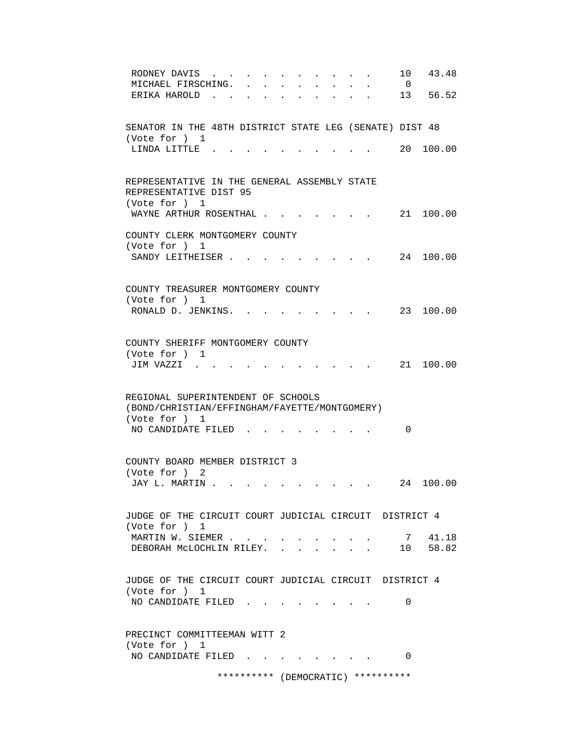| 43.48<br>10<br>RODNEY DAVIS<br>MICHAEL FIRSCHING.<br>$\overline{0}$                                             |
|-----------------------------------------------------------------------------------------------------------------|
| 13 56.52<br>ERIKA HAROLD.                                                                                       |
|                                                                                                                 |
| SENATOR IN THE 48TH DISTRICT STATE LEG (SENATE) DIST 48<br>(Vote for ) 1                                        |
| 20 100.00<br>LINDA LITTLE.                                                                                      |
|                                                                                                                 |
| REPRESENTATIVE IN THE GENERAL ASSEMBLY STATE<br>REPRESENTATIVE DIST 95                                          |
| (Vote for ) 1<br>WAYNE ARTHUR ROSENTHAL .<br>21 100.00                                                          |
| COUNTY CLERK MONTGOMERY COUNTY                                                                                  |
| (Vote for ) 1                                                                                                   |
| SANDY LEITHEISER.<br>24 100.00                                                                                  |
|                                                                                                                 |
| COUNTY TREASURER MONTGOMERY COUNTY                                                                              |
| (Vote for ) 1<br>23 100.00<br>RONALD D. JENKINS.                                                                |
|                                                                                                                 |
|                                                                                                                 |
| COUNTY SHERIFF MONTGOMERY COUNTY<br>(Vote for ) 1                                                               |
| 21 100.00<br>JIM VAZZI.                                                                                         |
|                                                                                                                 |
| REGIONAL SUPERINTENDENT OF SCHOOLS                                                                              |
| (BOND/CHRISTIAN/EFFINGHAM/FAYETTE/MONTGOMERY)                                                                   |
| (Vote for ) 1                                                                                                   |
| NO CANDIDATE FILED<br>0                                                                                         |
|                                                                                                                 |
| COUNTY BOARD MEMBER DISTRICT 3<br>(Vote for ) 2                                                                 |
| JAY L. MARTIN .<br>24 100.00                                                                                    |
|                                                                                                                 |
| JUDGE OF THE CIRCUIT COURT JUDICIAL CIRCUIT DISTRICT 4<br>(Vote for ) 1                                         |
| 7 41.18<br>MARTIN W. SIEMER                                                                                     |
| 10 58.82<br>DEBORAH MCLOCHLIN RILEY. .                                                                          |
|                                                                                                                 |
| JUDGE OF THE CIRCUIT COURT JUDICIAL CIRCUIT DISTRICT 4                                                          |
| (Vote for ) 1<br>NO CANDIDATE FILED<br>0                                                                        |
| the contract of the contract of the contract of the contract of the contract of the contract of the contract of |
|                                                                                                                 |
| PRECINCT COMMITTEEMAN WITT 2<br>(Vote for ) 1                                                                   |
| NO CANDIDATE FILED<br>$\Omega$                                                                                  |
|                                                                                                                 |
| ********** (DEMOCRATIC) **********                                                                              |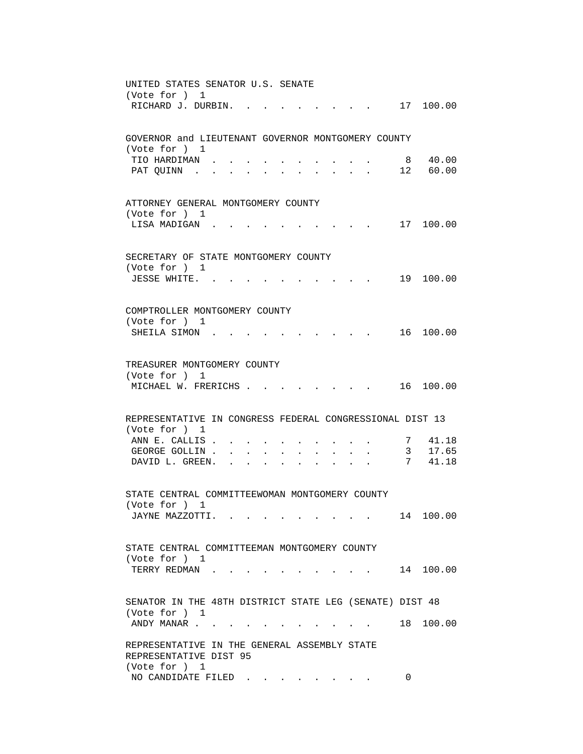| UNITED STATES SENATOR U.S. SENATE                                                                                             |
|-------------------------------------------------------------------------------------------------------------------------------|
| (Vote for ) 1                                                                                                                 |
| RICHARD J. DURBIN. .<br>. 17 100.00                                                                                           |
|                                                                                                                               |
| GOVERNOR and LIEUTENANT GOVERNOR MONTGOMERY COUNTY                                                                            |
| (Vote for ) 1                                                                                                                 |
| 40.00<br>TIO HARDIMAN.<br>8                                                                                                   |
| 12 60.00<br>PAT OUINN .                                                                                                       |
|                                                                                                                               |
|                                                                                                                               |
| ATTORNEY GENERAL MONTGOMERY COUNTY                                                                                            |
| (Vote for ) 1                                                                                                                 |
| LISA MADIGAN.<br>17 100.00<br>$\mathbf{r} = \mathbf{r} + \mathbf{r} + \mathbf{r} + \mathbf{r} + \mathbf{r} + \mathbf{r}$      |
|                                                                                                                               |
|                                                                                                                               |
| SECRETARY OF STATE MONTGOMERY COUNTY                                                                                          |
| (Vote for ) 1                                                                                                                 |
| 19 100.00<br>JESSE WHITE. .                                                                                                   |
|                                                                                                                               |
| COMPTROLLER MONTGOMERY COUNTY                                                                                                 |
| (Vote for ) 1                                                                                                                 |
| 16 100.00<br>SHEILA SIMON<br>$\mathbf{r}$ , $\mathbf{r}$ , $\mathbf{r}$ , $\mathbf{r}$                                        |
|                                                                                                                               |
|                                                                                                                               |
| TREASURER MONTGOMERY COUNTY                                                                                                   |
| (Vote for ) 1                                                                                                                 |
| MICHAEL W. FRERICHS<br>16 100.00<br><b>Contract Contract Street</b>                                                           |
|                                                                                                                               |
|                                                                                                                               |
| REPRESENTATIVE IN CONGRESS FEDERAL CONGRESSIONAL DIST 13                                                                      |
| (Vote for ) 1<br>41.18<br>ANN E. CALLIS.<br>7                                                                                 |
| GEORGE GOLLIN.<br>3 <sup>7</sup><br>17.65<br>$\sim$ $\sim$                                                                    |
| DAVID L. GREEN.<br>7<br>41.18<br>$\sim$<br>$\sim$                                                                             |
|                                                                                                                               |
|                                                                                                                               |
| STATE CENTRAL COMMITTEEWOMAN MONTGOMERY COUNTY                                                                                |
| (Vote for ) 1                                                                                                                 |
| 14 100.00<br>JAYNE MAZZOTTI.<br>$\mathcal{L}(\mathbf{z})$ . The contribution of the contribution of $\mathcal{L}(\mathbf{z})$ |
|                                                                                                                               |
|                                                                                                                               |
| STATE CENTRAL COMMITTEEMAN MONTGOMERY COUNTY                                                                                  |
| (Vote for ) 1<br>14 100.00<br>TERRY REDMAN                                                                                    |
| $\mathbf{r}$ , $\mathbf{r}$ , $\mathbf{r}$ , $\mathbf{r}$                                                                     |
|                                                                                                                               |
| SENATOR IN THE 48TH DISTRICT STATE LEG (SENATE) DIST 48                                                                       |
| (Vote for ) 1                                                                                                                 |
| 18 100.00<br>ANDY MANAR                                                                                                       |
|                                                                                                                               |
| REPRESENTATIVE IN THE GENERAL ASSEMBLY STATE                                                                                  |
| REPRESENTATIVE DIST 95                                                                                                        |
| (Vote for ) 1                                                                                                                 |
| NO CANDIDATE FILED<br>$\Omega$                                                                                                |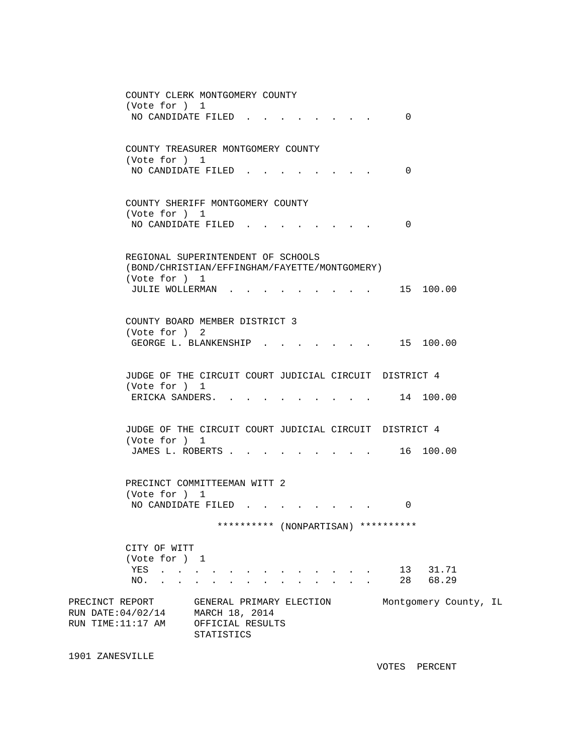| COUNTY CLERK MONTGOMERY COUNTY<br>(Vote for ) 1<br>NO CANDIDATE FILED.                    |                                                                                     | 0                     |
|-------------------------------------------------------------------------------------------|-------------------------------------------------------------------------------------|-----------------------|
| (Vote for ) 1<br>NO CANDIDATE FILED.                                                      | COUNTY TREASURER MONTGOMERY COUNTY                                                  | 0                     |
| COUNTY SHERIFF MONTGOMERY COUNTY<br>(Vote for ) 1<br>NO CANDIDATE FILED.                  |                                                                                     | $\Omega$              |
| (Vote for ) 1<br>JULIE WOLLERMAN.                                                         | REGIONAL SUPERINTENDENT OF SCHOOLS<br>(BOND/CHRISTIAN/EFFINGHAM/FAYETTE/MONTGOMERY) | 15 100.00             |
| COUNTY BOARD MEMBER DISTRICT 3<br>(Vote for ) 2<br>GEORGE L. BLANKENSHIP .                | the contract of the contract of the                                                 | 15 100.00             |
| (Vote for ) 1<br>ERICKA SANDERS                                                           | JUDGE OF THE CIRCUIT COURT JUDICIAL CIRCUIT DISTRICT 4                              | 14 100.00             |
| (Vote for ) 1<br>JAMES L. ROBERTS                                                         | JUDGE OF THE CIRCUIT COURT JUDICIAL CIRCUIT DISTRICT 4                              | . 16 100.00           |
| PRECINCT COMMITTEEMAN WITT 2<br>(Vote for ) 1<br>NO CANDIDATE FILED.                      |                                                                                     | 0                     |
| CITY OF WITT<br>(Vote for ) 1<br>YES<br>$\mathbf{r}$ , $\mathbf{r}$ , $\mathbf{r}$<br>NO. | ********** (NONPARTISAN) **********<br>$\mathbf{r} = \mathbf{r}$                    | 13 31.71<br>28 68.29  |
| PRECINCT REPORT<br>RUN DATE: 04/02/14<br>RUN TIME:11:17 AM                                | GENERAL PRIMARY ELECTION<br>MARCH 18, 2014<br>OFFICIAL RESULTS<br>STATISTICS        | Montgomery County, IL |

1901 ZANESVILLE

VOTES PERCENT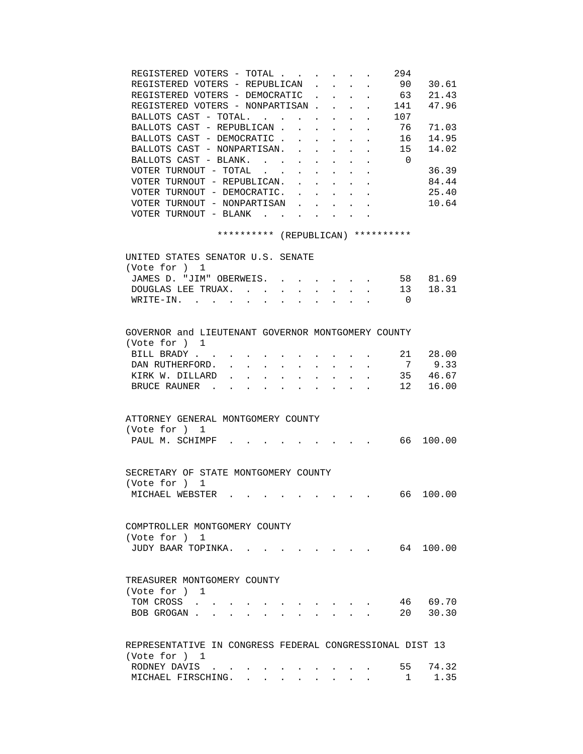| REGISTERED VOTERS - TOTAL<br>294<br>90 30.61<br>REGISTERED VOTERS - REPUBLICAN<br>$\mathbf{L}$<br>$\sim$<br>$\mathbf{L}$<br>REGISTERED VOTERS - DEMOCRATIC<br>63 21.43<br>$\mathbf{r}$<br>$\sim$<br>$\mathbf{L}^{\text{max}}$<br>47.96<br>REGISTERED VOTERS - NONPARTISAN.<br>141<br>$\sim$<br>$\mathbf{L}^{\text{max}}$ and $\mathbf{L}^{\text{max}}$<br>BALLOTS CAST - TOTAL.<br>. 107<br>BALLOTS CAST - REPUBLICAN.<br>76<br>71.03<br>14.95<br>BALLOTS CAST - DEMOCRATIC.<br>16<br>BALLOTS CAST - NONPARTISAN.<br>15<br>14.02<br>BALLOTS CAST - BLANK.<br>$\overline{\mathbf{0}}$<br>$\mathbf{L}$<br>$\mathbf{r}$<br>$\ddot{\phantom{0}}$<br>$\mathbf{L}$<br>$\sim$<br>VOTER TURNOUT - TOTAL<br>36.39<br>$\sim 100$<br>$\mathbf{r}$<br>$\mathbf{L}$<br>$\ddot{\phantom{a}}$<br>$\mathbf{L}$<br>$\mathbf{L}$<br>$\mathbf{r}$<br>VOTER TURNOUT - REPUBLICAN.<br>84.44<br>VOTER TURNOUT - DEMOCRATIC.<br>25.40<br>$\bullet$ . The set of $\bullet$<br>$\mathbf{L} = \mathbf{L} \mathbf{L}$ .<br>$\ddot{\phantom{a}}$<br>10.64<br>VOTER TURNOUT - NONPARTISAN<br>$\sim$ 100 $\sim$ 100 $\sim$ 100 $\sim$<br>VOTER TURNOUT - BLANK .<br>the contract of the contract of the contract of |  |
|---------------------------------------------------------------------------------------------------------------------------------------------------------------------------------------------------------------------------------------------------------------------------------------------------------------------------------------------------------------------------------------------------------------------------------------------------------------------------------------------------------------------------------------------------------------------------------------------------------------------------------------------------------------------------------------------------------------------------------------------------------------------------------------------------------------------------------------------------------------------------------------------------------------------------------------------------------------------------------------------------------------------------------------------------------------------------------------------------------------------------------------------------------------------------------------|--|
| ********** (REPUBLICAN) **********                                                                                                                                                                                                                                                                                                                                                                                                                                                                                                                                                                                                                                                                                                                                                                                                                                                                                                                                                                                                                                                                                                                                                    |  |
| UNITED STATES SENATOR U.S. SENATE                                                                                                                                                                                                                                                                                                                                                                                                                                                                                                                                                                                                                                                                                                                                                                                                                                                                                                                                                                                                                                                                                                                                                     |  |
| (Vote for ) 1                                                                                                                                                                                                                                                                                                                                                                                                                                                                                                                                                                                                                                                                                                                                                                                                                                                                                                                                                                                                                                                                                                                                                                         |  |
| $\cdot$ 58 81.69<br>JAMES D. "JIM" OBERWEIS.                                                                                                                                                                                                                                                                                                                                                                                                                                                                                                                                                                                                                                                                                                                                                                                                                                                                                                                                                                                                                                                                                                                                          |  |
| 13 18.31<br>DOUGLAS LEE TRUAX.<br>$\mathbf{z} = \mathbf{z} + \mathbf{z}$ .<br>$\bullet$ . The set of $\bullet$<br>$\cdot$ $\cdot$ $\cdot$                                                                                                                                                                                                                                                                                                                                                                                                                                                                                                                                                                                                                                                                                                                                                                                                                                                                                                                                                                                                                                             |  |
| WRITE-IN.<br>$\overline{0}$                                                                                                                                                                                                                                                                                                                                                                                                                                                                                                                                                                                                                                                                                                                                                                                                                                                                                                                                                                                                                                                                                                                                                           |  |
|                                                                                                                                                                                                                                                                                                                                                                                                                                                                                                                                                                                                                                                                                                                                                                                                                                                                                                                                                                                                                                                                                                                                                                                       |  |
|                                                                                                                                                                                                                                                                                                                                                                                                                                                                                                                                                                                                                                                                                                                                                                                                                                                                                                                                                                                                                                                                                                                                                                                       |  |
| GOVERNOR and LIEUTENANT GOVERNOR MONTGOMERY COUNTY                                                                                                                                                                                                                                                                                                                                                                                                                                                                                                                                                                                                                                                                                                                                                                                                                                                                                                                                                                                                                                                                                                                                    |  |
| (Vote for ) 1                                                                                                                                                                                                                                                                                                                                                                                                                                                                                                                                                                                                                                                                                                                                                                                                                                                                                                                                                                                                                                                                                                                                                                         |  |
| BILL BRADY<br>21 28.00                                                                                                                                                                                                                                                                                                                                                                                                                                                                                                                                                                                                                                                                                                                                                                                                                                                                                                                                                                                                                                                                                                                                                                |  |
| 7 9.33<br>DAN RUTHERFORD.<br><b>Contract Contract</b><br>$\mathbf{L}^{\text{max}}$<br>$\mathbf{r} = \mathbf{r}$<br>$\ddot{\phantom{0}}$<br>$\mathbf{L}$                                                                                                                                                                                                                                                                                                                                                                                                                                                                                                                                                                                                                                                                                                                                                                                                                                                                                                                                                                                                                               |  |
| 35 46.67<br>KIRK W. DILLARD<br>$\mathbf{r}$ and $\mathbf{r}$<br>$\mathbf{r}$ , $\mathbf{r}$ , $\mathbf{r}$<br>$\sim$ 100 $\pm$<br>$\sim$<br>$\ddot{\phantom{a}}$                                                                                                                                                                                                                                                                                                                                                                                                                                                                                                                                                                                                                                                                                                                                                                                                                                                                                                                                                                                                                      |  |
| BRUCE RAUNER<br>12 16.00<br>the contract of the contract of the contract of<br>$\sim$                                                                                                                                                                                                                                                                                                                                                                                                                                                                                                                                                                                                                                                                                                                                                                                                                                                                                                                                                                                                                                                                                                 |  |
|                                                                                                                                                                                                                                                                                                                                                                                                                                                                                                                                                                                                                                                                                                                                                                                                                                                                                                                                                                                                                                                                                                                                                                                       |  |
|                                                                                                                                                                                                                                                                                                                                                                                                                                                                                                                                                                                                                                                                                                                                                                                                                                                                                                                                                                                                                                                                                                                                                                                       |  |
| ATTORNEY GENERAL MONTGOMERY COUNTY                                                                                                                                                                                                                                                                                                                                                                                                                                                                                                                                                                                                                                                                                                                                                                                                                                                                                                                                                                                                                                                                                                                                                    |  |
| (Vote for ) 1                                                                                                                                                                                                                                                                                                                                                                                                                                                                                                                                                                                                                                                                                                                                                                                                                                                                                                                                                                                                                                                                                                                                                                         |  |
| PAUL M. SCHIMPF<br>66<br>100.00                                                                                                                                                                                                                                                                                                                                                                                                                                                                                                                                                                                                                                                                                                                                                                                                                                                                                                                                                                                                                                                                                                                                                       |  |
|                                                                                                                                                                                                                                                                                                                                                                                                                                                                                                                                                                                                                                                                                                                                                                                                                                                                                                                                                                                                                                                                                                                                                                                       |  |
|                                                                                                                                                                                                                                                                                                                                                                                                                                                                                                                                                                                                                                                                                                                                                                                                                                                                                                                                                                                                                                                                                                                                                                                       |  |
| SECRETARY OF STATE MONTGOMERY COUNTY                                                                                                                                                                                                                                                                                                                                                                                                                                                                                                                                                                                                                                                                                                                                                                                                                                                                                                                                                                                                                                                                                                                                                  |  |
| (Vote for ) 1<br>66 100.00                                                                                                                                                                                                                                                                                                                                                                                                                                                                                                                                                                                                                                                                                                                                                                                                                                                                                                                                                                                                                                                                                                                                                            |  |
| MICHAEL WEBSTER .                                                                                                                                                                                                                                                                                                                                                                                                                                                                                                                                                                                                                                                                                                                                                                                                                                                                                                                                                                                                                                                                                                                                                                     |  |
|                                                                                                                                                                                                                                                                                                                                                                                                                                                                                                                                                                                                                                                                                                                                                                                                                                                                                                                                                                                                                                                                                                                                                                                       |  |
|                                                                                                                                                                                                                                                                                                                                                                                                                                                                                                                                                                                                                                                                                                                                                                                                                                                                                                                                                                                                                                                                                                                                                                                       |  |
| COMPTROLLER MONTGOMERY COUNTY                                                                                                                                                                                                                                                                                                                                                                                                                                                                                                                                                                                                                                                                                                                                                                                                                                                                                                                                                                                                                                                                                                                                                         |  |
| (Vote for ) 1<br>64 100.00<br>JUDY BAAR TOPINKA.                                                                                                                                                                                                                                                                                                                                                                                                                                                                                                                                                                                                                                                                                                                                                                                                                                                                                                                                                                                                                                                                                                                                      |  |
|                                                                                                                                                                                                                                                                                                                                                                                                                                                                                                                                                                                                                                                                                                                                                                                                                                                                                                                                                                                                                                                                                                                                                                                       |  |
|                                                                                                                                                                                                                                                                                                                                                                                                                                                                                                                                                                                                                                                                                                                                                                                                                                                                                                                                                                                                                                                                                                                                                                                       |  |
| TREASURER MONTGOMERY COUNTY                                                                                                                                                                                                                                                                                                                                                                                                                                                                                                                                                                                                                                                                                                                                                                                                                                                                                                                                                                                                                                                                                                                                                           |  |
| (Vote for ) 1                                                                                                                                                                                                                                                                                                                                                                                                                                                                                                                                                                                                                                                                                                                                                                                                                                                                                                                                                                                                                                                                                                                                                                         |  |
| 46 69.70<br>TOM CROSS.                                                                                                                                                                                                                                                                                                                                                                                                                                                                                                                                                                                                                                                                                                                                                                                                                                                                                                                                                                                                                                                                                                                                                                |  |
| 20 30.30<br>BOB GROGAN.                                                                                                                                                                                                                                                                                                                                                                                                                                                                                                                                                                                                                                                                                                                                                                                                                                                                                                                                                                                                                                                                                                                                                               |  |
|                                                                                                                                                                                                                                                                                                                                                                                                                                                                                                                                                                                                                                                                                                                                                                                                                                                                                                                                                                                                                                                                                                                                                                                       |  |
|                                                                                                                                                                                                                                                                                                                                                                                                                                                                                                                                                                                                                                                                                                                                                                                                                                                                                                                                                                                                                                                                                                                                                                                       |  |
| REPRESENTATIVE IN CONGRESS FEDERAL CONGRESSIONAL DIST 13                                                                                                                                                                                                                                                                                                                                                                                                                                                                                                                                                                                                                                                                                                                                                                                                                                                                                                                                                                                                                                                                                                                              |  |
| (Vote for ) 1                                                                                                                                                                                                                                                                                                                                                                                                                                                                                                                                                                                                                                                                                                                                                                                                                                                                                                                                                                                                                                                                                                                                                                         |  |
| 55 74.32<br>RODNEY DAVIS                                                                                                                                                                                                                                                                                                                                                                                                                                                                                                                                                                                                                                                                                                                                                                                                                                                                                                                                                                                                                                                                                                                                                              |  |
| 1.35<br>MICHAEL FIRSCHING.<br>$1 \quad \cdots$                                                                                                                                                                                                                                                                                                                                                                                                                                                                                                                                                                                                                                                                                                                                                                                                                                                                                                                                                                                                                                                                                                                                        |  |
|                                                                                                                                                                                                                                                                                                                                                                                                                                                                                                                                                                                                                                                                                                                                                                                                                                                                                                                                                                                                                                                                                                                                                                                       |  |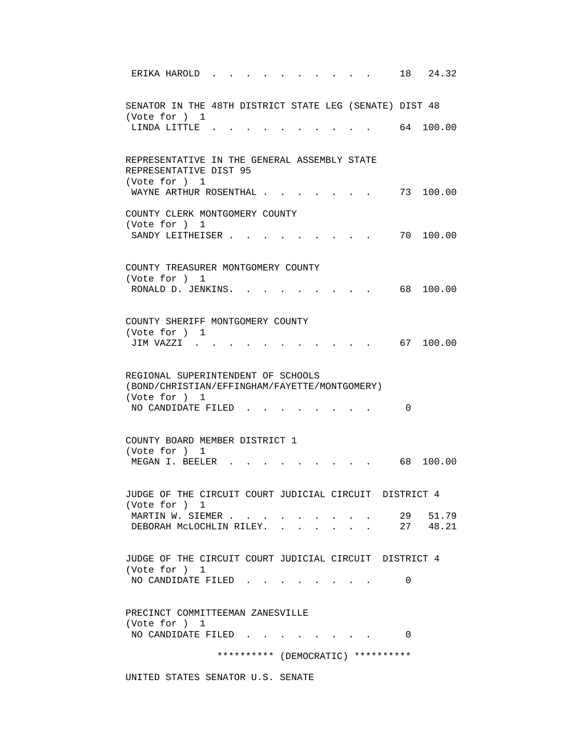| ERIKA HAROLD.                                                                                        | 18 24.32             |
|------------------------------------------------------------------------------------------------------|----------------------|
| SENATOR IN THE 48TH DISTRICT STATE LEG (SENATE) DIST 48<br>(Vote for ) 1                             |                      |
| LINDA LITTLE.                                                                                        | 64 100.00            |
| REPRESENTATIVE IN THE GENERAL ASSEMBLY STATE<br>REPRESENTATIVE DIST 95<br>(Vote for ) 1              |                      |
| WAYNE ARTHUR ROSENTHAL                                                                               | 73 100.00            |
| COUNTY CLERK MONTGOMERY COUNTY<br>(Vote for ) 1<br>SANDY LEITHEISER.                                 | 70 100.00            |
|                                                                                                      |                      |
| COUNTY TREASURER MONTGOMERY COUNTY<br>(Vote for ) 1                                                  |                      |
| RONALD D. JENKINS. .                                                                                 | 100.00<br>68 —       |
| COUNTY SHERIFF MONTGOMERY COUNTY<br>(Vote for ) 1<br>JIM VAZZI                                       | 67 100.00            |
|                                                                                                      |                      |
| REGIONAL SUPERINTENDENT OF SCHOOLS<br>(BOND/CHRISTIAN/EFFINGHAM/FAYETTE/MONTGOMERY)<br>(Vote for ) 1 |                      |
| NO CANDIDATE FILED                                                                                   | $\Omega$             |
| COUNTY BOARD MEMBER DISTRICT 1<br>(Vote for ) 1                                                      |                      |
| MEGAN I. BEELER                                                                                      | 68 100.00            |
| JUDGE OF THE CIRCUIT COURT JUDICIAL CIRCUIT DISTRICT 4<br>(Vote for ) 1                              |                      |
| MARTIN W. SIEMER<br>DEBORAH MCLOCHLIN RILEY.                                                         | 29 51.79<br>27 48.21 |
| JUDGE OF THE CIRCUIT COURT JUDICIAL CIRCUIT DISTRICT 4<br>(Vote for ) 1                              |                      |
| NO CANDIDATE FILED.                                                                                  | 0                    |
| PRECINCT COMMITTEEMAN ZANESVILLE<br>(Vote for ) 1                                                    |                      |
| NO CANDIDATE FILED                                                                                   | 0                    |
| ********** (DEMOCRATIC) **********                                                                   |                      |

UNITED STATES SENATOR U.S. SENATE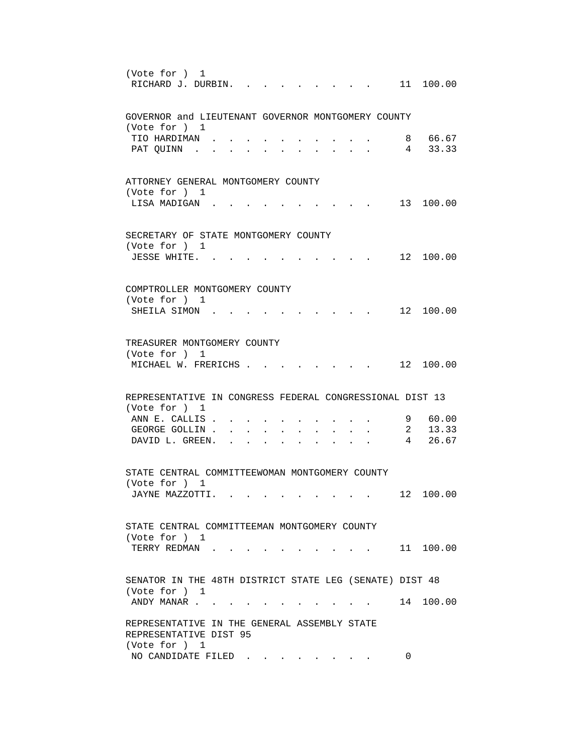```
 (Vote for ) 1 
RICHARD J. DURBIN. . . . . . . . . 11 100.00
 GOVERNOR and LIEUTENANT GOVERNOR MONTGOMERY COUNTY 
 (Vote for ) 1 
 TIO HARDIMAN . . . . . . . . . . 8 66.67 
PAT QUINN . . . . . . . . . . . . 4 33.33
 ATTORNEY GENERAL MONTGOMERY COUNTY 
 (Vote for ) 1 
LISA MADIGAN . . . . . . . . . . 13 100.00
 SECRETARY OF STATE MONTGOMERY COUNTY 
 (Vote for ) 1 
JESSE WHITE. . . . . . . . . . . 12 100.00
 COMPTROLLER MONTGOMERY COUNTY 
 (Vote for ) 1 
SHEILA SIMON . . . . . . . . . . . 12 100.00
 TREASURER MONTGOMERY COUNTY 
 (Vote for ) 1 
MICHAEL W. FRERICHS . . . . . . . . 12 100.00
 REPRESENTATIVE IN CONGRESS FEDERAL CONGRESSIONAL DIST 13 
 (Vote for ) 1 
ANN E. CALLIS . . . . . . . . . . . 9 60.00
GEORGE GOLLIN . . . . . . . . . . 2 13.33
DAVID L. GREEN. . . . . . . . . . 4 26.67
 STATE CENTRAL COMMITTEEWOMAN MONTGOMERY COUNTY 
 (Vote for ) 1 
JAYNE MAZZOTTI. . . . . . . . . . 12 100.00
 STATE CENTRAL COMMITTEEMAN MONTGOMERY COUNTY 
 (Vote for ) 1 
TERRY REDMAN . . . . . . . . . . . 11 100.00
 SENATOR IN THE 48TH DISTRICT STATE LEG (SENATE) DIST 48 
 (Vote for ) 1 
ANDY MANAR . . . . . . . . . . . . 14 100.00
 REPRESENTATIVE IN THE GENERAL ASSEMBLY STATE 
 REPRESENTATIVE DIST 95 
 (Vote for ) 1 
NO CANDIDATE FILED . . . . . . . . 0
```